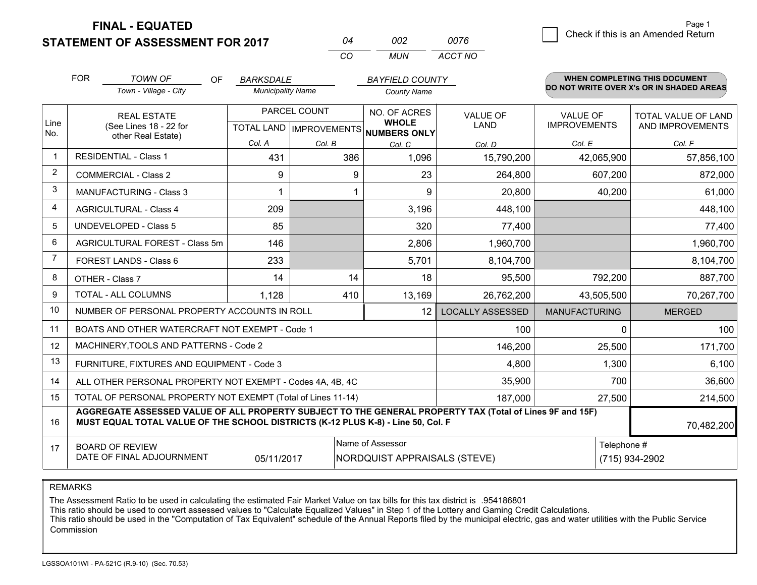**STATEMENT OF ASSESSMENT FOR 2017 FINAL - EQUATED**

| N4 | nnə  | 0076    |
|----|------|---------|
| cо | MUN. | ACCT NO |

|                | <b>FOR</b>                                                                                                                                                                                   | <b>TOWN OF</b><br><b>OF</b>                                  | <b>BARKSDALE</b>         |        | <b>BAYFIELD COUNTY</b>                              |                         |                      | <b>WHEN COMPLETING THIS DOCUMENT</b><br>DO NOT WRITE OVER X's OR IN SHADED AREAS |  |
|----------------|----------------------------------------------------------------------------------------------------------------------------------------------------------------------------------------------|--------------------------------------------------------------|--------------------------|--------|-----------------------------------------------------|-------------------------|----------------------|----------------------------------------------------------------------------------|--|
|                |                                                                                                                                                                                              | Town - Village - City                                        | <b>Municipality Name</b> |        | <b>County Name</b>                                  |                         |                      |                                                                                  |  |
|                |                                                                                                                                                                                              | <b>REAL ESTATE</b>                                           | PARCEL COUNT             |        | <b>NO. OF ACRES</b>                                 | <b>VALUE OF</b>         | <b>VALUE OF</b>      | TOTAL VALUE OF LAND                                                              |  |
| Line<br>No.    |                                                                                                                                                                                              | (See Lines 18 - 22 for<br>other Real Estate)                 |                          |        | <b>WHOLE</b><br>TOTAL LAND MPROVEMENTS NUMBERS ONLY | LAND                    | <b>IMPROVEMENTS</b>  | AND IMPROVEMENTS                                                                 |  |
|                |                                                                                                                                                                                              |                                                              | Col. A                   | Col. B | Col. C                                              | Col. D                  | Col. E               | Col. F                                                                           |  |
| 1              |                                                                                                                                                                                              | <b>RESIDENTIAL - Class 1</b>                                 | 431                      | 386    | 1,096                                               | 15,790,200              | 42,065,900           | 57,856,100                                                                       |  |
| $\overline{2}$ |                                                                                                                                                                                              | <b>COMMERCIAL - Class 2</b>                                  | 9                        | 9      | 23                                                  | 264,800                 | 607,200              | 872,000                                                                          |  |
| 3              |                                                                                                                                                                                              | <b>MANUFACTURING - Class 3</b>                               |                          |        | 9                                                   | 20,800                  | 40,200               | 61,000                                                                           |  |
| 4              |                                                                                                                                                                                              | <b>AGRICULTURAL - Class 4</b>                                | 209                      |        | 3,196                                               | 448,100                 |                      | 448,100                                                                          |  |
| 5              |                                                                                                                                                                                              | <b>UNDEVELOPED - Class 5</b>                                 | 85                       |        | 320                                                 | 77,400                  |                      | 77,400                                                                           |  |
| 6              | AGRICULTURAL FOREST - Class 5m                                                                                                                                                               |                                                              | 146                      |        | 2,806                                               | 1,960,700               |                      | 1,960,700                                                                        |  |
| 7              | FOREST LANDS - Class 6                                                                                                                                                                       |                                                              | 233                      |        | 5,701                                               | 8,104,700               |                      | 8,104,700                                                                        |  |
| 8              |                                                                                                                                                                                              | OTHER - Class 7                                              | 14                       | 14     | 18                                                  | 95,500                  | 792,200              | 887,700                                                                          |  |
| 9              |                                                                                                                                                                                              | TOTAL - ALL COLUMNS                                          | 1,128                    | 410    | 13,169                                              | 26,762,200              | 43,505,500           | 70,267,700                                                                       |  |
| 10             |                                                                                                                                                                                              | NUMBER OF PERSONAL PROPERTY ACCOUNTS IN ROLL                 |                          |        | 12                                                  | <b>LOCALLY ASSESSED</b> | <b>MANUFACTURING</b> | <b>MERGED</b>                                                                    |  |
| 11             |                                                                                                                                                                                              | BOATS AND OTHER WATERCRAFT NOT EXEMPT - Code 1               |                          |        |                                                     | 100                     | 0                    | 100                                                                              |  |
| 12             |                                                                                                                                                                                              | MACHINERY, TOOLS AND PATTERNS - Code 2                       |                          |        |                                                     | 146,200                 | 25,500               | 171,700                                                                          |  |
| 13             |                                                                                                                                                                                              | FURNITURE, FIXTURES AND EQUIPMENT - Code 3                   |                          |        |                                                     | 4,800                   | 1,300                | 6,100                                                                            |  |
| 14             |                                                                                                                                                                                              | ALL OTHER PERSONAL PROPERTY NOT EXEMPT - Codes 4A, 4B, 4C    |                          |        |                                                     | 35,900                  | 700                  | 36,600                                                                           |  |
| 15             |                                                                                                                                                                                              | TOTAL OF PERSONAL PROPERTY NOT EXEMPT (Total of Lines 11-14) |                          |        |                                                     | 187,000                 | 27,500               | 214,500                                                                          |  |
| 16             | AGGREGATE ASSESSED VALUE OF ALL PROPERTY SUBJECT TO THE GENERAL PROPERTY TAX (Total of Lines 9F and 15F)<br>MUST EQUAL TOTAL VALUE OF THE SCHOOL DISTRICTS (K-12 PLUS K-8) - Line 50, Col. F |                                                              |                          |        |                                                     |                         | 70,482,200           |                                                                                  |  |
| 17             |                                                                                                                                                                                              | <b>BOARD OF REVIEW</b>                                       |                          |        | Name of Assessor                                    |                         | Telephone #          |                                                                                  |  |
|                |                                                                                                                                                                                              | DATE OF FINAL ADJOURNMENT                                    | 05/11/2017               |        | <b>NORDQUIST APPRAISALS (STEVE)</b>                 |                         |                      | (715) 934-2902                                                                   |  |

REMARKS

The Assessment Ratio to be used in calculating the estimated Fair Market Value on tax bills for this tax district is .954186801

This ratio should be used to convert assessed values to "Calculate Equalized Values" in Step 1 of the Lottery and Gaming Credit Calculations.<br>This ratio should be used in the "Computation of Tax Equivalent" schedule of the Commission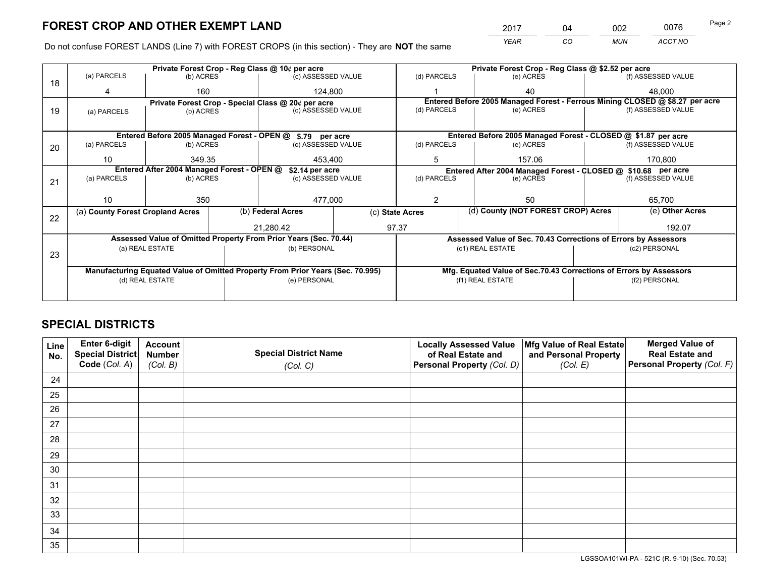*YEAR CO MUN ACCT NO* <sup>2017</sup> <sup>04</sup> <sup>002</sup> <sup>0076</sup>

Do not confuse FOREST LANDS (Line 7) with FOREST CROPS (in this section) - They are **NOT** the same

|    |                                                                                |                 |  | Private Forest Crop - Reg Class @ 10¢ per acre                   |         | Private Forest Crop - Reg Class @ \$2.52 per acre |                  |  |                                                                              |  |
|----|--------------------------------------------------------------------------------|-----------------|--|------------------------------------------------------------------|---------|---------------------------------------------------|------------------|--|------------------------------------------------------------------------------|--|
| 18 | (a) PARCELS                                                                    | (b) ACRES       |  | (c) ASSESSED VALUE                                               |         | (d) PARCELS                                       | (e) ACRES        |  | (f) ASSESSED VALUE                                                           |  |
|    |                                                                                | 160             |  | 124.800                                                          |         |                                                   | 40               |  | 48.000                                                                       |  |
|    |                                                                                |                 |  | Private Forest Crop - Special Class @ 20¢ per acre               |         |                                                   |                  |  | Entered Before 2005 Managed Forest - Ferrous Mining CLOSED @ \$8.27 per acre |  |
| 19 | (a) PARCELS                                                                    | (b) ACRES       |  | (c) ASSESSED VALUE                                               |         | (d) PARCELS                                       | (e) ACRES        |  | (f) ASSESSED VALUE                                                           |  |
|    |                                                                                |                 |  |                                                                  |         |                                                   |                  |  |                                                                              |  |
|    |                                                                                |                 |  | Entered Before 2005 Managed Forest - OPEN @ \$.79 per acre       |         |                                                   |                  |  | Entered Before 2005 Managed Forest - CLOSED @ \$1.87 per acre                |  |
| 20 | (a) PARCELS                                                                    | (b) ACRES       |  | (c) ASSESSED VALUE                                               |         | (d) PARCELS                                       | (e) ACRES        |  | (f) ASSESSED VALUE                                                           |  |
|    | 10                                                                             | 349.35          |  | 453.400                                                          |         | 5                                                 | 157.06           |  | 170.800                                                                      |  |
|    | Entered After 2004 Managed Forest - OPEN @<br>\$2.14 per acre                  |                 |  |                                                                  |         |                                                   |                  |  | Entered After 2004 Managed Forest - CLOSED @ \$10.68 per acre                |  |
| 21 | (a) PARCELS                                                                    | (b) ACRES       |  | (c) ASSESSED VALUE                                               |         | (d) PARCELS<br>(e) ACRES                          |                  |  | (f) ASSESSED VALUE                                                           |  |
|    |                                                                                |                 |  |                                                                  |         |                                                   |                  |  |                                                                              |  |
|    | 10                                                                             | 350             |  |                                                                  | 477,000 |                                                   | 50               |  | 65,700                                                                       |  |
|    | (a) County Forest Cropland Acres                                               |                 |  | (b) Federal Acres<br>(c) State Acres                             |         | (d) County (NOT FOREST CROP) Acres                |                  |  | (e) Other Acres                                                              |  |
| 22 |                                                                                |                 |  | 97.37<br>21,280.42                                               |         |                                                   |                  |  | 192.07                                                                       |  |
|    |                                                                                |                 |  | Assessed Value of Omitted Property From Prior Years (Sec. 70.44) |         |                                                   |                  |  | Assessed Value of Sec. 70.43 Corrections of Errors by Assessors              |  |
|    |                                                                                | (a) REAL ESTATE |  | (b) PERSONAL                                                     |         |                                                   | (c1) REAL ESTATE |  | (c2) PERSONAL                                                                |  |
| 23 |                                                                                |                 |  |                                                                  |         |                                                   |                  |  |                                                                              |  |
|    | Manufacturing Equated Value of Omitted Property From Prior Years (Sec. 70.995) |                 |  |                                                                  |         |                                                   |                  |  | Mfg. Equated Value of Sec.70.43 Corrections of Errors by Assessors           |  |
|    | (d) REAL ESTATE                                                                |                 |  | (e) PERSONAL                                                     |         | (f1) REAL ESTATE                                  |                  |  | (f2) PERSONAL                                                                |  |
|    |                                                                                |                 |  |                                                                  |         |                                                   |                  |  |                                                                              |  |

## **SPECIAL DISTRICTS**

| Line<br>No. | Enter 6-digit<br>Special District<br>Code (Col. A) | <b>Account</b><br><b>Number</b> | <b>Special District Name</b> | <b>Locally Assessed Value</b><br>of Real Estate and | Mfg Value of Real Estate<br>and Personal Property | <b>Merged Value of</b><br><b>Real Estate and</b><br>Personal Property (Col. F) |
|-------------|----------------------------------------------------|---------------------------------|------------------------------|-----------------------------------------------------|---------------------------------------------------|--------------------------------------------------------------------------------|
|             |                                                    | (Col. B)                        | (Col. C)                     | Personal Property (Col. D)                          | (Col. E)                                          |                                                                                |
| 24          |                                                    |                                 |                              |                                                     |                                                   |                                                                                |
| 25          |                                                    |                                 |                              |                                                     |                                                   |                                                                                |
| 26          |                                                    |                                 |                              |                                                     |                                                   |                                                                                |
| 27          |                                                    |                                 |                              |                                                     |                                                   |                                                                                |
| 28          |                                                    |                                 |                              |                                                     |                                                   |                                                                                |
| 29          |                                                    |                                 |                              |                                                     |                                                   |                                                                                |
| 30          |                                                    |                                 |                              |                                                     |                                                   |                                                                                |
| 31          |                                                    |                                 |                              |                                                     |                                                   |                                                                                |
| 32          |                                                    |                                 |                              |                                                     |                                                   |                                                                                |
| 33          |                                                    |                                 |                              |                                                     |                                                   |                                                                                |
| 34          |                                                    |                                 |                              |                                                     |                                                   |                                                                                |
| 35          |                                                    |                                 |                              |                                                     |                                                   |                                                                                |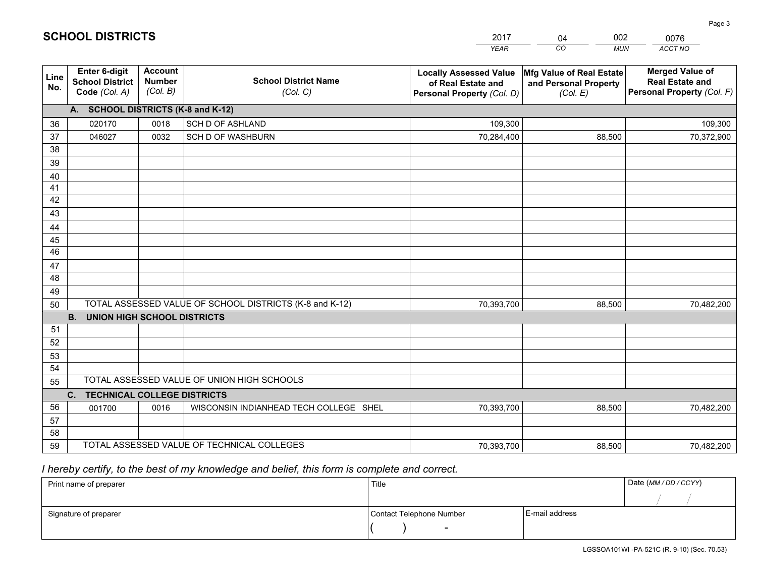|             |                                                                 |                                             |                                                         | <b>YEAR</b>                                                                       | CO<br><b>MUN</b>                                              | ACCT NO                                                                        |
|-------------|-----------------------------------------------------------------|---------------------------------------------|---------------------------------------------------------|-----------------------------------------------------------------------------------|---------------------------------------------------------------|--------------------------------------------------------------------------------|
| Line<br>No. | <b>Enter 6-digit</b><br><b>School District</b><br>Code (Col. A) | <b>Account</b><br><b>Number</b><br>(Col. B) | <b>School District Name</b><br>(Col. C)                 | <b>Locally Assessed Value</b><br>of Real Estate and<br>Personal Property (Col. D) | Mfg Value of Real Estate<br>and Personal Property<br>(Col. E) | <b>Merged Value of</b><br><b>Real Estate and</b><br>Personal Property (Col. F) |
|             | A. SCHOOL DISTRICTS (K-8 and K-12)                              |                                             |                                                         |                                                                                   |                                                               |                                                                                |
| 36          | 020170                                                          | 0018                                        | SCH D OF ASHLAND                                        | 109,300                                                                           |                                                               | 109,300                                                                        |
| 37          | 046027                                                          | 0032                                        | <b>SCH D OF WASHBURN</b>                                | 70,284,400                                                                        | 88,500                                                        | 70,372,900                                                                     |
| 38          |                                                                 |                                             |                                                         |                                                                                   |                                                               |                                                                                |
| 39          |                                                                 |                                             |                                                         |                                                                                   |                                                               |                                                                                |
| 40          |                                                                 |                                             |                                                         |                                                                                   |                                                               |                                                                                |
| 41          |                                                                 |                                             |                                                         |                                                                                   |                                                               |                                                                                |
| 42          |                                                                 |                                             |                                                         |                                                                                   |                                                               |                                                                                |
| 43          |                                                                 |                                             |                                                         |                                                                                   |                                                               |                                                                                |
| 44          |                                                                 |                                             |                                                         |                                                                                   |                                                               |                                                                                |
| 45<br>46    |                                                                 |                                             |                                                         |                                                                                   |                                                               |                                                                                |
| 47          |                                                                 |                                             |                                                         |                                                                                   |                                                               |                                                                                |
| 48          |                                                                 |                                             |                                                         |                                                                                   |                                                               |                                                                                |
| 49          |                                                                 |                                             |                                                         |                                                                                   |                                                               |                                                                                |
| 50          |                                                                 |                                             | TOTAL ASSESSED VALUE OF SCHOOL DISTRICTS (K-8 and K-12) | 70,393,700                                                                        | 88,500                                                        | 70,482,200                                                                     |
|             | <b>B.</b><br><b>UNION HIGH SCHOOL DISTRICTS</b>                 |                                             |                                                         |                                                                                   |                                                               |                                                                                |
| 51          |                                                                 |                                             |                                                         |                                                                                   |                                                               |                                                                                |
| 52          |                                                                 |                                             |                                                         |                                                                                   |                                                               |                                                                                |
| 53          |                                                                 |                                             |                                                         |                                                                                   |                                                               |                                                                                |
| 54          |                                                                 |                                             |                                                         |                                                                                   |                                                               |                                                                                |
| 55          |                                                                 |                                             | TOTAL ASSESSED VALUE OF UNION HIGH SCHOOLS              |                                                                                   |                                                               |                                                                                |
|             | C.<br><b>TECHNICAL COLLEGE DISTRICTS</b>                        |                                             |                                                         |                                                                                   |                                                               |                                                                                |
| 56          | 001700                                                          | 0016                                        | WISCONSIN INDIANHEAD TECH COLLEGE SHEL                  | 70,393,700                                                                        | 88,500                                                        | 70,482,200                                                                     |
| 57          |                                                                 |                                             |                                                         |                                                                                   |                                                               |                                                                                |
| 58          |                                                                 |                                             |                                                         |                                                                                   |                                                               |                                                                                |
| 59          |                                                                 |                                             | TOTAL ASSESSED VALUE OF TECHNICAL COLLEGES              | 70,393,700                                                                        | 88,500                                                        | 70,482,200                                                                     |

04

002

 *I hereby certify, to the best of my knowledge and belief, this form is complete and correct.*

**SCHOOL DISTRICTS**

| Print name of preparer | Title                    |                | Date (MM / DD / CCYY) |
|------------------------|--------------------------|----------------|-----------------------|
|                        |                          |                |                       |
| Signature of preparer  | Contact Telephone Number | E-mail address |                       |
|                        | $\sim$                   |                |                       |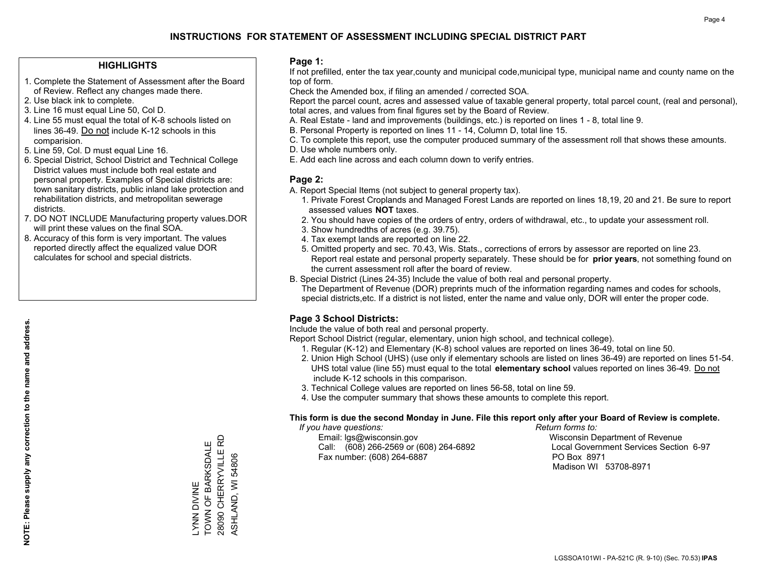#### **HIGHLIGHTS**

- 1. Complete the Statement of Assessment after the Board of Review. Reflect any changes made there.
- 2. Use black ink to complete.
- 3. Line 16 must equal Line 50, Col D.
- 4. Line 55 must equal the total of K-8 schools listed on lines 36-49. Do not include K-12 schools in this comparision.
- 5. Line 59, Col. D must equal Line 16.
- 6. Special District, School District and Technical College District values must include both real estate and personal property. Examples of Special districts are: town sanitary districts, public inland lake protection and rehabilitation districts, and metropolitan sewerage districts.
- 7. DO NOT INCLUDE Manufacturing property values.DOR will print these values on the final SOA.

LYNN DIVINE

**NIVIO NNVIC** 

TOWN OF BARKSDALE 28090 CHERRYVILLE RD ASHLAND, WI 54806

TOWN OF BARKSDALE 28090 CHERRYVILLE ASHLAND, WI 54806

윤

 8. Accuracy of this form is very important. The values reported directly affect the equalized value DOR calculates for school and special districts.

#### **Page 1:**

 If not prefilled, enter the tax year,county and municipal code,municipal type, municipal name and county name on the top of form.

Check the Amended box, if filing an amended / corrected SOA.

 Report the parcel count, acres and assessed value of taxable general property, total parcel count, (real and personal), total acres, and values from final figures set by the Board of Review.

- A. Real Estate land and improvements (buildings, etc.) is reported on lines 1 8, total line 9.
- B. Personal Property is reported on lines 11 14, Column D, total line 15.
- C. To complete this report, use the computer produced summary of the assessment roll that shows these amounts.
- D. Use whole numbers only.
- E. Add each line across and each column down to verify entries.

### **Page 2:**

- A. Report Special Items (not subject to general property tax).
- 1. Private Forest Croplands and Managed Forest Lands are reported on lines 18,19, 20 and 21. Be sure to report assessed values **NOT** taxes.
- 2. You should have copies of the orders of entry, orders of withdrawal, etc., to update your assessment roll.
	- 3. Show hundredths of acres (e.g. 39.75).
- 4. Tax exempt lands are reported on line 22.
- 5. Omitted property and sec. 70.43, Wis. Stats., corrections of errors by assessor are reported on line 23. Report real estate and personal property separately. These should be for **prior years**, not something found on the current assessment roll after the board of review.
- B. Special District (Lines 24-35) Include the value of both real and personal property.

 The Department of Revenue (DOR) preprints much of the information regarding names and codes for schools, special districts,etc. If a district is not listed, enter the name and value only, DOR will enter the proper code.

## **Page 3 School Districts:**

Include the value of both real and personal property.

Report School District (regular, elementary, union high school, and technical college).

- 1. Regular (K-12) and Elementary (K-8) school values are reported on lines 36-49, total on line 50.
- 2. Union High School (UHS) (use only if elementary schools are listed on lines 36-49) are reported on lines 51-54. UHS total value (line 55) must equal to the total **elementary school** values reported on lines 36-49. Do notinclude K-12 schools in this comparison.
- 3. Technical College values are reported on lines 56-58, total on line 59.
- 4. Use the computer summary that shows these amounts to complete this report.

#### **This form is due the second Monday in June. File this report only after your Board of Review is complete.**

 *If you have questions: Return forms to:*

 Email: lgs@wisconsin.gov Wisconsin Department of RevenueCall:  $(608)$  266-2569 or  $(608)$  264-6892 Fax number: (608) 264-6887 PO Box 8971

Local Government Services Section 6-97 Madison WI 53708-8971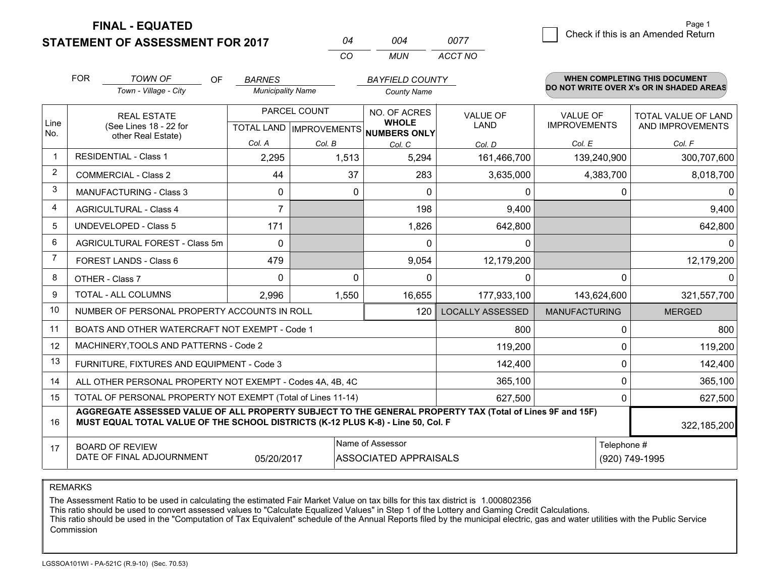**FINAL - EQUATED**

**STATEMENT OF ASSESSMENT FOR 2017** 

|          | ∩∩⊿ | 0077    |
|----------|-----|---------|
| $\cdots$ | MUN | ACCT NO |

|      | <b>FOR</b>                                                                                                                                                                                   | <b>TOWN OF</b><br><b>OF</b>                                  | <b>BARNES</b>                                        |          | <b>BAYFIELD COUNTY</b>       |                         |                                        | <b>WHEN COMPLETING THIS DOCUMENT</b>           |
|------|----------------------------------------------------------------------------------------------------------------------------------------------------------------------------------------------|--------------------------------------------------------------|------------------------------------------------------|----------|------------------------------|-------------------------|----------------------------------------|------------------------------------------------|
|      |                                                                                                                                                                                              | Town - Village - City                                        | <b>Municipality Name</b>                             |          | <b>County Name</b>           |                         |                                        | DO NOT WRITE OVER X's OR IN SHADED AREAS       |
| Line |                                                                                                                                                                                              | <b>REAL ESTATE</b><br>(See Lines 18 - 22 for                 | PARCEL COUNT<br>TOTAL LAND IMPROVEMENTS NUMBERS ONLY |          | NO. OF ACRES<br><b>WHOLE</b> | <b>VALUE OF</b><br>LAND | <b>VALUE OF</b><br><b>IMPROVEMENTS</b> | <b>TOTAL VALUE OF LAND</b><br>AND IMPROVEMENTS |
| No.  |                                                                                                                                                                                              | other Real Estate)                                           | Col. A                                               | Col. B   |                              |                         | Col. E                                 | Col. F                                         |
|      |                                                                                                                                                                                              | <b>RESIDENTIAL - Class 1</b>                                 | 2,295                                                | 1,513    | Col. C<br>5,294              | Col. D<br>161,466,700   | 139,240,900                            | 300,707,600                                    |
| 2    |                                                                                                                                                                                              | <b>COMMERCIAL - Class 2</b>                                  | 44                                                   | 37       | 283                          | 3,635,000               | 4,383,700                              | 8,018,700                                      |
| 3    |                                                                                                                                                                                              | <b>MANUFACTURING - Class 3</b>                               | 0                                                    | 0        | $\Omega$                     | $\mathbf{0}$            |                                        | 0<br>0                                         |
| 4    |                                                                                                                                                                                              | <b>AGRICULTURAL - Class 4</b>                                | $\overline{7}$                                       |          | 198                          | 9,400                   |                                        | 9,400                                          |
| 5    |                                                                                                                                                                                              | <b>UNDEVELOPED - Class 5</b>                                 | 171                                                  |          | 1,826                        | 642,800                 |                                        | 642,800                                        |
| 6    | AGRICULTURAL FOREST - Class 5m                                                                                                                                                               |                                                              | $\Omega$                                             |          | $\Omega$                     | 0                       |                                        | 0                                              |
| 7    | FOREST LANDS - Class 6                                                                                                                                                                       |                                                              | 479                                                  |          | 9,054                        | 12,179,200              |                                        | 12,179,200                                     |
| 8    |                                                                                                                                                                                              | OTHER - Class 7                                              | $\Omega$                                             | $\Omega$ | $\Omega$                     | $\Omega$                |                                        | <sup>0</sup><br><sup>0</sup>                   |
| 9    |                                                                                                                                                                                              | TOTAL - ALL COLUMNS                                          | 2,996                                                | 1,550    | 16,655                       | 177,933,100             | 143,624,600                            | 321,557,700                                    |
| 10   |                                                                                                                                                                                              | NUMBER OF PERSONAL PROPERTY ACCOUNTS IN ROLL                 |                                                      |          | 120                          | <b>LOCALLY ASSESSED</b> | <b>MANUFACTURING</b>                   | <b>MERGED</b>                                  |
| 11   |                                                                                                                                                                                              | BOATS AND OTHER WATERCRAFT NOT EXEMPT - Code 1               |                                                      |          |                              | 800                     |                                        | 800<br>0                                       |
| 12   |                                                                                                                                                                                              | MACHINERY, TOOLS AND PATTERNS - Code 2                       |                                                      |          |                              | 119,200                 |                                        | 119,200<br>$\Omega$                            |
| 13   |                                                                                                                                                                                              | FURNITURE, FIXTURES AND EQUIPMENT - Code 3                   |                                                      |          |                              | 142,400                 |                                        | 0<br>142,400                                   |
| 14   |                                                                                                                                                                                              | ALL OTHER PERSONAL PROPERTY NOT EXEMPT - Codes 4A, 4B, 4C    |                                                      |          |                              | 365,100                 |                                        | $\Omega$<br>365,100                            |
| 15   |                                                                                                                                                                                              | TOTAL OF PERSONAL PROPERTY NOT EXEMPT (Total of Lines 11-14) |                                                      |          |                              | 627,500                 |                                        | 627,500<br>0                                   |
| 16   | AGGREGATE ASSESSED VALUE OF ALL PROPERTY SUBJECT TO THE GENERAL PROPERTY TAX (Total of Lines 9F and 15F)<br>MUST EQUAL TOTAL VALUE OF THE SCHOOL DISTRICTS (K-12 PLUS K-8) - Line 50, Col. F |                                                              |                                                      |          |                              |                         | 322,185,200                            |                                                |
| 17   | Name of Assessor<br>Telephone #<br><b>BOARD OF REVIEW</b><br>DATE OF FINAL ADJOURNMENT<br><b>ASSOCIATED APPRAISALS</b><br>(920) 749-1995<br>05/20/2017                                       |                                                              |                                                      |          |                              |                         |                                        |                                                |

REMARKS

The Assessment Ratio to be used in calculating the estimated Fair Market Value on tax bills for this tax district is 1.000802356<br>This ratio should be used to convert assessed values to "Calculate Equalized Values" in Step Commission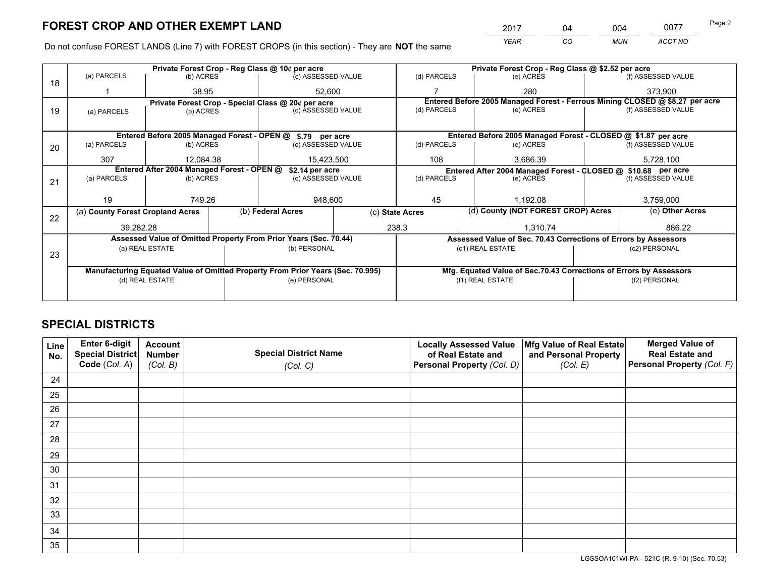*YEAR CO MUN ACCT NO* 2017 04 004 0077 Page 2

Do not confuse FOREST LANDS (Line 7) with FOREST CROPS (in this section) - They are **NOT** the same

|    |                                                                                |                 |  | Private Forest Crop - Reg Class @ 10¢ per acre                   |                  |                          | Private Forest Crop - Reg Class @ \$2.52 per acre                            |                                    |                                                                    |                    |
|----|--------------------------------------------------------------------------------|-----------------|--|------------------------------------------------------------------|------------------|--------------------------|------------------------------------------------------------------------------|------------------------------------|--------------------------------------------------------------------|--------------------|
| 18 | (a) PARCELS                                                                    | (b) ACRES       |  | (c) ASSESSED VALUE                                               |                  | (d) PARCELS              | (e) ACRES                                                                    |                                    |                                                                    | (f) ASSESSED VALUE |
|    |                                                                                | 38.95           |  | 52,600                                                           |                  |                          | 280                                                                          |                                    |                                                                    | 373.900            |
|    |                                                                                |                 |  | Private Forest Crop - Special Class @ 20¢ per acre               |                  |                          | Entered Before 2005 Managed Forest - Ferrous Mining CLOSED @ \$8.27 per acre |                                    |                                                                    |                    |
| 19 | (a) PARCELS                                                                    | (b) ACRES       |  | (c) ASSESSED VALUE                                               |                  | (d) PARCELS              | (e) ACRES                                                                    |                                    |                                                                    | (f) ASSESSED VALUE |
|    |                                                                                |                 |  |                                                                  |                  |                          |                                                                              |                                    |                                                                    |                    |
|    |                                                                                |                 |  | Entered Before 2005 Managed Forest - OPEN @ \$.79 per acre       |                  |                          | Entered Before 2005 Managed Forest - CLOSED @ \$1.87 per acre                |                                    |                                                                    |                    |
| 20 | (a) PARCELS                                                                    | (b) ACRES       |  | (c) ASSESSED VALUE                                               |                  | (d) PARCELS              | (e) ACRES                                                                    |                                    |                                                                    | (f) ASSESSED VALUE |
|    | 307                                                                            | 12.084.38       |  | 15,423,500                                                       |                  | 108                      | 3,686.39                                                                     |                                    | 5,728,100                                                          |                    |
|    | Entered After 2004 Managed Forest - OPEN @<br>\$2.14 per acre                  |                 |  |                                                                  |                  |                          | Entered After 2004 Managed Forest - CLOSED @ \$10.68 per acre                |                                    |                                                                    |                    |
| 21 | (a) PARCELS                                                                    | (b) ACRES       |  | (c) ASSESSED VALUE                                               |                  | (d) PARCELS<br>(e) ACRES |                                                                              |                                    | (f) ASSESSED VALUE                                                 |                    |
|    |                                                                                |                 |  |                                                                  |                  |                          |                                                                              |                                    |                                                                    |                    |
|    | 19                                                                             | 749.26          |  | 948,600                                                          |                  | 45<br>1,192.08           |                                                                              |                                    | 3,759,000                                                          |                    |
| 22 | (a) County Forest Cropland Acres                                               |                 |  | (b) Federal Acres                                                | (c) State Acres  |                          |                                                                              | (d) County (NOT FOREST CROP) Acres |                                                                    | (e) Other Acres    |
|    | 39,282.28                                                                      |                 |  | 238.3                                                            |                  | 1,310.74                 |                                                                              |                                    | 886.22                                                             |                    |
|    |                                                                                |                 |  | Assessed Value of Omitted Property From Prior Years (Sec. 70.44) |                  |                          | Assessed Value of Sec. 70.43 Corrections of Errors by Assessors              |                                    |                                                                    |                    |
|    |                                                                                | (a) REAL ESTATE |  | (b) PERSONAL                                                     |                  |                          | (c1) REAL ESTATE                                                             |                                    |                                                                    | (c2) PERSONAL      |
| 23 |                                                                                |                 |  |                                                                  |                  |                          |                                                                              |                                    |                                                                    |                    |
|    | Manufacturing Equated Value of Omitted Property From Prior Years (Sec. 70.995) |                 |  |                                                                  |                  |                          |                                                                              |                                    | Mfg. Equated Value of Sec.70.43 Corrections of Errors by Assessors |                    |
|    | (d) REAL ESTATE<br>(e) PERSONAL                                                |                 |  |                                                                  | (f1) REAL ESTATE |                          |                                                                              | (f2) PERSONAL                      |                                                                    |                    |
|    |                                                                                |                 |  |                                                                  |                  |                          |                                                                              |                                    |                                                                    |                    |

## **SPECIAL DISTRICTS**

| Line<br>No. | Enter 6-digit<br>Special District<br>Code (Col. A) | <b>Account</b><br><b>Number</b><br>(Col. B) | <b>Special District Name</b><br>(Col. C) | <b>Locally Assessed Value</b><br>of Real Estate and<br>Personal Property (Col. D) | Mfg Value of Real Estate<br>and Personal Property<br>(Col. E) | <b>Merged Value of</b><br><b>Real Estate and</b><br>Personal Property (Col. F) |
|-------------|----------------------------------------------------|---------------------------------------------|------------------------------------------|-----------------------------------------------------------------------------------|---------------------------------------------------------------|--------------------------------------------------------------------------------|
| 24          |                                                    |                                             |                                          |                                                                                   |                                                               |                                                                                |
| 25          |                                                    |                                             |                                          |                                                                                   |                                                               |                                                                                |
| 26          |                                                    |                                             |                                          |                                                                                   |                                                               |                                                                                |
| 27          |                                                    |                                             |                                          |                                                                                   |                                                               |                                                                                |
| 28          |                                                    |                                             |                                          |                                                                                   |                                                               |                                                                                |
| 29          |                                                    |                                             |                                          |                                                                                   |                                                               |                                                                                |
| 30          |                                                    |                                             |                                          |                                                                                   |                                                               |                                                                                |
| 31          |                                                    |                                             |                                          |                                                                                   |                                                               |                                                                                |
| 32          |                                                    |                                             |                                          |                                                                                   |                                                               |                                                                                |
| 33          |                                                    |                                             |                                          |                                                                                   |                                                               |                                                                                |
| 34          |                                                    |                                             |                                          |                                                                                   |                                                               |                                                                                |
| 35          |                                                    |                                             |                                          |                                                                                   |                                                               |                                                                                |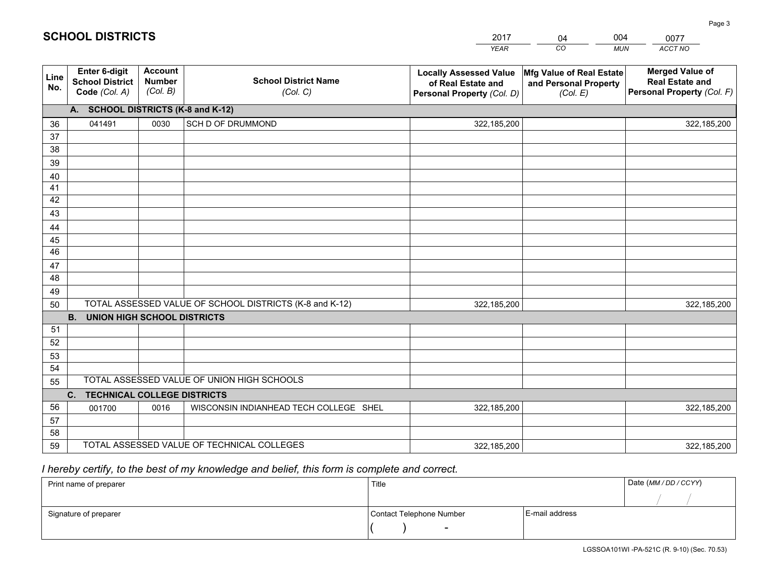|             |                                                          |                                             |                                                         | <b>YEAR</b>                                                                       | CO<br><b>MUN</b>                                              | ACCT NO                                                                        |
|-------------|----------------------------------------------------------|---------------------------------------------|---------------------------------------------------------|-----------------------------------------------------------------------------------|---------------------------------------------------------------|--------------------------------------------------------------------------------|
| Line<br>No. | Enter 6-digit<br><b>School District</b><br>Code (Col. A) | <b>Account</b><br><b>Number</b><br>(Col. B) | <b>School District Name</b><br>(Col. C)                 | <b>Locally Assessed Value</b><br>of Real Estate and<br>Personal Property (Col. D) | Mfg Value of Real Estate<br>and Personal Property<br>(Col. E) | <b>Merged Value of</b><br><b>Real Estate and</b><br>Personal Property (Col. F) |
|             | A. SCHOOL DISTRICTS (K-8 and K-12)                       |                                             |                                                         |                                                                                   |                                                               |                                                                                |
| 36          | 041491                                                   | 0030                                        | <b>SCH D OF DRUMMOND</b>                                | 322,185,200                                                                       |                                                               | 322,185,200                                                                    |
| 37          |                                                          |                                             |                                                         |                                                                                   |                                                               |                                                                                |
| 38          |                                                          |                                             |                                                         |                                                                                   |                                                               |                                                                                |
| 39          |                                                          |                                             |                                                         |                                                                                   |                                                               |                                                                                |
| 40          |                                                          |                                             |                                                         |                                                                                   |                                                               |                                                                                |
| 41          |                                                          |                                             |                                                         |                                                                                   |                                                               |                                                                                |
| 42<br>43    |                                                          |                                             |                                                         |                                                                                   |                                                               |                                                                                |
|             |                                                          |                                             |                                                         |                                                                                   |                                                               |                                                                                |
| 44<br>45    |                                                          |                                             |                                                         |                                                                                   |                                                               |                                                                                |
| 46          |                                                          |                                             |                                                         |                                                                                   |                                                               |                                                                                |
| 47          |                                                          |                                             |                                                         |                                                                                   |                                                               |                                                                                |
| 48          |                                                          |                                             |                                                         |                                                                                   |                                                               |                                                                                |
| 49          |                                                          |                                             |                                                         |                                                                                   |                                                               |                                                                                |
| 50          |                                                          |                                             | TOTAL ASSESSED VALUE OF SCHOOL DISTRICTS (K-8 and K-12) | 322,185,200                                                                       |                                                               | 322,185,200                                                                    |
|             | <b>B.</b><br><b>UNION HIGH SCHOOL DISTRICTS</b>          |                                             |                                                         |                                                                                   |                                                               |                                                                                |
| 51          |                                                          |                                             |                                                         |                                                                                   |                                                               |                                                                                |
| 52          |                                                          |                                             |                                                         |                                                                                   |                                                               |                                                                                |
| 53          |                                                          |                                             |                                                         |                                                                                   |                                                               |                                                                                |
| 54          |                                                          |                                             |                                                         |                                                                                   |                                                               |                                                                                |
| 55          |                                                          |                                             | TOTAL ASSESSED VALUE OF UNION HIGH SCHOOLS              |                                                                                   |                                                               |                                                                                |
|             | $\mathbf{C}$ .<br>TECHNICAL COLLEGE DISTRICTS            |                                             |                                                         |                                                                                   |                                                               |                                                                                |
| 56          | 001700                                                   | 0016                                        | WISCONSIN INDIANHEAD TECH COLLEGE SHEL                  | 322,185,200                                                                       |                                                               | 322,185,200                                                                    |
| 57          |                                                          |                                             |                                                         |                                                                                   |                                                               |                                                                                |
| 58          |                                                          |                                             |                                                         |                                                                                   |                                                               |                                                                                |
| 59          |                                                          |                                             | TOTAL ASSESSED VALUE OF TECHNICAL COLLEGES              | 322,185,200                                                                       |                                                               | 322,185,200                                                                    |

04

004

 *I hereby certify, to the best of my knowledge and belief, this form is complete and correct.*

**SCHOOL DISTRICTS**

| Print name of preparer | Title                    |                | Date (MM / DD / CCYY) |
|------------------------|--------------------------|----------------|-----------------------|
|                        |                          |                |                       |
| Signature of preparer  | Contact Telephone Number | E-mail address |                       |
|                        | $\sim$                   |                |                       |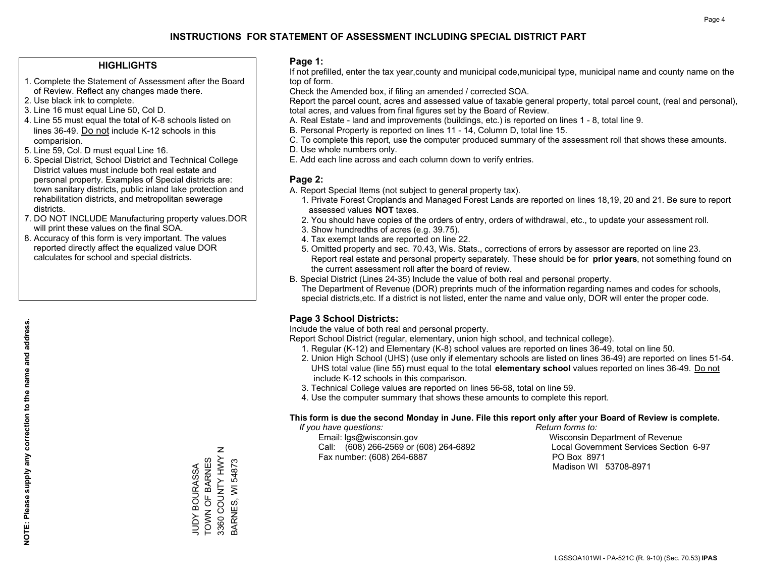#### **HIGHLIGHTS**

- 1. Complete the Statement of Assessment after the Board of Review. Reflect any changes made there.
- 2. Use black ink to complete.
- 3. Line 16 must equal Line 50, Col D.
- 4. Line 55 must equal the total of K-8 schools listed on lines 36-49. Do not include K-12 schools in this comparision.
- 5. Line 59, Col. D must equal Line 16.
- 6. Special District, School District and Technical College District values must include both real estate and personal property. Examples of Special districts are: town sanitary districts, public inland lake protection and rehabilitation districts, and metropolitan sewerage districts.
- 7. DO NOT INCLUDE Manufacturing property values.DOR will print these values on the final SOA.

JUDY BOURASSA TOWN OF BARNES 3360 COUNTY HWY N BARNES, WI 54873

 $\mathsf z$ 

3360 COUNTY HWY JUDY BOURASSA<br>TOWN OF BARNES

3ARNES, WI 54873

 8. Accuracy of this form is very important. The values reported directly affect the equalized value DOR calculates for school and special districts.

#### **Page 1:**

 If not prefilled, enter the tax year,county and municipal code,municipal type, municipal name and county name on the top of form.

Check the Amended box, if filing an amended / corrected SOA.

 Report the parcel count, acres and assessed value of taxable general property, total parcel count, (real and personal), total acres, and values from final figures set by the Board of Review.

- A. Real Estate land and improvements (buildings, etc.) is reported on lines 1 8, total line 9.
- B. Personal Property is reported on lines 11 14, Column D, total line 15.
- C. To complete this report, use the computer produced summary of the assessment roll that shows these amounts.
- D. Use whole numbers only.
- E. Add each line across and each column down to verify entries.

#### **Page 2:**

- A. Report Special Items (not subject to general property tax).
- 1. Private Forest Croplands and Managed Forest Lands are reported on lines 18,19, 20 and 21. Be sure to report assessed values **NOT** taxes.
- 2. You should have copies of the orders of entry, orders of withdrawal, etc., to update your assessment roll.
	- 3. Show hundredths of acres (e.g. 39.75).
- 4. Tax exempt lands are reported on line 22.
- 5. Omitted property and sec. 70.43, Wis. Stats., corrections of errors by assessor are reported on line 23. Report real estate and personal property separately. These should be for **prior years**, not something found on the current assessment roll after the board of review.
- B. Special District (Lines 24-35) Include the value of both real and personal property.
- The Department of Revenue (DOR) preprints much of the information regarding names and codes for schools, special districts,etc. If a district is not listed, enter the name and value only, DOR will enter the proper code.

## **Page 3 School Districts:**

Include the value of both real and personal property.

Report School District (regular, elementary, union high school, and technical college).

- 1. Regular (K-12) and Elementary (K-8) school values are reported on lines 36-49, total on line 50.
- 2. Union High School (UHS) (use only if elementary schools are listed on lines 36-49) are reported on lines 51-54. UHS total value (line 55) must equal to the total **elementary school** values reported on lines 36-49. Do notinclude K-12 schools in this comparison.
- 3. Technical College values are reported on lines 56-58, total on line 59.
- 4. Use the computer summary that shows these amounts to complete this report.

#### **This form is due the second Monday in June. File this report only after your Board of Review is complete.**

 *If you have questions: Return forms to:*

 Email: lgs@wisconsin.gov Wisconsin Department of RevenueCall:  $(608)$  266-2569 or  $(608)$  264-6892 Fax number: (608) 264-6887 PO Box 8971

Local Government Services Section 6-97

Madison WI 53708-8971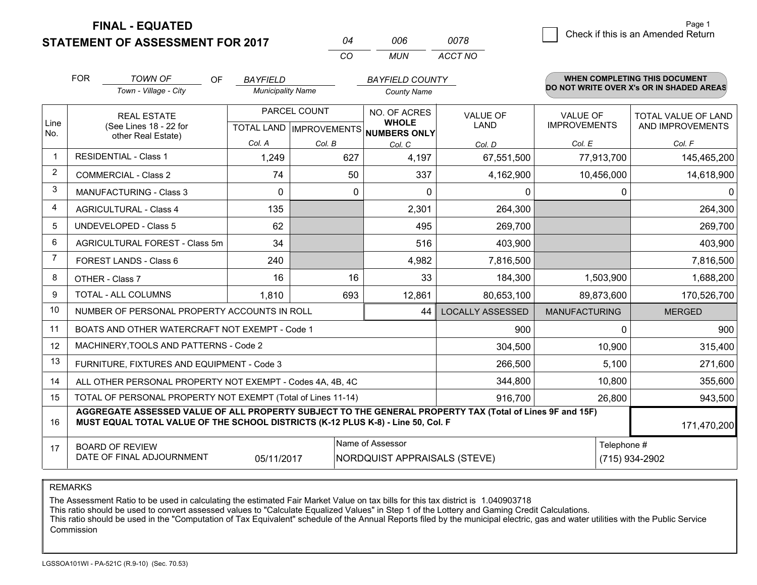**FINAL - EQUATED**

**STATEMENT OF ASSESSMENT FOR 2017** 

| 04  | ററഞ | 0078    |
|-----|-----|---------|
| CO. | MUN | ACCT NO |

|                | <b>FOR</b>                                 | <b>TOWN OF</b><br><b>OF</b>                                                                                                                                                                  | <b>BAYFIELD</b>          |                           | <b>BAYFIELD COUNTY</b>              |                         |                      | <b>WHEN COMPLETING THIS DOCUMENT</b>     |  |
|----------------|--------------------------------------------|----------------------------------------------------------------------------------------------------------------------------------------------------------------------------------------------|--------------------------|---------------------------|-------------------------------------|-------------------------|----------------------|------------------------------------------|--|
|                |                                            | Town - Village - City                                                                                                                                                                        | <b>Municipality Name</b> |                           | <b>County Name</b>                  |                         |                      | DO NOT WRITE OVER X's OR IN SHADED AREAS |  |
|                |                                            | <b>REAL ESTATE</b>                                                                                                                                                                           |                          | PARCEL COUNT              | NO. OF ACRES                        | <b>VALUE OF</b>         | <b>VALUE OF</b>      | TOTAL VALUE OF LAND                      |  |
| Line<br>No.    |                                            | (See Lines 18 - 22 for<br>other Real Estate)                                                                                                                                                 |                          | TOTAL LAND   IMPROVEMENTS | <b>WHOLE</b><br><b>NUMBERS ONLY</b> | LAND                    | <b>IMPROVEMENTS</b>  | AND IMPROVEMENTS                         |  |
|                |                                            |                                                                                                                                                                                              | Col. A                   | Col. B                    | Col. C                              | Col. D                  | Col. E               | Col. F                                   |  |
| -1             |                                            | <b>RESIDENTIAL - Class 1</b>                                                                                                                                                                 | 1,249                    | 627                       | 4,197                               | 67,551,500              | 77,913,700           | 145,465,200                              |  |
| 2              |                                            | <b>COMMERCIAL - Class 2</b>                                                                                                                                                                  | 74                       | 50                        | 337                                 | 4,162,900               | 10,456,000           | 14,618,900                               |  |
| 3              |                                            | <b>MANUFACTURING - Class 3</b>                                                                                                                                                               | $\Omega$                 | 0                         | $\Omega$                            | 0                       | 0                    | 0                                        |  |
| 4              |                                            | <b>AGRICULTURAL - Class 4</b>                                                                                                                                                                | 135                      |                           | 2,301                               | 264,300                 |                      | 264,300                                  |  |
| 5              |                                            | UNDEVELOPED - Class 5                                                                                                                                                                        | 62                       |                           | 495                                 | 269,700                 |                      | 269,700                                  |  |
| 6              | AGRICULTURAL FOREST - Class 5m             |                                                                                                                                                                                              | 34                       |                           | 516                                 | 403,900                 |                      | 403,900                                  |  |
| $\overline{7}$ | FOREST LANDS - Class 6                     |                                                                                                                                                                                              | 240                      |                           | 4,982                               | 7,816,500               |                      | 7,816,500                                |  |
| 8              |                                            | OTHER - Class 7                                                                                                                                                                              | 16                       | 16                        | 33                                  | 184,300                 | 1,503,900            | 1,688,200                                |  |
| 9              |                                            | TOTAL - ALL COLUMNS                                                                                                                                                                          | 1.810                    | 693                       | 12,861<br>80,653,100                |                         | 89,873,600           | 170,526,700                              |  |
| 10             |                                            | NUMBER OF PERSONAL PROPERTY ACCOUNTS IN ROLL                                                                                                                                                 |                          |                           | 44                                  | <b>LOCALLY ASSESSED</b> | <b>MANUFACTURING</b> | <b>MERGED</b>                            |  |
| 11             |                                            | BOATS AND OTHER WATERCRAFT NOT EXEMPT - Code 1                                                                                                                                               |                          |                           |                                     | 900                     | 0                    | 900                                      |  |
| 12             |                                            | MACHINERY, TOOLS AND PATTERNS - Code 2                                                                                                                                                       |                          |                           |                                     | 304,500                 | 10,900               | 315,400                                  |  |
| 13             |                                            | FURNITURE, FIXTURES AND EQUIPMENT - Code 3                                                                                                                                                   |                          |                           |                                     | 266,500                 | 5,100                | 271,600                                  |  |
| 14             |                                            | ALL OTHER PERSONAL PROPERTY NOT EXEMPT - Codes 4A, 4B, 4C                                                                                                                                    |                          |                           |                                     | 344,800                 | 10,800               | 355,600                                  |  |
| 15             |                                            | TOTAL OF PERSONAL PROPERTY NOT EXEMPT (Total of Lines 11-14)                                                                                                                                 |                          |                           |                                     | 916,700                 | 26,800               | 943,500                                  |  |
| 16             |                                            | AGGREGATE ASSESSED VALUE OF ALL PROPERTY SUBJECT TO THE GENERAL PROPERTY TAX (Total of Lines 9F and 15F)<br>MUST EQUAL TOTAL VALUE OF THE SCHOOL DISTRICTS (K-12 PLUS K-8) - Line 50, Col. F |                          |                           |                                     |                         |                      | 171,470,200                              |  |
| 17             | Name of Assessor<br><b>BOARD OF REVIEW</b> |                                                                                                                                                                                              |                          |                           |                                     |                         | Telephone #          |                                          |  |
|                |                                            | DATE OF FINAL ADJOURNMENT                                                                                                                                                                    | 05/11/2017               |                           | <b>NORDQUIST APPRAISALS (STEVE)</b> |                         |                      | (715) 934-2902                           |  |

REMARKS

The Assessment Ratio to be used in calculating the estimated Fair Market Value on tax bills for this tax district is 1.040903718

This ratio should be used to convert assessed values to "Calculate Equalized Values" in Step 1 of the Lottery and Gaming Credit Calculations.<br>This ratio should be used in the "Computation of Tax Equivalent" schedule of the Commission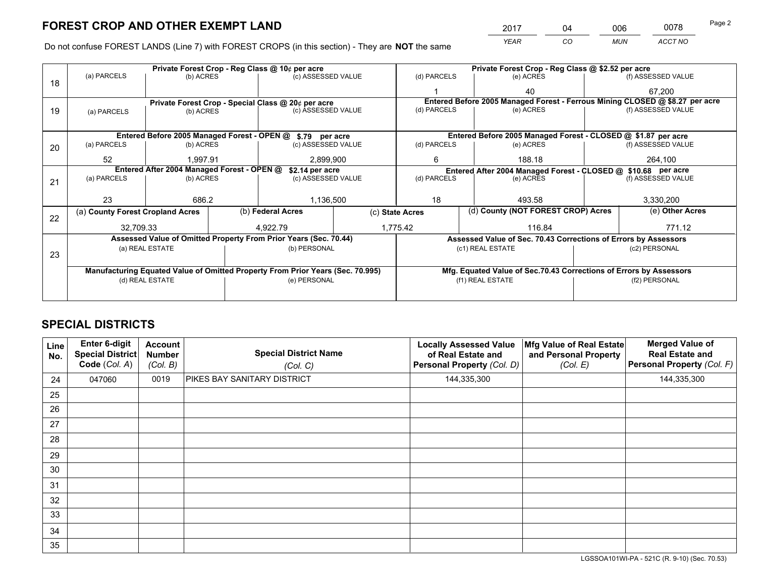*YEAR CO MUN ACCT NO* <sup>2017</sup> <sup>04</sup> <sup>006</sup> <sup>0078</sup> Page 2

Do not confuse FOREST LANDS (Line 7) with FOREST CROPS (in this section) - They are **NOT** the same

|    |                                                                                |                 |  | Private Forest Crop - Reg Class @ 10¢ per acre                   |  |                                    | Private Forest Crop - Reg Class @ \$2.52 per acre             |                                                                    |                 |                                                                              |  |
|----|--------------------------------------------------------------------------------|-----------------|--|------------------------------------------------------------------|--|------------------------------------|---------------------------------------------------------------|--------------------------------------------------------------------|-----------------|------------------------------------------------------------------------------|--|
| 18 | (a) PARCELS                                                                    | (b) ACRES       |  | (c) ASSESSED VALUE                                               |  | (d) PARCELS                        |                                                               | (e) ACRES                                                          |                 | (f) ASSESSED VALUE                                                           |  |
|    |                                                                                |                 |  |                                                                  |  |                                    |                                                               | 40                                                                 |                 | 67.200                                                                       |  |
|    |                                                                                |                 |  | Private Forest Crop - Special Class @ 20¢ per acre               |  |                                    |                                                               |                                                                    |                 | Entered Before 2005 Managed Forest - Ferrous Mining CLOSED @ \$8.27 per acre |  |
| 19 | (a) PARCELS                                                                    | (b) ACRES       |  | (c) ASSESSED VALUE                                               |  | (d) PARCELS                        |                                                               | (e) ACRES                                                          |                 | (f) ASSESSED VALUE                                                           |  |
|    |                                                                                |                 |  |                                                                  |  |                                    |                                                               |                                                                    |                 |                                                                              |  |
|    |                                                                                |                 |  | Entered Before 2005 Managed Forest - OPEN @ \$.79 per acre       |  |                                    |                                                               | Entered Before 2005 Managed Forest - CLOSED @ \$1.87 per acre      |                 |                                                                              |  |
| 20 | (a) PARCELS                                                                    | (b) ACRES       |  | (c) ASSESSED VALUE                                               |  | (d) PARCELS                        |                                                               | (e) ACRES                                                          |                 | (f) ASSESSED VALUE                                                           |  |
|    | 52                                                                             | 1,997.91        |  | 2,899,900                                                        |  | 6                                  |                                                               | 188.18                                                             |                 | 264,100                                                                      |  |
|    | Entered After 2004 Managed Forest - OPEN @<br>\$2.14 per acre                  |                 |  |                                                                  |  |                                    | Entered After 2004 Managed Forest - CLOSED @ \$10.68 per acre |                                                                    |                 |                                                                              |  |
| 21 | (a) PARCELS                                                                    | (b) ACRES       |  | (c) ASSESSED VALUE                                               |  | (d) PARCELS<br>(e) ACRES           |                                                               | (f) ASSESSED VALUE                                                 |                 |                                                                              |  |
|    |                                                                                |                 |  |                                                                  |  |                                    |                                                               |                                                                    |                 |                                                                              |  |
|    | 23                                                                             | 686.2           |  | 1,136,500                                                        |  | 18<br>493.58                       |                                                               |                                                                    | 3,330,200       |                                                                              |  |
| 22 | (a) County Forest Cropland Acres                                               |                 |  | (b) Federal Acres<br>(c) State Acres                             |  | (d) County (NOT FOREST CROP) Acres |                                                               |                                                                    | (e) Other Acres |                                                                              |  |
|    | 32,709.33                                                                      |                 |  | 1,775.42<br>4.922.79                                             |  |                                    |                                                               | 116.84                                                             |                 | 771.12                                                                       |  |
|    |                                                                                |                 |  | Assessed Value of Omitted Property From Prior Years (Sec. 70.44) |  |                                    |                                                               | Assessed Value of Sec. 70.43 Corrections of Errors by Assessors    |                 |                                                                              |  |
| 23 |                                                                                | (a) REAL ESTATE |  | (b) PERSONAL                                                     |  |                                    |                                                               | (c1) REAL ESTATE                                                   |                 | (c2) PERSONAL                                                                |  |
|    |                                                                                |                 |  |                                                                  |  |                                    |                                                               |                                                                    |                 |                                                                              |  |
|    | Manufacturing Equated Value of Omitted Property From Prior Years (Sec. 70.995) |                 |  |                                                                  |  |                                    |                                                               | Mfg. Equated Value of Sec.70.43 Corrections of Errors by Assessors |                 |                                                                              |  |
|    | (d) REAL ESTATE                                                                |                 |  | (e) PERSONAL                                                     |  | (f1) REAL ESTATE                   |                                                               |                                                                    | (f2) PERSONAL   |                                                                              |  |
|    |                                                                                |                 |  |                                                                  |  |                                    |                                                               |                                                                    |                 |                                                                              |  |

## **SPECIAL DISTRICTS**

| Line<br>No. | Enter 6-digit<br><b>Special District</b><br>Code (Col. A) | <b>Account</b><br><b>Number</b><br>(Col. B) | <b>Special District Name</b><br>(Col. C) | <b>Locally Assessed Value</b><br>of Real Estate and<br>Personal Property (Col. D) | Mfg Value of Real Estate<br>and Personal Property<br>(Col. E) | <b>Merged Value of</b><br><b>Real Estate and</b><br>Personal Property (Col. F) |
|-------------|-----------------------------------------------------------|---------------------------------------------|------------------------------------------|-----------------------------------------------------------------------------------|---------------------------------------------------------------|--------------------------------------------------------------------------------|
| 24          | 047060                                                    | 0019                                        | PIKES BAY SANITARY DISTRICT              | 144,335,300                                                                       |                                                               | 144,335,300                                                                    |
| 25          |                                                           |                                             |                                          |                                                                                   |                                                               |                                                                                |
| 26          |                                                           |                                             |                                          |                                                                                   |                                                               |                                                                                |
| 27          |                                                           |                                             |                                          |                                                                                   |                                                               |                                                                                |
| 28          |                                                           |                                             |                                          |                                                                                   |                                                               |                                                                                |
| 29          |                                                           |                                             |                                          |                                                                                   |                                                               |                                                                                |
| 30          |                                                           |                                             |                                          |                                                                                   |                                                               |                                                                                |
| 31          |                                                           |                                             |                                          |                                                                                   |                                                               |                                                                                |
| 32          |                                                           |                                             |                                          |                                                                                   |                                                               |                                                                                |
| 33          |                                                           |                                             |                                          |                                                                                   |                                                               |                                                                                |
| 34          |                                                           |                                             |                                          |                                                                                   |                                                               |                                                                                |
| 35          |                                                           |                                             |                                          |                                                                                   |                                                               |                                                                                |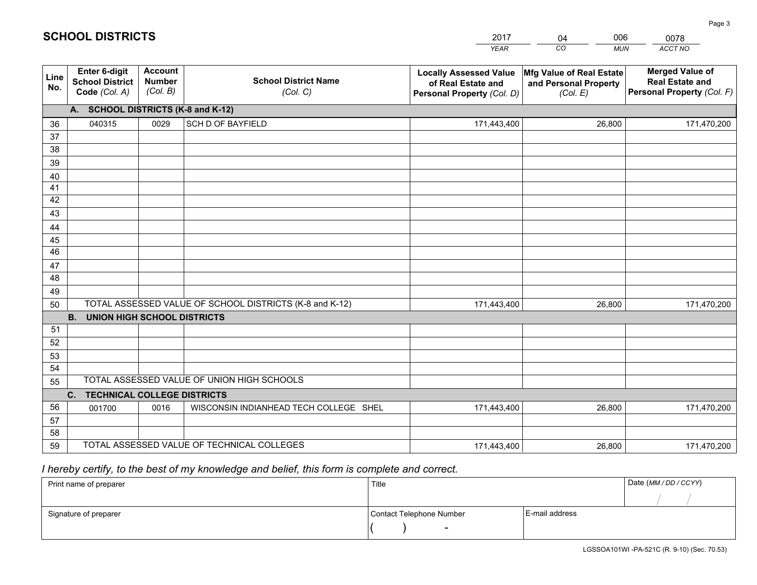|             |                                                          |                                             |                                                         | <b>YEAR</b>                                                                       | CO<br><b>MUN</b>                                              | ACCT NO                                                                        |  |  |  |  |
|-------------|----------------------------------------------------------|---------------------------------------------|---------------------------------------------------------|-----------------------------------------------------------------------------------|---------------------------------------------------------------|--------------------------------------------------------------------------------|--|--|--|--|
| Line<br>No. | Enter 6-digit<br><b>School District</b><br>Code (Col. A) | <b>Account</b><br><b>Number</b><br>(Col. B) | <b>School District Name</b><br>(Col. C)                 | <b>Locally Assessed Value</b><br>of Real Estate and<br>Personal Property (Col. D) | Mfg Value of Real Estate<br>and Personal Property<br>(Col. E) | <b>Merged Value of</b><br><b>Real Estate and</b><br>Personal Property (Col. F) |  |  |  |  |
|             | A. SCHOOL DISTRICTS (K-8 and K-12)                       |                                             |                                                         |                                                                                   |                                                               |                                                                                |  |  |  |  |
| 36          | 040315                                                   | 0029                                        | <b>SCH D OF BAYFIELD</b>                                | 171,443,400                                                                       | 26.800                                                        | 171,470,200                                                                    |  |  |  |  |
| 37          |                                                          |                                             |                                                         |                                                                                   |                                                               |                                                                                |  |  |  |  |
| 38          |                                                          |                                             |                                                         |                                                                                   |                                                               |                                                                                |  |  |  |  |
| 39          |                                                          |                                             |                                                         |                                                                                   |                                                               |                                                                                |  |  |  |  |
| 40          |                                                          |                                             |                                                         |                                                                                   |                                                               |                                                                                |  |  |  |  |
| 41<br>42    |                                                          |                                             |                                                         |                                                                                   |                                                               |                                                                                |  |  |  |  |
| 43          |                                                          |                                             |                                                         |                                                                                   |                                                               |                                                                                |  |  |  |  |
|             |                                                          |                                             |                                                         |                                                                                   |                                                               |                                                                                |  |  |  |  |
| 44<br>45    |                                                          |                                             |                                                         |                                                                                   |                                                               |                                                                                |  |  |  |  |
| 46          |                                                          |                                             |                                                         |                                                                                   |                                                               |                                                                                |  |  |  |  |
| 47          |                                                          |                                             |                                                         |                                                                                   |                                                               |                                                                                |  |  |  |  |
| 48          |                                                          |                                             |                                                         |                                                                                   |                                                               |                                                                                |  |  |  |  |
| 49          |                                                          |                                             |                                                         |                                                                                   |                                                               |                                                                                |  |  |  |  |
| 50          |                                                          |                                             | TOTAL ASSESSED VALUE OF SCHOOL DISTRICTS (K-8 and K-12) | 171,443,400                                                                       | 26,800                                                        | 171,470,200                                                                    |  |  |  |  |
|             | <b>B.</b><br><b>UNION HIGH SCHOOL DISTRICTS</b>          |                                             |                                                         |                                                                                   |                                                               |                                                                                |  |  |  |  |
| 51          |                                                          |                                             |                                                         |                                                                                   |                                                               |                                                                                |  |  |  |  |
| 52          |                                                          |                                             |                                                         |                                                                                   |                                                               |                                                                                |  |  |  |  |
| 53          |                                                          |                                             |                                                         |                                                                                   |                                                               |                                                                                |  |  |  |  |
| 54          |                                                          |                                             |                                                         |                                                                                   |                                                               |                                                                                |  |  |  |  |
| 55          |                                                          |                                             | TOTAL ASSESSED VALUE OF UNION HIGH SCHOOLS              |                                                                                   |                                                               |                                                                                |  |  |  |  |
|             | C.<br><b>TECHNICAL COLLEGE DISTRICTS</b>                 |                                             |                                                         |                                                                                   |                                                               |                                                                                |  |  |  |  |
| 56          | 001700                                                   | 0016                                        | WISCONSIN INDIANHEAD TECH COLLEGE SHEL                  | 171,443,400                                                                       | 26,800                                                        | 171,470,200                                                                    |  |  |  |  |
| 57<br>58    |                                                          |                                             |                                                         |                                                                                   |                                                               |                                                                                |  |  |  |  |
| 59          |                                                          |                                             | TOTAL ASSESSED VALUE OF TECHNICAL COLLEGES              | 171,443,400                                                                       | 26,800                                                        | 171,470,200                                                                    |  |  |  |  |
|             |                                                          |                                             |                                                         |                                                                                   |                                                               |                                                                                |  |  |  |  |

04

006

 *I hereby certify, to the best of my knowledge and belief, this form is complete and correct.*

**SCHOOL DISTRICTS**

| Print name of preparer | Title                    |                | Date (MM / DD / CCYY) |
|------------------------|--------------------------|----------------|-----------------------|
|                        |                          |                |                       |
| Signature of preparer  | Contact Telephone Number | E-mail address |                       |
|                        | $\sim$                   |                |                       |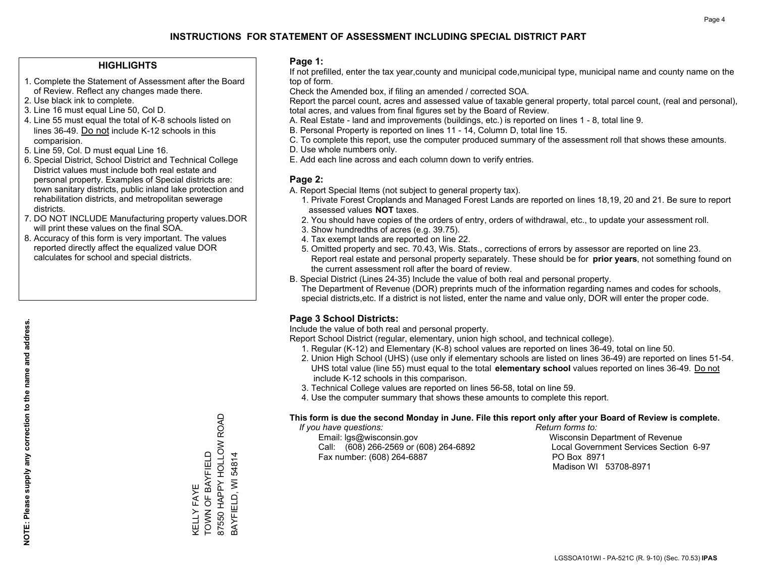#### **HIGHLIGHTS**

- 1. Complete the Statement of Assessment after the Board of Review. Reflect any changes made there.
- 2. Use black ink to complete.
- 3. Line 16 must equal Line 50, Col D.
- 4. Line 55 must equal the total of K-8 schools listed on lines 36-49. Do not include K-12 schools in this comparision.
- 5. Line 59, Col. D must equal Line 16.
- 6. Special District, School District and Technical College District values must include both real estate and personal property. Examples of Special districts are: town sanitary districts, public inland lake protection and rehabilitation districts, and metropolitan sewerage districts.
- 7. DO NOT INCLUDE Manufacturing property values.DOR will print these values on the final SOA.
- 8. Accuracy of this form is very important. The values reported directly affect the equalized value DOR calculates for school and special districts.

#### **Page 1:**

 If not prefilled, enter the tax year,county and municipal code,municipal type, municipal name and county name on the top of form.

Check the Amended box, if filing an amended / corrected SOA.

 Report the parcel count, acres and assessed value of taxable general property, total parcel count, (real and personal), total acres, and values from final figures set by the Board of Review.

- A. Real Estate land and improvements (buildings, etc.) is reported on lines 1 8, total line 9.
- B. Personal Property is reported on lines 11 14, Column D, total line 15.
- C. To complete this report, use the computer produced summary of the assessment roll that shows these amounts.
- D. Use whole numbers only.
- E. Add each line across and each column down to verify entries.

#### **Page 2:**

- A. Report Special Items (not subject to general property tax).
- 1. Private Forest Croplands and Managed Forest Lands are reported on lines 18,19, 20 and 21. Be sure to report assessed values **NOT** taxes.
- 2. You should have copies of the orders of entry, orders of withdrawal, etc., to update your assessment roll.
	- 3. Show hundredths of acres (e.g. 39.75).
- 4. Tax exempt lands are reported on line 22.
- 5. Omitted property and sec. 70.43, Wis. Stats., corrections of errors by assessor are reported on line 23. Report real estate and personal property separately. These should be for **prior years**, not something found on the current assessment roll after the board of review.
- B. Special District (Lines 24-35) Include the value of both real and personal property.

 The Department of Revenue (DOR) preprints much of the information regarding names and codes for schools, special districts,etc. If a district is not listed, enter the name and value only, DOR will enter the proper code.

## **Page 3 School Districts:**

Include the value of both real and personal property.

Report School District (regular, elementary, union high school, and technical college).

- 1. Regular (K-12) and Elementary (K-8) school values are reported on lines 36-49, total on line 50.
- 2. Union High School (UHS) (use only if elementary schools are listed on lines 36-49) are reported on lines 51-54. UHS total value (line 55) must equal to the total **elementary school** values reported on lines 36-49. Do notinclude K-12 schools in this comparison.
- 3. Technical College values are reported on lines 56-58, total on line 59.
- 4. Use the computer summary that shows these amounts to complete this report.

#### **This form is due the second Monday in June. File this report only after your Board of Review is complete.**

 *If you have questions: Return forms to:*

 Email: lgs@wisconsin.gov Wisconsin Department of RevenueCall:  $(608)$  266-2569 or  $(608)$  264-6892 Fax number: (608) 264-6887 PO Box 8971

Local Government Services Section 6-97 Madison WI 53708-8971

87550 HAPPY HOLLOW ROAD 87550 HAPPY HOLLOW ROAD TOWN OF BAYFIELD KELLY FAYE<br>TOWN OF BAYFIELD BAYFIELD, WI 54814 BAYFIELD, WI 54814 KELLY FAYE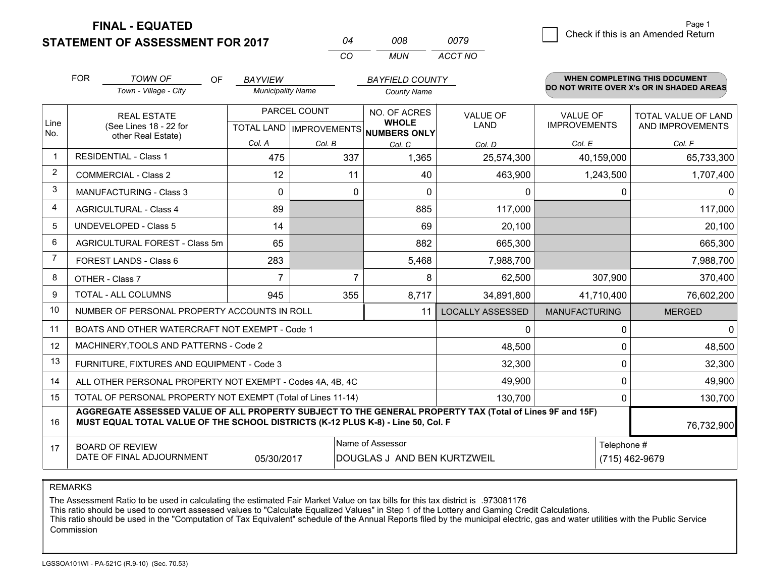**FINAL - EQUATED**

**STATEMENT OF ASSESSMENT FOR 2017** 

| n4 | nnr | 0079    |
|----|-----|---------|
| cо | MUN | ACCT NO |

|                | <b>FOR</b>                     | <b>TOWN OF</b><br><b>OF</b>                                                                                                                                                                  | <b>BAYVIEW</b>           |                           | <b>BAYFIELD COUNTY</b>              |                         |                      | WHEN COMPLETING THIS DOCUMENT<br>DO NOT WRITE OVER X's OR IN SHADED AREAS |  |
|----------------|--------------------------------|----------------------------------------------------------------------------------------------------------------------------------------------------------------------------------------------|--------------------------|---------------------------|-------------------------------------|-------------------------|----------------------|---------------------------------------------------------------------------|--|
|                |                                | Town - Village - City                                                                                                                                                                        | <b>Municipality Name</b> |                           | <b>County Name</b>                  |                         |                      |                                                                           |  |
|                |                                | <b>REAL ESTATE</b>                                                                                                                                                                           |                          | PARCEL COUNT              | NO. OF ACRES                        | <b>VALUE OF</b>         | VALUE OF             | TOTAL VALUE OF LAND                                                       |  |
| Line<br>No.    |                                | (See Lines 18 - 22 for<br>other Real Estate)                                                                                                                                                 |                          | TOTAL LAND   IMPROVEMENTS | <b>WHOLE</b><br><b>NUMBERS ONLY</b> | <b>LAND</b>             | <b>IMPROVEMENTS</b>  | AND IMPROVEMENTS                                                          |  |
|                |                                |                                                                                                                                                                                              | Col. A                   | Col. B                    | Col. C                              | Col. D                  | Col. E               | Col. F                                                                    |  |
| $\mathbf 1$    |                                | <b>RESIDENTIAL - Class 1</b>                                                                                                                                                                 | 475                      | 337                       | 1,365                               | 25,574,300              | 40,159,000           | 65,733,300                                                                |  |
| $\overline{2}$ |                                | <b>COMMERCIAL - Class 2</b>                                                                                                                                                                  | 12                       | 11                        | 40                                  | 463,900                 | 1,243,500            | 1,707,400                                                                 |  |
| 3              |                                | <b>MANUFACTURING - Class 3</b>                                                                                                                                                               | $\Omega$                 | $\Omega$                  | $\Omega$                            | 0                       | 0                    | $\Omega$                                                                  |  |
| 4              |                                | <b>AGRICULTURAL - Class 4</b>                                                                                                                                                                | 89                       |                           | 885                                 | 117,000                 |                      | 117,000                                                                   |  |
| 5              | <b>UNDEVELOPED - Class 5</b>   |                                                                                                                                                                                              | 14                       |                           | 69                                  | 20,100                  |                      | 20,100                                                                    |  |
| 6              | AGRICULTURAL FOREST - Class 5m |                                                                                                                                                                                              | 65                       |                           | 882                                 | 665,300                 |                      | 665,300                                                                   |  |
| 7              | FOREST LANDS - Class 6         |                                                                                                                                                                                              | 283                      |                           | 5,468                               | 7,988,700               |                      | 7,988,700                                                                 |  |
| 8              |                                | OTHER - Class 7                                                                                                                                                                              | $\overline{7}$           | 7                         | 8                                   | 62,500                  | 307,900              | 370,400                                                                   |  |
| 9              |                                | TOTAL - ALL COLUMNS                                                                                                                                                                          | 945                      | 355                       | 8,717                               | 34,891,800              | 41,710,400           | 76,602,200                                                                |  |
| 10             |                                | NUMBER OF PERSONAL PROPERTY ACCOUNTS IN ROLL                                                                                                                                                 |                          |                           | 11                                  | <b>LOCALLY ASSESSED</b> | <b>MANUFACTURING</b> | <b>MERGED</b>                                                             |  |
| 11             |                                | BOATS AND OTHER WATERCRAFT NOT EXEMPT - Code 1                                                                                                                                               |                          |                           |                                     | 0                       | 0                    | 0                                                                         |  |
| 12             |                                | MACHINERY, TOOLS AND PATTERNS - Code 2                                                                                                                                                       |                          |                           |                                     | 48,500                  | 0                    | 48,500                                                                    |  |
| 13             |                                | FURNITURE, FIXTURES AND EQUIPMENT - Code 3                                                                                                                                                   |                          |                           |                                     | 32,300                  | 0                    | 32,300                                                                    |  |
| 14             |                                | ALL OTHER PERSONAL PROPERTY NOT EXEMPT - Codes 4A, 4B, 4C                                                                                                                                    |                          |                           |                                     | 49,900                  | 0                    | 49,900                                                                    |  |
| 15             |                                | TOTAL OF PERSONAL PROPERTY NOT EXEMPT (Total of Lines 11-14)                                                                                                                                 |                          |                           |                                     | 130,700                 | 0                    | 130,700                                                                   |  |
| 16             |                                | AGGREGATE ASSESSED VALUE OF ALL PROPERTY SUBJECT TO THE GENERAL PROPERTY TAX (Total of Lines 9F and 15F)<br>MUST EQUAL TOTAL VALUE OF THE SCHOOL DISTRICTS (K-12 PLUS K-8) - Line 50, Col. F |                          |                           |                                     |                         |                      | 76,732,900                                                                |  |
| 17             |                                | <b>BOARD OF REVIEW</b>                                                                                                                                                                       |                          |                           | Name of Assessor                    |                         | Telephone #          |                                                                           |  |
|                |                                | DATE OF FINAL ADJOURNMENT                                                                                                                                                                    | 05/30/2017               |                           | DOUGLAS J AND BEN KURTZWEIL         |                         |                      | (715) 462-9679                                                            |  |

REMARKS

The Assessment Ratio to be used in calculating the estimated Fair Market Value on tax bills for this tax district is .973081176

This ratio should be used to convert assessed values to "Calculate Equalized Values" in Step 1 of the Lottery and Gaming Credit Calculations.<br>This ratio should be used in the "Computation of Tax Equivalent" schedule of the Commission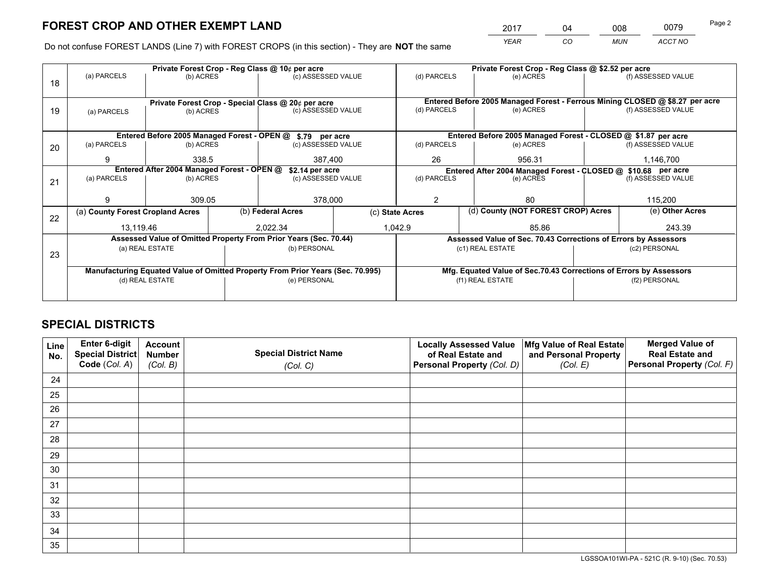*YEAR CO MUN ACCT NO* <sup>2017</sup> <sup>04</sup> <sup>008</sup> <sup>0079</sup>

Do not confuse FOREST LANDS (Line 7) with FOREST CROPS (in this section) - They are **NOT** the same

|    |                                            |                 |                 | Private Forest Crop - Reg Class @ 10¢ per acre                                 |                 | Private Forest Crop - Reg Class @ \$2.52 per acre             |                  |                                                                    |               |                                                                              |
|----|--------------------------------------------|-----------------|-----------------|--------------------------------------------------------------------------------|-----------------|---------------------------------------------------------------|------------------|--------------------------------------------------------------------|---------------|------------------------------------------------------------------------------|
| 18 | (a) PARCELS                                | (b) ACRES       |                 | (c) ASSESSED VALUE                                                             |                 | (d) PARCELS                                                   |                  | (e) ACRES                                                          |               | (f) ASSESSED VALUE                                                           |
|    |                                            |                 |                 |                                                                                |                 |                                                               |                  |                                                                    |               |                                                                              |
|    |                                            |                 |                 | Private Forest Crop - Special Class @ 20¢ per acre                             |                 |                                                               |                  |                                                                    |               | Entered Before 2005 Managed Forest - Ferrous Mining CLOSED @ \$8.27 per acre |
| 19 | (a) PARCELS                                | (b) ACRES       |                 | (c) ASSESSED VALUE                                                             |                 | (d) PARCELS                                                   |                  | (e) ACRES                                                          |               | (f) ASSESSED VALUE                                                           |
|    |                                            |                 |                 |                                                                                |                 |                                                               |                  |                                                                    |               |                                                                              |
|    |                                            |                 |                 | Entered Before 2005 Managed Forest - OPEN @ \$.79 per acre                     |                 |                                                               |                  | Entered Before 2005 Managed Forest - CLOSED @ \$1.87 per acre      |               |                                                                              |
| 20 | (a) PARCELS                                | (b) ACRES       |                 | (c) ASSESSED VALUE                                                             |                 | (d) PARCELS                                                   |                  | (e) ACRES                                                          |               | (f) ASSESSED VALUE                                                           |
|    | 9                                          | 338.5           |                 |                                                                                | 387,400         |                                                               | 26<br>956.31     |                                                                    | 1,146,700     |                                                                              |
|    | Entered After 2004 Managed Forest - OPEN @ |                 | \$2.14 per acre |                                                                                |                 | Entered After 2004 Managed Forest - CLOSED @ \$10.68 per acre |                  |                                                                    |               |                                                                              |
| 21 | (a) PARCELS                                | (b) ACRES       |                 | (c) ASSESSED VALUE                                                             | (d) PARCELS     |                                                               |                  | (e) ACRES                                                          |               | (f) ASSESSED VALUE                                                           |
|    |                                            |                 |                 |                                                                                |                 |                                                               |                  |                                                                    |               |                                                                              |
|    | q                                          | 309.05          |                 | 378,000                                                                        |                 | 2                                                             |                  | 80                                                                 |               | 115,200                                                                      |
| 22 | (a) County Forest Cropland Acres           |                 |                 | (b) Federal Acres                                                              | (c) State Acres |                                                               |                  | (d) County (NOT FOREST CROP) Acres                                 |               | (e) Other Acres                                                              |
|    | 13,119.46                                  |                 |                 | 2,022.34                                                                       |                 | 1,042.9                                                       | 85.86            |                                                                    |               | 243.39                                                                       |
|    |                                            |                 |                 | Assessed Value of Omitted Property From Prior Years (Sec. 70.44)               |                 |                                                               |                  | Assessed Value of Sec. 70.43 Corrections of Errors by Assessors    |               |                                                                              |
| 23 |                                            | (a) REAL ESTATE |                 | (b) PERSONAL                                                                   |                 |                                                               | (c1) REAL ESTATE |                                                                    |               | (c2) PERSONAL                                                                |
|    |                                            |                 |                 |                                                                                |                 |                                                               |                  |                                                                    |               |                                                                              |
|    |                                            |                 |                 | Manufacturing Equated Value of Omitted Property From Prior Years (Sec. 70.995) |                 |                                                               |                  | Mfg. Equated Value of Sec.70.43 Corrections of Errors by Assessors |               |                                                                              |
|    |                                            | (d) REAL ESTATE |                 | (e) PERSONAL                                                                   |                 | (f1) REAL ESTATE                                              |                  |                                                                    | (f2) PERSONAL |                                                                              |
|    |                                            |                 |                 |                                                                                |                 |                                                               |                  |                                                                    |               |                                                                              |

## **SPECIAL DISTRICTS**

| Line<br>No. | Enter 6-digit<br>Special District<br>Code (Col. A) | <b>Account</b><br><b>Number</b> | <b>Special District Name</b> | <b>Locally Assessed Value</b><br>of Real Estate and | Mfg Value of Real Estate<br>and Personal Property | <b>Merged Value of</b><br><b>Real Estate and</b><br>Personal Property (Col. F) |
|-------------|----------------------------------------------------|---------------------------------|------------------------------|-----------------------------------------------------|---------------------------------------------------|--------------------------------------------------------------------------------|
|             |                                                    | (Col. B)                        | (Col. C)                     | Personal Property (Col. D)                          | (Col. E)                                          |                                                                                |
| 24          |                                                    |                                 |                              |                                                     |                                                   |                                                                                |
| 25          |                                                    |                                 |                              |                                                     |                                                   |                                                                                |
| 26          |                                                    |                                 |                              |                                                     |                                                   |                                                                                |
| 27          |                                                    |                                 |                              |                                                     |                                                   |                                                                                |
| 28          |                                                    |                                 |                              |                                                     |                                                   |                                                                                |
| 29          |                                                    |                                 |                              |                                                     |                                                   |                                                                                |
| 30          |                                                    |                                 |                              |                                                     |                                                   |                                                                                |
| 31          |                                                    |                                 |                              |                                                     |                                                   |                                                                                |
| 32          |                                                    |                                 |                              |                                                     |                                                   |                                                                                |
| 33          |                                                    |                                 |                              |                                                     |                                                   |                                                                                |
| 34          |                                                    |                                 |                              |                                                     |                                                   |                                                                                |
| 35          |                                                    |                                 |                              |                                                     |                                                   |                                                                                |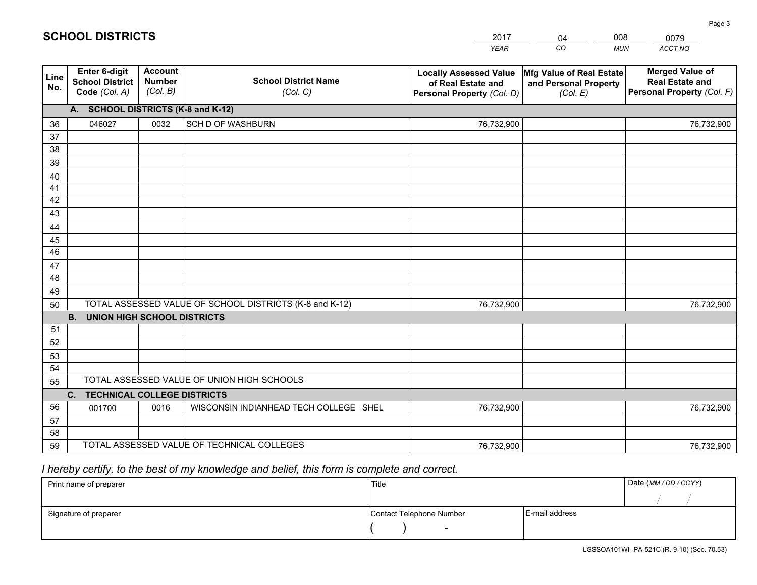|             |                                                                 |                                             |                                                         | <b>YEAR</b>                                                                       | CO<br><b>MUN</b>                                              | ACCT NO                                                                        |
|-------------|-----------------------------------------------------------------|---------------------------------------------|---------------------------------------------------------|-----------------------------------------------------------------------------------|---------------------------------------------------------------|--------------------------------------------------------------------------------|
| Line<br>No. | <b>Enter 6-digit</b><br><b>School District</b><br>Code (Col. A) | <b>Account</b><br><b>Number</b><br>(Col. B) | <b>School District Name</b><br>(Col. C)                 | <b>Locally Assessed Value</b><br>of Real Estate and<br>Personal Property (Col. D) | Mfg Value of Real Estate<br>and Personal Property<br>(Col. E) | <b>Merged Value of</b><br><b>Real Estate and</b><br>Personal Property (Col. F) |
|             | A. SCHOOL DISTRICTS (K-8 and K-12)                              |                                             |                                                         |                                                                                   |                                                               |                                                                                |
| 36          | 046027                                                          | 0032                                        | <b>SCH D OF WASHBURN</b>                                | 76,732,900                                                                        |                                                               | 76,732,900                                                                     |
| 37          |                                                                 |                                             |                                                         |                                                                                   |                                                               |                                                                                |
| 38          |                                                                 |                                             |                                                         |                                                                                   |                                                               |                                                                                |
| 39          |                                                                 |                                             |                                                         |                                                                                   |                                                               |                                                                                |
| 40          |                                                                 |                                             |                                                         |                                                                                   |                                                               |                                                                                |
| 41<br>42    |                                                                 |                                             |                                                         |                                                                                   |                                                               |                                                                                |
| 43          |                                                                 |                                             |                                                         |                                                                                   |                                                               |                                                                                |
| 44          |                                                                 |                                             |                                                         |                                                                                   |                                                               |                                                                                |
| 45          |                                                                 |                                             |                                                         |                                                                                   |                                                               |                                                                                |
| 46          |                                                                 |                                             |                                                         |                                                                                   |                                                               |                                                                                |
| 47          |                                                                 |                                             |                                                         |                                                                                   |                                                               |                                                                                |
| 48          |                                                                 |                                             |                                                         |                                                                                   |                                                               |                                                                                |
| 49          |                                                                 |                                             |                                                         |                                                                                   |                                                               |                                                                                |
| 50          |                                                                 |                                             | TOTAL ASSESSED VALUE OF SCHOOL DISTRICTS (K-8 and K-12) | 76,732,900                                                                        |                                                               | 76,732,900                                                                     |
|             | <b>B.</b><br><b>UNION HIGH SCHOOL DISTRICTS</b>                 |                                             |                                                         |                                                                                   |                                                               |                                                                                |
| 51          |                                                                 |                                             |                                                         |                                                                                   |                                                               |                                                                                |
| 52          |                                                                 |                                             |                                                         |                                                                                   |                                                               |                                                                                |
| 53          |                                                                 |                                             |                                                         |                                                                                   |                                                               |                                                                                |
| 54          |                                                                 |                                             | TOTAL ASSESSED VALUE OF UNION HIGH SCHOOLS              |                                                                                   |                                                               |                                                                                |
| 55          |                                                                 |                                             |                                                         |                                                                                   |                                                               |                                                                                |
| 56          | C.<br><b>TECHNICAL COLLEGE DISTRICTS</b>                        |                                             |                                                         |                                                                                   |                                                               |                                                                                |
| 57          | 001700                                                          | 0016                                        | WISCONSIN INDIANHEAD TECH COLLEGE SHEL                  | 76,732,900                                                                        |                                                               | 76,732,900                                                                     |
| 58          |                                                                 |                                             |                                                         |                                                                                   |                                                               |                                                                                |
| 59          |                                                                 |                                             | TOTAL ASSESSED VALUE OF TECHNICAL COLLEGES              | 76,732,900                                                                        |                                                               | 76,732,900                                                                     |

04

008

 *I hereby certify, to the best of my knowledge and belief, this form is complete and correct.*

**SCHOOL DISTRICTS**

| Print name of preparer | Title                    |                | Date (MM / DD / CCYY) |
|------------------------|--------------------------|----------------|-----------------------|
|                        |                          |                |                       |
| Signature of preparer  | Contact Telephone Number | E-mail address |                       |
|                        | $\sim$                   |                |                       |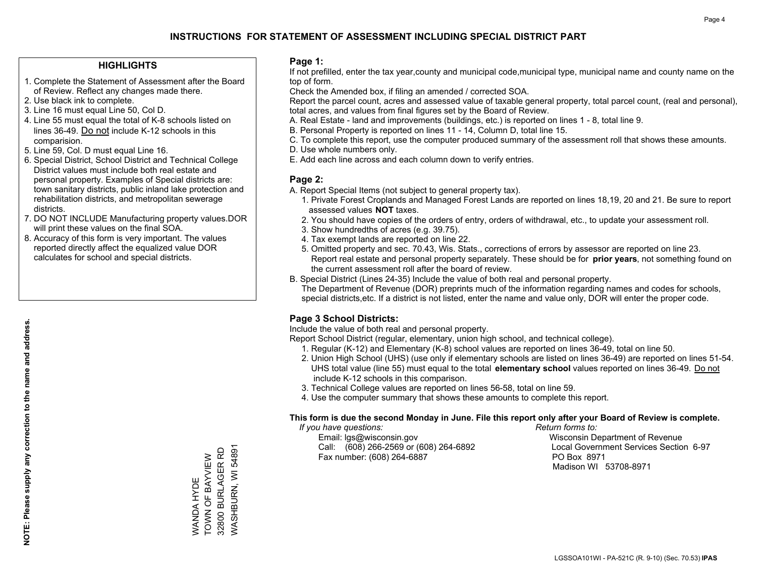#### **HIGHLIGHTS**

- 1. Complete the Statement of Assessment after the Board of Review. Reflect any changes made there.
- 2. Use black ink to complete.
- 3. Line 16 must equal Line 50, Col D.
- 4. Line 55 must equal the total of K-8 schools listed on lines 36-49. Do not include K-12 schools in this comparision.
- 5. Line 59, Col. D must equal Line 16.
- 6. Special District, School District and Technical College District values must include both real estate and personal property. Examples of Special districts are: town sanitary districts, public inland lake protection and rehabilitation districts, and metropolitan sewerage districts.
- 7. DO NOT INCLUDE Manufacturing property values.DOR will print these values on the final SOA.

WANDA HYDE TOWN OF BAYVIEW 32800 BURLAGER RD WASHBURN, WI 54891

WASHBURN, WI 54891 32800 BURLAGER RD WANDA HYDE<br>TOWN OF BAYVIEW

 8. Accuracy of this form is very important. The values reported directly affect the equalized value DOR calculates for school and special districts.

#### **Page 1:**

 If not prefilled, enter the tax year,county and municipal code,municipal type, municipal name and county name on the top of form.

Check the Amended box, if filing an amended / corrected SOA.

 Report the parcel count, acres and assessed value of taxable general property, total parcel count, (real and personal), total acres, and values from final figures set by the Board of Review.

- A. Real Estate land and improvements (buildings, etc.) is reported on lines 1 8, total line 9.
- B. Personal Property is reported on lines 11 14, Column D, total line 15.
- C. To complete this report, use the computer produced summary of the assessment roll that shows these amounts.
- D. Use whole numbers only.
- E. Add each line across and each column down to verify entries.

### **Page 2:**

- A. Report Special Items (not subject to general property tax).
- 1. Private Forest Croplands and Managed Forest Lands are reported on lines 18,19, 20 and 21. Be sure to report assessed values **NOT** taxes.
- 2. You should have copies of the orders of entry, orders of withdrawal, etc., to update your assessment roll.
	- 3. Show hundredths of acres (e.g. 39.75).
- 4. Tax exempt lands are reported on line 22.
- 5. Omitted property and sec. 70.43, Wis. Stats., corrections of errors by assessor are reported on line 23. Report real estate and personal property separately. These should be for **prior years**, not something found on the current assessment roll after the board of review.
- B. Special District (Lines 24-35) Include the value of both real and personal property.

 The Department of Revenue (DOR) preprints much of the information regarding names and codes for schools, special districts,etc. If a district is not listed, enter the name and value only, DOR will enter the proper code.

## **Page 3 School Districts:**

Include the value of both real and personal property.

Report School District (regular, elementary, union high school, and technical college).

- 1. Regular (K-12) and Elementary (K-8) school values are reported on lines 36-49, total on line 50.
- 2. Union High School (UHS) (use only if elementary schools are listed on lines 36-49) are reported on lines 51-54. UHS total value (line 55) must equal to the total **elementary school** values reported on lines 36-49. Do notinclude K-12 schools in this comparison.
- 3. Technical College values are reported on lines 56-58, total on line 59.
- 4. Use the computer summary that shows these amounts to complete this report.

#### **This form is due the second Monday in June. File this report only after your Board of Review is complete.**

 *If you have questions: Return forms to:*

 Email: lgs@wisconsin.gov Wisconsin Department of RevenueCall:  $(608)$  266-2569 or  $(608)$  264-6892 Fax number: (608) 264-6887 PO Box 8971

Local Government Services Section 6-97 Madison WI 53708-8971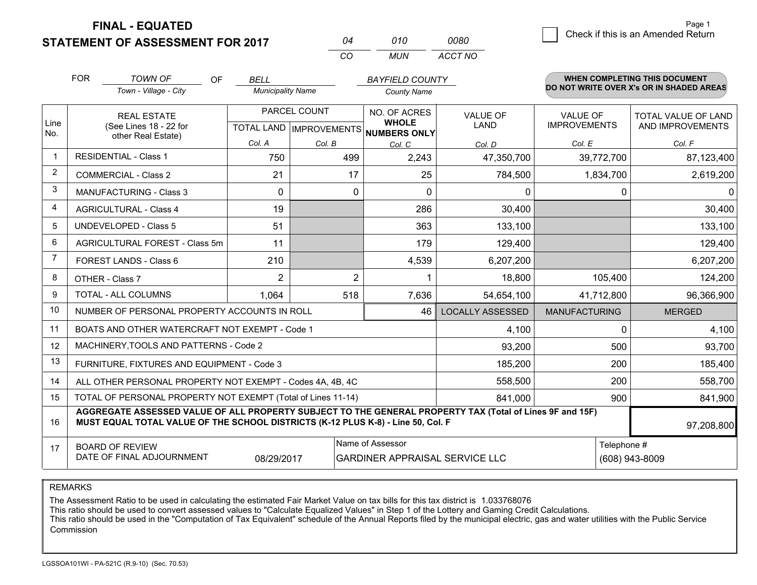**FINAL - EQUATED**

**STATEMENT OF ASSESSMENT FOR 2017** 

| ሰ4  | 01 O  | nnan    |
|-----|-------|---------|
| ΓO. | MI IN | ACCT NO |

|                | <b>FOR</b>                                                                                                                                                                                   | <b>TOWN OF</b><br><b>OF</b>                                  | <b>BELL</b>              |                           | <b>BAYFIELD COUNTY</b>                |                         |                      | <b>WHEN COMPLETING THIS DOCUMENT</b>     |  |  |
|----------------|----------------------------------------------------------------------------------------------------------------------------------------------------------------------------------------------|--------------------------------------------------------------|--------------------------|---------------------------|---------------------------------------|-------------------------|----------------------|------------------------------------------|--|--|
|                |                                                                                                                                                                                              | Town - Village - City                                        | <b>Municipality Name</b> |                           | <b>County Name</b>                    |                         |                      | DO NOT WRITE OVER X's OR IN SHADED AREAS |  |  |
|                |                                                                                                                                                                                              | <b>REAL ESTATE</b>                                           |                          | PARCEL COUNT              | NO. OF ACRES                          | <b>VALUE OF</b>         | VALUE OF             | TOTAL VALUE OF LAND                      |  |  |
| Line<br>No.    |                                                                                                                                                                                              | (See Lines 18 - 22 for<br>other Real Estate)                 |                          | TOTAL LAND   IMPROVEMENTS | <b>WHOLE</b><br>NUMBERS ONLY          | LAND                    | <b>IMPROVEMENTS</b>  | AND IMPROVEMENTS                         |  |  |
|                |                                                                                                                                                                                              |                                                              | Col. A                   | Col. B                    | Col. C                                | Col. D                  | Col. E               | Col. F                                   |  |  |
| $\mathbf 1$    |                                                                                                                                                                                              | <b>RESIDENTIAL - Class 1</b>                                 | 750                      | 499                       | 2,243                                 | 47,350,700              | 39,772,700           | 87,123,400                               |  |  |
| 2              |                                                                                                                                                                                              | <b>COMMERCIAL - Class 2</b>                                  | 21                       | 17                        | 25                                    | 784,500                 | 1,834,700            | 2,619,200                                |  |  |
| 3              |                                                                                                                                                                                              | <b>MANUFACTURING - Class 3</b>                               | $\Omega$                 | $\Omega$                  | $\Omega$                              | $\Omega$                | $\Omega$             | 0                                        |  |  |
| $\overline{4}$ |                                                                                                                                                                                              | <b>AGRICULTURAL - Class 4</b>                                | 19                       |                           | 286                                   | 30,400                  |                      | 30,400                                   |  |  |
| 5              |                                                                                                                                                                                              | <b>UNDEVELOPED - Class 5</b>                                 | 51                       |                           | 363                                   | 133,100                 |                      | 133,100                                  |  |  |
| 6              | AGRICULTURAL FOREST - Class 5m                                                                                                                                                               |                                                              | 11                       |                           | 179                                   | 129,400                 |                      | 129,400                                  |  |  |
| 7              | FOREST LANDS - Class 6                                                                                                                                                                       |                                                              | 210                      |                           | 4,539                                 | 6,207,200               |                      | 6,207,200                                |  |  |
| 8              |                                                                                                                                                                                              | OTHER - Class 7                                              | $\overline{2}$           | $\overline{2}$            | $\mathbf 1$                           | 18,800                  | 105,400              | 124,200                                  |  |  |
| g              |                                                                                                                                                                                              | TOTAL - ALL COLUMNS                                          | 1,064                    | 518                       | 7,636                                 | 54,654,100              | 41,712,800           | 96,366,900                               |  |  |
| 10             |                                                                                                                                                                                              | NUMBER OF PERSONAL PROPERTY ACCOUNTS IN ROLL                 |                          |                           | 46                                    | <b>LOCALLY ASSESSED</b> | <b>MANUFACTURING</b> | <b>MERGED</b>                            |  |  |
| 11             |                                                                                                                                                                                              | BOATS AND OTHER WATERCRAFT NOT EXEMPT - Code 1               |                          |                           |                                       | 4,100                   | $\Omega$             | 4,100                                    |  |  |
| 12             |                                                                                                                                                                                              | MACHINERY, TOOLS AND PATTERNS - Code 2                       |                          |                           |                                       | 93,200                  | 500                  | 93,700                                   |  |  |
| 13             |                                                                                                                                                                                              | FURNITURE, FIXTURES AND EQUIPMENT - Code 3                   |                          |                           |                                       | 185,200                 | 200                  | 185,400                                  |  |  |
| 14             |                                                                                                                                                                                              | ALL OTHER PERSONAL PROPERTY NOT EXEMPT - Codes 4A, 4B, 4C    |                          |                           |                                       | 558,500                 | 200                  | 558,700                                  |  |  |
| 15             |                                                                                                                                                                                              | TOTAL OF PERSONAL PROPERTY NOT EXEMPT (Total of Lines 11-14) |                          |                           |                                       | 841,000                 | 900                  | 841,900                                  |  |  |
| 16             | AGGREGATE ASSESSED VALUE OF ALL PROPERTY SUBJECT TO THE GENERAL PROPERTY TAX (Total of Lines 9F and 15F)<br>MUST EQUAL TOTAL VALUE OF THE SCHOOL DISTRICTS (K-12 PLUS K-8) - Line 50, Col. F |                                                              |                          |                           |                                       |                         |                      | 97,208,800                               |  |  |
| 17             | <b>BOARD OF REVIEW</b>                                                                                                                                                                       |                                                              |                          |                           | Name of Assessor                      |                         |                      | Telephone #                              |  |  |
|                |                                                                                                                                                                                              | DATE OF FINAL ADJOURNMENT                                    | 08/29/2017               |                           | <b>GARDINER APPRAISAL SERVICE LLC</b> |                         |                      | (608) 943-8009                           |  |  |

REMARKS

The Assessment Ratio to be used in calculating the estimated Fair Market Value on tax bills for this tax district is 1.033768076

This ratio should be used to convert assessed values to "Calculate Equalized Values" in Step 1 of the Lottery and Gaming Credit Calculations.<br>This ratio should be used in the "Computation of Tax Equivalent" schedule of the Commission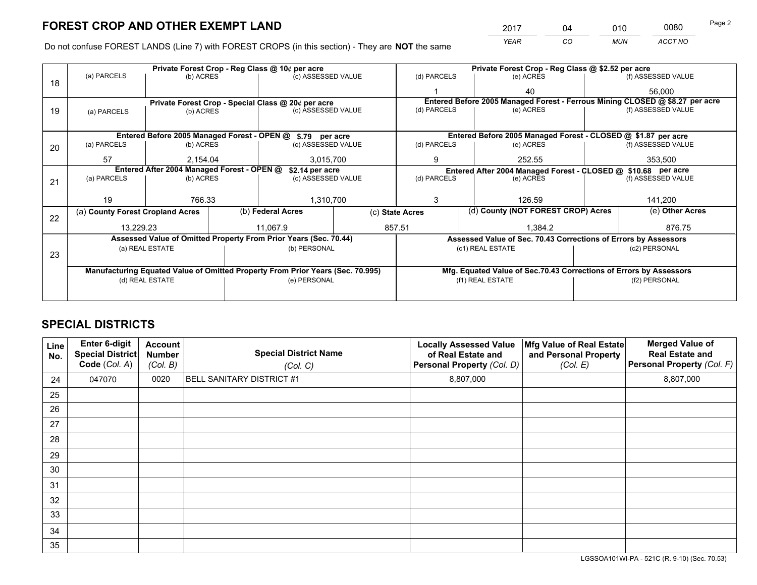*YEAR CO MUN ACCT NO* <sup>2017</sup> <sup>04</sup> <sup>010</sup> <sup>0080</sup> Page 2

Do not confuse FOREST LANDS (Line 7) with FOREST CROPS (in this section) - They are **NOT** the same

|    |                                                                                |                 | Private Forest Crop - Reg Class @ 10¢ per acre |                                                                  |  |                                                                              | Private Forest Crop - Reg Class @ \$2.52 per acre             |                                                               |                                                                 |                    |
|----|--------------------------------------------------------------------------------|-----------------|------------------------------------------------|------------------------------------------------------------------|--|------------------------------------------------------------------------------|---------------------------------------------------------------|---------------------------------------------------------------|-----------------------------------------------------------------|--------------------|
| 18 | (a) PARCELS                                                                    | (b) ACRES       |                                                | (c) ASSESSED VALUE                                               |  | (d) PARCELS                                                                  |                                                               | (e) ACRES                                                     |                                                                 | (f) ASSESSED VALUE |
|    |                                                                                |                 |                                                |                                                                  |  |                                                                              |                                                               | 40                                                            |                                                                 | 56,000             |
|    |                                                                                |                 |                                                | Private Forest Crop - Special Class @ 20¢ per acre               |  | Entered Before 2005 Managed Forest - Ferrous Mining CLOSED @ \$8.27 per acre |                                                               |                                                               |                                                                 |                    |
| 19 | (a) PARCELS                                                                    | (b) ACRES       |                                                | (c) ASSESSED VALUE                                               |  | (d) PARCELS                                                                  |                                                               | (e) ACRES                                                     |                                                                 | (f) ASSESSED VALUE |
|    |                                                                                |                 |                                                |                                                                  |  |                                                                              |                                                               |                                                               |                                                                 |                    |
|    |                                                                                |                 |                                                | Entered Before 2005 Managed Forest - OPEN @ \$.79 per acre       |  |                                                                              |                                                               | Entered Before 2005 Managed Forest - CLOSED @ \$1.87 per acre |                                                                 |                    |
| 20 | (a) PARCELS                                                                    | (b) ACRES       |                                                | (c) ASSESSED VALUE                                               |  | (d) PARCELS                                                                  |                                                               | (e) ACRES                                                     |                                                                 | (f) ASSESSED VALUE |
|    | 57                                                                             | 2.154.04        |                                                | 3,015,700                                                        |  | 9                                                                            |                                                               | 252.55                                                        |                                                                 | 353,500            |
|    | Entered After 2004 Managed Forest - OPEN @<br>\$2.14 per acre                  |                 |                                                |                                                                  |  |                                                                              | Entered After 2004 Managed Forest - CLOSED @ \$10.68 per acre |                                                               |                                                                 |                    |
| 21 | (a) PARCELS                                                                    | (b) ACRES       |                                                | (c) ASSESSED VALUE                                               |  | (d) PARCELS<br>(e) ACRES                                                     |                                                               | (f) ASSESSED VALUE                                            |                                                                 |                    |
|    |                                                                                |                 |                                                |                                                                  |  |                                                                              |                                                               |                                                               |                                                                 |                    |
|    | 19                                                                             | 766.33          |                                                | 1,310,700                                                        |  | 3<br>126.59                                                                  |                                                               |                                                               | 141,200                                                         |                    |
| 22 | (a) County Forest Cropland Acres                                               |                 |                                                | (b) Federal Acres                                                |  | (d) County (NOT FOREST CROP) Acres<br>(c) State Acres                        |                                                               |                                                               | (e) Other Acres                                                 |                    |
|    | 13,229.23                                                                      |                 |                                                | 11,067.9                                                         |  | 857.51<br>1,384.2                                                            |                                                               |                                                               | 876.75                                                          |                    |
|    |                                                                                |                 |                                                | Assessed Value of Omitted Property From Prior Years (Sec. 70.44) |  |                                                                              |                                                               |                                                               | Assessed Value of Sec. 70.43 Corrections of Errors by Assessors |                    |
|    |                                                                                | (a) REAL ESTATE |                                                | (b) PERSONAL                                                     |  |                                                                              |                                                               | (c1) REAL ESTATE                                              |                                                                 | (c2) PERSONAL      |
| 23 |                                                                                |                 |                                                |                                                                  |  |                                                                              |                                                               |                                                               |                                                                 |                    |
|    | Manufacturing Equated Value of Omitted Property From Prior Years (Sec. 70.995) |                 |                                                |                                                                  |  | Mfg. Equated Value of Sec.70.43 Corrections of Errors by Assessors           |                                                               |                                                               |                                                                 |                    |
|    | (e) PERSONAL<br>(d) REAL ESTATE                                                |                 |                                                |                                                                  |  | (f1) REAL ESTATE                                                             |                                                               | (f2) PERSONAL                                                 |                                                                 |                    |
|    |                                                                                |                 |                                                |                                                                  |  |                                                                              |                                                               |                                                               |                                                                 |                    |

## **SPECIAL DISTRICTS**

| Line<br>No. | Enter 6-digit<br><b>Special District</b><br>Code (Col. A) | <b>Account</b><br><b>Number</b><br>(Col. B) | <b>Special District Name</b><br>(Col. C) | <b>Locally Assessed Value</b><br>of Real Estate and<br>Personal Property (Col. D) | Mfg Value of Real Estate<br>and Personal Property<br>(Col. E) | <b>Merged Value of</b><br><b>Real Estate and</b><br>Personal Property (Col. F) |
|-------------|-----------------------------------------------------------|---------------------------------------------|------------------------------------------|-----------------------------------------------------------------------------------|---------------------------------------------------------------|--------------------------------------------------------------------------------|
| 24          | 047070                                                    | 0020                                        | <b>BELL SANITARY DISTRICT #1</b>         | 8,807,000                                                                         |                                                               | 8,807,000                                                                      |
| 25          |                                                           |                                             |                                          |                                                                                   |                                                               |                                                                                |
| 26          |                                                           |                                             |                                          |                                                                                   |                                                               |                                                                                |
| 27          |                                                           |                                             |                                          |                                                                                   |                                                               |                                                                                |
| 28          |                                                           |                                             |                                          |                                                                                   |                                                               |                                                                                |
| 29          |                                                           |                                             |                                          |                                                                                   |                                                               |                                                                                |
| 30          |                                                           |                                             |                                          |                                                                                   |                                                               |                                                                                |
| 31          |                                                           |                                             |                                          |                                                                                   |                                                               |                                                                                |
| 32          |                                                           |                                             |                                          |                                                                                   |                                                               |                                                                                |
| 33          |                                                           |                                             |                                          |                                                                                   |                                                               |                                                                                |
| 34          |                                                           |                                             |                                          |                                                                                   |                                                               |                                                                                |
| 35          |                                                           |                                             |                                          |                                                                                   |                                                               |                                                                                |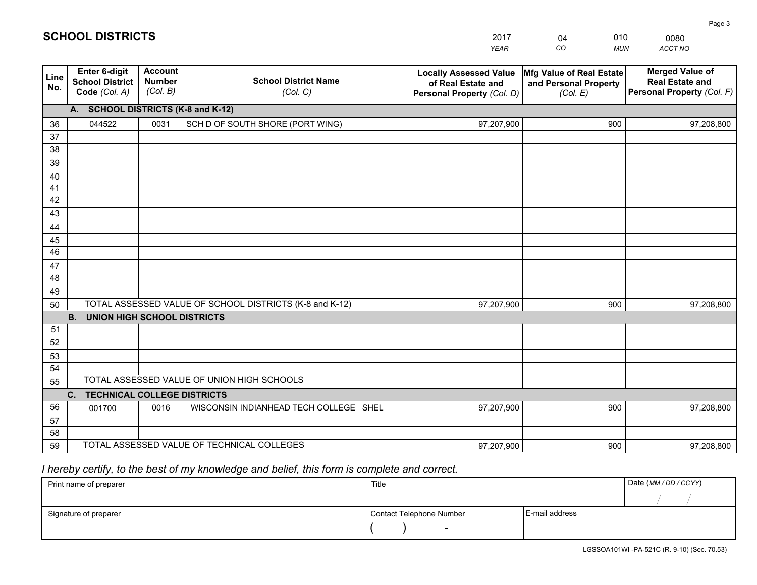|             |                                                                 |                                             |                                                         | <b>YEAR</b>                                                                       | CO<br><b>MUN</b>                                              | ACCT NO                                                                        |
|-------------|-----------------------------------------------------------------|---------------------------------------------|---------------------------------------------------------|-----------------------------------------------------------------------------------|---------------------------------------------------------------|--------------------------------------------------------------------------------|
| Line<br>No. | <b>Enter 6-digit</b><br><b>School District</b><br>Code (Col. A) | <b>Account</b><br><b>Number</b><br>(Col. B) | <b>School District Name</b><br>(Col. C)                 | <b>Locally Assessed Value</b><br>of Real Estate and<br>Personal Property (Col. D) | Mfg Value of Real Estate<br>and Personal Property<br>(Col. E) | <b>Merged Value of</b><br><b>Real Estate and</b><br>Personal Property (Col. F) |
|             | A. SCHOOL DISTRICTS (K-8 and K-12)                              |                                             |                                                         |                                                                                   |                                                               |                                                                                |
| 36          | 044522                                                          | 0031                                        | SCH D OF SOUTH SHORE (PORT WING)                        | 97,207,900                                                                        | 900                                                           | 97,208,800                                                                     |
| 37          |                                                                 |                                             |                                                         |                                                                                   |                                                               |                                                                                |
| 38          |                                                                 |                                             |                                                         |                                                                                   |                                                               |                                                                                |
| 39          |                                                                 |                                             |                                                         |                                                                                   |                                                               |                                                                                |
| 40          |                                                                 |                                             |                                                         |                                                                                   |                                                               |                                                                                |
| 41<br>42    |                                                                 |                                             |                                                         |                                                                                   |                                                               |                                                                                |
| 43          |                                                                 |                                             |                                                         |                                                                                   |                                                               |                                                                                |
| 44          |                                                                 |                                             |                                                         |                                                                                   |                                                               |                                                                                |
| 45          |                                                                 |                                             |                                                         |                                                                                   |                                                               |                                                                                |
| 46          |                                                                 |                                             |                                                         |                                                                                   |                                                               |                                                                                |
| 47          |                                                                 |                                             |                                                         |                                                                                   |                                                               |                                                                                |
| 48          |                                                                 |                                             |                                                         |                                                                                   |                                                               |                                                                                |
| 49          |                                                                 |                                             |                                                         |                                                                                   |                                                               |                                                                                |
| 50          |                                                                 |                                             | TOTAL ASSESSED VALUE OF SCHOOL DISTRICTS (K-8 and K-12) | 97,207,900                                                                        | 900                                                           | 97,208,800                                                                     |
|             | <b>B.</b><br>UNION HIGH SCHOOL DISTRICTS                        |                                             |                                                         |                                                                                   |                                                               |                                                                                |
| 51          |                                                                 |                                             |                                                         |                                                                                   |                                                               |                                                                                |
| 52          |                                                                 |                                             |                                                         |                                                                                   |                                                               |                                                                                |
| 53<br>54    |                                                                 |                                             |                                                         |                                                                                   |                                                               |                                                                                |
| 55          |                                                                 |                                             | TOTAL ASSESSED VALUE OF UNION HIGH SCHOOLS              |                                                                                   |                                                               |                                                                                |
|             | C.<br><b>TECHNICAL COLLEGE DISTRICTS</b>                        |                                             |                                                         |                                                                                   |                                                               |                                                                                |
| 56          | 001700                                                          | 0016                                        | WISCONSIN INDIANHEAD TECH COLLEGE SHEL                  | 97,207,900                                                                        | 900                                                           | 97,208,800                                                                     |
| 57          |                                                                 |                                             |                                                         |                                                                                   |                                                               |                                                                                |
| 58          |                                                                 |                                             |                                                         |                                                                                   |                                                               |                                                                                |
| 59          |                                                                 |                                             | TOTAL ASSESSED VALUE OF TECHNICAL COLLEGES              | 97,207,900                                                                        | 900                                                           | 97,208,800                                                                     |

04

010

 *I hereby certify, to the best of my knowledge and belief, this form is complete and correct.*

**SCHOOL DISTRICTS**

| Print name of preparer | Title                    |                | Date (MM / DD / CCYY) |
|------------------------|--------------------------|----------------|-----------------------|
|                        |                          |                |                       |
| Signature of preparer  | Contact Telephone Number | E-mail address |                       |
|                        | $\sim$                   |                |                       |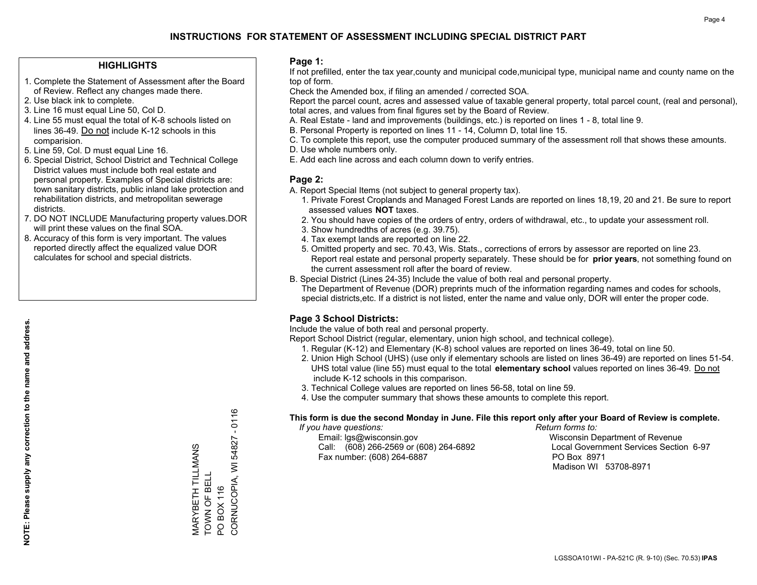#### **HIGHLIGHTS**

- 1. Complete the Statement of Assessment after the Board of Review. Reflect any changes made there.
- 2. Use black ink to complete.
- 3. Line 16 must equal Line 50, Col D.
- 4. Line 55 must equal the total of K-8 schools listed on lines 36-49. Do not include K-12 schools in this comparision.
- 5. Line 59, Col. D must equal Line 16.
- 6. Special District, School District and Technical College District values must include both real estate and personal property. Examples of Special districts are: town sanitary districts, public inland lake protection and rehabilitation districts, and metropolitan sewerage districts.
- 7. DO NOT INCLUDE Manufacturing property values.DOR will print these values on the final SOA.

MARYBETH TILLMANS TOWN OF BELL PO BOX 116

MARYBETH TILLMANS<br>TOWN OF BELL

CORNUCOPIA, WI 54827 - 0116

CORNUCOPIA, WI PO BOX 116

 $-0116$ 

54827

 8. Accuracy of this form is very important. The values reported directly affect the equalized value DOR calculates for school and special districts.

#### **Page 1:**

 If not prefilled, enter the tax year,county and municipal code,municipal type, municipal name and county name on the top of form.

Check the Amended box, if filing an amended / corrected SOA.

 Report the parcel count, acres and assessed value of taxable general property, total parcel count, (real and personal), total acres, and values from final figures set by the Board of Review.

- A. Real Estate land and improvements (buildings, etc.) is reported on lines 1 8, total line 9.
- B. Personal Property is reported on lines 11 14, Column D, total line 15.
- C. To complete this report, use the computer produced summary of the assessment roll that shows these amounts.
- D. Use whole numbers only.
- E. Add each line across and each column down to verify entries.

#### **Page 2:**

- A. Report Special Items (not subject to general property tax).
- 1. Private Forest Croplands and Managed Forest Lands are reported on lines 18,19, 20 and 21. Be sure to report assessed values **NOT** taxes.
- 2. You should have copies of the orders of entry, orders of withdrawal, etc., to update your assessment roll.
	- 3. Show hundredths of acres (e.g. 39.75).
- 4. Tax exempt lands are reported on line 22.
- 5. Omitted property and sec. 70.43, Wis. Stats., corrections of errors by assessor are reported on line 23. Report real estate and personal property separately. These should be for **prior years**, not something found on the current assessment roll after the board of review.
- B. Special District (Lines 24-35) Include the value of both real and personal property.
- The Department of Revenue (DOR) preprints much of the information regarding names and codes for schools, special districts,etc. If a district is not listed, enter the name and value only, DOR will enter the proper code.

## **Page 3 School Districts:**

Include the value of both real and personal property.

Report School District (regular, elementary, union high school, and technical college).

- 1. Regular (K-12) and Elementary (K-8) school values are reported on lines 36-49, total on line 50.
- 2. Union High School (UHS) (use only if elementary schools are listed on lines 36-49) are reported on lines 51-54. UHS total value (line 55) must equal to the total **elementary school** values reported on lines 36-49. Do notinclude K-12 schools in this comparison.
- 3. Technical College values are reported on lines 56-58, total on line 59.
- 4. Use the computer summary that shows these amounts to complete this report.

#### **This form is due the second Monday in June. File this report only after your Board of Review is complete.**

 *If you have questions: Return forms to:*

 Email: lgs@wisconsin.gov Wisconsin Department of RevenueCall:  $(608)$  266-2569 or  $(608)$  264-6892 Fax number: (608) 264-6887 PO Box 8971

Local Government Services Section 6-97 Madison WI 53708-8971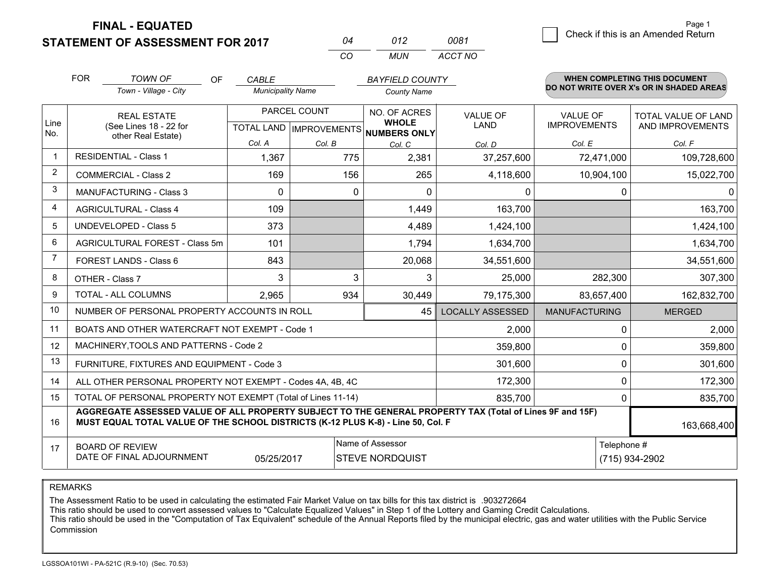**FINAL - EQUATED**

**STATEMENT OF ASSESSMENT FOR 2017** 

|          | N12  | 0081    |
|----------|------|---------|
| $\cdots$ | MUN. | ACCT NO |

|                | <b>FOR</b>                                                                                                                                                                                   | <b>TOWN OF</b><br><b>OF</b><br>Town - Village - City      | <b>CABLE</b><br><b>Municipality Name</b> |                           | <b>BAYFIELD COUNTY</b>       |                         |                      | <b>WHEN COMPLETING THIS DOCUMENT</b><br>DO NOT WRITE OVER X's OR IN SHADED AREAS |
|----------------|----------------------------------------------------------------------------------------------------------------------------------------------------------------------------------------------|-----------------------------------------------------------|------------------------------------------|---------------------------|------------------------------|-------------------------|----------------------|----------------------------------------------------------------------------------|
|                |                                                                                                                                                                                              |                                                           |                                          |                           | <b>County Name</b>           |                         |                      |                                                                                  |
|                |                                                                                                                                                                                              | <b>REAL ESTATE</b>                                        |                                          | PARCEL COUNT              | NO. OF ACRES<br><b>WHOLE</b> | <b>VALUE OF</b>         | <b>VALUE OF</b>      | TOTAL VALUE OF LAND                                                              |
| Line<br>No.    |                                                                                                                                                                                              | (See Lines 18 - 22 for<br>other Real Estate)              |                                          | TOTAL LAND   IMPROVEMENTS | <b>NUMBERS ONLY</b>          | <b>LAND</b>             | <b>IMPROVEMENTS</b>  | AND IMPROVEMENTS                                                                 |
|                |                                                                                                                                                                                              |                                                           | Col. A                                   | Col. B                    | Col. C                       | Col. D                  | Col. E               | Col. F                                                                           |
| -1             |                                                                                                                                                                                              | <b>RESIDENTIAL - Class 1</b>                              | 1,367                                    | 775                       | 2,381                        | 37,257,600              | 72,471,000           | 109,728,600                                                                      |
| 2              |                                                                                                                                                                                              | <b>COMMERCIAL - Class 2</b>                               | 169                                      | 156                       | 265                          | 4,118,600               | 10,904,100           | 15,022,700                                                                       |
| 3              |                                                                                                                                                                                              | <b>MANUFACTURING - Class 3</b>                            | $\Omega$                                 | $\mathbf 0$               | $\Omega$                     | 0                       | 0                    | $\Omega$                                                                         |
| 4              |                                                                                                                                                                                              | <b>AGRICULTURAL - Class 4</b>                             | 109                                      |                           | 1,449                        | 163,700                 |                      | 163,700                                                                          |
| 5              |                                                                                                                                                                                              | UNDEVELOPED - Class 5                                     | 373                                      |                           | 4,489                        | 1,424,100               |                      | 1,424,100                                                                        |
| 6              |                                                                                                                                                                                              | AGRICULTURAL FOREST - Class 5m                            | 101                                      |                           | 1,794                        | 1,634,700               |                      | 1,634,700                                                                        |
| $\overline{7}$ |                                                                                                                                                                                              | FOREST LANDS - Class 6                                    | 843                                      |                           | 20,068                       | 34,551,600              |                      | 34,551,600                                                                       |
| 8              |                                                                                                                                                                                              | OTHER - Class 7                                           | 3                                        | 3                         | 3                            | 25,000                  | 282,300              | 307,300                                                                          |
| 9              |                                                                                                                                                                                              | TOTAL - ALL COLUMNS                                       | 2,965                                    | 934                       | 30,449                       | 79,175,300              | 83,657,400           | 162,832,700                                                                      |
| 10             |                                                                                                                                                                                              | NUMBER OF PERSONAL PROPERTY ACCOUNTS IN ROLL              |                                          |                           | 45                           | <b>LOCALLY ASSESSED</b> | <b>MANUFACTURING</b> | <b>MERGED</b>                                                                    |
| 11             |                                                                                                                                                                                              | BOATS AND OTHER WATERCRAFT NOT EXEMPT - Code 1            |                                          |                           |                              | 2,000                   | 0                    | 2,000                                                                            |
| 12             |                                                                                                                                                                                              | MACHINERY, TOOLS AND PATTERNS - Code 2                    |                                          |                           |                              | 359,800                 | 0                    | 359,800                                                                          |
| 13             |                                                                                                                                                                                              | FURNITURE, FIXTURES AND EQUIPMENT - Code 3                |                                          |                           |                              | 301,600                 | 0                    | 301,600                                                                          |
| 14             |                                                                                                                                                                                              | ALL OTHER PERSONAL PROPERTY NOT EXEMPT - Codes 4A, 4B, 4C |                                          |                           |                              | 172,300                 | 0                    | 172,300                                                                          |
| 15             | TOTAL OF PERSONAL PROPERTY NOT EXEMPT (Total of Lines 11-14)                                                                                                                                 |                                                           |                                          |                           |                              |                         | $\Omega$             | 835,700                                                                          |
| 16             | AGGREGATE ASSESSED VALUE OF ALL PROPERTY SUBJECT TO THE GENERAL PROPERTY TAX (Total of Lines 9F and 15F)<br>MUST EQUAL TOTAL VALUE OF THE SCHOOL DISTRICTS (K-12 PLUS K-8) - Line 50, Col. F |                                                           |                                          |                           |                              |                         |                      | 163,668,400                                                                      |
| 17             |                                                                                                                                                                                              | <b>BOARD OF REVIEW</b>                                    |                                          |                           | Name of Assessor             |                         | Telephone #          |                                                                                  |
|                |                                                                                                                                                                                              | DATE OF FINAL ADJOURNMENT                                 | 05/25/2017                               |                           | <b>STEVE NORDQUIST</b>       |                         |                      | (715) 934-2902                                                                   |

REMARKS

The Assessment Ratio to be used in calculating the estimated Fair Market Value on tax bills for this tax district is .903272664

This ratio should be used to convert assessed values to "Calculate Equalized Values" in Step 1 of the Lottery and Gaming Credit Calculations.<br>This ratio should be used in the "Computation of Tax Equivalent" schedule of the Commission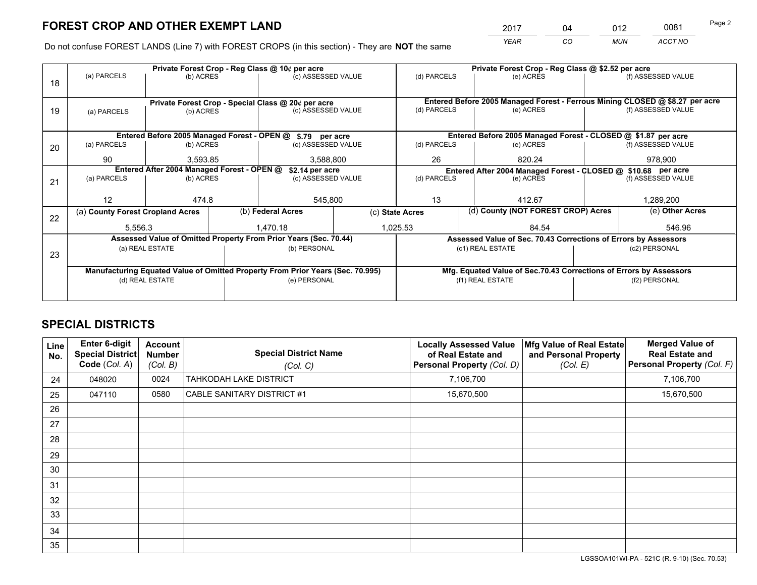*YEAR CO MUN ACCT NO* 2017 \_\_\_\_ \_\_\_ \_\_04 \_\_\_\_ \_\_\_ \_\_\_\_\_\_ \_\_\_\_\_\_ \_\_\_\_\_0081

Do not confuse FOREST LANDS (Line 7) with FOREST CROPS (in this section) - They are **NOT** the same

|    |                                                                                | Private Forest Crop - Reg Class @ 10¢ per acre |              |                                                                  |  | Private Forest Crop - Reg Class @ \$2.52 per acre             |                                                                              |               |                    |  |
|----|--------------------------------------------------------------------------------|------------------------------------------------|--------------|------------------------------------------------------------------|--|---------------------------------------------------------------|------------------------------------------------------------------------------|---------------|--------------------|--|
| 18 | (a) PARCELS                                                                    | (b) ACRES                                      |              | (c) ASSESSED VALUE                                               |  | (d) PARCELS                                                   | (e) ACRES                                                                    |               | (f) ASSESSED VALUE |  |
|    | Private Forest Crop - Special Class @ 20¢ per acre                             |                                                |              |                                                                  |  |                                                               | Entered Before 2005 Managed Forest - Ferrous Mining CLOSED @ \$8.27 per acre |               |                    |  |
| 19 | (a) PARCELS                                                                    | (b) ACRES                                      |              | (c) ASSESSED VALUE                                               |  | (d) PARCELS                                                   | (e) ACRES                                                                    |               | (f) ASSESSED VALUE |  |
|    |                                                                                |                                                |              |                                                                  |  |                                                               |                                                                              |               |                    |  |
|    |                                                                                |                                                |              | Entered Before 2005 Managed Forest - OPEN @ \$.79 per acre       |  |                                                               | Entered Before 2005 Managed Forest - CLOSED @ \$1.87 per acre                |               |                    |  |
| 20 | (a) PARCELS                                                                    | (b) ACRES                                      |              | (c) ASSESSED VALUE                                               |  | (d) PARCELS                                                   | (e) ACRES                                                                    |               | (f) ASSESSED VALUE |  |
|    | 90                                                                             | 3.593.85                                       |              | 3,588,800                                                        |  | 26                                                            | 820.24                                                                       |               | 978,900            |  |
|    | Entered After 2004 Managed Forest - OPEN @<br>\$2.14 per acre                  |                                                |              |                                                                  |  | Entered After 2004 Managed Forest - CLOSED @ \$10.68 per acre |                                                                              |               |                    |  |
| 21 | (a) PARCELS                                                                    | (b) ACRES                                      |              | (c) ASSESSED VALUE                                               |  | (d) PARCELS                                                   | (e) ACRES                                                                    |               | (f) ASSESSED VALUE |  |
|    |                                                                                |                                                |              |                                                                  |  |                                                               |                                                                              |               |                    |  |
|    | 12                                                                             | 474.8                                          |              | 545,800                                                          |  | 13<br>412.67                                                  |                                                                              |               | 1,289,200          |  |
|    | (a) County Forest Cropland Acres                                               |                                                |              | (b) Federal Acres                                                |  | (d) County (NOT FOREST CROP) Acres<br>(c) State Acres         |                                                                              |               | (e) Other Acres    |  |
| 22 | 5,556.3                                                                        |                                                |              | 1,025.53<br>1,470.18                                             |  |                                                               | 84.54                                                                        |               | 546.96             |  |
|    |                                                                                |                                                |              | Assessed Value of Omitted Property From Prior Years (Sec. 70.44) |  |                                                               | Assessed Value of Sec. 70.43 Corrections of Errors by Assessors              |               |                    |  |
| 23 |                                                                                | (a) REAL ESTATE                                |              | (b) PERSONAL                                                     |  |                                                               | (c1) REAL ESTATE                                                             |               | (c2) PERSONAL      |  |
|    |                                                                                |                                                |              |                                                                  |  |                                                               |                                                                              |               |                    |  |
|    | Manufacturing Equated Value of Omitted Property From Prior Years (Sec. 70.995) |                                                |              |                                                                  |  |                                                               | Mfg. Equated Value of Sec.70.43 Corrections of Errors by Assessors           |               |                    |  |
|    | (d) REAL ESTATE                                                                |                                                | (e) PERSONAL |                                                                  |  | (f1) REAL ESTATE                                              |                                                                              | (f2) PERSONAL |                    |  |
|    |                                                                                |                                                |              |                                                                  |  |                                                               |                                                                              |               |                    |  |

## **SPECIAL DISTRICTS**

| Line<br>No. | <b>Enter 6-digit</b><br>Special District<br>Code (Col. A) | <b>Account</b><br><b>Number</b><br>(Col. B) | <b>Special District Name</b><br>(Col. C) | <b>Locally Assessed Value</b><br>of Real Estate and<br>Personal Property (Col. D) | Mfg Value of Real Estate<br>and Personal Property<br>(Col. E) | <b>Merged Value of</b><br><b>Real Estate and</b><br>Personal Property (Col. F) |
|-------------|-----------------------------------------------------------|---------------------------------------------|------------------------------------------|-----------------------------------------------------------------------------------|---------------------------------------------------------------|--------------------------------------------------------------------------------|
| 24          | 048020                                                    | 0024                                        | <b>TAHKODAH LAKE DISTRICT</b>            | 7,106,700                                                                         |                                                               | 7,106,700                                                                      |
| 25          | 047110                                                    | 0580                                        | <b>CABLE SANITARY DISTRICT #1</b>        | 15,670,500                                                                        |                                                               | 15,670,500                                                                     |
| 26          |                                                           |                                             |                                          |                                                                                   |                                                               |                                                                                |
| 27          |                                                           |                                             |                                          |                                                                                   |                                                               |                                                                                |
| 28          |                                                           |                                             |                                          |                                                                                   |                                                               |                                                                                |
| 29          |                                                           |                                             |                                          |                                                                                   |                                                               |                                                                                |
| 30          |                                                           |                                             |                                          |                                                                                   |                                                               |                                                                                |
| 31          |                                                           |                                             |                                          |                                                                                   |                                                               |                                                                                |
| 32          |                                                           |                                             |                                          |                                                                                   |                                                               |                                                                                |
| 33          |                                                           |                                             |                                          |                                                                                   |                                                               |                                                                                |
| 34          |                                                           |                                             |                                          |                                                                                   |                                                               |                                                                                |
| 35          |                                                           |                                             |                                          |                                                                                   |                                                               |                                                                                |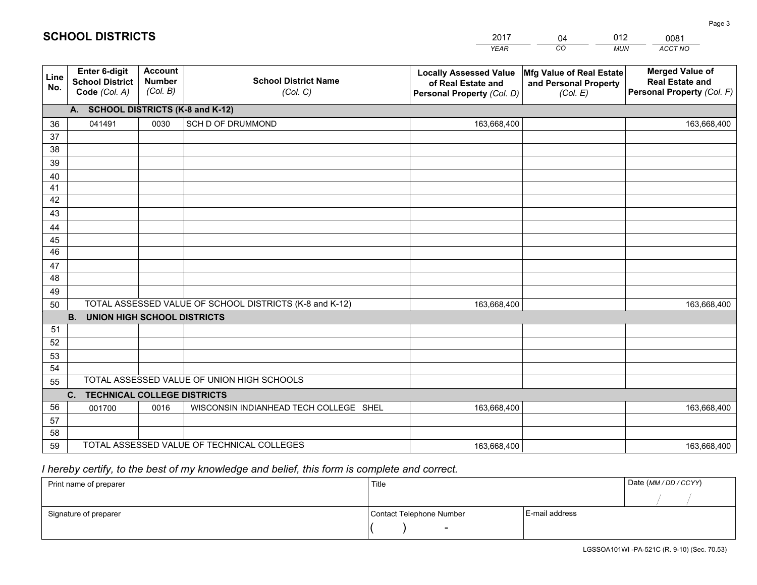|             |                                                          |                                             |                                                         | <b>YEAR</b>                                                                       | CO<br><b>MUN</b>                                              | ACCT NO                                                                        |
|-------------|----------------------------------------------------------|---------------------------------------------|---------------------------------------------------------|-----------------------------------------------------------------------------------|---------------------------------------------------------------|--------------------------------------------------------------------------------|
| Line<br>No. | Enter 6-digit<br><b>School District</b><br>Code (Col. A) | <b>Account</b><br><b>Number</b><br>(Col. B) | <b>School District Name</b><br>(Col. C)                 | <b>Locally Assessed Value</b><br>of Real Estate and<br>Personal Property (Col. D) | Mfg Value of Real Estate<br>and Personal Property<br>(Col. E) | <b>Merged Value of</b><br><b>Real Estate and</b><br>Personal Property (Col. F) |
|             | A. SCHOOL DISTRICTS (K-8 and K-12)                       |                                             |                                                         |                                                                                   |                                                               |                                                                                |
| 36          | 041491                                                   | 0030                                        | SCH D OF DRUMMOND                                       | 163,668,400                                                                       |                                                               | 163,668,400                                                                    |
| 37          |                                                          |                                             |                                                         |                                                                                   |                                                               |                                                                                |
| 38          |                                                          |                                             |                                                         |                                                                                   |                                                               |                                                                                |
| 39          |                                                          |                                             |                                                         |                                                                                   |                                                               |                                                                                |
| 40          |                                                          |                                             |                                                         |                                                                                   |                                                               |                                                                                |
| 41          |                                                          |                                             |                                                         |                                                                                   |                                                               |                                                                                |
| 42          |                                                          |                                             |                                                         |                                                                                   |                                                               |                                                                                |
| 43          |                                                          |                                             |                                                         |                                                                                   |                                                               |                                                                                |
| 44<br>45    |                                                          |                                             |                                                         |                                                                                   |                                                               |                                                                                |
| 46          |                                                          |                                             |                                                         |                                                                                   |                                                               |                                                                                |
| 47          |                                                          |                                             |                                                         |                                                                                   |                                                               |                                                                                |
| 48          |                                                          |                                             |                                                         |                                                                                   |                                                               |                                                                                |
| 49          |                                                          |                                             |                                                         |                                                                                   |                                                               |                                                                                |
| 50          |                                                          |                                             | TOTAL ASSESSED VALUE OF SCHOOL DISTRICTS (K-8 and K-12) | 163,668,400                                                                       |                                                               | 163,668,400                                                                    |
|             | <b>B.</b><br><b>UNION HIGH SCHOOL DISTRICTS</b>          |                                             |                                                         |                                                                                   |                                                               |                                                                                |
| 51          |                                                          |                                             |                                                         |                                                                                   |                                                               |                                                                                |
| 52          |                                                          |                                             |                                                         |                                                                                   |                                                               |                                                                                |
| 53          |                                                          |                                             |                                                         |                                                                                   |                                                               |                                                                                |
| 54          |                                                          |                                             |                                                         |                                                                                   |                                                               |                                                                                |
| 55          |                                                          |                                             | TOTAL ASSESSED VALUE OF UNION HIGH SCHOOLS              |                                                                                   |                                                               |                                                                                |
|             | C.<br><b>TECHNICAL COLLEGE DISTRICTS</b>                 |                                             |                                                         |                                                                                   |                                                               |                                                                                |
| 56          | 001700                                                   | 0016                                        | WISCONSIN INDIANHEAD TECH COLLEGE SHEL                  | 163,668,400                                                                       |                                                               | 163,668,400                                                                    |
| 57          |                                                          |                                             |                                                         |                                                                                   |                                                               |                                                                                |
| 58          |                                                          |                                             |                                                         |                                                                                   |                                                               |                                                                                |
| 59          |                                                          |                                             | TOTAL ASSESSED VALUE OF TECHNICAL COLLEGES              | 163,668,400                                                                       |                                                               | 163,668,400                                                                    |

04

012

 *I hereby certify, to the best of my knowledge and belief, this form is complete and correct.*

**SCHOOL DISTRICTS**

| Print name of preparer | Title                    |                | Date (MM / DD / CCYY) |
|------------------------|--------------------------|----------------|-----------------------|
|                        |                          |                |                       |
| Signature of preparer  | Contact Telephone Number | E-mail address |                       |
|                        | $\overline{\phantom{0}}$ |                |                       |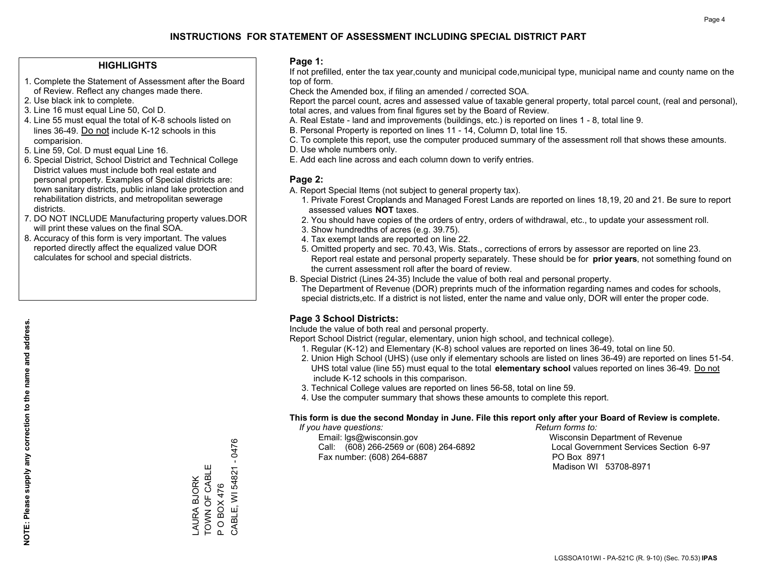#### **HIGHLIGHTS**

- 1. Complete the Statement of Assessment after the Board of Review. Reflect any changes made there.
- 2. Use black ink to complete.
- 3. Line 16 must equal Line 50, Col D.
- 4. Line 55 must equal the total of K-8 schools listed on lines 36-49. Do not include K-12 schools in this comparision.
- 5. Line 59, Col. D must equal Line 16.
- 6. Special District, School District and Technical College District values must include both real estate and personal property. Examples of Special districts are: town sanitary districts, public inland lake protection and rehabilitation districts, and metropolitan sewerage districts.
- 7. DO NOT INCLUDE Manufacturing property values.DOR will print these values on the final SOA.

LAURA BJORK TOWN OF CABLE P O BOX 476

LAURA BJORK<br>TOWN OF CABLE

CABLE, WI 54821 - 0476

CABLE, WI 54821 - 0476

P O BOX 476

 8. Accuracy of this form is very important. The values reported directly affect the equalized value DOR calculates for school and special districts.

#### **Page 1:**

 If not prefilled, enter the tax year,county and municipal code,municipal type, municipal name and county name on the top of form.

Check the Amended box, if filing an amended / corrected SOA.

 Report the parcel count, acres and assessed value of taxable general property, total parcel count, (real and personal), total acres, and values from final figures set by the Board of Review.

- A. Real Estate land and improvements (buildings, etc.) is reported on lines 1 8, total line 9.
- B. Personal Property is reported on lines 11 14, Column D, total line 15.
- C. To complete this report, use the computer produced summary of the assessment roll that shows these amounts.
- D. Use whole numbers only.
- E. Add each line across and each column down to verify entries.

#### **Page 2:**

- A. Report Special Items (not subject to general property tax).
- 1. Private Forest Croplands and Managed Forest Lands are reported on lines 18,19, 20 and 21. Be sure to report assessed values **NOT** taxes.
- 2. You should have copies of the orders of entry, orders of withdrawal, etc., to update your assessment roll.
	- 3. Show hundredths of acres (e.g. 39.75).
- 4. Tax exempt lands are reported on line 22.
- 5. Omitted property and sec. 70.43, Wis. Stats., corrections of errors by assessor are reported on line 23. Report real estate and personal property separately. These should be for **prior years**, not something found on the current assessment roll after the board of review.
- B. Special District (Lines 24-35) Include the value of both real and personal property.

 The Department of Revenue (DOR) preprints much of the information regarding names and codes for schools, special districts,etc. If a district is not listed, enter the name and value only, DOR will enter the proper code.

## **Page 3 School Districts:**

Include the value of both real and personal property.

Report School District (regular, elementary, union high school, and technical college).

- 1. Regular (K-12) and Elementary (K-8) school values are reported on lines 36-49, total on line 50.
- 2. Union High School (UHS) (use only if elementary schools are listed on lines 36-49) are reported on lines 51-54. UHS total value (line 55) must equal to the total **elementary school** values reported on lines 36-49. Do notinclude K-12 schools in this comparison.
- 3. Technical College values are reported on lines 56-58, total on line 59.
- 4. Use the computer summary that shows these amounts to complete this report.

#### **This form is due the second Monday in June. File this report only after your Board of Review is complete.**

 *If you have questions: Return forms to:*

 Email: lgs@wisconsin.gov Wisconsin Department of RevenueCall:  $(608)$  266-2569 or  $(608)$  264-6892 Fax number: (608) 264-6887 PO Box 8971

Local Government Services Section 6-97 Madison WI 53708-8971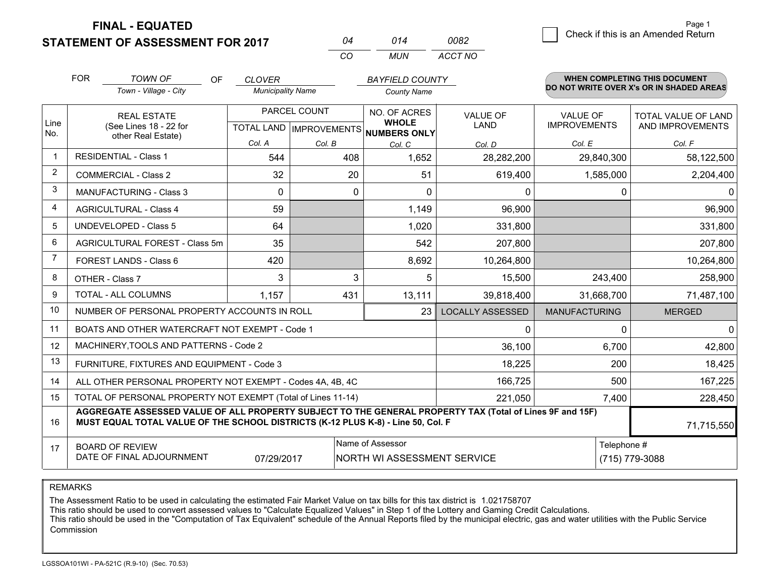**FINAL - EQUATED**

**STATEMENT OF ASSESSMENT FOR 2017** 

| ሰ4  | 014 | nna2    |
|-----|-----|---------|
| CO. | MUN | ACCT NO |

|                | <b>FOR</b><br><b>TOWN OF</b><br><b>OF</b><br><b>BAYFIELD COUNTY</b><br><b>CLOVER</b>                                                                                                         |                                                              |                          |              |                                                     |                         | <b>WHEN COMPLETING THIS DOCUMENT</b><br>DO NOT WRITE OVER X's OR IN SHADED AREAS |                     |  |  |
|----------------|----------------------------------------------------------------------------------------------------------------------------------------------------------------------------------------------|--------------------------------------------------------------|--------------------------|--------------|-----------------------------------------------------|-------------------------|----------------------------------------------------------------------------------|---------------------|--|--|
|                |                                                                                                                                                                                              | Town - Village - City                                        | <b>Municipality Name</b> |              | <b>County Name</b>                                  |                         |                                                                                  |                     |  |  |
|                |                                                                                                                                                                                              | <b>REAL ESTATE</b>                                           |                          | PARCEL COUNT | <b>NO. OF ACRES</b>                                 | <b>VALUE OF</b>         | <b>VALUE OF</b>                                                                  | TOTAL VALUE OF LAND |  |  |
| Line<br>No.    |                                                                                                                                                                                              | (See Lines 18 - 22 for<br>other Real Estate)                 |                          |              | <b>WHOLE</b><br>TOTAL LAND MPROVEMENTS NUMBERS ONLY | LAND                    | <b>IMPROVEMENTS</b>                                                              | AND IMPROVEMENTS    |  |  |
|                |                                                                                                                                                                                              |                                                              | Col. A                   | Col. B       | Col. C                                              | Col. D                  | Col. E                                                                           | Col. F              |  |  |
| -1             |                                                                                                                                                                                              | <b>RESIDENTIAL - Class 1</b>                                 | 544                      | 408          | 1,652                                               | 28,282,200              | 29,840,300                                                                       | 58,122,500          |  |  |
| 2              |                                                                                                                                                                                              | <b>COMMERCIAL - Class 2</b>                                  | 32                       | 20           | 51                                                  | 619,400                 | 1,585,000                                                                        | 2,204,400           |  |  |
| 3              |                                                                                                                                                                                              | <b>MANUFACTURING - Class 3</b>                               | $\Omega$                 | $\Omega$     | $\Omega$                                            | $\mathbf{0}$            | 0                                                                                | 0                   |  |  |
| 4              |                                                                                                                                                                                              | <b>AGRICULTURAL - Class 4</b>                                | 59                       |              | 1,149                                               | 96,900                  |                                                                                  | 96,900              |  |  |
| 5              | UNDEVELOPED - Class 5                                                                                                                                                                        |                                                              | 64                       |              | 1,020                                               | 331,800                 |                                                                                  | 331,800             |  |  |
| 6              | AGRICULTURAL FOREST - Class 5m                                                                                                                                                               |                                                              | 35                       |              | 542                                                 | 207,800                 |                                                                                  | 207,800             |  |  |
| $\overline{7}$ | FOREST LANDS - Class 6                                                                                                                                                                       |                                                              | 420                      |              | 8,692                                               | 10,264,800              |                                                                                  | 10,264,800          |  |  |
| 8              |                                                                                                                                                                                              | OTHER - Class 7                                              | 3                        | 3            | 5                                                   | 15,500                  | 243,400                                                                          | 258,900             |  |  |
| 9              |                                                                                                                                                                                              | <b>TOTAL - ALL COLUMNS</b>                                   | 1,157                    | 431          | 13,111                                              | 39,818,400              | 31,668,700                                                                       | 71,487,100          |  |  |
| 10             |                                                                                                                                                                                              | NUMBER OF PERSONAL PROPERTY ACCOUNTS IN ROLL                 |                          |              | 23                                                  | <b>LOCALLY ASSESSED</b> | <b>MANUFACTURING</b>                                                             | <b>MERGED</b>       |  |  |
| 11             |                                                                                                                                                                                              | BOATS AND OTHER WATERCRAFT NOT EXEMPT - Code 1               |                          |              |                                                     | 0                       | 0                                                                                | 0                   |  |  |
| 12             |                                                                                                                                                                                              | MACHINERY, TOOLS AND PATTERNS - Code 2                       |                          |              |                                                     | 36,100                  | 6,700                                                                            | 42,800              |  |  |
| 13             |                                                                                                                                                                                              | FURNITURE, FIXTURES AND EQUIPMENT - Code 3                   |                          |              |                                                     | 18,225                  | 200                                                                              | 18,425              |  |  |
| 14             |                                                                                                                                                                                              | ALL OTHER PERSONAL PROPERTY NOT EXEMPT - Codes 4A, 4B, 4C    |                          |              |                                                     | 166,725                 | 500                                                                              | 167,225             |  |  |
| 15             |                                                                                                                                                                                              | TOTAL OF PERSONAL PROPERTY NOT EXEMPT (Total of Lines 11-14) |                          |              | 221,050                                             | 7,400                   | 228,450                                                                          |                     |  |  |
| 16             | AGGREGATE ASSESSED VALUE OF ALL PROPERTY SUBJECT TO THE GENERAL PROPERTY TAX (Total of Lines 9F and 15F)<br>MUST EQUAL TOTAL VALUE OF THE SCHOOL DISTRICTS (K-12 PLUS K-8) - Line 50, Col. F |                                                              |                          |              |                                                     |                         |                                                                                  | 71,715,550          |  |  |
| 17             | Name of Assessor<br><b>BOARD OF REVIEW</b><br>DATE OF FINAL ADJOURNMENT<br>07/29/2017<br>NORTH WI ASSESSMENT SERVICE                                                                         |                                                              |                          |              |                                                     |                         | Telephone #                                                                      | (715) 779-3088      |  |  |

REMARKS

The Assessment Ratio to be used in calculating the estimated Fair Market Value on tax bills for this tax district is 1.021758707<br>This ratio should be used to convert assessed values to "Calculate Equalized Values" in Step Commission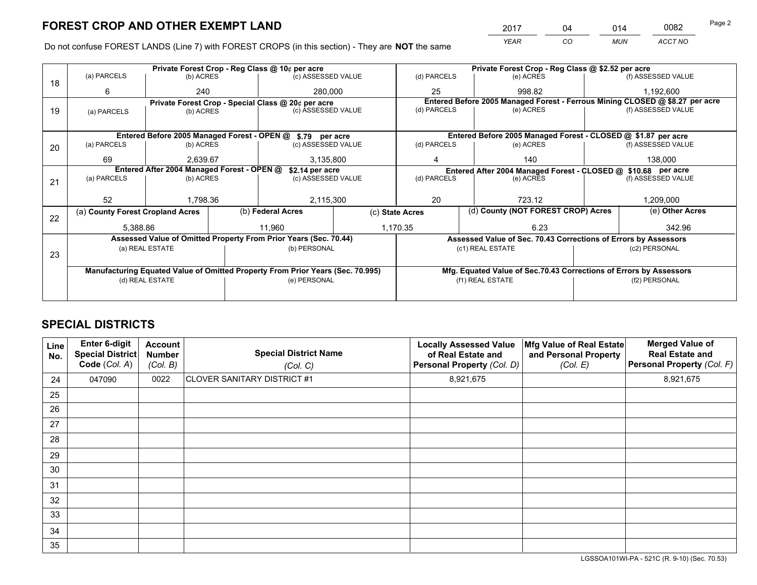*YEAR CO MUN ACCT NO* <sup>2017</sup> <sup>04</sup> <sup>014</sup> <sup>0082</sup> Page 2

Do not confuse FOREST LANDS (Line 7) with FOREST CROPS (in this section) - They are **NOT** the same

|    |                                                               |                 |  | Private Forest Crop - Reg Class @ 10¢ per acre                                 |                 | Private Forest Crop - Reg Class @ \$2.52 per acre               |                                                               |  |                                                                              |  |
|----|---------------------------------------------------------------|-----------------|--|--------------------------------------------------------------------------------|-----------------|-----------------------------------------------------------------|---------------------------------------------------------------|--|------------------------------------------------------------------------------|--|
| 18 | (a) PARCELS                                                   | (b) ACRES       |  | (c) ASSESSED VALUE                                                             |                 | (d) PARCELS                                                     | (e) ACRES                                                     |  | (f) ASSESSED VALUE                                                           |  |
|    | 6                                                             | 240             |  | 280,000                                                                        |                 | 25                                                              | 998.82                                                        |  | 1,192,600                                                                    |  |
|    |                                                               |                 |  | Private Forest Crop - Special Class @ 20¢ per acre                             |                 |                                                                 |                                                               |  | Entered Before 2005 Managed Forest - Ferrous Mining CLOSED @ \$8.27 per acre |  |
| 19 | (a) PARCELS                                                   | (b) ACRES       |  | (c) ASSESSED VALUE                                                             |                 | (d) PARCELS                                                     | (e) ACRES                                                     |  | (f) ASSESSED VALUE                                                           |  |
|    |                                                               |                 |  |                                                                                |                 |                                                                 |                                                               |  |                                                                              |  |
|    |                                                               |                 |  | Entered Before 2005 Managed Forest - OPEN @ \$.79 per acre                     |                 |                                                                 | Entered Before 2005 Managed Forest - CLOSED @ \$1.87 per acre |  |                                                                              |  |
| 20 | (a) PARCELS                                                   | (b) ACRES       |  | (c) ASSESSED VALUE                                                             |                 | (d) PARCELS                                                     | (e) ACRES                                                     |  | (f) ASSESSED VALUE                                                           |  |
|    | 69                                                            | 2.639.67        |  | 3,135,800                                                                      |                 | 140<br>4                                                        |                                                               |  | 138.000                                                                      |  |
|    | Entered After 2004 Managed Forest - OPEN @<br>\$2.14 per acre |                 |  |                                                                                |                 |                                                                 | Entered After 2004 Managed Forest - CLOSED @ \$10.68 per acre |  |                                                                              |  |
| 21 | (a) PARCELS                                                   | (b) ACRES       |  | (c) ASSESSED VALUE                                                             |                 | (d) PARCELS<br>(e) ACRES                                        |                                                               |  | (f) ASSESSED VALUE                                                           |  |
|    |                                                               |                 |  |                                                                                |                 |                                                                 |                                                               |  |                                                                              |  |
|    | 52                                                            | 1,798.36        |  |                                                                                | 2,115,300<br>20 |                                                                 | 723.12                                                        |  | 1,209,000                                                                    |  |
| 22 | (a) County Forest Cropland Acres                              |                 |  | (b) Federal Acres                                                              | (c) State Acres |                                                                 | (d) County (NOT FOREST CROP) Acres                            |  | (e) Other Acres                                                              |  |
|    | 5,388.86                                                      |                 |  | 11.960                                                                         |                 | 1,170.35<br>6.23                                                |                                                               |  | 342.96                                                                       |  |
|    |                                                               |                 |  | Assessed Value of Omitted Property From Prior Years (Sec. 70.44)               |                 | Assessed Value of Sec. 70.43 Corrections of Errors by Assessors |                                                               |  |                                                                              |  |
|    |                                                               | (a) REAL ESTATE |  | (b) PERSONAL                                                                   |                 |                                                                 | (c1) REAL ESTATE                                              |  | (c2) PERSONAL                                                                |  |
| 23 |                                                               |                 |  |                                                                                |                 |                                                                 |                                                               |  |                                                                              |  |
|    |                                                               |                 |  | Manufacturing Equated Value of Omitted Property From Prior Years (Sec. 70.995) |                 |                                                                 |                                                               |  | Mfg. Equated Value of Sec.70.43 Corrections of Errors by Assessors           |  |
|    | (d) REAL ESTATE                                               |                 |  | (e) PERSONAL                                                                   |                 | (f1) REAL ESTATE                                                |                                                               |  | (f2) PERSONAL                                                                |  |
|    |                                                               |                 |  |                                                                                |                 |                                                                 |                                                               |  |                                                                              |  |

## **SPECIAL DISTRICTS**

| Line<br>No. | Enter 6-digit<br>Special District<br>Code (Col. A) | <b>Account</b><br><b>Number</b><br>(Col. B) | <b>Special District Name</b><br>(Col. C) | <b>Locally Assessed Value</b><br>of Real Estate and<br>Personal Property (Col. D) | Mfg Value of Real Estate<br>and Personal Property<br>(Col. E) | <b>Merged Value of</b><br><b>Real Estate and</b><br>Personal Property (Col. F) |
|-------------|----------------------------------------------------|---------------------------------------------|------------------------------------------|-----------------------------------------------------------------------------------|---------------------------------------------------------------|--------------------------------------------------------------------------------|
| 24          | 047090                                             | 0022                                        | CLOVER SANITARY DISTRICT #1              | 8,921,675                                                                         |                                                               | 8,921,675                                                                      |
| 25          |                                                    |                                             |                                          |                                                                                   |                                                               |                                                                                |
| 26          |                                                    |                                             |                                          |                                                                                   |                                                               |                                                                                |
| 27          |                                                    |                                             |                                          |                                                                                   |                                                               |                                                                                |
| 28          |                                                    |                                             |                                          |                                                                                   |                                                               |                                                                                |
| 29          |                                                    |                                             |                                          |                                                                                   |                                                               |                                                                                |
| 30          |                                                    |                                             |                                          |                                                                                   |                                                               |                                                                                |
| 31          |                                                    |                                             |                                          |                                                                                   |                                                               |                                                                                |
| 32          |                                                    |                                             |                                          |                                                                                   |                                                               |                                                                                |
| 33          |                                                    |                                             |                                          |                                                                                   |                                                               |                                                                                |
| 34          |                                                    |                                             |                                          |                                                                                   |                                                               |                                                                                |
| 35          |                                                    |                                             |                                          |                                                                                   |                                                               |                                                                                |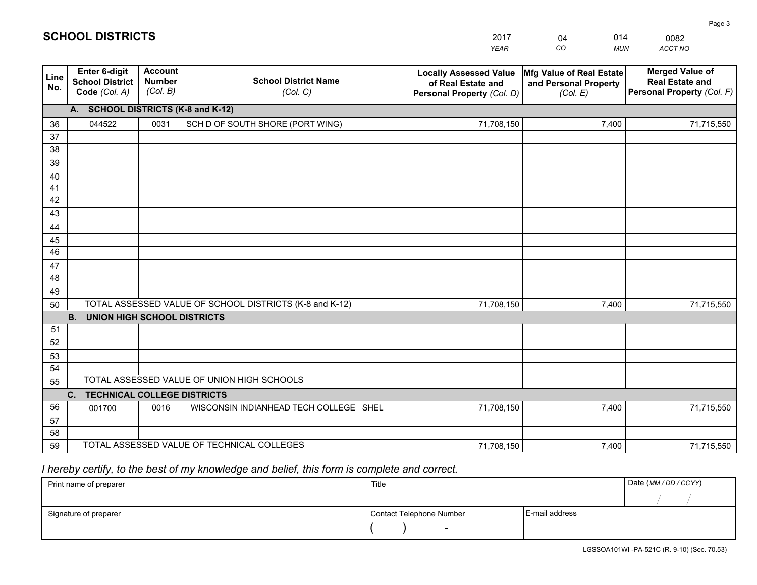|             |                                                          |                                             |                                                         | <b>YEAR</b>                                                                       | CO<br><b>MUN</b>                                              | ACCT NO                                                                        |
|-------------|----------------------------------------------------------|---------------------------------------------|---------------------------------------------------------|-----------------------------------------------------------------------------------|---------------------------------------------------------------|--------------------------------------------------------------------------------|
| Line<br>No. | Enter 6-digit<br><b>School District</b><br>Code (Col. A) | <b>Account</b><br><b>Number</b><br>(Col. B) | <b>School District Name</b><br>(Col. C)                 | <b>Locally Assessed Value</b><br>of Real Estate and<br>Personal Property (Col. D) | Mfg Value of Real Estate<br>and Personal Property<br>(Col. E) | <b>Merged Value of</b><br><b>Real Estate and</b><br>Personal Property (Col. F) |
|             | A. SCHOOL DISTRICTS (K-8 and K-12)                       |                                             |                                                         |                                                                                   |                                                               |                                                                                |
| 36          | 044522                                                   | 0031                                        | SCH D OF SOUTH SHORE (PORT WING)                        | 71,708,150                                                                        | 7,400                                                         | 71,715,550                                                                     |
| 37          |                                                          |                                             |                                                         |                                                                                   |                                                               |                                                                                |
| 38          |                                                          |                                             |                                                         |                                                                                   |                                                               |                                                                                |
| 39          |                                                          |                                             |                                                         |                                                                                   |                                                               |                                                                                |
| 40          |                                                          |                                             |                                                         |                                                                                   |                                                               |                                                                                |
| 41<br>42    |                                                          |                                             |                                                         |                                                                                   |                                                               |                                                                                |
| 43          |                                                          |                                             |                                                         |                                                                                   |                                                               |                                                                                |
| 44          |                                                          |                                             |                                                         |                                                                                   |                                                               |                                                                                |
| 45          |                                                          |                                             |                                                         |                                                                                   |                                                               |                                                                                |
| 46          |                                                          |                                             |                                                         |                                                                                   |                                                               |                                                                                |
| 47          |                                                          |                                             |                                                         |                                                                                   |                                                               |                                                                                |
| 48          |                                                          |                                             |                                                         |                                                                                   |                                                               |                                                                                |
| 49          |                                                          |                                             |                                                         |                                                                                   |                                                               |                                                                                |
| 50          |                                                          |                                             | TOTAL ASSESSED VALUE OF SCHOOL DISTRICTS (K-8 and K-12) | 71,708,150                                                                        | 7,400                                                         | 71,715,550                                                                     |
|             | <b>B.</b><br><b>UNION HIGH SCHOOL DISTRICTS</b>          |                                             |                                                         |                                                                                   |                                                               |                                                                                |
| 51          |                                                          |                                             |                                                         |                                                                                   |                                                               |                                                                                |
| 52          |                                                          |                                             |                                                         |                                                                                   |                                                               |                                                                                |
| 53<br>54    |                                                          |                                             |                                                         |                                                                                   |                                                               |                                                                                |
| 55          |                                                          |                                             | TOTAL ASSESSED VALUE OF UNION HIGH SCHOOLS              |                                                                                   |                                                               |                                                                                |
|             | C.<br><b>TECHNICAL COLLEGE DISTRICTS</b>                 |                                             |                                                         |                                                                                   |                                                               |                                                                                |
| 56          | 001700                                                   | 0016                                        | WISCONSIN INDIANHEAD TECH COLLEGE SHEL                  | 71,708,150                                                                        | 7,400                                                         | 71,715,550                                                                     |
| 57          |                                                          |                                             |                                                         |                                                                                   |                                                               |                                                                                |
| 58          |                                                          |                                             |                                                         |                                                                                   |                                                               |                                                                                |
| 59          |                                                          |                                             | TOTAL ASSESSED VALUE OF TECHNICAL COLLEGES              | 71,708,150                                                                        | 7,400                                                         | 71,715,550                                                                     |

04

014

 *I hereby certify, to the best of my knowledge and belief, this form is complete and correct.*

**SCHOOL DISTRICTS**

| Print name of preparer | Title                    |                | Date (MM / DD / CCYY) |
|------------------------|--------------------------|----------------|-----------------------|
|                        |                          |                |                       |
| Signature of preparer  | Contact Telephone Number | E-mail address |                       |
|                        | $\overline{\phantom{0}}$ |                |                       |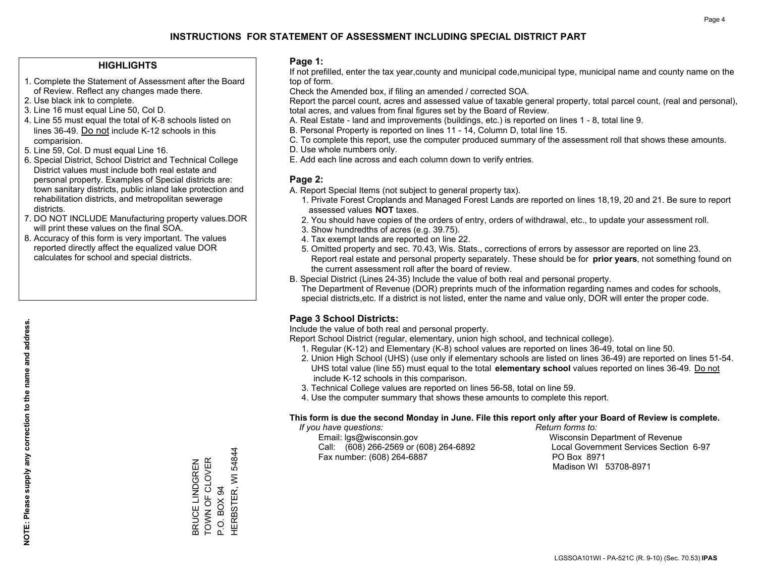#### **HIGHLIGHTS**

- 1. Complete the Statement of Assessment after the Board of Review. Reflect any changes made there.
- 2. Use black ink to complete.
- 3. Line 16 must equal Line 50, Col D.
- 4. Line 55 must equal the total of K-8 schools listed on lines 36-49. Do not include K-12 schools in this comparision.
- 5. Line 59, Col. D must equal Line 16.
- 6. Special District, School District and Technical College District values must include both real estate and personal property. Examples of Special districts are: town sanitary districts, public inland lake protection and rehabilitation districts, and metropolitan sewerage districts.
- 7. DO NOT INCLUDE Manufacturing property values.DOR will print these values on the final SOA.

BRUCE LINDGREN TOWN OF CLOVER

BRUCE LINDGREN<br>TOWN OF CLOVER

P.O. BOX 94

HERBSTER, WI 54844

HERBSTER, WI P.O. BOX 94

54844

 8. Accuracy of this form is very important. The values reported directly affect the equalized value DOR calculates for school and special districts.

#### **Page 1:**

 If not prefilled, enter the tax year,county and municipal code,municipal type, municipal name and county name on the top of form.

Check the Amended box, if filing an amended / corrected SOA.

 Report the parcel count, acres and assessed value of taxable general property, total parcel count, (real and personal), total acres, and values from final figures set by the Board of Review.

- A. Real Estate land and improvements (buildings, etc.) is reported on lines 1 8, total line 9.
- B. Personal Property is reported on lines 11 14, Column D, total line 15.
- C. To complete this report, use the computer produced summary of the assessment roll that shows these amounts.
- D. Use whole numbers only.
- E. Add each line across and each column down to verify entries.

#### **Page 2:**

- A. Report Special Items (not subject to general property tax).
- 1. Private Forest Croplands and Managed Forest Lands are reported on lines 18,19, 20 and 21. Be sure to report assessed values **NOT** taxes.
- 2. You should have copies of the orders of entry, orders of withdrawal, etc., to update your assessment roll.
	- 3. Show hundredths of acres (e.g. 39.75).
- 4. Tax exempt lands are reported on line 22.
- 5. Omitted property and sec. 70.43, Wis. Stats., corrections of errors by assessor are reported on line 23. Report real estate and personal property separately. These should be for **prior years**, not something found on the current assessment roll after the board of review.
- B. Special District (Lines 24-35) Include the value of both real and personal property.

 The Department of Revenue (DOR) preprints much of the information regarding names and codes for schools, special districts,etc. If a district is not listed, enter the name and value only, DOR will enter the proper code.

## **Page 3 School Districts:**

Include the value of both real and personal property.

Report School District (regular, elementary, union high school, and technical college).

- 1. Regular (K-12) and Elementary (K-8) school values are reported on lines 36-49, total on line 50.
- 2. Union High School (UHS) (use only if elementary schools are listed on lines 36-49) are reported on lines 51-54. UHS total value (line 55) must equal to the total **elementary school** values reported on lines 36-49. Do notinclude K-12 schools in this comparison.
- 3. Technical College values are reported on lines 56-58, total on line 59.
- 4. Use the computer summary that shows these amounts to complete this report.

#### **This form is due the second Monday in June. File this report only after your Board of Review is complete.**

 *If you have questions: Return forms to:*

 Email: lgs@wisconsin.gov Wisconsin Department of RevenueCall:  $(608)$  266-2569 or  $(608)$  264-6892 Fax number: (608) 264-6887 PO Box 8971

Local Government Services Section 6-97 Madison WI 53708-8971

**NOTE: Please supply any correction to the name and address.** NOTE: Please supply any correction to the name and address.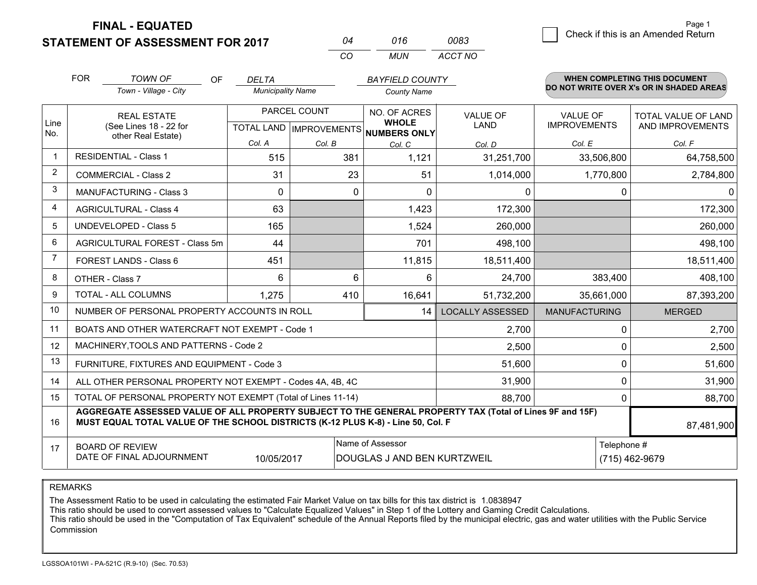**FINAL - EQUATED**

**STATEMENT OF ASSESSMENT FOR 2017** 

| N4  | 016 | 0083.   |
|-----|-----|---------|
| CO. | MUN | ACCT NO |

|                | <b>FOR</b>                                                                                                                                                                                   | <b>TOWN OF</b><br><b>OF</b>                                  | <b>DELTA</b>             |                           | <b>BAYFIELD COUNTY</b>              |                         |                                          | <b>WHEN COMPLETING THIS DOCUMENT</b> |  |
|----------------|----------------------------------------------------------------------------------------------------------------------------------------------------------------------------------------------|--------------------------------------------------------------|--------------------------|---------------------------|-------------------------------------|-------------------------|------------------------------------------|--------------------------------------|--|
|                |                                                                                                                                                                                              | Town - Village - City                                        | <b>Municipality Name</b> |                           | <b>County Name</b>                  |                         | DO NOT WRITE OVER X's OR IN SHADED AREAS |                                      |  |
|                |                                                                                                                                                                                              | <b>REAL ESTATE</b>                                           | PARCEL COUNT             |                           | NO. OF ACRES                        | <b>VALUE OF</b>         | VALUE OF                                 | TOTAL VALUE OF LAND                  |  |
| Line<br>No.    |                                                                                                                                                                                              | (See Lines 18 - 22 for<br>other Real Estate)                 |                          | TOTAL LAND   IMPROVEMENTS | <b>WHOLE</b><br><b>NUMBERS ONLY</b> | LAND                    | <b>IMPROVEMENTS</b>                      | AND IMPROVEMENTS                     |  |
|                |                                                                                                                                                                                              |                                                              | Col. A                   | Col. B                    | Col. C                              | Col. D                  | Col. E                                   | Col. F                               |  |
| $\mathbf 1$    |                                                                                                                                                                                              | <b>RESIDENTIAL - Class 1</b>                                 | 515                      | 381                       | 1,121                               | 31,251,700              | 33,506,800                               | 64,758,500                           |  |
| $\overline{2}$ |                                                                                                                                                                                              | <b>COMMERCIAL - Class 2</b>                                  | 31                       | 23                        | 51                                  | 1,014,000               | 1,770,800                                | 2,784,800                            |  |
| 3              |                                                                                                                                                                                              | <b>MANUFACTURING - Class 3</b>                               | $\Omega$                 | $\Omega$                  | $\Omega$                            | 0                       | 0                                        | 0                                    |  |
| 4              |                                                                                                                                                                                              | <b>AGRICULTURAL - Class 4</b>                                | 63                       |                           | 1,423                               | 172,300                 |                                          | 172,300                              |  |
| 5              | <b>UNDEVELOPED - Class 5</b>                                                                                                                                                                 |                                                              | 165                      |                           | 1,524                               | 260,000                 |                                          | 260,000                              |  |
| 6              | AGRICULTURAL FOREST - Class 5m                                                                                                                                                               |                                                              | 44                       |                           | 701                                 | 498,100                 |                                          | 498,100                              |  |
| 7              | FOREST LANDS - Class 6                                                                                                                                                                       |                                                              | 451                      |                           | 11,815                              | 18,511,400              |                                          | 18,511,400                           |  |
| 8              |                                                                                                                                                                                              | OTHER - Class 7                                              | 6                        | 6                         | 6                                   | 24,700                  | 383,400                                  | 408,100                              |  |
| 9              |                                                                                                                                                                                              | TOTAL - ALL COLUMNS                                          | 410<br>1,275             |                           | 16,641                              | 51,732,200              | 35,661,000                               | 87,393,200                           |  |
| 10             |                                                                                                                                                                                              | NUMBER OF PERSONAL PROPERTY ACCOUNTS IN ROLL                 |                          |                           | 14                                  | <b>LOCALLY ASSESSED</b> | <b>MANUFACTURING</b>                     | <b>MERGED</b>                        |  |
| 11             |                                                                                                                                                                                              | BOATS AND OTHER WATERCRAFT NOT EXEMPT - Code 1               |                          |                           |                                     | 2,700                   | 0                                        | 2,700                                |  |
| 12             |                                                                                                                                                                                              | MACHINERY, TOOLS AND PATTERNS - Code 2                       |                          |                           |                                     | 2,500                   | 0                                        | 2,500                                |  |
| 13             |                                                                                                                                                                                              | FURNITURE, FIXTURES AND EQUIPMENT - Code 3                   |                          |                           |                                     | 51,600                  | 0                                        | 51,600                               |  |
| 14             |                                                                                                                                                                                              | ALL OTHER PERSONAL PROPERTY NOT EXEMPT - Codes 4A, 4B, 4C    |                          |                           |                                     | 31,900                  | 0                                        | 31,900                               |  |
| 15             |                                                                                                                                                                                              | TOTAL OF PERSONAL PROPERTY NOT EXEMPT (Total of Lines 11-14) |                          |                           |                                     | 88,700                  | 0                                        | 88,700                               |  |
| 16             | AGGREGATE ASSESSED VALUE OF ALL PROPERTY SUBJECT TO THE GENERAL PROPERTY TAX (Total of Lines 9F and 15F)<br>MUST EQUAL TOTAL VALUE OF THE SCHOOL DISTRICTS (K-12 PLUS K-8) - Line 50, Col. F |                                                              |                          |                           |                                     |                         |                                          | 87,481,900                           |  |
| 17             |                                                                                                                                                                                              | <b>BOARD OF REVIEW</b>                                       |                          |                           | Name of Assessor                    |                         | Telephone #                              |                                      |  |
|                |                                                                                                                                                                                              | DATE OF FINAL ADJOURNMENT                                    | 10/05/2017               |                           | DOUGLAS J AND BEN KURTZWEIL         |                         |                                          | (715) 462-9679                       |  |

REMARKS

The Assessment Ratio to be used in calculating the estimated Fair Market Value on tax bills for this tax district is 1.0838947

This ratio should be used to convert assessed values to "Calculate Equalized Values" in Step 1 of the Lottery and Gaming Credit Calculations.<br>This ratio should be used in the "Computation of Tax Equivalent" schedule of the Commission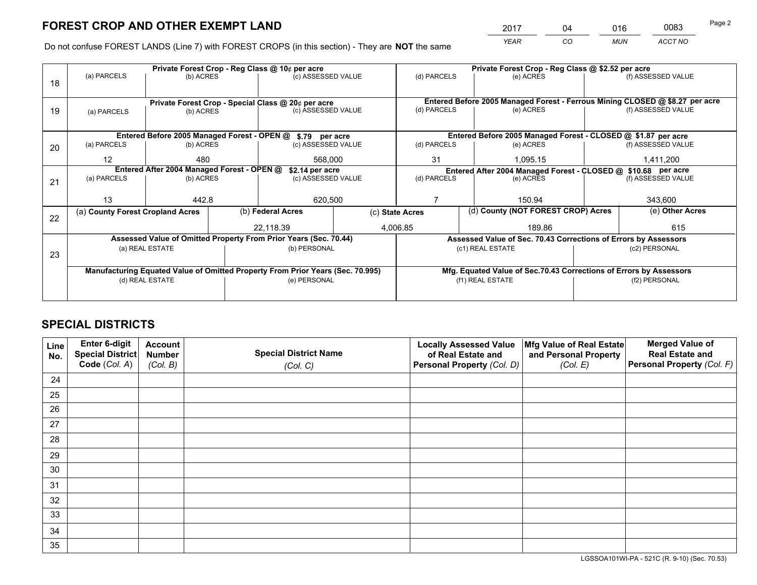*YEAR CO MUN ACCT NO* <sup>2017</sup> <sup>04</sup> <sup>016</sup> <sup>0083</sup>

Do not confuse FOREST LANDS (Line 7) with FOREST CROPS (in this section) - They are **NOT** the same

|    |                                                                                |                 |  | Private Forest Crop - Reg Class @ 10¢ per acre                   |                                                               | Private Forest Crop - Reg Class @ \$2.52 per acre |           |                                                                    |               |                                                                              |  |
|----|--------------------------------------------------------------------------------|-----------------|--|------------------------------------------------------------------|---------------------------------------------------------------|---------------------------------------------------|-----------|--------------------------------------------------------------------|---------------|------------------------------------------------------------------------------|--|
| 18 | (a) PARCELS                                                                    | (b) ACRES       |  | (c) ASSESSED VALUE                                               |                                                               | (d) PARCELS                                       |           | (e) ACRES                                                          |               | (f) ASSESSED VALUE                                                           |  |
|    | Private Forest Crop - Special Class @ 20¢ per acre                             |                 |  |                                                                  |                                                               |                                                   |           |                                                                    |               | Entered Before 2005 Managed Forest - Ferrous Mining CLOSED @ \$8.27 per acre |  |
| 19 | (b) ACRES<br>(a) PARCELS                                                       |                 |  | (c) ASSESSED VALUE                                               |                                                               | (d) PARCELS                                       |           | (e) ACRES                                                          |               | (f) ASSESSED VALUE                                                           |  |
|    |                                                                                |                 |  | Entered Before 2005 Managed Forest - OPEN @ \$.79 per acre       |                                                               |                                                   |           | Entered Before 2005 Managed Forest - CLOSED @ \$1.87 per acre      |               |                                                                              |  |
| 20 | (a) PARCELS                                                                    | (b) ACRES       |  | (c) ASSESSED VALUE                                               |                                                               | (d) PARCELS<br>(e) ACRES                          |           |                                                                    |               | (f) ASSESSED VALUE                                                           |  |
|    | $12 \overline{ }$                                                              | 480<br>568,000  |  | 31                                                               |                                                               | 1,095.15                                          | 1,411,200 |                                                                    |               |                                                                              |  |
|    | Entered After 2004 Managed Forest - OPEN @<br>\$2.14 per acre                  |                 |  |                                                                  | Entered After 2004 Managed Forest - CLOSED @ \$10.68 per acre |                                                   |           |                                                                    |               |                                                                              |  |
| 21 | (a) PARCELS                                                                    | (b) ACRES       |  | (c) ASSESSED VALUE                                               |                                                               | (d) PARCELS                                       |           | (e) ACRES                                                          |               | (f) ASSESSED VALUE                                                           |  |
|    |                                                                                |                 |  |                                                                  |                                                               |                                                   |           |                                                                    |               |                                                                              |  |
|    | 13                                                                             | 442.8           |  | 620,500                                                          |                                                               |                                                   |           | 150.94                                                             |               | 343,600                                                                      |  |
|    | (a) County Forest Cropland Acres                                               |                 |  | (b) Federal Acres<br>(c) State Acres                             |                                                               |                                                   |           | (d) County (NOT FOREST CROP) Acres                                 |               | (e) Other Acres                                                              |  |
| 22 |                                                                                |                 |  | 22,118.39                                                        | 4,006.85                                                      |                                                   |           | 189.86                                                             |               | 615                                                                          |  |
|    |                                                                                |                 |  | Assessed Value of Omitted Property From Prior Years (Sec. 70.44) |                                                               |                                                   |           | Assessed Value of Sec. 70.43 Corrections of Errors by Assessors    |               |                                                                              |  |
| 23 |                                                                                | (a) REAL ESTATE |  | (b) PERSONAL                                                     |                                                               |                                                   |           | (c1) REAL ESTATE                                                   |               | (c2) PERSONAL                                                                |  |
|    |                                                                                |                 |  |                                                                  |                                                               |                                                   |           |                                                                    |               |                                                                              |  |
|    | Manufacturing Equated Value of Omitted Property From Prior Years (Sec. 70.995) |                 |  |                                                                  |                                                               |                                                   |           | Mfg. Equated Value of Sec.70.43 Corrections of Errors by Assessors |               |                                                                              |  |
|    |                                                                                | (d) REAL ESTATE |  | (e) PERSONAL                                                     |                                                               | (f1) REAL ESTATE                                  |           |                                                                    | (f2) PERSONAL |                                                                              |  |
|    |                                                                                |                 |  |                                                                  |                                                               |                                                   |           |                                                                    |               |                                                                              |  |

## **SPECIAL DISTRICTS**

| Line<br>No. | Enter 6-digit<br>Special District<br>Code (Col. A) | <b>Account</b><br><b>Number</b> | <b>Special District Name</b> | <b>Locally Assessed Value</b><br>of Real Estate and | Mfg Value of Real Estate<br>and Personal Property | <b>Merged Value of</b><br><b>Real Estate and</b><br>Personal Property (Col. F) |
|-------------|----------------------------------------------------|---------------------------------|------------------------------|-----------------------------------------------------|---------------------------------------------------|--------------------------------------------------------------------------------|
|             |                                                    | (Col. B)                        | (Col. C)                     | Personal Property (Col. D)                          | (Col. E)                                          |                                                                                |
| 24          |                                                    |                                 |                              |                                                     |                                                   |                                                                                |
| 25          |                                                    |                                 |                              |                                                     |                                                   |                                                                                |
| 26          |                                                    |                                 |                              |                                                     |                                                   |                                                                                |
| 27          |                                                    |                                 |                              |                                                     |                                                   |                                                                                |
| 28          |                                                    |                                 |                              |                                                     |                                                   |                                                                                |
| 29          |                                                    |                                 |                              |                                                     |                                                   |                                                                                |
| 30          |                                                    |                                 |                              |                                                     |                                                   |                                                                                |
| 31          |                                                    |                                 |                              |                                                     |                                                   |                                                                                |
| 32          |                                                    |                                 |                              |                                                     |                                                   |                                                                                |
| 33          |                                                    |                                 |                              |                                                     |                                                   |                                                                                |
| 34          |                                                    |                                 |                              |                                                     |                                                   |                                                                                |
| 35          |                                                    |                                 |                              |                                                     |                                                   |                                                                                |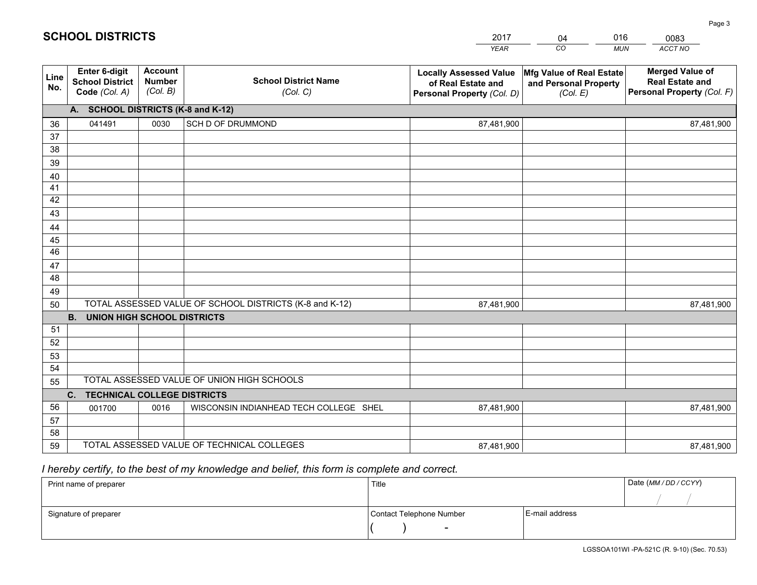|             |                                                                 |                                             |                                                         | <b>YEAR</b>                                                                       | CO<br><b>MUN</b>                                              | ACCT NO                                                                        |
|-------------|-----------------------------------------------------------------|---------------------------------------------|---------------------------------------------------------|-----------------------------------------------------------------------------------|---------------------------------------------------------------|--------------------------------------------------------------------------------|
| Line<br>No. | <b>Enter 6-digit</b><br><b>School District</b><br>Code (Col. A) | <b>Account</b><br><b>Number</b><br>(Col. B) | <b>School District Name</b><br>(Col. C)                 | <b>Locally Assessed Value</b><br>of Real Estate and<br>Personal Property (Col. D) | Mfg Value of Real Estate<br>and Personal Property<br>(Col. E) | <b>Merged Value of</b><br><b>Real Estate and</b><br>Personal Property (Col. F) |
|             | A. SCHOOL DISTRICTS (K-8 and K-12)                              |                                             |                                                         |                                                                                   |                                                               |                                                                                |
| 36          | 041491                                                          | 0030                                        | SCH D OF DRUMMOND                                       | 87,481,900                                                                        |                                                               | 87,481,900                                                                     |
| 37          |                                                                 |                                             |                                                         |                                                                                   |                                                               |                                                                                |
| 38          |                                                                 |                                             |                                                         |                                                                                   |                                                               |                                                                                |
| 39          |                                                                 |                                             |                                                         |                                                                                   |                                                               |                                                                                |
| 40          |                                                                 |                                             |                                                         |                                                                                   |                                                               |                                                                                |
| 41          |                                                                 |                                             |                                                         |                                                                                   |                                                               |                                                                                |
| 42          |                                                                 |                                             |                                                         |                                                                                   |                                                               |                                                                                |
| 43          |                                                                 |                                             |                                                         |                                                                                   |                                                               |                                                                                |
| 44<br>45    |                                                                 |                                             |                                                         |                                                                                   |                                                               |                                                                                |
| 46          |                                                                 |                                             |                                                         |                                                                                   |                                                               |                                                                                |
| 47          |                                                                 |                                             |                                                         |                                                                                   |                                                               |                                                                                |
| 48          |                                                                 |                                             |                                                         |                                                                                   |                                                               |                                                                                |
| 49          |                                                                 |                                             |                                                         |                                                                                   |                                                               |                                                                                |
| 50          |                                                                 |                                             | TOTAL ASSESSED VALUE OF SCHOOL DISTRICTS (K-8 and K-12) | 87,481,900                                                                        |                                                               | 87,481,900                                                                     |
|             | <b>B.</b><br><b>UNION HIGH SCHOOL DISTRICTS</b>                 |                                             |                                                         |                                                                                   |                                                               |                                                                                |
| 51          |                                                                 |                                             |                                                         |                                                                                   |                                                               |                                                                                |
| 52          |                                                                 |                                             |                                                         |                                                                                   |                                                               |                                                                                |
| 53          |                                                                 |                                             |                                                         |                                                                                   |                                                               |                                                                                |
| 54          |                                                                 |                                             |                                                         |                                                                                   |                                                               |                                                                                |
| 55          |                                                                 |                                             | TOTAL ASSESSED VALUE OF UNION HIGH SCHOOLS              |                                                                                   |                                                               |                                                                                |
|             | C.<br><b>TECHNICAL COLLEGE DISTRICTS</b>                        |                                             |                                                         |                                                                                   |                                                               |                                                                                |
| 56          | 001700                                                          | 0016                                        | WISCONSIN INDIANHEAD TECH COLLEGE SHEL                  | 87,481,900                                                                        |                                                               | 87,481,900                                                                     |
| 57          |                                                                 |                                             |                                                         |                                                                                   |                                                               |                                                                                |
| 58          |                                                                 |                                             |                                                         |                                                                                   |                                                               |                                                                                |
| 59          |                                                                 |                                             | TOTAL ASSESSED VALUE OF TECHNICAL COLLEGES              | 87,481,900                                                                        |                                                               | 87,481,900                                                                     |

04

016

 *I hereby certify, to the best of my knowledge and belief, this form is complete and correct.*

**SCHOOL DISTRICTS**

| Print name of preparer | Title                    |                | Date (MM / DD / CCYY) |
|------------------------|--------------------------|----------------|-----------------------|
|                        |                          |                |                       |
| Signature of preparer  | Contact Telephone Number | E-mail address |                       |
|                        | $\overline{\phantom{0}}$ |                |                       |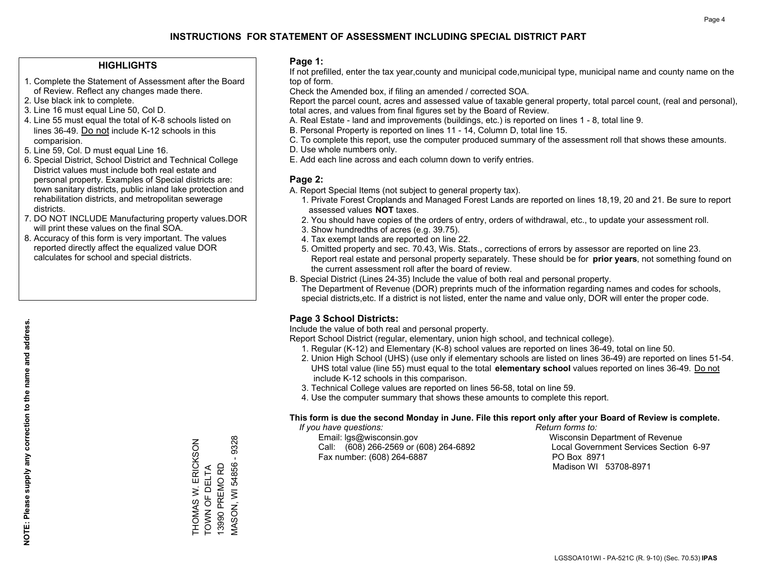#### **HIGHLIGHTS**

- 1. Complete the Statement of Assessment after the Board of Review. Reflect any changes made there.
- 2. Use black ink to complete.
- 3. Line 16 must equal Line 50, Col D.
- 4. Line 55 must equal the total of K-8 schools listed on lines 36-49. Do not include K-12 schools in this comparision.
- 5. Line 59, Col. D must equal Line 16.
- 6. Special District, School District and Technical College District values must include both real estate and personal property. Examples of Special districts are: town sanitary districts, public inland lake protection and rehabilitation districts, and metropolitan sewerage districts.
- 7. DO NOT INCLUDE Manufacturing property values.DOR will print these values on the final SOA.
- 8. Accuracy of this form is very important. The values reported directly affect the equalized value DOR calculates for school and special districts.

#### **Page 1:**

 If not prefilled, enter the tax year,county and municipal code,municipal type, municipal name and county name on the top of form.

Check the Amended box, if filing an amended / corrected SOA.

 Report the parcel count, acres and assessed value of taxable general property, total parcel count, (real and personal), total acres, and values from final figures set by the Board of Review.

- A. Real Estate land and improvements (buildings, etc.) is reported on lines 1 8, total line 9.
- B. Personal Property is reported on lines 11 14, Column D, total line 15.
- C. To complete this report, use the computer produced summary of the assessment roll that shows these amounts.
- D. Use whole numbers only.
- E. Add each line across and each column down to verify entries.

#### **Page 2:**

- A. Report Special Items (not subject to general property tax).
- 1. Private Forest Croplands and Managed Forest Lands are reported on lines 18,19, 20 and 21. Be sure to report assessed values **NOT** taxes.
- 2. You should have copies of the orders of entry, orders of withdrawal, etc., to update your assessment roll.
	- 3. Show hundredths of acres (e.g. 39.75).
- 4. Tax exempt lands are reported on line 22.
- 5. Omitted property and sec. 70.43, Wis. Stats., corrections of errors by assessor are reported on line 23. Report real estate and personal property separately. These should be for **prior years**, not something found on the current assessment roll after the board of review.
- B. Special District (Lines 24-35) Include the value of both real and personal property.

 The Department of Revenue (DOR) preprints much of the information regarding names and codes for schools, special districts,etc. If a district is not listed, enter the name and value only, DOR will enter the proper code.

## **Page 3 School Districts:**

Include the value of both real and personal property.

Report School District (regular, elementary, union high school, and technical college).

- 1. Regular (K-12) and Elementary (K-8) school values are reported on lines 36-49, total on line 50.
- 2. Union High School (UHS) (use only if elementary schools are listed on lines 36-49) are reported on lines 51-54. UHS total value (line 55) must equal to the total **elementary school** values reported on lines 36-49. Do notinclude K-12 schools in this comparison.
- 3. Technical College values are reported on lines 56-58, total on line 59.
- 4. Use the computer summary that shows these amounts to complete this report.

#### **This form is due the second Monday in June. File this report only after your Board of Review is complete.**

 *If you have questions: Return forms to:*

 Email: lgs@wisconsin.gov Wisconsin Department of RevenueCall:  $(608)$  266-2569 or  $(608)$  264-6892 Fax number: (608) 264-6887 PO Box 8971

Local Government Services Section 6-97 Madison WI 53708-8971

THOMAS W. ERICKSON<br>TOWN OF DELTA<br>13990 PREMO RD  $-9328$ MASON, WI 54856 - 9328 THOMAS W. ERICKSON **MASON, WI 54856** TOWN OF DELTA 13990 PREMO RD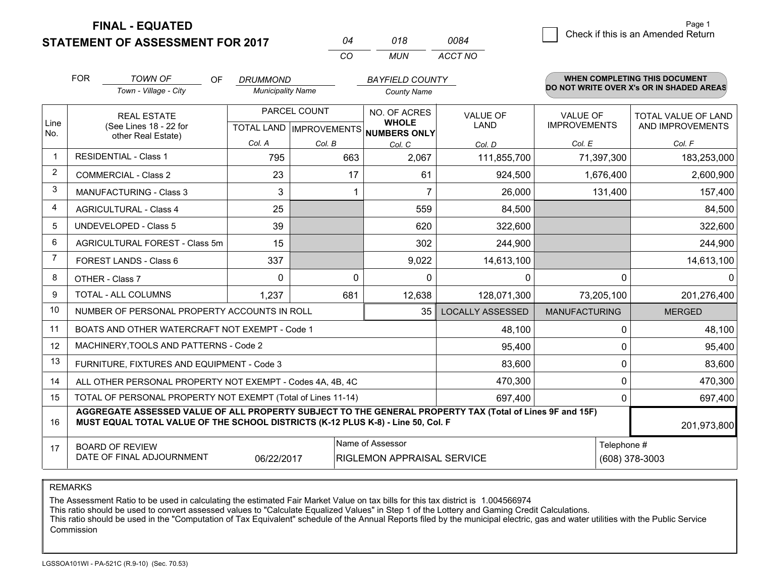**STATEMENT OF ASSESSMENT FOR 2017** 

**FINAL - EQUATED**

|   | Page 1                                             |
|---|----------------------------------------------------|
| ⊿ | $\vert$ $\vert$ Check if this is an Amended Return |
|   |                                                    |

|                | <b>FOR</b>                                                                                                                                                                                                  | <b>TOWN OF</b><br>OF.                                     | <b>DRUMMOND</b>          |                                | <b>BAYFIELD COUNTY</b>              |                         |                      | WHEN COMPLETING THIS DOCUMENT            |
|----------------|-------------------------------------------------------------------------------------------------------------------------------------------------------------------------------------------------------------|-----------------------------------------------------------|--------------------------|--------------------------------|-------------------------------------|-------------------------|----------------------|------------------------------------------|
|                |                                                                                                                                                                                                             | Town - Village - City                                     | <b>Municipality Name</b> |                                | <b>County Name</b>                  |                         |                      | DO NOT WRITE OVER X's OR IN SHADED AREAS |
|                | <b>REAL ESTATE</b>                                                                                                                                                                                          |                                                           | PARCEL COUNT             |                                | NO. OF ACRES                        | <b>VALUE OF</b>         | <b>VALUE OF</b>      | TOTAL VALUE OF LAND                      |
| Line<br>No.    |                                                                                                                                                                                                             | (See Lines 18 - 22 for<br>other Real Estate)              |                          | <b>TOTAL LAND IMPROVEMENTS</b> | <b>WHOLE</b><br><b>NUMBERS ONLY</b> | LAND                    | <b>IMPROVEMENTS</b>  | AND IMPROVEMENTS                         |
|                |                                                                                                                                                                                                             |                                                           | Col. A                   | Col. B                         | Col. C                              | Col. D                  | Col. E               | Col. F                                   |
| $\mathbf 1$    |                                                                                                                                                                                                             | <b>RESIDENTIAL - Class 1</b>                              | 795                      | 663                            | 2,067                               | 111,855,700             | 71,397,300           | 183,253,000                              |
| 2              |                                                                                                                                                                                                             | <b>COMMERCIAL - Class 2</b>                               | 23                       | 17                             | 61                                  | 924,500                 | 1,676,400            | 2,600,900                                |
| 3              |                                                                                                                                                                                                             | <b>MANUFACTURING - Class 3</b>                            | 3                        | 1                              | 7                                   | 26,000                  | 131,400              | 157,400                                  |
| 4              |                                                                                                                                                                                                             | <b>AGRICULTURAL - Class 4</b>                             | 25                       |                                | 559                                 | 84,500                  |                      | 84,500                                   |
| 5              | <b>UNDEVELOPED - Class 5</b>                                                                                                                                                                                |                                                           | 39                       |                                | 620                                 | 322,600                 |                      | 322,600                                  |
| 6              |                                                                                                                                                                                                             | AGRICULTURAL FOREST - Class 5m                            | 15                       |                                | 302                                 | 244,900                 |                      | 244,900                                  |
| $\overline{7}$ | FOREST LANDS - Class 6                                                                                                                                                                                      |                                                           | 337                      |                                | 9,022                               | 14,613,100              |                      | 14,613,100                               |
| 8              |                                                                                                                                                                                                             | OTHER - Class 7                                           | $\Omega$                 | $\Omega$                       | 0                                   | 0                       | $\Omega$             | 0                                        |
| 9              |                                                                                                                                                                                                             | TOTAL - ALL COLUMNS                                       | 1,237                    | 681                            | 12,638                              | 128,071,300             | 73,205,100           | 201,276,400                              |
| 10             | NUMBER OF PERSONAL PROPERTY ACCOUNTS IN ROLL                                                                                                                                                                |                                                           |                          |                                |                                     | <b>LOCALLY ASSESSED</b> | <b>MANUFACTURING</b> | <b>MERGED</b>                            |
| 11             | BOATS AND OTHER WATERCRAFT NOT EXEMPT - Code 1                                                                                                                                                              |                                                           |                          |                                |                                     | 48,100                  | 0                    | 48,100                                   |
| 12             |                                                                                                                                                                                                             | MACHINERY, TOOLS AND PATTERNS - Code 2                    |                          |                                |                                     | 95,400                  | 0                    | 95,400                                   |
| 13             |                                                                                                                                                                                                             | FURNITURE, FIXTURES AND EQUIPMENT - Code 3                |                          |                                |                                     | 83,600                  | 0                    | 83,600                                   |
| 14             |                                                                                                                                                                                                             | ALL OTHER PERSONAL PROPERTY NOT EXEMPT - Codes 4A, 4B, 4C |                          | 470,300                        | $\Omega$                            | 470,300                 |                      |                                          |
| 15             | TOTAL OF PERSONAL PROPERTY NOT EXEMPT (Total of Lines 11-14)<br>697,400                                                                                                                                     |                                                           |                          |                                |                                     |                         |                      | 0<br>697,400                             |
| 16             | AGGREGATE ASSESSED VALUE OF ALL PROPERTY SUBJECT TO THE GENERAL PROPERTY TAX (Total of Lines 9F and 15F)<br>MUST EQUAL TOTAL VALUE OF THE SCHOOL DISTRICTS (K-12 PLUS K-8) - Line 50, Col. F<br>201,973,800 |                                                           |                          |                                |                                     |                         |                      |                                          |
| 17             |                                                                                                                                                                                                             | <b>BOARD OF REVIEW</b>                                    |                          |                                | Name of Assessor                    |                         | Telephone #          |                                          |
|                | DATE OF FINAL ADJOURNMENT<br>(608) 378-3003<br>06/22/2017<br>RIGLEMON APPRAISAL SERVICE                                                                                                                     |                                                           |                          |                                |                                     |                         |                      |                                          |

*CO*

*MUN*

*ACCT NO0084*

*<sup>04</sup> <sup>018</sup>*

REMARKS

The Assessment Ratio to be used in calculating the estimated Fair Market Value on tax bills for this tax district is 1.004566974<br>This ratio should be used to convert assessed values to "Calculate Equalized Values" in Step Commission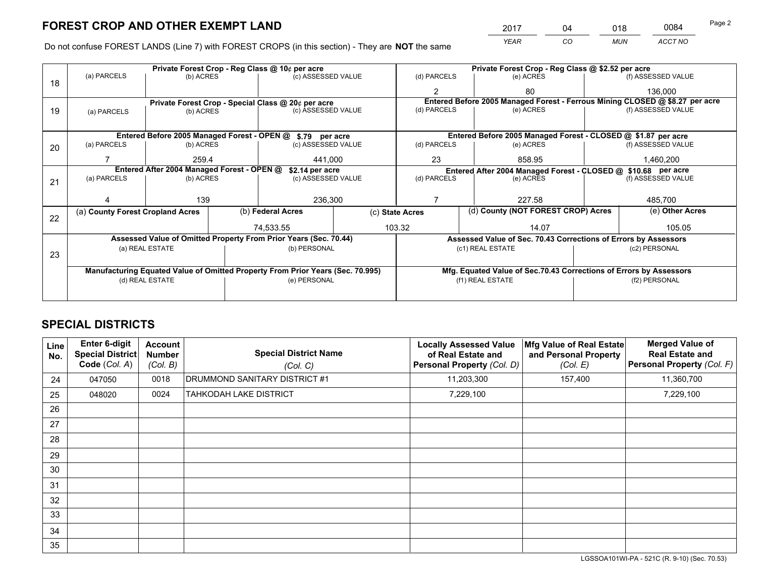*YEAR CO MUN ACCT NO* <sup>2017</sup> <sup>04</sup> <sup>018</sup> <sup>0084</sup> Page 2

Do not confuse FOREST LANDS (Line 7) with FOREST CROPS (in this section) - They are **NOT** the same

|    | Private Forest Crop - Reg Class @ 10¢ per acre                                 |                                                                  |                    |                                                            |                                                                              | Private Forest Crop - Reg Class @ \$2.52 per acre                  |                                                                 |                                                               |                    |                    |
|----|--------------------------------------------------------------------------------|------------------------------------------------------------------|--------------------|------------------------------------------------------------|------------------------------------------------------------------------------|--------------------------------------------------------------------|-----------------------------------------------------------------|---------------------------------------------------------------|--------------------|--------------------|
| 18 | (a) PARCELS                                                                    | (b) ACRES                                                        | (c) ASSESSED VALUE |                                                            | (d) PARCELS                                                                  |                                                                    | (e) ACRES                                                       |                                                               | (f) ASSESSED VALUE |                    |
|    |                                                                                |                                                                  |                    |                                                            |                                                                              | 2                                                                  |                                                                 | 80                                                            |                    | 136,000            |
|    |                                                                                |                                                                  |                    | Private Forest Crop - Special Class @ 20¢ per acre         | Entered Before 2005 Managed Forest - Ferrous Mining CLOSED @ \$8.27 per acre |                                                                    |                                                                 |                                                               |                    |                    |
| 19 | (a) PARCELS                                                                    | (b) ACRES                                                        |                    | (c) ASSESSED VALUE                                         |                                                                              | (d) PARCELS                                                        |                                                                 | (e) ACRES                                                     |                    | (f) ASSESSED VALUE |
|    |                                                                                |                                                                  |                    |                                                            |                                                                              |                                                                    |                                                                 |                                                               |                    |                    |
|    |                                                                                |                                                                  |                    | Entered Before 2005 Managed Forest - OPEN @ \$.79 per acre |                                                                              |                                                                    |                                                                 | Entered Before 2005 Managed Forest - CLOSED @ \$1.87 per acre |                    |                    |
| 20 | (a) PARCELS<br>(b) ACRES                                                       |                                                                  |                    | (c) ASSESSED VALUE                                         |                                                                              | (d) PARCELS                                                        |                                                                 | (e) ACRES                                                     |                    | (f) ASSESSED VALUE |
|    |                                                                                | 259.4                                                            |                    | 441,000                                                    |                                                                              | 23<br>858.95                                                       |                                                                 |                                                               |                    | 1,460,200          |
|    | Entered After 2004 Managed Forest - OPEN @<br>\$2.14 per acre                  |                                                                  |                    |                                                            |                                                                              | Entered After 2004 Managed Forest - CLOSED @ \$10.68 per acre      |                                                                 |                                                               |                    |                    |
| 21 | (a) PARCELS                                                                    | (c) ASSESSED VALUE<br>(b) ACRES                                  |                    |                                                            | (d) PARCELS                                                                  |                                                                    | (e) ACRES                                                       |                                                               | (f) ASSESSED VALUE |                    |
|    |                                                                                |                                                                  |                    |                                                            |                                                                              |                                                                    |                                                                 |                                                               |                    |                    |
|    |                                                                                | 139                                                              |                    | 236,300                                                    |                                                                              |                                                                    |                                                                 | 227.58                                                        |                    | 485,700            |
|    | (a) County Forest Cropland Acres                                               |                                                                  |                    | (b) Federal Acres                                          | (c) State Acres                                                              |                                                                    |                                                                 | (d) County (NOT FOREST CROP) Acres                            |                    | (e) Other Acres    |
| 22 |                                                                                |                                                                  |                    | 74,533.55                                                  |                                                                              | 103.32                                                             |                                                                 | 14.07                                                         |                    | 105.05             |
|    |                                                                                | Assessed Value of Omitted Property From Prior Years (Sec. 70.44) |                    |                                                            |                                                                              |                                                                    | Assessed Value of Sec. 70.43 Corrections of Errors by Assessors |                                                               |                    |                    |
|    | (a) REAL ESTATE                                                                |                                                                  |                    | (b) PERSONAL                                               |                                                                              | (c1) REAL ESTATE                                                   |                                                                 | (c2) PERSONAL                                                 |                    |                    |
| 23 |                                                                                |                                                                  |                    |                                                            |                                                                              |                                                                    |                                                                 |                                                               |                    |                    |
|    | Manufacturing Equated Value of Omitted Property From Prior Years (Sec. 70.995) |                                                                  |                    |                                                            |                                                                              | Mfg. Equated Value of Sec.70.43 Corrections of Errors by Assessors |                                                                 |                                                               |                    |                    |
|    | (d) REAL ESTATE                                                                |                                                                  |                    | (e) PERSONAL                                               |                                                                              | (f1) REAL ESTATE                                                   |                                                                 | (f2) PERSONAL                                                 |                    |                    |
|    |                                                                                |                                                                  |                    |                                                            |                                                                              |                                                                    |                                                                 |                                                               |                    |                    |

## **SPECIAL DISTRICTS**

| Line<br>No. | <b>Enter 6-digit</b><br>Special District<br>Code (Col. A) | Account<br><b>Number</b><br>(Col. B) | <b>Special District Name</b><br>(Col. C) | <b>Locally Assessed Value</b><br>of Real Estate and<br><b>Personal Property (Col. D)</b> | Mfg Value of Real Estate<br>and Personal Property<br>(Col. E) | <b>Merged Value of</b><br><b>Real Estate and</b><br>Personal Property (Col. F) |
|-------------|-----------------------------------------------------------|--------------------------------------|------------------------------------------|------------------------------------------------------------------------------------------|---------------------------------------------------------------|--------------------------------------------------------------------------------|
| 24          | 047050                                                    | 0018                                 | DRUMMOND SANITARY DISTRICT #1            | 11,203,300                                                                               | 157,400                                                       | 11,360,700                                                                     |
| 25          | 048020                                                    | 0024                                 | TAHKODAH LAKE DISTRICT                   | 7,229,100                                                                                |                                                               | 7,229,100                                                                      |
| 26          |                                                           |                                      |                                          |                                                                                          |                                                               |                                                                                |
| 27          |                                                           |                                      |                                          |                                                                                          |                                                               |                                                                                |
| 28          |                                                           |                                      |                                          |                                                                                          |                                                               |                                                                                |
| 29          |                                                           |                                      |                                          |                                                                                          |                                                               |                                                                                |
| 30          |                                                           |                                      |                                          |                                                                                          |                                                               |                                                                                |
| 31          |                                                           |                                      |                                          |                                                                                          |                                                               |                                                                                |
| 32          |                                                           |                                      |                                          |                                                                                          |                                                               |                                                                                |
| 33          |                                                           |                                      |                                          |                                                                                          |                                                               |                                                                                |
| 34          |                                                           |                                      |                                          |                                                                                          |                                                               |                                                                                |
| 35          |                                                           |                                      |                                          |                                                                                          |                                                               |                                                                                |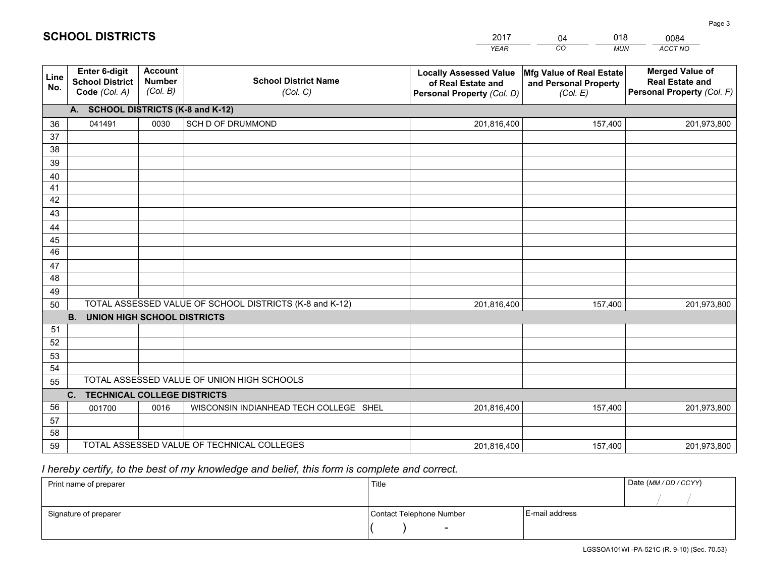|             |                                                                 |                                             |                                                         | <b>YEAR</b>                                                                       | CO<br><b>MUN</b>                                              | ACCT NO                                                                        |  |  |  |  |  |
|-------------|-----------------------------------------------------------------|---------------------------------------------|---------------------------------------------------------|-----------------------------------------------------------------------------------|---------------------------------------------------------------|--------------------------------------------------------------------------------|--|--|--|--|--|
| Line<br>No. | <b>Enter 6-digit</b><br><b>School District</b><br>Code (Col. A) | <b>Account</b><br><b>Number</b><br>(Col. B) | <b>School District Name</b><br>(Col. C)                 | <b>Locally Assessed Value</b><br>of Real Estate and<br>Personal Property (Col. D) | Mfg Value of Real Estate<br>and Personal Property<br>(Col. E) | <b>Merged Value of</b><br><b>Real Estate and</b><br>Personal Property (Col. F) |  |  |  |  |  |
|             | A. SCHOOL DISTRICTS (K-8 and K-12)                              |                                             |                                                         |                                                                                   |                                                               |                                                                                |  |  |  |  |  |
| 36          | 041491                                                          | 0030                                        | <b>SCH D OF DRUMMOND</b>                                | 201,816,400                                                                       | 157,400                                                       | 201,973,800                                                                    |  |  |  |  |  |
| 37          |                                                                 |                                             |                                                         |                                                                                   |                                                               |                                                                                |  |  |  |  |  |
| 38          |                                                                 |                                             |                                                         |                                                                                   |                                                               |                                                                                |  |  |  |  |  |
| 39          |                                                                 |                                             |                                                         |                                                                                   |                                                               |                                                                                |  |  |  |  |  |
| 40          |                                                                 |                                             |                                                         |                                                                                   |                                                               |                                                                                |  |  |  |  |  |
| 41          |                                                                 |                                             |                                                         |                                                                                   |                                                               |                                                                                |  |  |  |  |  |
| 42          |                                                                 |                                             |                                                         |                                                                                   |                                                               |                                                                                |  |  |  |  |  |
| 43          |                                                                 |                                             |                                                         |                                                                                   |                                                               |                                                                                |  |  |  |  |  |
| 44<br>45    |                                                                 |                                             |                                                         |                                                                                   |                                                               |                                                                                |  |  |  |  |  |
| 46          |                                                                 |                                             |                                                         |                                                                                   |                                                               |                                                                                |  |  |  |  |  |
| 47          |                                                                 |                                             |                                                         |                                                                                   |                                                               |                                                                                |  |  |  |  |  |
| 48          |                                                                 |                                             |                                                         |                                                                                   |                                                               |                                                                                |  |  |  |  |  |
| 49          |                                                                 |                                             |                                                         |                                                                                   |                                                               |                                                                                |  |  |  |  |  |
| 50          |                                                                 |                                             | TOTAL ASSESSED VALUE OF SCHOOL DISTRICTS (K-8 and K-12) | 201,816,400                                                                       | 157,400                                                       | 201,973,800                                                                    |  |  |  |  |  |
|             | <b>B. UNION HIGH SCHOOL DISTRICTS</b>                           |                                             |                                                         |                                                                                   |                                                               |                                                                                |  |  |  |  |  |
| 51          |                                                                 |                                             |                                                         |                                                                                   |                                                               |                                                                                |  |  |  |  |  |
| 52          |                                                                 |                                             |                                                         |                                                                                   |                                                               |                                                                                |  |  |  |  |  |
| 53          |                                                                 |                                             |                                                         |                                                                                   |                                                               |                                                                                |  |  |  |  |  |
| 54          |                                                                 |                                             |                                                         |                                                                                   |                                                               |                                                                                |  |  |  |  |  |
| 55          | TOTAL ASSESSED VALUE OF UNION HIGH SCHOOLS                      |                                             |                                                         |                                                                                   |                                                               |                                                                                |  |  |  |  |  |
|             | C.<br><b>TECHNICAL COLLEGE DISTRICTS</b>                        |                                             |                                                         |                                                                                   |                                                               |                                                                                |  |  |  |  |  |
| 56          | 001700                                                          | 0016                                        | WISCONSIN INDIANHEAD TECH COLLEGE SHEL                  | 201,816,400                                                                       | 157,400                                                       | 201,973,800                                                                    |  |  |  |  |  |
| 57<br>58    |                                                                 |                                             |                                                         |                                                                                   |                                                               |                                                                                |  |  |  |  |  |
| 59          |                                                                 |                                             | TOTAL ASSESSED VALUE OF TECHNICAL COLLEGES              | 201,816,400                                                                       |                                                               |                                                                                |  |  |  |  |  |
|             |                                                                 |                                             |                                                         |                                                                                   | 157,400                                                       | 201,973,800                                                                    |  |  |  |  |  |

04

018

 *I hereby certify, to the best of my knowledge and belief, this form is complete and correct.*

**SCHOOL DISTRICTS**

| Print name of preparer | Title                    | Date (MM / DD / CCYY) |  |
|------------------------|--------------------------|-----------------------|--|
|                        |                          |                       |  |
| Signature of preparer  | Contact Telephone Number | E-mail address        |  |
|                        | $\sim$                   |                       |  |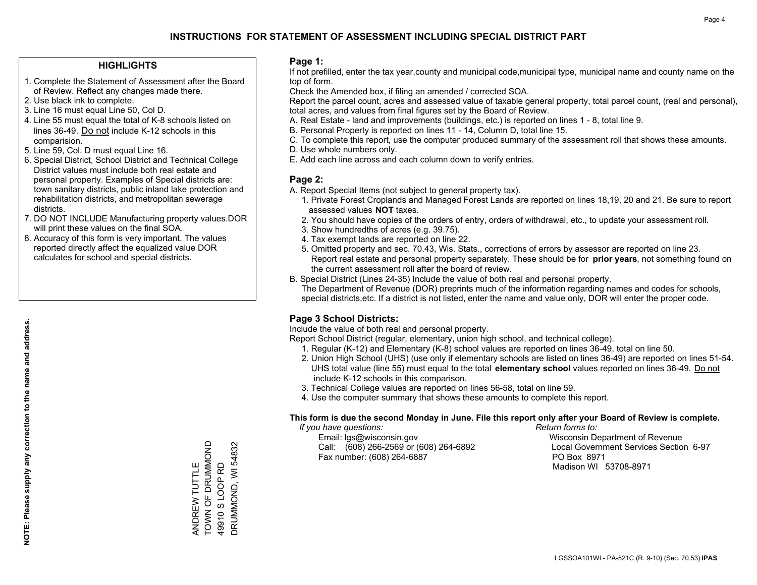#### **HIGHLIGHTS**

- 1. Complete the Statement of Assessment after the Board of Review. Reflect any changes made there.
- 2. Use black ink to complete.
- 3. Line 16 must equal Line 50, Col D.
- 4. Line 55 must equal the total of K-8 schools listed on lines 36-49. Do not include K-12 schools in this comparision.
- 5. Line 59, Col. D must equal Line 16.
- 6. Special District, School District and Technical College District values must include both real estate and personal property. Examples of Special districts are: town sanitary districts, public inland lake protection and rehabilitation districts, and metropolitan sewerage districts.
- 7. DO NOT INCLUDE Manufacturing property values.DOR will print these values on the final SOA.
- 8. Accuracy of this form is very important. The values reported directly affect the equalized value DOR calculates for school and special districts.

#### **Page 1:**

 If not prefilled, enter the tax year,county and municipal code,municipal type, municipal name and county name on the top of form.

Check the Amended box, if filing an amended / corrected SOA.

 Report the parcel count, acres and assessed value of taxable general property, total parcel count, (real and personal), total acres, and values from final figures set by the Board of Review.

- A. Real Estate land and improvements (buildings, etc.) is reported on lines 1 8, total line 9.
- B. Personal Property is reported on lines 11 14, Column D, total line 15.
- C. To complete this report, use the computer produced summary of the assessment roll that shows these amounts.
- D. Use whole numbers only.
- E. Add each line across and each column down to verify entries.

#### **Page 2:**

- A. Report Special Items (not subject to general property tax).
- 1. Private Forest Croplands and Managed Forest Lands are reported on lines 18,19, 20 and 21. Be sure to report assessed values **NOT** taxes.
- 2. You should have copies of the orders of entry, orders of withdrawal, etc., to update your assessment roll.
	- 3. Show hundredths of acres (e.g. 39.75).
- 4. Tax exempt lands are reported on line 22.
- 5. Omitted property and sec. 70.43, Wis. Stats., corrections of errors by assessor are reported on line 23. Report real estate and personal property separately. These should be for **prior years**, not something found on the current assessment roll after the board of review.
- B. Special District (Lines 24-35) Include the value of both real and personal property.

 The Department of Revenue (DOR) preprints much of the information regarding names and codes for schools, special districts,etc. If a district is not listed, enter the name and value only, DOR will enter the proper code.

## **Page 3 School Districts:**

Include the value of both real and personal property.

Report School District (regular, elementary, union high school, and technical college).

- 1. Regular (K-12) and Elementary (K-8) school values are reported on lines 36-49, total on line 50.
- 2. Union High School (UHS) (use only if elementary schools are listed on lines 36-49) are reported on lines 51-54. UHS total value (line 55) must equal to the total **elementary school** values reported on lines 36-49. Do notinclude K-12 schools in this comparison.
- 3. Technical College values are reported on lines 56-58, total on line 59.
- 4. Use the computer summary that shows these amounts to complete this report.

#### **This form is due the second Monday in June. File this report only after your Board of Review is complete.**

 *If you have questions: Return forms to:*

 Email: lgs@wisconsin.gov Wisconsin Department of RevenueCall:  $(608)$  266-2569 or  $(608)$  264-6892 Fax number: (608) 264-6887 PO Box 8971

Local Government Services Section 6-97 Madison WI 53708-8971

TOWN OF DRUMMOND ANDREW TUTTLE<br>TOWN OF DRUMMOND DRUMMOND, WI 54832 DRUMMOND, WI 54832 49910 S LOOP RD ANDREW TUTTLE 49910 S LOOP RD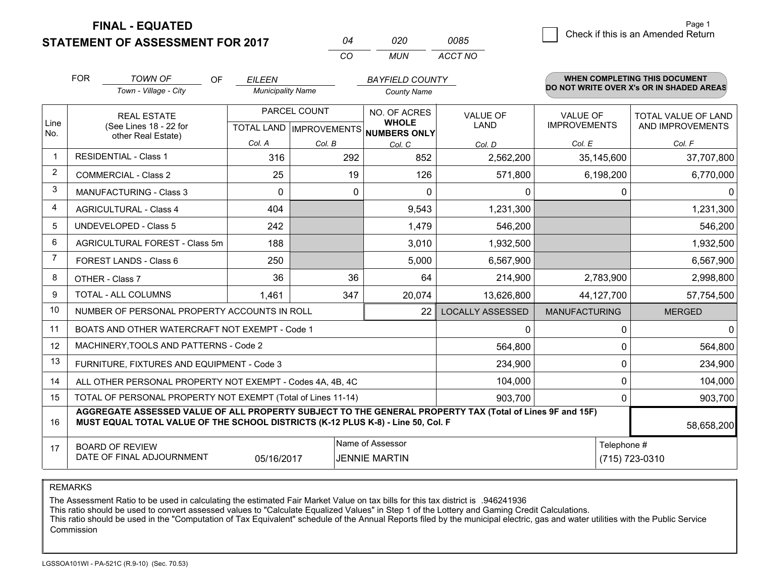**FINAL - EQUATED**

**STATEMENT OF ASSESSMENT FOR 2017** 

| ሰ4  | 020   | 0085    |
|-----|-------|---------|
| CO. | MI IN | ACCT NO |

|                | <b>FOR</b>         | <b>TOWN OF</b><br><b>OF</b>                                                                                                                                                                  | <b>EILEEN</b>            |          | <b>BAYFIELD COUNTY</b>                              |                         |                      | <b>WHEN COMPLETING THIS DOCUMENT</b>     |  |
|----------------|--------------------|----------------------------------------------------------------------------------------------------------------------------------------------------------------------------------------------|--------------------------|----------|-----------------------------------------------------|-------------------------|----------------------|------------------------------------------|--|
|                |                    | Town - Village - City                                                                                                                                                                        | <b>Municipality Name</b> |          | <b>County Name</b>                                  |                         |                      | DO NOT WRITE OVER X's OR IN SHADED AREAS |  |
|                | <b>REAL ESTATE</b> |                                                                                                                                                                                              | PARCEL COUNT             |          | NO. OF ACRES                                        | <b>VALUE OF</b>         | <b>VALUE OF</b>      | TOTAL VALUE OF LAND                      |  |
| Line<br>No.    |                    | (See Lines 18 - 22 for<br>other Real Estate)                                                                                                                                                 |                          |          | <b>WHOLE</b><br>TOTAL LAND MPROVEMENTS NUMBERS ONLY | <b>LAND</b>             | <b>IMPROVEMENTS</b>  | AND IMPROVEMENTS                         |  |
|                |                    |                                                                                                                                                                                              | Col. A                   | Col. B   | Col. C                                              | Col. D                  | Col. E               | Col. F                                   |  |
| $\mathbf 1$    |                    | <b>RESIDENTIAL - Class 1</b>                                                                                                                                                                 | 316                      | 292      | 852                                                 | 2,562,200               | 35,145,600           | 37,707,800                               |  |
| $\overline{2}$ |                    | <b>COMMERCIAL - Class 2</b>                                                                                                                                                                  | 25                       | 19       | 126                                                 | 571,800                 | 6,198,200            | 6,770,000                                |  |
| 3              |                    | <b>MANUFACTURING - Class 3</b>                                                                                                                                                               | $\Omega$                 | $\Omega$ | $\Omega$                                            | 0                       |                      | $\Omega$<br>$\Omega$                     |  |
| 4              |                    | <b>AGRICULTURAL - Class 4</b>                                                                                                                                                                | 404                      |          | 9,543                                               | 1,231,300               |                      | 1,231,300                                |  |
| 5              |                    | <b>UNDEVELOPED - Class 5</b>                                                                                                                                                                 | 242                      |          | 1,479                                               | 546,200                 |                      | 546,200                                  |  |
| 6              |                    | AGRICULTURAL FOREST - Class 5m                                                                                                                                                               | 188                      |          | 3,010                                               | 1,932,500               |                      | 1,932,500                                |  |
| $\overline{7}$ |                    | FOREST LANDS - Class 6                                                                                                                                                                       | 250                      |          | 5,000                                               | 6,567,900               |                      | 6,567,900                                |  |
| 8              |                    | OTHER - Class 7                                                                                                                                                                              | 36                       | 36       | 64                                                  | 214,900                 | 2,783,900            | 2,998,800                                |  |
| 9              |                    | TOTAL - ALL COLUMNS                                                                                                                                                                          | 1,461                    | 347      | 20,074                                              | 13,626,800              | 44,127,700           | 57,754,500                               |  |
| 10             |                    | NUMBER OF PERSONAL PROPERTY ACCOUNTS IN ROLL                                                                                                                                                 |                          |          | 22                                                  | <b>LOCALLY ASSESSED</b> | <b>MANUFACTURING</b> | <b>MERGED</b>                            |  |
| 11             |                    | BOATS AND OTHER WATERCRAFT NOT EXEMPT - Code 1                                                                                                                                               |                          |          |                                                     | 0                       |                      | $\overline{0}$<br>0                      |  |
| 12             |                    | MACHINERY, TOOLS AND PATTERNS - Code 2                                                                                                                                                       |                          |          |                                                     | 564,800                 |                      | 564,800<br>0                             |  |
| 13             |                    | FURNITURE, FIXTURES AND EQUIPMENT - Code 3                                                                                                                                                   |                          |          |                                                     | 234,900                 |                      | 0<br>234,900                             |  |
| 14             |                    | ALL OTHER PERSONAL PROPERTY NOT EXEMPT - Codes 4A, 4B, 4C                                                                                                                                    |                          |          |                                                     | 104,000                 |                      | 0<br>104,000                             |  |
| 15             |                    | TOTAL OF PERSONAL PROPERTY NOT EXEMPT (Total of Lines 11-14)                                                                                                                                 |                          |          |                                                     | 903,700                 |                      | 903,700<br>0                             |  |
| 16             |                    | AGGREGATE ASSESSED VALUE OF ALL PROPERTY SUBJECT TO THE GENERAL PROPERTY TAX (Total of Lines 9F and 15F)<br>MUST EQUAL TOTAL VALUE OF THE SCHOOL DISTRICTS (K-12 PLUS K-8) - Line 50, Col. F |                          |          |                                                     |                         |                      | 58,658,200                               |  |
| 17             |                    | <b>BOARD OF REVIEW</b>                                                                                                                                                                       |                          |          | Name of Assessor                                    |                         | Telephone #          |                                          |  |
|                |                    | DATE OF FINAL ADJOURNMENT                                                                                                                                                                    | 05/16/2017               |          | <b>JENNIE MARTIN</b>                                |                         |                      | (715) 723-0310                           |  |

REMARKS

The Assessment Ratio to be used in calculating the estimated Fair Market Value on tax bills for this tax district is .946241936

This ratio should be used to convert assessed values to "Calculate Equalized Values" in Step 1 of the Lottery and Gaming Credit Calculations.<br>This ratio should be used in the "Computation of Tax Equivalent" schedule of the Commission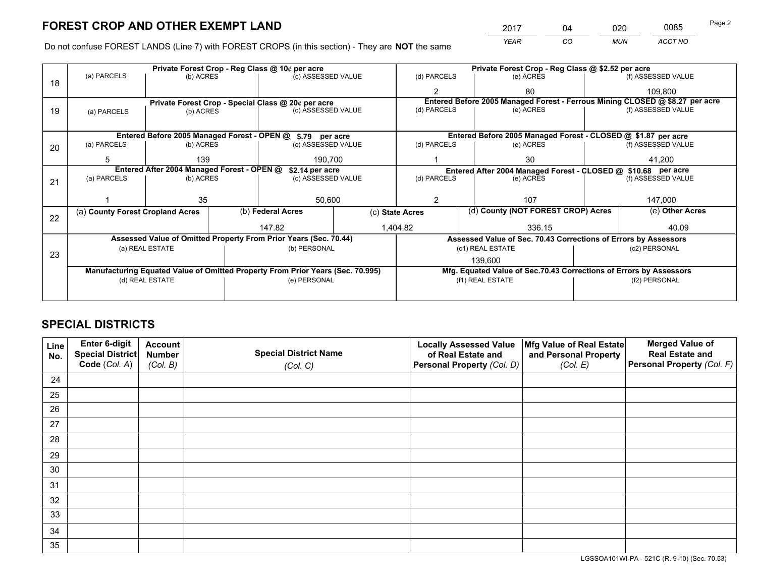*YEAR CO MUN ACCT NO* <sup>2017</sup> <sup>04</sup> <sup>020</sup> <sup>0085</sup> Page 2

Do not confuse FOREST LANDS (Line 7) with FOREST CROPS (in this section) - They are **NOT** the same

|    |                                                               |                 |  | Private Forest Crop - Reg Class @ 10¢ per acre                                 |                 | Private Forest Crop - Reg Class @ \$2.52 per acre |  |                                                                              |               |                    |  |
|----|---------------------------------------------------------------|-----------------|--|--------------------------------------------------------------------------------|-----------------|---------------------------------------------------|--|------------------------------------------------------------------------------|---------------|--------------------|--|
| 18 | (a) PARCELS                                                   | (b) ACRES       |  | (c) ASSESSED VALUE                                                             |                 | (d) PARCELS                                       |  | (e) ACRES                                                                    |               | (f) ASSESSED VALUE |  |
|    |                                                               |                 |  |                                                                                |                 | $\mathfrak{p}$                                    |  | 80                                                                           |               | 109,800            |  |
|    | Private Forest Crop - Special Class @ 20¢ per acre            |                 |  |                                                                                |                 |                                                   |  | Entered Before 2005 Managed Forest - Ferrous Mining CLOSED @ \$8.27 per acre |               |                    |  |
| 19 | (a) PARCELS                                                   | (b) ACRES       |  | (c) ASSESSED VALUE                                                             |                 | (d) PARCELS                                       |  | (e) ACRES                                                                    |               | (f) ASSESSED VALUE |  |
|    |                                                               |                 |  |                                                                                |                 |                                                   |  |                                                                              |               |                    |  |
|    | Entered Before 2005 Managed Forest - OPEN @ \$.79 per acre    |                 |  |                                                                                |                 |                                                   |  | Entered Before 2005 Managed Forest - CLOSED @ \$1.87 per acre                |               |                    |  |
| 20 | (a) PARCELS                                                   | (b) ACRES       |  | (c) ASSESSED VALUE                                                             |                 | (d) PARCELS                                       |  | (e) ACRES                                                                    |               | (f) ASSESSED VALUE |  |
|    | 5                                                             | 139             |  | 190.700                                                                        |                 |                                                   |  | 30                                                                           |               | 41,200             |  |
|    | Entered After 2004 Managed Forest - OPEN @<br>\$2.14 per acre |                 |  |                                                                                |                 |                                                   |  | Entered After 2004 Managed Forest - CLOSED @ \$10.68 per acre                |               |                    |  |
| 21 | (a) PARCELS                                                   | (b) ACRES       |  | (c) ASSESSED VALUE                                                             |                 | (d) PARCELS<br>(e) ACRES                          |  | (f) ASSESSED VALUE                                                           |               |                    |  |
|    |                                                               |                 |  |                                                                                |                 |                                                   |  |                                                                              |               |                    |  |
|    |                                                               | 35              |  | 50,600                                                                         |                 | $\mathcal{P}$                                     |  | 107                                                                          | 147,000       |                    |  |
| 22 | (a) County Forest Cropland Acres                              |                 |  | (b) Federal Acres                                                              | (c) State Acres |                                                   |  | (d) County (NOT FOREST CROP) Acres                                           |               | (e) Other Acres    |  |
|    |                                                               |                 |  | 147.82<br>1,404.82                                                             |                 |                                                   |  | 336.15                                                                       |               | 40.09              |  |
|    |                                                               |                 |  | Assessed Value of Omitted Property From Prior Years (Sec. 70.44)               |                 |                                                   |  | Assessed Value of Sec. 70.43 Corrections of Errors by Assessors              |               |                    |  |
|    |                                                               | (a) REAL ESTATE |  | (b) PERSONAL                                                                   |                 |                                                   |  | (c1) REAL ESTATE                                                             |               | (c2) PERSONAL      |  |
| 23 |                                                               |                 |  |                                                                                |                 |                                                   |  | 139.600                                                                      |               |                    |  |
|    |                                                               |                 |  | Manufacturing Equated Value of Omitted Property From Prior Years (Sec. 70.995) |                 |                                                   |  | Mfg. Equated Value of Sec.70.43 Corrections of Errors by Assessors           |               |                    |  |
|    |                                                               | (d) REAL ESTATE |  | (e) PERSONAL                                                                   |                 | (f1) REAL ESTATE                                  |  |                                                                              | (f2) PERSONAL |                    |  |
|    |                                                               |                 |  |                                                                                |                 |                                                   |  |                                                                              |               |                    |  |

## **SPECIAL DISTRICTS**

| Line<br>No. | Enter 6-digit<br><b>Special District</b> | <b>Account</b><br><b>Number</b> | <b>Special District Name</b> | <b>Locally Assessed Value</b><br>of Real Estate and | Mfg Value of Real Estate<br>and Personal Property | <b>Merged Value of</b><br><b>Real Estate and</b> |
|-------------|------------------------------------------|---------------------------------|------------------------------|-----------------------------------------------------|---------------------------------------------------|--------------------------------------------------|
|             | Code (Col. A)                            | (Col. B)                        | (Col. C)                     | Personal Property (Col. D)                          | (Col. E)                                          | Personal Property (Col. F)                       |
| 24          |                                          |                                 |                              |                                                     |                                                   |                                                  |
| 25          |                                          |                                 |                              |                                                     |                                                   |                                                  |
| 26          |                                          |                                 |                              |                                                     |                                                   |                                                  |
| 27          |                                          |                                 |                              |                                                     |                                                   |                                                  |
| 28          |                                          |                                 |                              |                                                     |                                                   |                                                  |
| 29          |                                          |                                 |                              |                                                     |                                                   |                                                  |
| 30          |                                          |                                 |                              |                                                     |                                                   |                                                  |
| 31          |                                          |                                 |                              |                                                     |                                                   |                                                  |
| 32          |                                          |                                 |                              |                                                     |                                                   |                                                  |
| 33          |                                          |                                 |                              |                                                     |                                                   |                                                  |
| 34          |                                          |                                 |                              |                                                     |                                                   |                                                  |
| 35          |                                          |                                 |                              |                                                     |                                                   |                                                  |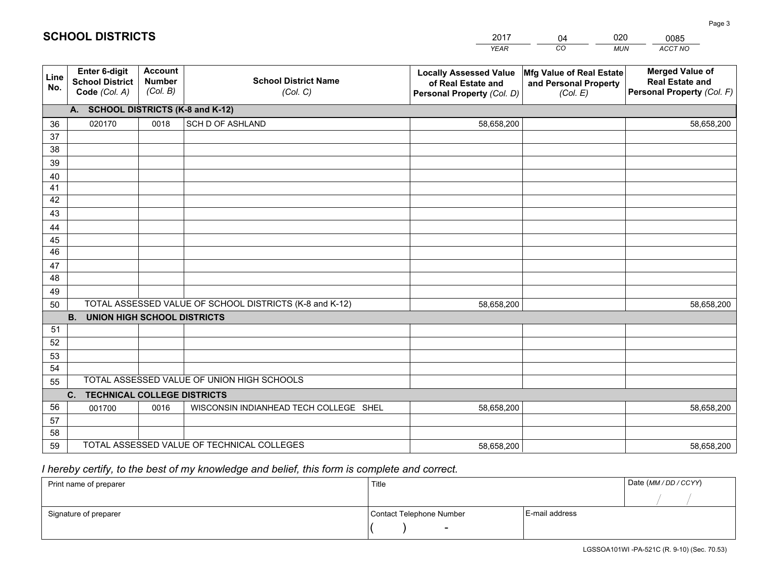|                       |                                                          |                                             |                                                         | YEAR                                                                              | CO.<br><b>MUN</b>                                             | ACCT NO                                                                        |
|-----------------------|----------------------------------------------------------|---------------------------------------------|---------------------------------------------------------|-----------------------------------------------------------------------------------|---------------------------------------------------------------|--------------------------------------------------------------------------------|
| Line<br>No.           | Enter 6-digit<br><b>School District</b><br>Code (Col. A) | <b>Account</b><br><b>Number</b><br>(Col. B) | <b>School District Name</b><br>(Col. C)                 | <b>Locally Assessed Value</b><br>of Real Estate and<br>Personal Property (Col. D) | Mfg Value of Real Estate<br>and Personal Property<br>(Col. E) | <b>Merged Value of</b><br><b>Real Estate and</b><br>Personal Property (Col. F) |
|                       | A. SCHOOL DISTRICTS (K-8 and K-12)                       |                                             |                                                         |                                                                                   |                                                               |                                                                                |
| 36                    | 020170                                                   | 0018                                        | SCH D OF ASHLAND                                        | 58,658,200                                                                        |                                                               | 58,658,200                                                                     |
| 37                    |                                                          |                                             |                                                         |                                                                                   |                                                               |                                                                                |
| 38                    |                                                          |                                             |                                                         |                                                                                   |                                                               |                                                                                |
| 39                    |                                                          |                                             |                                                         |                                                                                   |                                                               |                                                                                |
| 40                    |                                                          |                                             |                                                         |                                                                                   |                                                               |                                                                                |
| 41                    |                                                          |                                             |                                                         |                                                                                   |                                                               |                                                                                |
| 42                    |                                                          |                                             |                                                         |                                                                                   |                                                               |                                                                                |
| 43                    |                                                          |                                             |                                                         |                                                                                   |                                                               |                                                                                |
| 44                    |                                                          |                                             |                                                         |                                                                                   |                                                               |                                                                                |
| 45<br>$\overline{46}$ |                                                          |                                             |                                                         |                                                                                   |                                                               |                                                                                |
| 47                    |                                                          |                                             |                                                         |                                                                                   |                                                               |                                                                                |
| 48                    |                                                          |                                             |                                                         |                                                                                   |                                                               |                                                                                |
| 49                    |                                                          |                                             |                                                         |                                                                                   |                                                               |                                                                                |
| 50                    |                                                          |                                             | TOTAL ASSESSED VALUE OF SCHOOL DISTRICTS (K-8 and K-12) | 58,658,200                                                                        |                                                               | 58,658,200                                                                     |
|                       | <b>UNION HIGH SCHOOL DISTRICTS</b><br><b>B.</b>          |                                             |                                                         |                                                                                   |                                                               |                                                                                |
| 51                    |                                                          |                                             |                                                         |                                                                                   |                                                               |                                                                                |
| 52                    |                                                          |                                             |                                                         |                                                                                   |                                                               |                                                                                |
| 53                    |                                                          |                                             |                                                         |                                                                                   |                                                               |                                                                                |
| 54                    |                                                          |                                             |                                                         |                                                                                   |                                                               |                                                                                |
| 55                    |                                                          |                                             | TOTAL ASSESSED VALUE OF UNION HIGH SCHOOLS              |                                                                                   |                                                               |                                                                                |
|                       | C.<br><b>TECHNICAL COLLEGE DISTRICTS</b>                 |                                             |                                                         |                                                                                   |                                                               |                                                                                |
| 56                    | 001700                                                   | 0016                                        | WISCONSIN INDIANHEAD TECH COLLEGE SHEL                  | 58,658,200                                                                        |                                                               | 58,658,200                                                                     |
| 57                    |                                                          |                                             |                                                         |                                                                                   |                                                               |                                                                                |
| 58                    |                                                          |                                             |                                                         |                                                                                   |                                                               |                                                                                |
| 59                    |                                                          |                                             | TOTAL ASSESSED VALUE OF TECHNICAL COLLEGES              | 58,658,200                                                                        |                                                               | 58,658,200                                                                     |

04

020

0085

 *I hereby certify, to the best of my knowledge and belief, this form is complete and correct.*

**SCHOOL DISTRICTS**

| Print name of preparer | Title                    |                | Date (MM / DD / CCYY) |
|------------------------|--------------------------|----------------|-----------------------|
|                        |                          |                |                       |
| Signature of preparer  | Contact Telephone Number | E-mail address |                       |
|                        | -                        |                |                       |

Page 3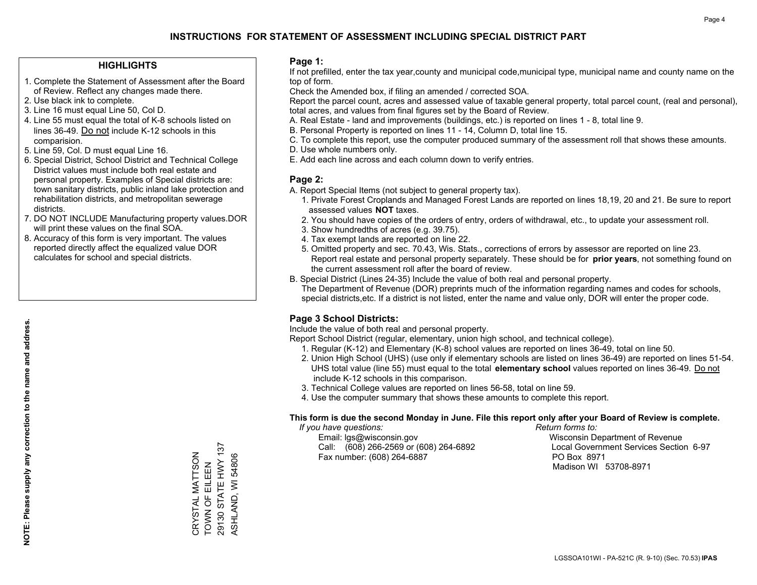#### **HIGHLIGHTS**

- 1. Complete the Statement of Assessment after the Board of Review. Reflect any changes made there.
- 2. Use black ink to complete.
- 3. Line 16 must equal Line 50, Col D.
- 4. Line 55 must equal the total of K-8 schools listed on lines 36-49. Do not include K-12 schools in this comparision.
- 5. Line 59, Col. D must equal Line 16.
- 6. Special District, School District and Technical College District values must include both real estate and personal property. Examples of Special districts are: town sanitary districts, public inland lake protection and rehabilitation districts, and metropolitan sewerage districts.
- 7. DO NOT INCLUDE Manufacturing property values.DOR will print these values on the final SOA.
- 8. Accuracy of this form is very important. The values reported directly affect the equalized value DOR calculates for school and special districts.

#### **Page 1:**

 If not prefilled, enter the tax year,county and municipal code,municipal type, municipal name and county name on the top of form.

Check the Amended box, if filing an amended / corrected SOA.

 Report the parcel count, acres and assessed value of taxable general property, total parcel count, (real and personal), total acres, and values from final figures set by the Board of Review.

- A. Real Estate land and improvements (buildings, etc.) is reported on lines 1 8, total line 9.
- B. Personal Property is reported on lines 11 14, Column D, total line 15.
- C. To complete this report, use the computer produced summary of the assessment roll that shows these amounts.
- D. Use whole numbers only.
- E. Add each line across and each column down to verify entries.

### **Page 2:**

- A. Report Special Items (not subject to general property tax).
- 1. Private Forest Croplands and Managed Forest Lands are reported on lines 18,19, 20 and 21. Be sure to report assessed values **NOT** taxes.
- 2. You should have copies of the orders of entry, orders of withdrawal, etc., to update your assessment roll.
	- 3. Show hundredths of acres (e.g. 39.75).
- 4. Tax exempt lands are reported on line 22.
- 5. Omitted property and sec. 70.43, Wis. Stats., corrections of errors by assessor are reported on line 23. Report real estate and personal property separately. These should be for **prior years**, not something found on the current assessment roll after the board of review.
- B. Special District (Lines 24-35) Include the value of both real and personal property.

 The Department of Revenue (DOR) preprints much of the information regarding names and codes for schools, special districts,etc. If a district is not listed, enter the name and value only, DOR will enter the proper code.

## **Page 3 School Districts:**

Include the value of both real and personal property.

Report School District (regular, elementary, union high school, and technical college).

- 1. Regular (K-12) and Elementary (K-8) school values are reported on lines 36-49, total on line 50.
- 2. Union High School (UHS) (use only if elementary schools are listed on lines 36-49) are reported on lines 51-54. UHS total value (line 55) must equal to the total **elementary school** values reported on lines 36-49. Do notinclude K-12 schools in this comparison.
- 3. Technical College values are reported on lines 56-58, total on line 59.
- 4. Use the computer summary that shows these amounts to complete this report.

#### **This form is due the second Monday in June. File this report only after your Board of Review is complete.**

 *If you have questions: Return forms to:*

 Email: lgs@wisconsin.gov Wisconsin Department of RevenueCall:  $(608)$  266-2569 or  $(608)$  264-6892 Fax number: (608) 264-6887 PO Box 8971

Local Government Services Section 6-97 Madison WI 53708-8971

29130 STATE HWY 137 29130 STATE HWY 137 CRYSTAL MATTSON<br>TOWN OF EILEEN CRYSTAL MATTSON ASHLAND, WI 54806 ASHLAND, WI 54806 TOWN OF EILEEN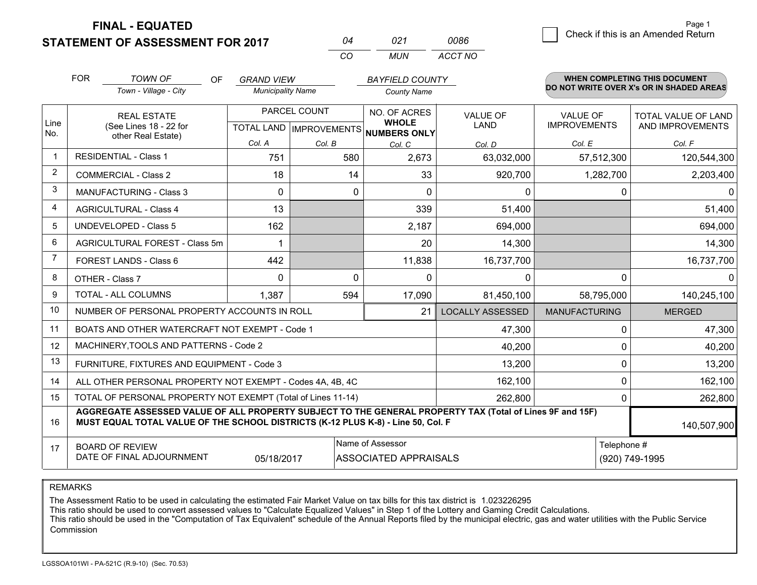**STATEMENT OF ASSESSMENT FOR 2017** 

**FINAL - EQUATED**

|                | <b>FOR</b><br><b>TOWN OF</b><br>Town - Village - City                            | OF.                                | <b>GRAND VIEW</b><br><b>Municipality Name</b> |                           |              | <b>BAYFIELD COUNTY</b><br><b>County Name</b> |                                                                                                          |                      |             | <b>WHEN COMPLETING THIS DOCUMENT</b><br>DO NOT WRITE OVER X's OR IN SHADED AREAS |
|----------------|----------------------------------------------------------------------------------|------------------------------------|-----------------------------------------------|---------------------------|--------------|----------------------------------------------|----------------------------------------------------------------------------------------------------------|----------------------|-------------|----------------------------------------------------------------------------------|
|                |                                                                                  | PARCEL COUNT<br><b>REAL ESTATE</b> |                                               |                           |              | NO. OF ACRES                                 | <b>VALUE OF</b>                                                                                          | VALUE OF             |             | TOTAL VALUE OF LAND                                                              |
| Line<br>No.    | (See Lines 18 - 22 for<br>other Real Estate)                                     |                                    |                                               | TOTAL LAND   IMPROVEMENTS |              | <b>WHOLE</b><br><b>NUMBERS ONLY</b>          | LAND                                                                                                     | <b>IMPROVEMENTS</b>  |             | AND IMPROVEMENTS                                                                 |
|                |                                                                                  |                                    | Col. A                                        | Col. B                    |              | Col. C                                       | Col. D                                                                                                   | Col. E               |             | Col. F                                                                           |
|                | <b>RESIDENTIAL - Class 1</b>                                                     |                                    | 751                                           |                           | 580          | 2,673                                        | 63,032,000                                                                                               |                      | 57,512,300  | 120,544,300                                                                      |
| 2              | <b>COMMERCIAL - Class 2</b>                                                      |                                    | 18                                            |                           | 14           | 33                                           | 920,700                                                                                                  |                      | 1,282,700   | 2,203,400                                                                        |
| 3              | <b>MANUFACTURING - Class 3</b>                                                   |                                    | 0                                             |                           | $\mathbf{0}$ | $\Omega$                                     | 0                                                                                                        |                      | 0           |                                                                                  |
| 4              | <b>AGRICULTURAL - Class 4</b>                                                    |                                    | 13                                            |                           |              | 339                                          | 51,400                                                                                                   |                      |             | 51,400                                                                           |
| 5              | <b>UNDEVELOPED - Class 5</b>                                                     |                                    | 162                                           |                           |              | 2,187                                        | 694,000                                                                                                  |                      |             | 694,000                                                                          |
| 6              | AGRICULTURAL FOREST - Class 5m                                                   |                                    |                                               |                           |              | 20                                           | 14,300                                                                                                   |                      |             | 14,300                                                                           |
| $\overline{7}$ | FOREST LANDS - Class 6                                                           |                                    | 442                                           |                           |              | 11,838                                       | 16,737,700                                                                                               |                      |             | 16,737,700                                                                       |
| 8              | OTHER - Class 7                                                                  |                                    | $\Omega$                                      |                           | $\Omega$     | $\Omega$                                     | $\Omega$                                                                                                 |                      | 0           |                                                                                  |
| 9              | TOTAL - ALL COLUMNS                                                              |                                    | 1,387                                         |                           | 594          | 17,090                                       | 81,450,100                                                                                               |                      | 58,795,000  | 140,245,100                                                                      |
| 10             | NUMBER OF PERSONAL PROPERTY ACCOUNTS IN ROLL                                     |                                    |                                               |                           |              | 21                                           | <b>LOCALLY ASSESSED</b>                                                                                  | <b>MANUFACTURING</b> |             | <b>MERGED</b>                                                                    |
| 11             | BOATS AND OTHER WATERCRAFT NOT EXEMPT - Code 1                                   |                                    |                                               |                           |              |                                              | 47,300                                                                                                   |                      | 0           | 47,300                                                                           |
| 12             | MACHINERY, TOOLS AND PATTERNS - Code 2                                           |                                    |                                               |                           |              |                                              | 40,200                                                                                                   |                      | 0           | 40,200                                                                           |
| 13             | FURNITURE, FIXTURES AND EQUIPMENT - Code 3                                       |                                    |                                               |                           |              |                                              | 13,200                                                                                                   |                      | 0           | 13,200                                                                           |
| 14             | ALL OTHER PERSONAL PROPERTY NOT EXEMPT - Codes 4A, 4B, 4C                        |                                    |                                               |                           |              |                                              | 162,100                                                                                                  |                      | $\Omega$    | 162,100                                                                          |
| 15             | TOTAL OF PERSONAL PROPERTY NOT EXEMPT (Total of Lines 11-14)                     |                                    |                                               |                           |              |                                              | 262,800                                                                                                  | 0                    |             | 262,800                                                                          |
| 16             | MUST EQUAL TOTAL VALUE OF THE SCHOOL DISTRICTS (K-12 PLUS K-8) - Line 50, Col. F |                                    |                                               |                           |              |                                              | AGGREGATE ASSESSED VALUE OF ALL PROPERTY SUBJECT TO THE GENERAL PROPERTY TAX (Total of Lines 9F and 15F) |                      |             | 140,507,900                                                                      |
| 17             | <b>BOARD OF REVIEW</b>                                                           |                                    |                                               |                           |              | Name of Assessor                             |                                                                                                          |                      | Telephone # |                                                                                  |
|                | DATE OF FINAL ADJOURNMENT<br>05/18/2017<br><b>ASSOCIATED APPRAISALS</b>          |                                    |                                               |                           |              |                                              |                                                                                                          |                      |             | (920) 749-1995                                                                   |

*CO*

*MUN*

*ACCT NO0086*

*<sup>04</sup> <sup>021</sup>*

REMARKS

The Assessment Ratio to be used in calculating the estimated Fair Market Value on tax bills for this tax district is 1.023226295<br>This ratio should be used to convert assessed values to "Calculate Equalized Values" in Step Commission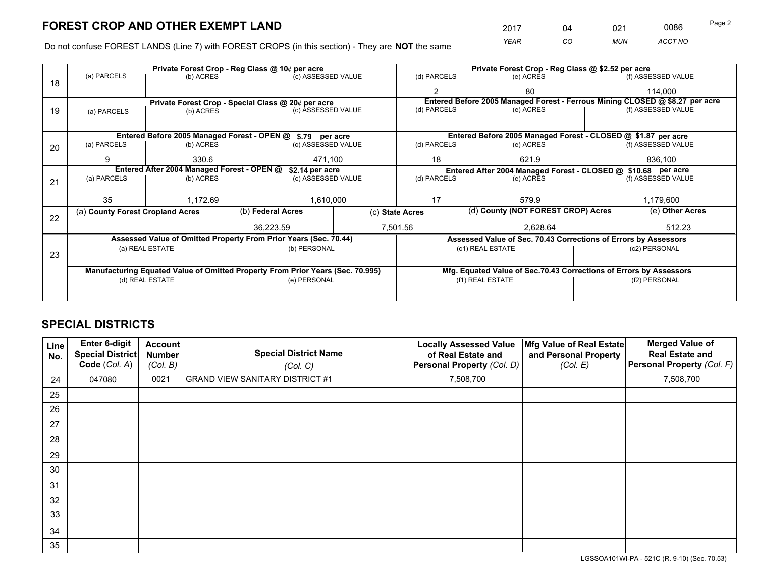*YEAR CO MUN ACCT NO* <sup>2017</sup> <sup>04</sup> <sup>021</sup> <sup>0086</sup> Page 2

Do not confuse FOREST LANDS (Line 7) with FOREST CROPS (in this section) - They are **NOT** the same

|    |                                                               |                 |  | Private Forest Crop - Reg Class @ 10¢ per acre                                 |                 | Private Forest Crop - Reg Class @ \$2.52 per acre |       |                                                                    |           |                                                                              |
|----|---------------------------------------------------------------|-----------------|--|--------------------------------------------------------------------------------|-----------------|---------------------------------------------------|-------|--------------------------------------------------------------------|-----------|------------------------------------------------------------------------------|
| 18 | (a) PARCELS                                                   | (b) ACRES       |  | (c) ASSESSED VALUE                                                             |                 | (d) PARCELS                                       |       | (e) ACRES                                                          |           | (f) ASSESSED VALUE                                                           |
|    |                                                               |                 |  |                                                                                |                 | $\mathbf{2}$                                      |       | 80                                                                 |           | 114,000                                                                      |
|    |                                                               |                 |  | Private Forest Crop - Special Class @ 20¢ per acre                             |                 |                                                   |       |                                                                    |           | Entered Before 2005 Managed Forest - Ferrous Mining CLOSED @ \$8.27 per acre |
| 19 | (a) PARCELS                                                   | (b) ACRES       |  | (c) ASSESSED VALUE                                                             |                 | (d) PARCELS                                       |       | (e) ACRES                                                          |           | (f) ASSESSED VALUE                                                           |
|    |                                                               |                 |  |                                                                                |                 |                                                   |       |                                                                    |           |                                                                              |
|    |                                                               |                 |  | Entered Before 2005 Managed Forest - OPEN @ \$.79 per acre                     |                 |                                                   |       | Entered Before 2005 Managed Forest - CLOSED @ \$1.87 per acre      |           |                                                                              |
| 20 | (a) PARCELS                                                   | (b) ACRES       |  | (c) ASSESSED VALUE                                                             |                 | (d) PARCELS                                       |       | (e) ACRES                                                          |           | (f) ASSESSED VALUE                                                           |
|    | 9                                                             | 330.6           |  |                                                                                | 18<br>471,100   |                                                   |       | 621.9                                                              | 836,100   |                                                                              |
|    | Entered After 2004 Managed Forest - OPEN @<br>\$2.14 per acre |                 |  |                                                                                |                 |                                                   |       | Entered After 2004 Managed Forest - CLOSED @ \$10.68 per acre      |           |                                                                              |
| 21 | (a) PARCELS                                                   | (b) ACRES       |  | (c) ASSESSED VALUE                                                             |                 | (d) PARCELS<br>(e) ACRES                          |       | (f) ASSESSED VALUE                                                 |           |                                                                              |
|    |                                                               |                 |  |                                                                                |                 |                                                   |       |                                                                    |           |                                                                              |
|    | 35                                                            | 1,172.69        |  | 1,610,000                                                                      |                 | 17                                                | 579.9 |                                                                    | 1,179,600 |                                                                              |
| 22 | (a) County Forest Cropland Acres                              |                 |  | (b) Federal Acres                                                              | (c) State Acres |                                                   |       | (d) County (NOT FOREST CROP) Acres                                 |           | (e) Other Acres                                                              |
|    |                                                               |                 |  | 36,223.59                                                                      |                 | 7,501.56                                          |       | 2,628.64                                                           |           | 512.23                                                                       |
|    |                                                               |                 |  | Assessed Value of Omitted Property From Prior Years (Sec. 70.44)               |                 |                                                   |       | Assessed Value of Sec. 70.43 Corrections of Errors by Assessors    |           |                                                                              |
|    |                                                               | (a) REAL ESTATE |  | (b) PERSONAL                                                                   |                 |                                                   |       | (c1) REAL ESTATE                                                   |           | (c2) PERSONAL                                                                |
| 23 |                                                               |                 |  |                                                                                |                 |                                                   |       |                                                                    |           |                                                                              |
|    |                                                               |                 |  | Manufacturing Equated Value of Omitted Property From Prior Years (Sec. 70.995) |                 |                                                   |       | Mfg. Equated Value of Sec.70.43 Corrections of Errors by Assessors |           |                                                                              |
|    |                                                               | (d) REAL ESTATE |  | (e) PERSONAL                                                                   |                 |                                                   |       | (f1) REAL ESTATE                                                   |           | (f2) PERSONAL                                                                |
|    |                                                               |                 |  |                                                                                |                 |                                                   |       |                                                                    |           |                                                                              |

## **SPECIAL DISTRICTS**

| Line<br>No. | Enter 6-digit<br><b>Special District</b><br>Code (Col. A) | <b>Account</b><br><b>Number</b><br>(Col. B) | <b>Special District Name</b><br>(Col. C) | <b>Locally Assessed Value</b><br>of Real Estate and<br>Personal Property (Col. D) | Mfg Value of Real Estate<br>and Personal Property<br>(Col. E) | <b>Merged Value of</b><br><b>Real Estate and</b><br>Personal Property (Col. F) |
|-------------|-----------------------------------------------------------|---------------------------------------------|------------------------------------------|-----------------------------------------------------------------------------------|---------------------------------------------------------------|--------------------------------------------------------------------------------|
| 24          | 047080                                                    | 0021                                        | <b>GRAND VIEW SANITARY DISTRICT #1</b>   | 7,508,700                                                                         |                                                               | 7,508,700                                                                      |
| 25          |                                                           |                                             |                                          |                                                                                   |                                                               |                                                                                |
| 26          |                                                           |                                             |                                          |                                                                                   |                                                               |                                                                                |
| 27          |                                                           |                                             |                                          |                                                                                   |                                                               |                                                                                |
| 28          |                                                           |                                             |                                          |                                                                                   |                                                               |                                                                                |
| 29          |                                                           |                                             |                                          |                                                                                   |                                                               |                                                                                |
| 30          |                                                           |                                             |                                          |                                                                                   |                                                               |                                                                                |
| 31          |                                                           |                                             |                                          |                                                                                   |                                                               |                                                                                |
| 32          |                                                           |                                             |                                          |                                                                                   |                                                               |                                                                                |
| 33          |                                                           |                                             |                                          |                                                                                   |                                                               |                                                                                |
| 34          |                                                           |                                             |                                          |                                                                                   |                                                               |                                                                                |
| 35          |                                                           |                                             |                                          |                                                                                   |                                                               |                                                                                |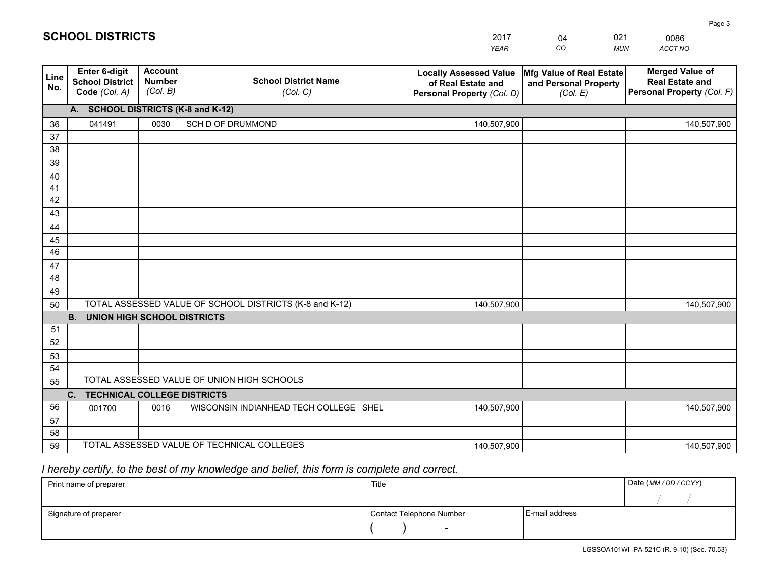|             |                                                          |                                             |                                                         | <b>YEAR</b>                                                                       | CO<br><b>MUN</b>                                              | ACCT NO                                                                        |
|-------------|----------------------------------------------------------|---------------------------------------------|---------------------------------------------------------|-----------------------------------------------------------------------------------|---------------------------------------------------------------|--------------------------------------------------------------------------------|
| Line<br>No. | Enter 6-digit<br><b>School District</b><br>Code (Col. A) | <b>Account</b><br><b>Number</b><br>(Col. B) | <b>School District Name</b><br>(Col. C)                 | <b>Locally Assessed Value</b><br>of Real Estate and<br>Personal Property (Col. D) | Mfg Value of Real Estate<br>and Personal Property<br>(Col. E) | <b>Merged Value of</b><br><b>Real Estate and</b><br>Personal Property (Col. F) |
|             | A. SCHOOL DISTRICTS (K-8 and K-12)                       |                                             |                                                         |                                                                                   |                                                               |                                                                                |
| 36          | 041491                                                   | 0030                                        | SCH D OF DRUMMOND                                       | 140,507,900                                                                       |                                                               | 140,507,900                                                                    |
| 37          |                                                          |                                             |                                                         |                                                                                   |                                                               |                                                                                |
| 38          |                                                          |                                             |                                                         |                                                                                   |                                                               |                                                                                |
| 39          |                                                          |                                             |                                                         |                                                                                   |                                                               |                                                                                |
| 40          |                                                          |                                             |                                                         |                                                                                   |                                                               |                                                                                |
| 41          |                                                          |                                             |                                                         |                                                                                   |                                                               |                                                                                |
| 42          |                                                          |                                             |                                                         |                                                                                   |                                                               |                                                                                |
| 43          |                                                          |                                             |                                                         |                                                                                   |                                                               |                                                                                |
| 44          |                                                          |                                             |                                                         |                                                                                   |                                                               |                                                                                |
| 45<br>46    |                                                          |                                             |                                                         |                                                                                   |                                                               |                                                                                |
|             |                                                          |                                             |                                                         |                                                                                   |                                                               |                                                                                |
| 47<br>48    |                                                          |                                             |                                                         |                                                                                   |                                                               |                                                                                |
| 49          |                                                          |                                             |                                                         |                                                                                   |                                                               |                                                                                |
| 50          |                                                          |                                             | TOTAL ASSESSED VALUE OF SCHOOL DISTRICTS (K-8 and K-12) | 140,507,900                                                                       |                                                               | 140,507,900                                                                    |
|             | <b>B.</b><br><b>UNION HIGH SCHOOL DISTRICTS</b>          |                                             |                                                         |                                                                                   |                                                               |                                                                                |
| 51          |                                                          |                                             |                                                         |                                                                                   |                                                               |                                                                                |
| 52          |                                                          |                                             |                                                         |                                                                                   |                                                               |                                                                                |
| 53          |                                                          |                                             |                                                         |                                                                                   |                                                               |                                                                                |
| 54          |                                                          |                                             |                                                         |                                                                                   |                                                               |                                                                                |
| 55          |                                                          |                                             | TOTAL ASSESSED VALUE OF UNION HIGH SCHOOLS              |                                                                                   |                                                               |                                                                                |
|             | C.<br><b>TECHNICAL COLLEGE DISTRICTS</b>                 |                                             |                                                         |                                                                                   |                                                               |                                                                                |
| 56          | 001700                                                   | 0016                                        | WISCONSIN INDIANHEAD TECH COLLEGE SHEL                  | 140,507,900                                                                       |                                                               | 140,507,900                                                                    |
| 57          |                                                          |                                             |                                                         |                                                                                   |                                                               |                                                                                |
| 58          |                                                          |                                             |                                                         |                                                                                   |                                                               |                                                                                |
| 59          |                                                          |                                             | TOTAL ASSESSED VALUE OF TECHNICAL COLLEGES              | 140,507,900                                                                       |                                                               | 140,507,900                                                                    |

04

021

 *I hereby certify, to the best of my knowledge and belief, this form is complete and correct.*

**SCHOOL DISTRICTS**

| Print name of preparer | Title                    |                | Date (MM / DD / CCYY) |
|------------------------|--------------------------|----------------|-----------------------|
|                        |                          |                |                       |
| Signature of preparer  | Contact Telephone Number | E-mail address |                       |
|                        | $\overline{\phantom{0}}$ |                |                       |

0086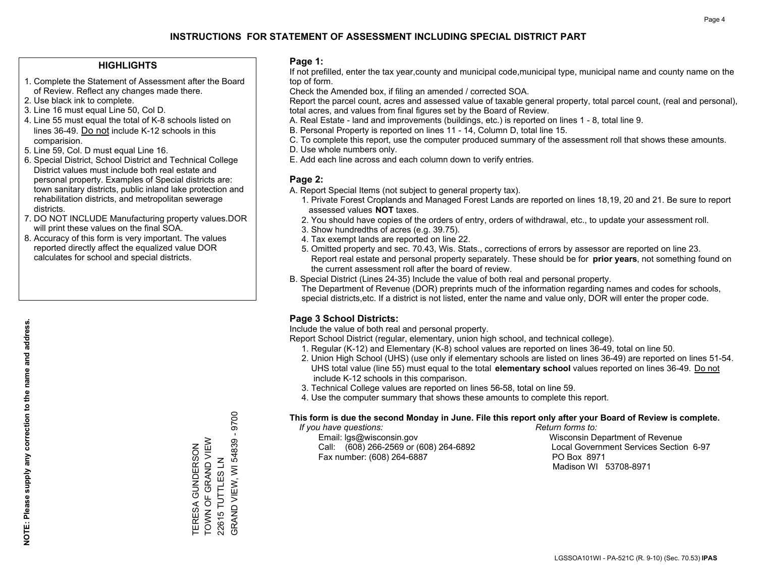#### **HIGHLIGHTS**

- 1. Complete the Statement of Assessment after the Board of Review. Reflect any changes made there.
- 2. Use black ink to complete.
- 3. Line 16 must equal Line 50, Col D.
- 4. Line 55 must equal the total of K-8 schools listed on lines 36-49. Do not include K-12 schools in this comparision.
- 5. Line 59, Col. D must equal Line 16.
- 6. Special District, School District and Technical College District values must include both real estate and personal property. Examples of Special districts are: town sanitary districts, public inland lake protection and rehabilitation districts, and metropolitan sewerage districts.
- 7. DO NOT INCLUDE Manufacturing property values.DOR will print these values on the final SOA.
- 8. Accuracy of this form is very important. The values reported directly affect the equalized value DOR calculates for school and special districts.

#### **Page 1:**

 If not prefilled, enter the tax year,county and municipal code,municipal type, municipal name and county name on the top of form.

Check the Amended box, if filing an amended / corrected SOA.

 Report the parcel count, acres and assessed value of taxable general property, total parcel count, (real and personal), total acres, and values from final figures set by the Board of Review.

- A. Real Estate land and improvements (buildings, etc.) is reported on lines 1 8, total line 9.
- B. Personal Property is reported on lines 11 14, Column D, total line 15.
- C. To complete this report, use the computer produced summary of the assessment roll that shows these amounts.
- D. Use whole numbers only.
- E. Add each line across and each column down to verify entries.

### **Page 2:**

- A. Report Special Items (not subject to general property tax).
- 1. Private Forest Croplands and Managed Forest Lands are reported on lines 18,19, 20 and 21. Be sure to report assessed values **NOT** taxes.
- 2. You should have copies of the orders of entry, orders of withdrawal, etc., to update your assessment roll.
	- 3. Show hundredths of acres (e.g. 39.75).
- 4. Tax exempt lands are reported on line 22.
- 5. Omitted property and sec. 70.43, Wis. Stats., corrections of errors by assessor are reported on line 23. Report real estate and personal property separately. These should be for **prior years**, not something found on the current assessment roll after the board of review.
- B. Special District (Lines 24-35) Include the value of both real and personal property.

 The Department of Revenue (DOR) preprints much of the information regarding names and codes for schools, special districts,etc. If a district is not listed, enter the name and value only, DOR will enter the proper code.

## **Page 3 School Districts:**

Include the value of both real and personal property.

Report School District (regular, elementary, union high school, and technical college).

- 1. Regular (K-12) and Elementary (K-8) school values are reported on lines 36-49, total on line 50.
- 2. Union High School (UHS) (use only if elementary schools are listed on lines 36-49) are reported on lines 51-54. UHS total value (line 55) must equal to the total **elementary school** values reported on lines 36-49. Do notinclude K-12 schools in this comparison.
- 3. Technical College values are reported on lines 56-58, total on line 59.
- 4. Use the computer summary that shows these amounts to complete this report.

#### **This form is due the second Monday in June. File this report only after your Board of Review is complete.**

 *If you have questions: Return forms to:*

 Email: lgs@wisconsin.gov Wisconsin Department of RevenueCall:  $(608)$  266-2569 or  $(608)$  264-6892 Fax number: (608) 264-6887 PO Box 8971

Local Government Services Section 6-97 Madison WI 53708-8971

 $-9700$ GRAND VIEW, WI 54839 - 9700 TOWN OF GRAND VIEW GRAND VIEW, WI 54839 TERESA GUNDERSON<br>TOWN OF GRAND VIEW TERESA GUNDERSON 22615 TUTTLES LN 22615 TUTTLES LN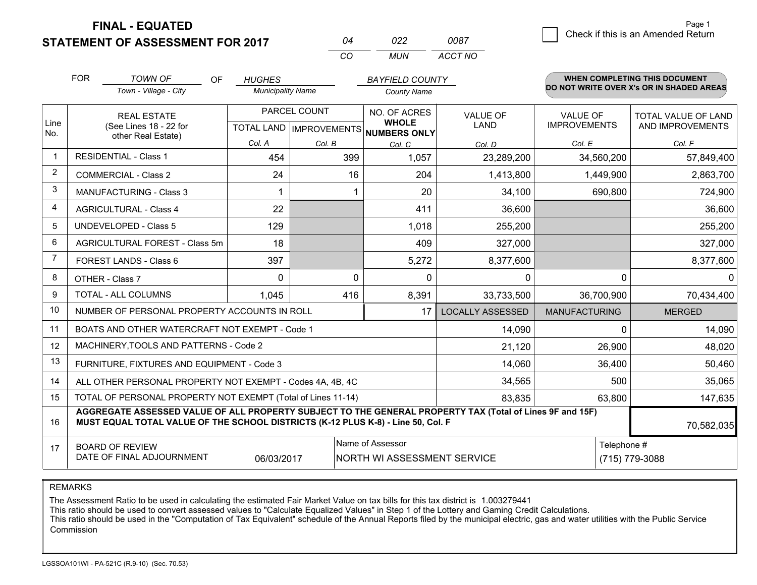**FINAL - EQUATED**

**STATEMENT OF ASSESSMENT FOR 2017** 

|          | פפח   | 0087    |
|----------|-------|---------|
| $\cdots$ | MI IN | ACCT NO |

|                         | <b>FOR</b><br><b>TOWN OF</b><br>OF<br>Town - Village - City                                                                                                                                  | <b>HUGHES</b><br><b>Municipality Name</b> |              | <b>BAYFIELD COUNTY</b><br><b>County Name</b>                         |                                |                                        | WHEN COMPLETING THIS DOCUMENT<br>DO NOT WRITE OVER X's OR IN SHADED AREAS |
|-------------------------|----------------------------------------------------------------------------------------------------------------------------------------------------------------------------------------------|-------------------------------------------|--------------|----------------------------------------------------------------------|--------------------------------|----------------------------------------|---------------------------------------------------------------------------|
| Line<br>No.             | <b>REAL ESTATE</b><br>(See Lines 18 - 22 for<br>other Real Estate)                                                                                                                           |                                           | PARCEL COUNT | NO. OF ACRES<br><b>WHOLE</b><br>TOTAL LAND IMPROVEMENTS NUMBERS ONLY | <b>VALUE OF</b><br><b>LAND</b> | <b>VALUE OF</b><br><b>IMPROVEMENTS</b> | <b>TOTAL VALUE OF LAND</b><br>AND IMPROVEMENTS                            |
| $\overline{\mathbf{1}}$ | <b>RESIDENTIAL - Class 1</b>                                                                                                                                                                 | Col. A                                    | Col. B       | Col. C                                                               | Col. D                         | Col. E                                 | Col. F                                                                    |
|                         |                                                                                                                                                                                              | 454                                       | 399          | 1,057                                                                | 23,289,200                     | 34,560,200                             | 57,849,400                                                                |
| 2                       | <b>COMMERCIAL - Class 2</b>                                                                                                                                                                  | 24                                        | 16           | 204                                                                  | 1,413,800                      | 1,449,900                              | 2,863,700                                                                 |
| 3                       | <b>MANUFACTURING - Class 3</b>                                                                                                                                                               |                                           |              | 20                                                                   | 34,100                         | 690,800                                | 724,900                                                                   |
| 4                       | <b>AGRICULTURAL - Class 4</b>                                                                                                                                                                | 22                                        |              | 411                                                                  | 36,600                         |                                        | 36,600                                                                    |
| 5                       | UNDEVELOPED - Class 5                                                                                                                                                                        | 129                                       |              | 1,018                                                                | 255,200                        |                                        | 255,200                                                                   |
| 6                       | AGRICULTURAL FOREST - Class 5m                                                                                                                                                               | 18                                        |              | 409                                                                  | 327,000                        |                                        | 327,000                                                                   |
| $\overline{7}$          | FOREST LANDS - Class 6                                                                                                                                                                       | 397                                       |              | 5,272                                                                | 8,377,600                      |                                        | 8,377,600                                                                 |
| 8                       | OTHER - Class 7                                                                                                                                                                              | $\Omega$                                  | $\Omega$     | $\mathbf{0}$                                                         | $\mathbf{0}$                   | $\Omega$                               | $\Omega$                                                                  |
| 9                       | TOTAL - ALL COLUMNS                                                                                                                                                                          | 1,045                                     | 416          | 8,391                                                                | 33,733,500                     | 36,700,900                             | 70,434,400                                                                |
| 10                      | NUMBER OF PERSONAL PROPERTY ACCOUNTS IN ROLL                                                                                                                                                 |                                           |              | 17                                                                   | <b>LOCALLY ASSESSED</b>        | <b>MANUFACTURING</b>                   | <b>MERGED</b>                                                             |
| 11                      | BOATS AND OTHER WATERCRAFT NOT EXEMPT - Code 1                                                                                                                                               |                                           |              |                                                                      | 14,090                         | $\Omega$                               | 14,090                                                                    |
| 12                      | MACHINERY, TOOLS AND PATTERNS - Code 2                                                                                                                                                       |                                           |              |                                                                      | 21,120                         | 26,900                                 | 48,020                                                                    |
| 13                      | FURNITURE, FIXTURES AND EQUIPMENT - Code 3                                                                                                                                                   |                                           |              |                                                                      | 14,060                         | 36,400                                 | 50,460                                                                    |
| 14                      | ALL OTHER PERSONAL PROPERTY NOT EXEMPT - Codes 4A, 4B, 4C                                                                                                                                    |                                           |              | 34,565                                                               | 500                            | 35,065                                 |                                                                           |
| 15                      | TOTAL OF PERSONAL PROPERTY NOT EXEMPT (Total of Lines 11-14)                                                                                                                                 |                                           |              | 83,835                                                               | 63,800                         | 147,635                                |                                                                           |
| 16                      | AGGREGATE ASSESSED VALUE OF ALL PROPERTY SUBJECT TO THE GENERAL PROPERTY TAX (Total of Lines 9F and 15F)<br>MUST EQUAL TOTAL VALUE OF THE SCHOOL DISTRICTS (K-12 PLUS K-8) - Line 50, Col. F |                                           |              |                                                                      |                                |                                        | 70,582,035                                                                |
| 17                      | <b>BOARD OF REVIEW</b><br>DATE OF FINAL ADJOURNMENT                                                                                                                                          | 06/03/2017                                |              | Name of Assessor<br>NORTH WI ASSESSMENT SERVICE                      |                                | Telephone #                            | (715) 779-3088                                                            |

REMARKS

The Assessment Ratio to be used in calculating the estimated Fair Market Value on tax bills for this tax district is 1.003279441

This ratio should be used to convert assessed values to "Calculate Equalized Values" in Step 1 of the Lottery and Gaming Credit Calculations.<br>This ratio should be used in the "Computation of Tax Equivalent" schedule of the Commission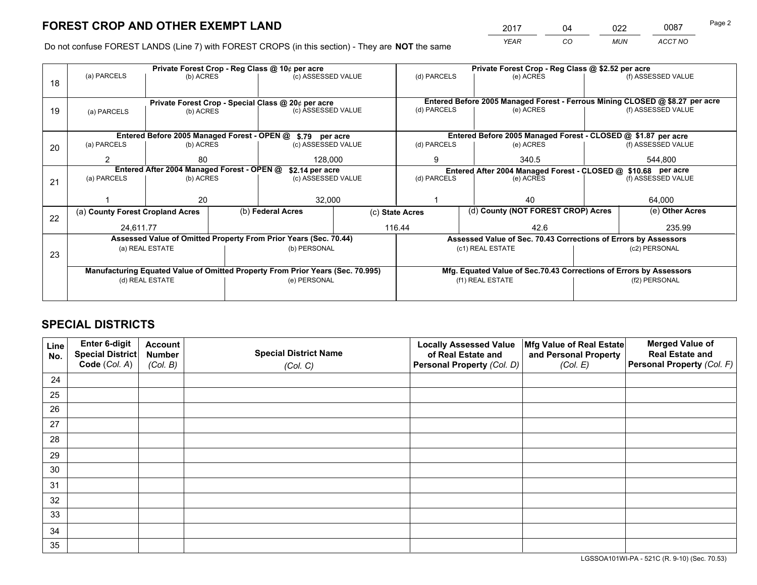*YEAR CO MUN ACCT NO* 2017 04 022 0087 Page 2

Do not confuse FOREST LANDS (Line 7) with FOREST CROPS (in this section) - They are **NOT** the same

|    |                                                               |                                                    |                                                               | Private Forest Crop - Reg Class @ 10¢ per acre                                 |  | Private Forest Crop - Reg Class @ \$2.52 per acre                            |                                                                    |        |                    |  |        |
|----|---------------------------------------------------------------|----------------------------------------------------|---------------------------------------------------------------|--------------------------------------------------------------------------------|--|------------------------------------------------------------------------------|--------------------------------------------------------------------|--------|--------------------|--|--------|
| 18 | (a) PARCELS                                                   | (b) ACRES                                          |                                                               | (c) ASSESSED VALUE                                                             |  | (d) PARCELS                                                                  | (e) ACRES                                                          |        | (f) ASSESSED VALUE |  |        |
|    |                                                               |                                                    |                                                               |                                                                                |  |                                                                              |                                                                    |        |                    |  |        |
|    |                                                               | Private Forest Crop - Special Class @ 20¢ per acre |                                                               |                                                                                |  | Entered Before 2005 Managed Forest - Ferrous Mining CLOSED @ \$8.27 per acre |                                                                    |        |                    |  |        |
| 19 | (a) PARCELS                                                   | (b) ACRES                                          |                                                               | (c) ASSESSED VALUE                                                             |  | (d) PARCELS                                                                  | (e) ACRES                                                          |        | (f) ASSESSED VALUE |  |        |
|    |                                                               |                                                    |                                                               |                                                                                |  |                                                                              |                                                                    |        |                    |  |        |
|    |                                                               |                                                    |                                                               | Entered Before 2005 Managed Forest - OPEN @ \$.79 per acre                     |  |                                                                              | Entered Before 2005 Managed Forest - CLOSED @ \$1.87 per acre      |        |                    |  |        |
| 20 | (a) PARCELS                                                   | (b) ACRES                                          |                                                               | (c) ASSESSED VALUE                                                             |  | (d) PARCELS                                                                  | (e) ACRES                                                          |        | (f) ASSESSED VALUE |  |        |
|    | 2                                                             | 80                                                 |                                                               | 128,000                                                                        |  | 9                                                                            | 340.5                                                              |        | 544,800            |  |        |
|    | Entered After 2004 Managed Forest - OPEN @<br>\$2.14 per acre |                                                    | Entered After 2004 Managed Forest - CLOSED @ \$10.68 per acre |                                                                                |  |                                                                              |                                                                    |        |                    |  |        |
| 21 | (a) PARCELS                                                   | (b) ACRES                                          |                                                               | (c) ASSESSED VALUE                                                             |  | (d) PARCELS<br>(e) ACRES                                                     |                                                                    |        | (f) ASSESSED VALUE |  |        |
|    |                                                               |                                                    |                                                               |                                                                                |  |                                                                              |                                                                    |        |                    |  |        |
|    |                                                               | 20                                                 |                                                               | 32,000                                                                         |  |                                                                              | 40                                                                 |        | 64,000             |  |        |
| 22 | (a) County Forest Cropland Acres                              |                                                    |                                                               | (b) Federal Acres                                                              |  | (d) County (NOT FOREST CROP) Acres<br>(c) State Acres                        |                                                                    |        | (e) Other Acres    |  |        |
|    |                                                               |                                                    |                                                               | 24.611.77                                                                      |  |                                                                              |                                                                    | 116.44 |                    |  | 235.99 |
|    |                                                               |                                                    |                                                               | Assessed Value of Omitted Property From Prior Years (Sec. 70.44)               |  |                                                                              | Assessed Value of Sec. 70.43 Corrections of Errors by Assessors    |        |                    |  |        |
| 23 |                                                               | (a) REAL ESTATE                                    |                                                               | (b) PERSONAL                                                                   |  |                                                                              | (c1) REAL ESTATE                                                   |        | (c2) PERSONAL      |  |        |
|    |                                                               |                                                    |                                                               |                                                                                |  |                                                                              |                                                                    |        |                    |  |        |
|    |                                                               |                                                    |                                                               | Manufacturing Equated Value of Omitted Property From Prior Years (Sec. 70.995) |  |                                                                              | Mfg. Equated Value of Sec.70.43 Corrections of Errors by Assessors |        |                    |  |        |
|    | (d) REAL ESTATE                                               |                                                    |                                                               | (e) PERSONAL                                                                   |  | (f1) REAL ESTATE                                                             |                                                                    |        | (f2) PERSONAL      |  |        |
|    |                                                               |                                                    |                                                               |                                                                                |  |                                                                              |                                                                    |        |                    |  |        |

## **SPECIAL DISTRICTS**

| Line<br>No. | Enter 6-digit<br>Special District<br>Code (Col. A) | <b>Account</b><br><b>Number</b> | <b>Special District Name</b> | <b>Locally Assessed Value</b><br>of Real Estate and | Mfg Value of Real Estate<br>and Personal Property | <b>Merged Value of</b><br><b>Real Estate and</b><br>Personal Property (Col. F) |
|-------------|----------------------------------------------------|---------------------------------|------------------------------|-----------------------------------------------------|---------------------------------------------------|--------------------------------------------------------------------------------|
|             |                                                    | (Col. B)                        | (Col. C)                     | Personal Property (Col. D)                          | (Col. E)                                          |                                                                                |
| 24          |                                                    |                                 |                              |                                                     |                                                   |                                                                                |
| 25          |                                                    |                                 |                              |                                                     |                                                   |                                                                                |
| 26          |                                                    |                                 |                              |                                                     |                                                   |                                                                                |
| 27          |                                                    |                                 |                              |                                                     |                                                   |                                                                                |
| 28          |                                                    |                                 |                              |                                                     |                                                   |                                                                                |
| 29          |                                                    |                                 |                              |                                                     |                                                   |                                                                                |
| 30          |                                                    |                                 |                              |                                                     |                                                   |                                                                                |
| 31          |                                                    |                                 |                              |                                                     |                                                   |                                                                                |
| 32          |                                                    |                                 |                              |                                                     |                                                   |                                                                                |
| 33          |                                                    |                                 |                              |                                                     |                                                   |                                                                                |
| 34          |                                                    |                                 |                              |                                                     |                                                   |                                                                                |
| 35          |                                                    |                                 |                              |                                                     |                                                   |                                                                                |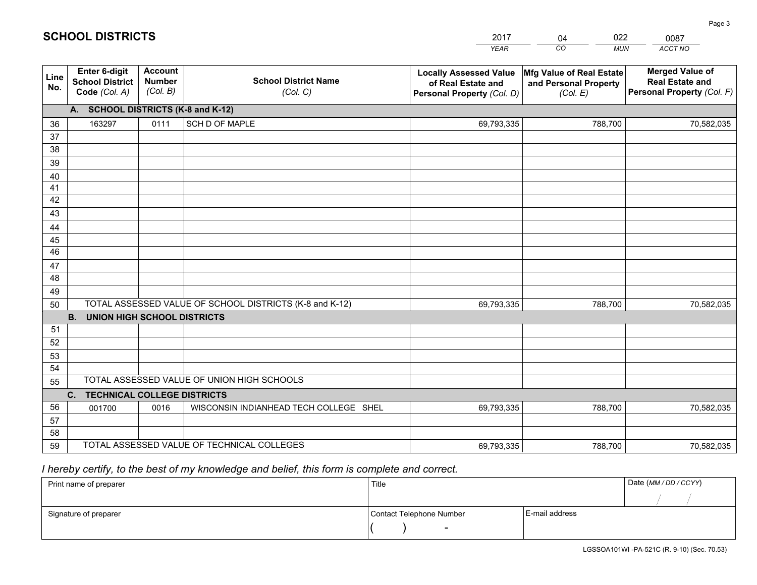|             |                                                                 |                                             |                                                         | <b>YEAR</b>                                                                       | CO<br><b>MUN</b>                                              | ACCT NO                                                                        |  |
|-------------|-----------------------------------------------------------------|---------------------------------------------|---------------------------------------------------------|-----------------------------------------------------------------------------------|---------------------------------------------------------------|--------------------------------------------------------------------------------|--|
| Line<br>No. | <b>Enter 6-digit</b><br><b>School District</b><br>Code (Col. A) | <b>Account</b><br><b>Number</b><br>(Col. B) | <b>School District Name</b><br>(Col. C)                 | <b>Locally Assessed Value</b><br>of Real Estate and<br>Personal Property (Col. D) | Mfg Value of Real Estate<br>and Personal Property<br>(Col. E) | <b>Merged Value of</b><br><b>Real Estate and</b><br>Personal Property (Col. F) |  |
|             | A. SCHOOL DISTRICTS (K-8 and K-12)                              |                                             |                                                         |                                                                                   |                                                               |                                                                                |  |
| 36          | 163297                                                          | 0111                                        | SCH D OF MAPLE                                          | 69,793,335                                                                        | 788,700                                                       | 70,582,035                                                                     |  |
| 37          |                                                                 |                                             |                                                         |                                                                                   |                                                               |                                                                                |  |
| 38          |                                                                 |                                             |                                                         |                                                                                   |                                                               |                                                                                |  |
| 39          |                                                                 |                                             |                                                         |                                                                                   |                                                               |                                                                                |  |
| 40          |                                                                 |                                             |                                                         |                                                                                   |                                                               |                                                                                |  |
| 41<br>42    |                                                                 |                                             |                                                         |                                                                                   |                                                               |                                                                                |  |
| 43          |                                                                 |                                             |                                                         |                                                                                   |                                                               |                                                                                |  |
|             |                                                                 |                                             |                                                         |                                                                                   |                                                               |                                                                                |  |
| 44<br>45    |                                                                 |                                             |                                                         |                                                                                   |                                                               |                                                                                |  |
| 46          |                                                                 |                                             |                                                         |                                                                                   |                                                               |                                                                                |  |
| 47          |                                                                 |                                             |                                                         |                                                                                   |                                                               |                                                                                |  |
| 48          |                                                                 |                                             |                                                         |                                                                                   |                                                               |                                                                                |  |
| 49          |                                                                 |                                             |                                                         |                                                                                   |                                                               |                                                                                |  |
| 50          |                                                                 |                                             | TOTAL ASSESSED VALUE OF SCHOOL DISTRICTS (K-8 and K-12) | 69,793,335                                                                        | 788,700                                                       | 70,582,035                                                                     |  |
|             | <b>B.</b><br>UNION HIGH SCHOOL DISTRICTS                        |                                             |                                                         |                                                                                   |                                                               |                                                                                |  |
| 51          |                                                                 |                                             |                                                         |                                                                                   |                                                               |                                                                                |  |
| 52          |                                                                 |                                             |                                                         |                                                                                   |                                                               |                                                                                |  |
| 53          |                                                                 |                                             |                                                         |                                                                                   |                                                               |                                                                                |  |
| 54          |                                                                 |                                             |                                                         |                                                                                   |                                                               |                                                                                |  |
|             | TOTAL ASSESSED VALUE OF UNION HIGH SCHOOLS<br>55                |                                             |                                                         |                                                                                   |                                                               |                                                                                |  |
|             | C.<br><b>TECHNICAL COLLEGE DISTRICTS</b>                        |                                             |                                                         |                                                                                   |                                                               |                                                                                |  |
| 56          | 001700                                                          | 0016                                        | WISCONSIN INDIANHEAD TECH COLLEGE SHEL                  | 69,793,335                                                                        | 788,700                                                       | 70,582,035                                                                     |  |
| 57<br>58    |                                                                 |                                             |                                                         |                                                                                   |                                                               |                                                                                |  |
| 59          |                                                                 |                                             | TOTAL ASSESSED VALUE OF TECHNICAL COLLEGES              | 69,793,335                                                                        | 788,700                                                       | 70,582,035                                                                     |  |
|             |                                                                 |                                             |                                                         |                                                                                   |                                                               |                                                                                |  |

04

022

 *I hereby certify, to the best of my knowledge and belief, this form is complete and correct.*

**SCHOOL DISTRICTS**

| Print name of preparer | Title                    |                | Date (MM / DD / CCYY) |
|------------------------|--------------------------|----------------|-----------------------|
|                        |                          |                |                       |
| Signature of preparer  | Contact Telephone Number | E-mail address |                       |
|                        | $\sim$                   |                |                       |

0087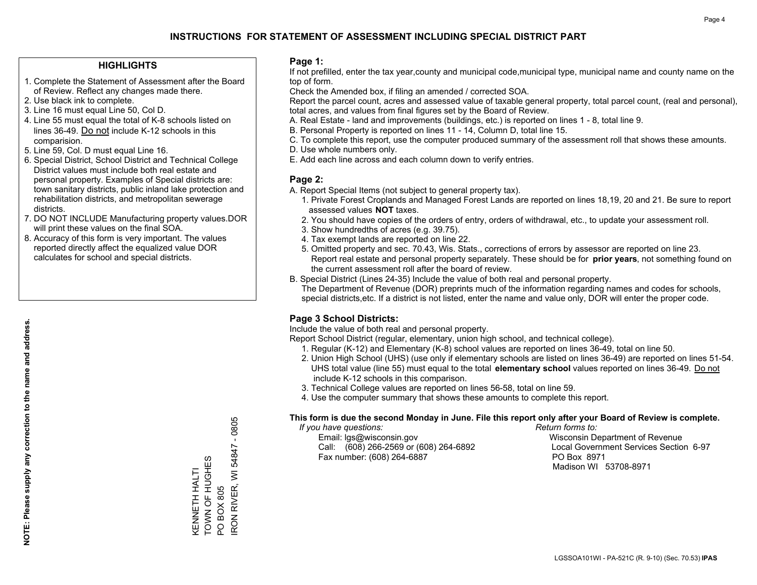#### **HIGHLIGHTS**

- 1. Complete the Statement of Assessment after the Board of Review. Reflect any changes made there.
- 2. Use black ink to complete.
- 3. Line 16 must equal Line 50, Col D.
- 4. Line 55 must equal the total of K-8 schools listed on lines 36-49. Do not include K-12 schools in this comparision.
- 5. Line 59, Col. D must equal Line 16.
- 6. Special District, School District and Technical College District values must include both real estate and personal property. Examples of Special districts are: town sanitary districts, public inland lake protection and rehabilitation districts, and metropolitan sewerage districts.
- 7. DO NOT INCLUDE Manufacturing property values.DOR will print these values on the final SOA.
- 8. Accuracy of this form is very important. The values reported directly affect the equalized value DOR calculates for school and special districts.

#### **Page 1:**

 If not prefilled, enter the tax year,county and municipal code,municipal type, municipal name and county name on the top of form.

Check the Amended box, if filing an amended / corrected SOA.

 Report the parcel count, acres and assessed value of taxable general property, total parcel count, (real and personal), total acres, and values from final figures set by the Board of Review.

- A. Real Estate land and improvements (buildings, etc.) is reported on lines 1 8, total line 9.
- B. Personal Property is reported on lines 11 14, Column D, total line 15.
- C. To complete this report, use the computer produced summary of the assessment roll that shows these amounts.
- D. Use whole numbers only.
- E. Add each line across and each column down to verify entries.

#### **Page 2:**

- A. Report Special Items (not subject to general property tax).
- 1. Private Forest Croplands and Managed Forest Lands are reported on lines 18,19, 20 and 21. Be sure to report assessed values **NOT** taxes.
- 2. You should have copies of the orders of entry, orders of withdrawal, etc., to update your assessment roll.
	- 3. Show hundredths of acres (e.g. 39.75).
- 4. Tax exempt lands are reported on line 22.
- 5. Omitted property and sec. 70.43, Wis. Stats., corrections of errors by assessor are reported on line 23. Report real estate and personal property separately. These should be for **prior years**, not something found on the current assessment roll after the board of review.
- B. Special District (Lines 24-35) Include the value of both real and personal property.

 The Department of Revenue (DOR) preprints much of the information regarding names and codes for schools, special districts,etc. If a district is not listed, enter the name and value only, DOR will enter the proper code.

## **Page 3 School Districts:**

Include the value of both real and personal property.

Report School District (regular, elementary, union high school, and technical college).

- 1. Regular (K-12) and Elementary (K-8) school values are reported on lines 36-49, total on line 50.
- 2. Union High School (UHS) (use only if elementary schools are listed on lines 36-49) are reported on lines 51-54. UHS total value (line 55) must equal to the total **elementary school** values reported on lines 36-49. Do notinclude K-12 schools in this comparison.
- 3. Technical College values are reported on lines 56-58, total on line 59.
- 4. Use the computer summary that shows these amounts to complete this report.

#### **This form is due the second Monday in June. File this report only after your Board of Review is complete.**

 *If you have questions: Return forms to:*

 Email: lgs@wisconsin.gov Wisconsin Department of RevenueCall:  $(608)$  266-2569 or  $(608)$  264-6892 Fax number: (608) 264-6887 PO Box 8971

Local Government Services Section 6-97 Madison WI 53708-8971

 $-0805$ IRON RIVER, WI 54847 - 0805 54847 TOWN OF HUGHES KENNETH HALTI<br>TOWN OF HUGHES RON RIVER, WI KENNETH HALTI **PO BOX 805** PO BOX 805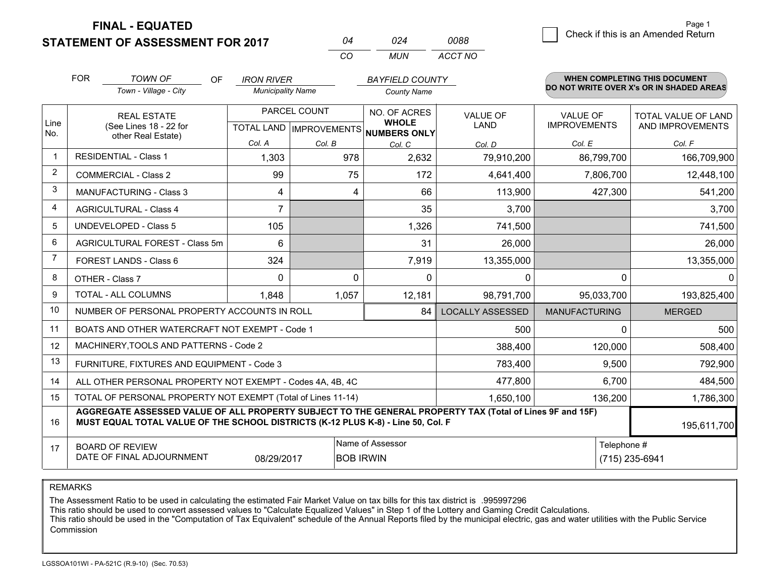**FINAL - EQUATED**

**STATEMENT OF ASSESSMENT FOR 2017** 

| Ω4  | በ24 | 0088    |
|-----|-----|---------|
| CO. | MUN | ACCT NO |

|             | <b>FOR</b>                                                                                                                                                                                   | <b>TOWN OF</b><br>OF                                         | <b>IRON RIVER</b>        |              | <b>BAYFIELD COUNTY</b>                              |                         |                      | <b>WHEN COMPLETING THIS DOCUMENT</b>     |
|-------------|----------------------------------------------------------------------------------------------------------------------------------------------------------------------------------------------|--------------------------------------------------------------|--------------------------|--------------|-----------------------------------------------------|-------------------------|----------------------|------------------------------------------|
|             |                                                                                                                                                                                              | Town - Village - City                                        | <b>Municipality Name</b> |              | <b>County Name</b>                                  |                         |                      | DO NOT WRITE OVER X's OR IN SHADED AREAS |
|             |                                                                                                                                                                                              | <b>REAL ESTATE</b>                                           |                          | PARCEL COUNT | NO. OF ACRES                                        | <b>VALUE OF</b>         | <b>VALUE OF</b>      | <b>TOTAL VALUE OF LAND</b>               |
| Line<br>No. |                                                                                                                                                                                              | (See Lines 18 - 22 for<br>other Real Estate)                 |                          |              | <b>WHOLE</b><br>TOTAL LAND MPROVEMENTS NUMBERS ONLY | <b>LAND</b>             | <b>IMPROVEMENTS</b>  | AND IMPROVEMENTS                         |
|             |                                                                                                                                                                                              |                                                              | Col. A                   | Col. B       | Col. C                                              | Col. D                  | Col. E               | Col. F                                   |
|             |                                                                                                                                                                                              | <b>RESIDENTIAL - Class 1</b>                                 | 1,303                    | 978          | 2,632                                               | 79,910,200              | 86,799,700           | 166,709,900                              |
| 2           |                                                                                                                                                                                              | <b>COMMERCIAL - Class 2</b>                                  | 99                       | 75           | 172                                                 | 4,641,400               | 7,806,700            | 12,448,100                               |
| 3           |                                                                                                                                                                                              | <b>MANUFACTURING - Class 3</b>                               | 4                        | 4            | 66                                                  | 113,900                 | 427,300              | 541,200                                  |
| 4           |                                                                                                                                                                                              | <b>AGRICULTURAL - Class 4</b>                                | $\overline{7}$           |              | 35                                                  | 3,700                   |                      | 3,700                                    |
| 5           |                                                                                                                                                                                              | UNDEVELOPED - Class 5                                        | 105                      |              | 1,326                                               | 741,500                 |                      | 741,500                                  |
| 6           |                                                                                                                                                                                              | AGRICULTURAL FOREST - Class 5m                               | 6                        |              | 31                                                  | 26,000                  |                      | 26,000                                   |
| 7           |                                                                                                                                                                                              | FOREST LANDS - Class 6                                       | 324                      |              | 7,919                                               | 13,355,000              |                      | 13,355,000                               |
| 8           |                                                                                                                                                                                              | OTHER - Class 7                                              | $\Omega$                 | $\Omega$     | $\Omega$                                            | 0                       | $\Omega$             | $\Omega$                                 |
| 9           |                                                                                                                                                                                              | TOTAL - ALL COLUMNS                                          | 1,848                    | 1,057        | 12,181                                              | 98,791,700              | 95,033,700           | 193,825,400                              |
| 10          |                                                                                                                                                                                              | NUMBER OF PERSONAL PROPERTY ACCOUNTS IN ROLL                 |                          |              | 84                                                  | <b>LOCALLY ASSESSED</b> | <b>MANUFACTURING</b> | <b>MERGED</b>                            |
| 11          |                                                                                                                                                                                              | BOATS AND OTHER WATERCRAFT NOT EXEMPT - Code 1               |                          |              |                                                     | 500                     | $\Omega$             | 500                                      |
| 12          |                                                                                                                                                                                              | MACHINERY, TOOLS AND PATTERNS - Code 2                       |                          |              |                                                     | 388,400                 | 120,000              | 508,400                                  |
| 13          |                                                                                                                                                                                              | FURNITURE, FIXTURES AND EQUIPMENT - Code 3                   |                          |              |                                                     | 783,400                 | 9,500                | 792,900                                  |
| 14          |                                                                                                                                                                                              | ALL OTHER PERSONAL PROPERTY NOT EXEMPT - Codes 4A, 4B, 4C    |                          |              |                                                     | 477,800                 | 6,700                | 484,500                                  |
| 15          |                                                                                                                                                                                              | TOTAL OF PERSONAL PROPERTY NOT EXEMPT (Total of Lines 11-14) |                          |              | 1,650,100                                           | 136,200                 | 1,786,300            |                                          |
| 16          | AGGREGATE ASSESSED VALUE OF ALL PROPERTY SUBJECT TO THE GENERAL PROPERTY TAX (Total of Lines 9F and 15F)<br>MUST EQUAL TOTAL VALUE OF THE SCHOOL DISTRICTS (K-12 PLUS K-8) - Line 50, Col. F |                                                              |                          |              |                                                     |                         | 195,611,700          |                                          |
| 17          |                                                                                                                                                                                              | <b>BOARD OF REVIEW</b>                                       |                          |              | Name of Assessor                                    |                         | Telephone #          |                                          |
|             |                                                                                                                                                                                              | DATE OF FINAL ADJOURNMENT                                    | 08/29/2017               |              | <b>BOB IRWIN</b>                                    |                         |                      | (715) 235-6941                           |

REMARKS

The Assessment Ratio to be used in calculating the estimated Fair Market Value on tax bills for this tax district is .995997296

This ratio should be used to convert assessed values to "Calculate Equalized Values" in Step 1 of the Lottery and Gaming Credit Calculations.<br>This ratio should be used in the "Computation of Tax Equivalent" schedule of the Commission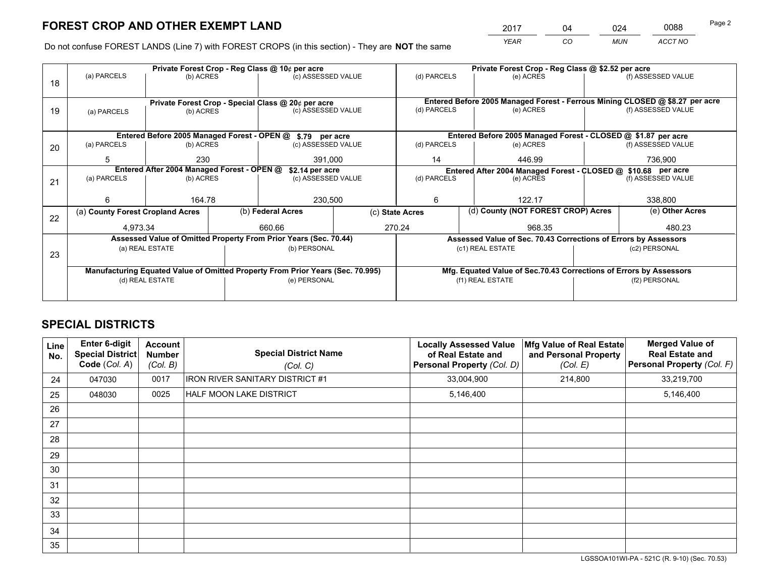*YEAR CO MUN ACCT NO* <sup>2017</sup> <sup>04</sup> <sup>024</sup> <sup>0088</sup>

Do not confuse FOREST LANDS (Line 7) with FOREST CROPS (in this section) - They are **NOT** the same

|    | Private Forest Crop - Reg Class @ 10¢ per acre |                                                               |  |                                                                                |                                                               | Private Forest Crop - Reg Class @ \$2.52 per acre                  |                                                                              |                    |                    |  |
|----|------------------------------------------------|---------------------------------------------------------------|--|--------------------------------------------------------------------------------|---------------------------------------------------------------|--------------------------------------------------------------------|------------------------------------------------------------------------------|--------------------|--------------------|--|
| 18 | (a) PARCELS                                    | (b) ACRES                                                     |  | (c) ASSESSED VALUE                                                             |                                                               | (d) PARCELS                                                        | (e) ACRES                                                                    |                    | (f) ASSESSED VALUE |  |
|    |                                                |                                                               |  | Private Forest Crop - Special Class @ 20¢ per acre                             |                                                               |                                                                    | Entered Before 2005 Managed Forest - Ferrous Mining CLOSED @ \$8.27 per acre |                    |                    |  |
| 19 | (a) PARCELS                                    | (b) ACRES                                                     |  | (c) ASSESSED VALUE                                                             |                                                               | (d) PARCELS                                                        | (e) ACRES                                                                    |                    | (f) ASSESSED VALUE |  |
|    |                                                |                                                               |  |                                                                                |                                                               |                                                                    |                                                                              |                    |                    |  |
|    |                                                | Entered Before 2005 Managed Forest - OPEN @                   |  | \$.79 per acre                                                                 |                                                               |                                                                    | Entered Before 2005 Managed Forest - CLOSED @ \$1.87 per acre                |                    |                    |  |
| 20 | (a) PARCELS                                    | (b) ACRES                                                     |  | (c) ASSESSED VALUE                                                             |                                                               | (d) PARCELS                                                        | (e) ACRES                                                                    |                    | (f) ASSESSED VALUE |  |
|    | 5                                              | 230                                                           |  | 391,000                                                                        |                                                               | 14                                                                 | 446.99                                                                       | 736,900            |                    |  |
|    |                                                | Entered After 2004 Managed Forest - OPEN @<br>\$2.14 per acre |  |                                                                                | Entered After 2004 Managed Forest - CLOSED @ \$10.68 per acre |                                                                    |                                                                              |                    |                    |  |
| 21 | (a) PARCELS                                    | (b) ACRES                                                     |  | (c) ASSESSED VALUE                                                             |                                                               | (d) PARCELS<br>(e) ACRES                                           |                                                                              | (f) ASSESSED VALUE |                    |  |
|    |                                                |                                                               |  |                                                                                |                                                               |                                                                    |                                                                              |                    |                    |  |
|    | 6                                              | 164.78                                                        |  | 230,500                                                                        |                                                               | 6                                                                  | 122.17                                                                       |                    | 338,800            |  |
| 22 | (a) County Forest Cropland Acres               |                                                               |  | (b) Federal Acres                                                              |                                                               | (c) State Acres                                                    | (d) County (NOT FOREST CROP) Acres                                           |                    | (e) Other Acres    |  |
|    | 4.973.34                                       |                                                               |  | 270.24<br>660.66                                                               |                                                               | 968.35                                                             |                                                                              |                    | 480.23             |  |
|    |                                                |                                                               |  | Assessed Value of Omitted Property From Prior Years (Sec. 70.44)               |                                                               | Assessed Value of Sec. 70.43 Corrections of Errors by Assessors    |                                                                              |                    |                    |  |
|    |                                                | (a) REAL ESTATE                                               |  | (b) PERSONAL                                                                   |                                                               | (c1) REAL ESTATE                                                   |                                                                              |                    | (c2) PERSONAL      |  |
| 23 |                                                |                                                               |  |                                                                                |                                                               |                                                                    |                                                                              |                    |                    |  |
|    |                                                |                                                               |  | Manufacturing Equated Value of Omitted Property From Prior Years (Sec. 70.995) |                                                               | Mfg. Equated Value of Sec.70.43 Corrections of Errors by Assessors |                                                                              |                    |                    |  |
|    | (d) REAL ESTATE                                |                                                               |  | (e) PERSONAL                                                                   |                                                               | (f1) REAL ESTATE                                                   |                                                                              | (f2) PERSONAL      |                    |  |
|    |                                                |                                                               |  |                                                                                |                                                               |                                                                    |                                                                              |                    |                    |  |

## **SPECIAL DISTRICTS**

| Line<br>No. | <b>Enter 6-digit</b><br>Special District<br>Code (Col. A) | <b>Account</b><br><b>Number</b><br>(Col. B) | <b>Special District Name</b><br>(Col. C) | <b>Locally Assessed Value</b><br>of Real Estate and<br><b>Personal Property (Col. D)</b> | Mfg Value of Real Estate<br>and Personal Property<br>(Col. E) | <b>Merged Value of</b><br><b>Real Estate and</b><br>Personal Property (Col. F) |
|-------------|-----------------------------------------------------------|---------------------------------------------|------------------------------------------|------------------------------------------------------------------------------------------|---------------------------------------------------------------|--------------------------------------------------------------------------------|
| 24          | 047030                                                    | 0017                                        | <b>IRON RIVER SANITARY DISTRICT #1</b>   | 33,004,900                                                                               | 214,800                                                       | 33,219,700                                                                     |
| 25          | 048030                                                    | 0025                                        | <b>HALF MOON LAKE DISTRICT</b>           | 5,146,400                                                                                |                                                               | 5,146,400                                                                      |
| 26          |                                                           |                                             |                                          |                                                                                          |                                                               |                                                                                |
| 27          |                                                           |                                             |                                          |                                                                                          |                                                               |                                                                                |
| 28          |                                                           |                                             |                                          |                                                                                          |                                                               |                                                                                |
| 29          |                                                           |                                             |                                          |                                                                                          |                                                               |                                                                                |
| 30          |                                                           |                                             |                                          |                                                                                          |                                                               |                                                                                |
| 31          |                                                           |                                             |                                          |                                                                                          |                                                               |                                                                                |
| 32          |                                                           |                                             |                                          |                                                                                          |                                                               |                                                                                |
| 33          |                                                           |                                             |                                          |                                                                                          |                                                               |                                                                                |
| 34          |                                                           |                                             |                                          |                                                                                          |                                                               |                                                                                |
| 35          |                                                           |                                             |                                          |                                                                                          |                                                               |                                                                                |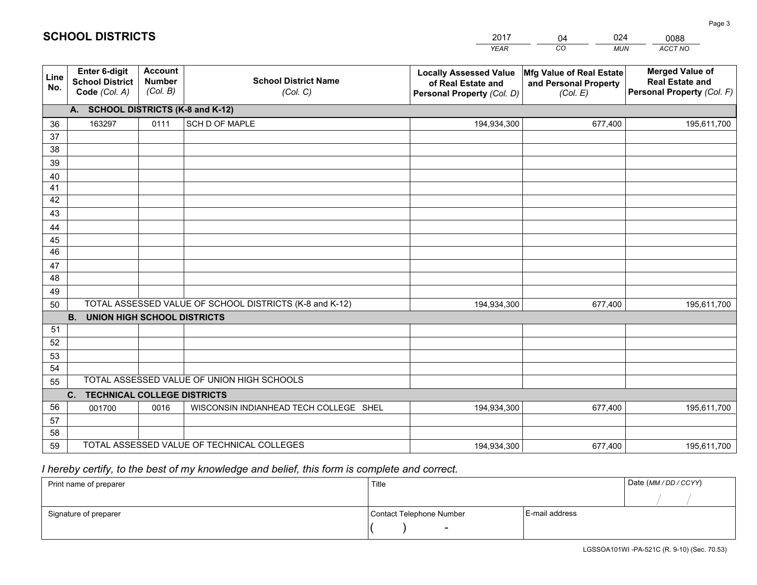|             |                                                                 |                                             |                                                         | <b>YEAR</b>                                                                       | CO<br><b>MUN</b>                                              | ACCT NO                                                                        |  |
|-------------|-----------------------------------------------------------------|---------------------------------------------|---------------------------------------------------------|-----------------------------------------------------------------------------------|---------------------------------------------------------------|--------------------------------------------------------------------------------|--|
| Line<br>No. | <b>Enter 6-digit</b><br><b>School District</b><br>Code (Col. A) | <b>Account</b><br><b>Number</b><br>(Col. B) | <b>School District Name</b><br>(Col. C)                 | <b>Locally Assessed Value</b><br>of Real Estate and<br>Personal Property (Col. D) | Mfg Value of Real Estate<br>and Personal Property<br>(Col. E) | <b>Merged Value of</b><br><b>Real Estate and</b><br>Personal Property (Col. F) |  |
|             | A. SCHOOL DISTRICTS (K-8 and K-12)                              |                                             |                                                         |                                                                                   |                                                               |                                                                                |  |
| 36          | 163297                                                          | 0111                                        | SCH D OF MAPLE                                          | 194,934,300                                                                       | 677,400                                                       | 195,611,700                                                                    |  |
| 37          |                                                                 |                                             |                                                         |                                                                                   |                                                               |                                                                                |  |
| 38          |                                                                 |                                             |                                                         |                                                                                   |                                                               |                                                                                |  |
| 39          |                                                                 |                                             |                                                         |                                                                                   |                                                               |                                                                                |  |
| 40          |                                                                 |                                             |                                                         |                                                                                   |                                                               |                                                                                |  |
| 41<br>42    |                                                                 |                                             |                                                         |                                                                                   |                                                               |                                                                                |  |
| 43          |                                                                 |                                             |                                                         |                                                                                   |                                                               |                                                                                |  |
|             |                                                                 |                                             |                                                         |                                                                                   |                                                               |                                                                                |  |
| 44<br>45    |                                                                 |                                             |                                                         |                                                                                   |                                                               |                                                                                |  |
| 46          |                                                                 |                                             |                                                         |                                                                                   |                                                               |                                                                                |  |
| 47          |                                                                 |                                             |                                                         |                                                                                   |                                                               |                                                                                |  |
| 48          |                                                                 |                                             |                                                         |                                                                                   |                                                               |                                                                                |  |
| 49          |                                                                 |                                             |                                                         |                                                                                   |                                                               |                                                                                |  |
| 50          |                                                                 |                                             | TOTAL ASSESSED VALUE OF SCHOOL DISTRICTS (K-8 and K-12) | 194,934,300                                                                       | 677,400                                                       | 195,611,700                                                                    |  |
|             | <b>B.</b><br>UNION HIGH SCHOOL DISTRICTS                        |                                             |                                                         |                                                                                   |                                                               |                                                                                |  |
| 51          |                                                                 |                                             |                                                         |                                                                                   |                                                               |                                                                                |  |
| 52          |                                                                 |                                             |                                                         |                                                                                   |                                                               |                                                                                |  |
| 53          |                                                                 |                                             |                                                         |                                                                                   |                                                               |                                                                                |  |
| 54          |                                                                 |                                             |                                                         |                                                                                   |                                                               |                                                                                |  |
|             | TOTAL ASSESSED VALUE OF UNION HIGH SCHOOLS<br>55                |                                             |                                                         |                                                                                   |                                                               |                                                                                |  |
|             | C.<br><b>TECHNICAL COLLEGE DISTRICTS</b>                        |                                             |                                                         |                                                                                   |                                                               |                                                                                |  |
| 56          | 001700                                                          | 0016                                        | WISCONSIN INDIANHEAD TECH COLLEGE SHEL                  | 194,934,300                                                                       | 677,400                                                       | 195,611,700                                                                    |  |
| 57<br>58    |                                                                 |                                             |                                                         |                                                                                   |                                                               |                                                                                |  |
| 59          |                                                                 |                                             | TOTAL ASSESSED VALUE OF TECHNICAL COLLEGES              | 194,934,300                                                                       | 677,400                                                       | 195,611,700                                                                    |  |
|             |                                                                 |                                             |                                                         |                                                                                   |                                                               |                                                                                |  |

04

024

## *I hereby certify, to the best of my knowledge and belief, this form is complete and correct.*

**SCHOOL DISTRICTS**

| Print name of preparer | Title                    |                | Date (MM / DD / CCYY) |
|------------------------|--------------------------|----------------|-----------------------|
|                        |                          |                |                       |
| Signature of preparer  | Contact Telephone Number | E-mail address |                       |
|                        | $\overline{\phantom{0}}$ |                |                       |

0088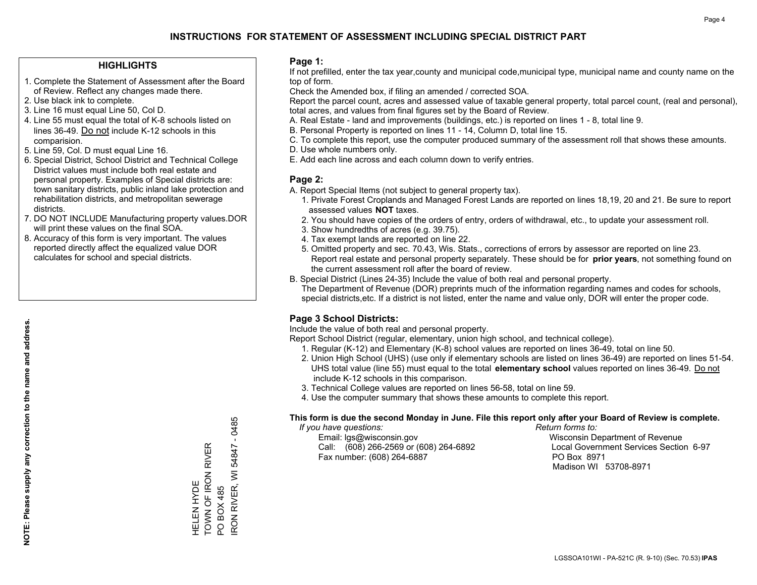#### **HIGHLIGHTS**

- 1. Complete the Statement of Assessment after the Board of Review. Reflect any changes made there.
- 2. Use black ink to complete.
- 3. Line 16 must equal Line 50, Col D.
- 4. Line 55 must equal the total of K-8 schools listed on lines 36-49. Do not include K-12 schools in this comparision.
- 5. Line 59, Col. D must equal Line 16.
- 6. Special District, School District and Technical College District values must include both real estate and personal property. Examples of Special districts are: town sanitary districts, public inland lake protection and rehabilitation districts, and metropolitan sewerage districts.
- 7. DO NOT INCLUDE Manufacturing property values.DOR will print these values on the final SOA.

HELEN HYDE

HELEN HYDE<br>TOWN OF IRON F

TOWN OF IRON RIVER

**RIVER** 

PO BOX 485

IRON RIVER, WI 54847 - 0485

RON RIVER, WI PO BOX 485

54847

 $-0485$ 

 8. Accuracy of this form is very important. The values reported directly affect the equalized value DOR calculates for school and special districts.

#### **Page 1:**

 If not prefilled, enter the tax year,county and municipal code,municipal type, municipal name and county name on the top of form.

Check the Amended box, if filing an amended / corrected SOA.

 Report the parcel count, acres and assessed value of taxable general property, total parcel count, (real and personal), total acres, and values from final figures set by the Board of Review.

- A. Real Estate land and improvements (buildings, etc.) is reported on lines 1 8, total line 9.
- B. Personal Property is reported on lines 11 14, Column D, total line 15.
- C. To complete this report, use the computer produced summary of the assessment roll that shows these amounts.
- D. Use whole numbers only.
- E. Add each line across and each column down to verify entries.

#### **Page 2:**

- A. Report Special Items (not subject to general property tax).
- 1. Private Forest Croplands and Managed Forest Lands are reported on lines 18,19, 20 and 21. Be sure to report assessed values **NOT** taxes.
- 2. You should have copies of the orders of entry, orders of withdrawal, etc., to update your assessment roll.
	- 3. Show hundredths of acres (e.g. 39.75).
- 4. Tax exempt lands are reported on line 22.
- 5. Omitted property and sec. 70.43, Wis. Stats., corrections of errors by assessor are reported on line 23. Report real estate and personal property separately. These should be for **prior years**, not something found on the current assessment roll after the board of review.
- B. Special District (Lines 24-35) Include the value of both real and personal property.

 The Department of Revenue (DOR) preprints much of the information regarding names and codes for schools, special districts,etc. If a district is not listed, enter the name and value only, DOR will enter the proper code.

## **Page 3 School Districts:**

Include the value of both real and personal property.

Report School District (regular, elementary, union high school, and technical college).

- 1. Regular (K-12) and Elementary (K-8) school values are reported on lines 36-49, total on line 50.
- 2. Union High School (UHS) (use only if elementary schools are listed on lines 36-49) are reported on lines 51-54. UHS total value (line 55) must equal to the total **elementary school** values reported on lines 36-49. Do notinclude K-12 schools in this comparison.
- 3. Technical College values are reported on lines 56-58, total on line 59.
- 4. Use the computer summary that shows these amounts to complete this report.

#### **This form is due the second Monday in June. File this report only after your Board of Review is complete.**

 *If you have questions: Return forms to:*

 Email: lgs@wisconsin.gov Wisconsin Department of RevenueCall:  $(608)$  266-2569 or  $(608)$  264-6892 Fax number: (608) 264-6887 PO Box 8971

Local Government Services Section 6-97 Madison WI 53708-8971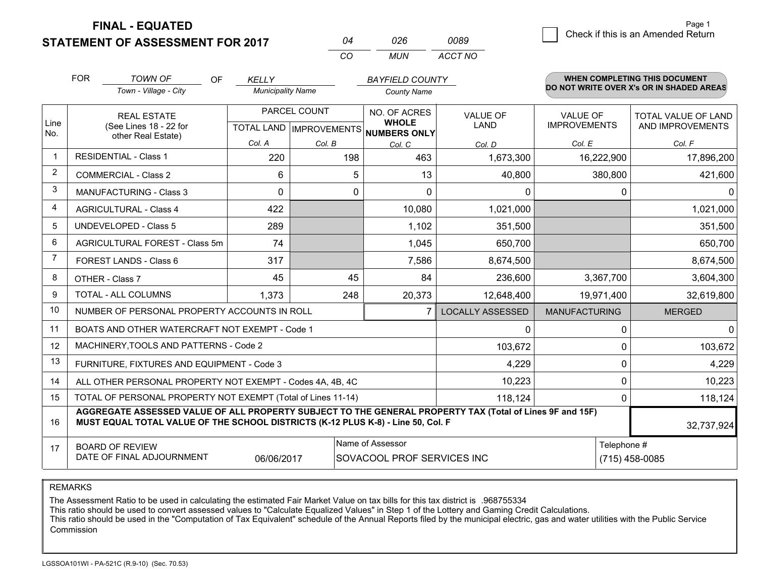**FINAL - EQUATED**

**STATEMENT OF ASSESSMENT FOR 2017** 

| 04  | 026 | 0089    |
|-----|-----|---------|
| CO. | MUN | ACCT NO |

|             | <b>FOR</b>                                                                                                                                                                                   | <b>TOWN OF</b><br>OF.                                     | <b>KELLY</b>             |        | <b>BAYFIELD COUNTY</b>                                   |                         |                      | <b>WHEN COMPLETING THIS DOCUMENT</b>     |  |
|-------------|----------------------------------------------------------------------------------------------------------------------------------------------------------------------------------------------|-----------------------------------------------------------|--------------------------|--------|----------------------------------------------------------|-------------------------|----------------------|------------------------------------------|--|
|             |                                                                                                                                                                                              | Town - Village - City                                     | <b>Municipality Name</b> |        | <b>County Name</b>                                       |                         |                      | DO NOT WRITE OVER X's OR IN SHADED AREAS |  |
|             |                                                                                                                                                                                              | <b>REAL ESTATE</b>                                        | PARCEL COUNT             |        | NO. OF ACRES                                             | VALUE OF                | <b>VALUE OF</b>      | TOTAL VALUE OF LAND                      |  |
| Line<br>No. |                                                                                                                                                                                              | (See Lines 18 - 22 for<br>other Real Estate)              |                          |        | <b>WHOLE</b><br>TOTAL LAND   IMPROVEMENTS   NUMBERS ONLY | <b>LAND</b>             | <b>IMPROVEMENTS</b>  | AND IMPROVEMENTS                         |  |
|             |                                                                                                                                                                                              |                                                           | Col. A                   | Col. B | Col. C                                                   | Col. D                  | Col. E               | Col. F                                   |  |
| $\mathbf 1$ | <b>RESIDENTIAL - Class 1</b>                                                                                                                                                                 |                                                           | 220                      | 198    | 463                                                      | 1,673,300               | 16,222,900           | 17,896,200                               |  |
| 2           |                                                                                                                                                                                              | <b>COMMERCIAL - Class 2</b>                               | 6                        | 5.     | 13                                                       | 40,800                  | 380,800              | 421,600                                  |  |
| 3           |                                                                                                                                                                                              | <b>MANUFACTURING - Class 3</b>                            | $\Omega$                 | 0      | $\Omega$                                                 | $\mathbf{0}$            | $\mathbf 0$          | $\Omega$                                 |  |
| 4           |                                                                                                                                                                                              | <b>AGRICULTURAL - Class 4</b>                             | 422                      |        | 10,080                                                   | 1,021,000               |                      | 1,021,000                                |  |
| 5           |                                                                                                                                                                                              | <b>UNDEVELOPED - Class 5</b>                              | 289                      |        | 1,102                                                    | 351,500                 |                      | 351,500                                  |  |
| 6           | AGRICULTURAL FOREST - Class 5m                                                                                                                                                               |                                                           | 74                       |        | 1,045                                                    | 650,700                 |                      | 650,700                                  |  |
| 7           | FOREST LANDS - Class 6                                                                                                                                                                       |                                                           | 317                      |        | 7,586                                                    | 8,674,500               |                      | 8,674,500                                |  |
| 8           |                                                                                                                                                                                              | OTHER - Class 7                                           | 45                       | 45     | 84                                                       | 236,600                 | 3,367,700            | 3,604,300                                |  |
| 9           |                                                                                                                                                                                              | TOTAL - ALL COLUMNS                                       | 1,373                    | 248    | 20,373                                                   | 12,648,400              | 19,971,400           | 32,619,800                               |  |
| 10          |                                                                                                                                                                                              | NUMBER OF PERSONAL PROPERTY ACCOUNTS IN ROLL              |                          |        | 7                                                        | <b>LOCALLY ASSESSED</b> | <b>MANUFACTURING</b> | <b>MERGED</b>                            |  |
| 11          |                                                                                                                                                                                              | BOATS AND OTHER WATERCRAFT NOT EXEMPT - Code 1            |                          |        |                                                          | 0                       | 0                    | $\mathbf 0$                              |  |
| 12          |                                                                                                                                                                                              | MACHINERY, TOOLS AND PATTERNS - Code 2                    |                          |        |                                                          | 103,672                 | $\Omega$             | 103,672                                  |  |
| 13          |                                                                                                                                                                                              | FURNITURE, FIXTURES AND EQUIPMENT - Code 3                |                          |        |                                                          | 4,229                   | $\mathbf 0$          | 4,229                                    |  |
| 14          |                                                                                                                                                                                              | ALL OTHER PERSONAL PROPERTY NOT EXEMPT - Codes 4A, 4B, 4C |                          |        |                                                          | 10,223                  | 0                    | 10,223                                   |  |
| 15          | TOTAL OF PERSONAL PROPERTY NOT EXEMPT (Total of Lines 11-14)<br>118,124<br>$\Omega$                                                                                                          |                                                           |                          |        |                                                          |                         |                      | 118,124                                  |  |
| 16          | AGGREGATE ASSESSED VALUE OF ALL PROPERTY SUBJECT TO THE GENERAL PROPERTY TAX (Total of Lines 9F and 15F)<br>MUST EQUAL TOTAL VALUE OF THE SCHOOL DISTRICTS (K-12 PLUS K-8) - Line 50, Col. F |                                                           |                          |        |                                                          |                         | 32,737,924           |                                          |  |
| 17          |                                                                                                                                                                                              | <b>BOARD OF REVIEW</b>                                    |                          |        | Name of Assessor                                         |                         |                      | Telephone #                              |  |
|             |                                                                                                                                                                                              | DATE OF FINAL ADJOURNMENT                                 | 06/06/2017               |        | SOVACOOL PROF SERVICES INC                               |                         |                      | $(715)$ 458-0085                         |  |

REMARKS

The Assessment Ratio to be used in calculating the estimated Fair Market Value on tax bills for this tax district is .968755334

This ratio should be used to convert assessed values to "Calculate Equalized Values" in Step 1 of the Lottery and Gaming Credit Calculations.<br>This ratio should be used in the "Computation of Tax Equivalent" schedule of the Commission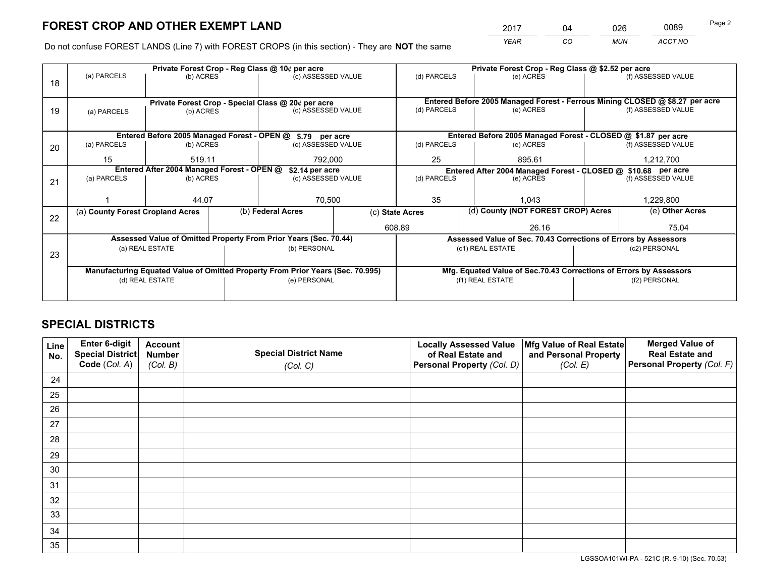*YEAR CO MUN ACCT NO* <sup>2017</sup> <sup>04</sup> <sup>026</sup> <sup>0089</sup>

Do not confuse FOREST LANDS (Line 7) with FOREST CROPS (in this section) - They are **NOT** the same

|    |                                                                                |                 |  | Private Forest Crop - Reg Class @ 10¢ per acre                   |  |                                                                              | Private Forest Crop - Reg Class @ \$2.52 per acre             |               |                    |  |
|----|--------------------------------------------------------------------------------|-----------------|--|------------------------------------------------------------------|--|------------------------------------------------------------------------------|---------------------------------------------------------------|---------------|--------------------|--|
| 18 | (a) PARCELS                                                                    | (b) ACRES       |  | (c) ASSESSED VALUE                                               |  | (d) PARCELS                                                                  | (e) ACRES                                                     |               | (f) ASSESSED VALUE |  |
|    |                                                                                |                 |  |                                                                  |  |                                                                              |                                                               |               |                    |  |
|    |                                                                                |                 |  | Private Forest Crop - Special Class @ 20¢ per acre               |  | Entered Before 2005 Managed Forest - Ferrous Mining CLOSED @ \$8.27 per acre |                                                               |               |                    |  |
| 19 | (a) PARCELS                                                                    | (b) ACRES       |  | (c) ASSESSED VALUE                                               |  | (d) PARCELS                                                                  | (e) ACRES                                                     |               | (f) ASSESSED VALUE |  |
|    |                                                                                |                 |  |                                                                  |  |                                                                              |                                                               |               |                    |  |
|    |                                                                                |                 |  | Entered Before 2005 Managed Forest - OPEN @ \$.79 per acre       |  |                                                                              | Entered Before 2005 Managed Forest - CLOSED @ \$1.87 per acre |               |                    |  |
| 20 | (a) PARCELS                                                                    | (b) ACRES       |  | (c) ASSESSED VALUE                                               |  | (d) PARCELS                                                                  | (e) ACRES                                                     |               | (f) ASSESSED VALUE |  |
|    | 15                                                                             | 519.11          |  | 792.000                                                          |  | 25                                                                           | 895.61                                                        |               | 1,212,700          |  |
|    | Entered After 2004 Managed Forest - OPEN @                                     |                 |  | \$2.14 per acre                                                  |  | Entered After 2004 Managed Forest - CLOSED @ \$10.68 per acre                |                                                               |               |                    |  |
| 21 | (a) PARCELS                                                                    | (b) ACRES       |  | (c) ASSESSED VALUE                                               |  | (d) PARCELS<br>(e) ACRES                                                     |                                                               |               | (f) ASSESSED VALUE |  |
|    |                                                                                |                 |  |                                                                  |  |                                                                              |                                                               |               |                    |  |
|    |                                                                                | 44.07           |  | 70,500                                                           |  | 35                                                                           | 1.043                                                         |               |                    |  |
| 22 | (a) County Forest Cropland Acres                                               |                 |  | (b) Federal Acres                                                |  | (d) County (NOT FOREST CROP) Acres<br>(c) State Acres                        |                                                               |               | (e) Other Acres    |  |
|    |                                                                                |                 |  |                                                                  |  | 608.89<br>26.16                                                              |                                                               |               | 75.04              |  |
|    |                                                                                |                 |  | Assessed Value of Omitted Property From Prior Years (Sec. 70.44) |  | Assessed Value of Sec. 70.43 Corrections of Errors by Assessors              |                                                               |               |                    |  |
| 23 |                                                                                | (a) REAL ESTATE |  | (b) PERSONAL                                                     |  |                                                                              | (c1) REAL ESTATE                                              |               | (c2) PERSONAL      |  |
|    |                                                                                |                 |  |                                                                  |  |                                                                              |                                                               |               |                    |  |
|    | Manufacturing Equated Value of Omitted Property From Prior Years (Sec. 70.995) |                 |  |                                                                  |  | Mfg. Equated Value of Sec.70.43 Corrections of Errors by Assessors           |                                                               |               |                    |  |
|    | (d) REAL ESTATE                                                                |                 |  | (e) PERSONAL                                                     |  | (f1) REAL ESTATE                                                             |                                                               | (f2) PERSONAL |                    |  |
|    |                                                                                |                 |  |                                                                  |  |                                                                              |                                                               |               |                    |  |

## **SPECIAL DISTRICTS**

| Line<br>No. | Enter 6-digit<br>Special District<br>Code (Col. A) | <b>Account</b><br><b>Number</b> | <b>Special District Name</b> | <b>Locally Assessed Value</b><br>of Real Estate and | Mfg Value of Real Estate<br>and Personal Property | <b>Merged Value of</b><br><b>Real Estate and</b><br>Personal Property (Col. F) |
|-------------|----------------------------------------------------|---------------------------------|------------------------------|-----------------------------------------------------|---------------------------------------------------|--------------------------------------------------------------------------------|
|             |                                                    | (Col. B)                        | (Col. C)                     | Personal Property (Col. D)                          | (Col. E)                                          |                                                                                |
| 24          |                                                    |                                 |                              |                                                     |                                                   |                                                                                |
| 25          |                                                    |                                 |                              |                                                     |                                                   |                                                                                |
| 26          |                                                    |                                 |                              |                                                     |                                                   |                                                                                |
| 27          |                                                    |                                 |                              |                                                     |                                                   |                                                                                |
| 28          |                                                    |                                 |                              |                                                     |                                                   |                                                                                |
| 29          |                                                    |                                 |                              |                                                     |                                                   |                                                                                |
| 30          |                                                    |                                 |                              |                                                     |                                                   |                                                                                |
| 31          |                                                    |                                 |                              |                                                     |                                                   |                                                                                |
| 32          |                                                    |                                 |                              |                                                     |                                                   |                                                                                |
| 33          |                                                    |                                 |                              |                                                     |                                                   |                                                                                |
| 34          |                                                    |                                 |                              |                                                     |                                                   |                                                                                |
| 35          |                                                    |                                 |                              |                                                     |                                                   |                                                                                |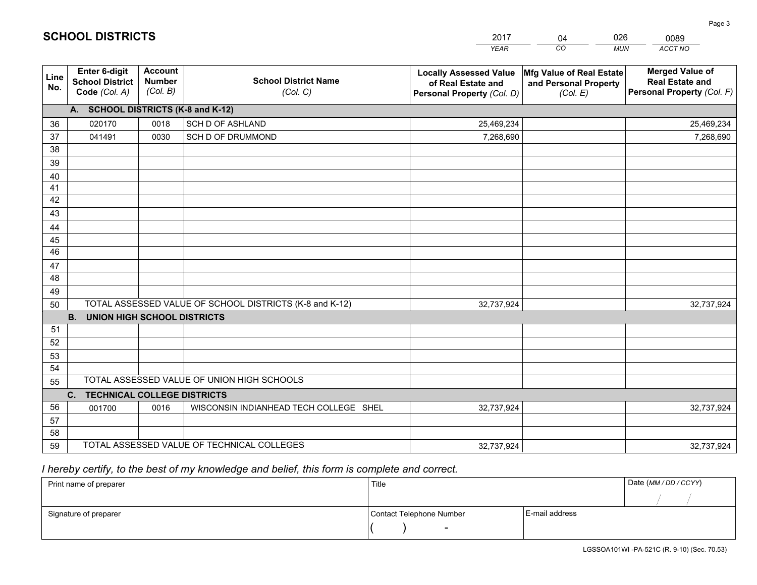|                       |                                                          |                                             |                                                         | <b>YEAR</b>                                                                       | CO<br><b>MUN</b>                                              | ACCT NO                                                                        |
|-----------------------|----------------------------------------------------------|---------------------------------------------|---------------------------------------------------------|-----------------------------------------------------------------------------------|---------------------------------------------------------------|--------------------------------------------------------------------------------|
| Line<br>No.           | Enter 6-digit<br><b>School District</b><br>Code (Col. A) | <b>Account</b><br><b>Number</b><br>(Col. B) | <b>School District Name</b><br>(Col. C)                 | <b>Locally Assessed Value</b><br>of Real Estate and<br>Personal Property (Col. D) | Mfg Value of Real Estate<br>and Personal Property<br>(Col. E) | <b>Merged Value of</b><br><b>Real Estate and</b><br>Personal Property (Col. F) |
|                       | A. SCHOOL DISTRICTS (K-8 and K-12)                       |                                             |                                                         |                                                                                   |                                                               |                                                                                |
| 36                    | 020170                                                   | 0018                                        | <b>SCH D OF ASHLAND</b>                                 | 25,469,234                                                                        |                                                               | 25,469,234                                                                     |
| 37                    | 041491                                                   | 0030                                        | SCH D OF DRUMMOND                                       | 7,268,690                                                                         |                                                               | 7,268,690                                                                      |
| 38                    |                                                          |                                             |                                                         |                                                                                   |                                                               |                                                                                |
| 39                    |                                                          |                                             |                                                         |                                                                                   |                                                               |                                                                                |
| 40                    |                                                          |                                             |                                                         |                                                                                   |                                                               |                                                                                |
| 41                    |                                                          |                                             |                                                         |                                                                                   |                                                               |                                                                                |
| 42                    |                                                          |                                             |                                                         |                                                                                   |                                                               |                                                                                |
| 43                    |                                                          |                                             |                                                         |                                                                                   |                                                               |                                                                                |
| 44                    |                                                          |                                             |                                                         |                                                                                   |                                                               |                                                                                |
| 45<br>$\overline{46}$ |                                                          |                                             |                                                         |                                                                                   |                                                               |                                                                                |
| 47                    |                                                          |                                             |                                                         |                                                                                   |                                                               |                                                                                |
| 48                    |                                                          |                                             |                                                         |                                                                                   |                                                               |                                                                                |
| 49                    |                                                          |                                             |                                                         |                                                                                   |                                                               |                                                                                |
| 50                    |                                                          |                                             | TOTAL ASSESSED VALUE OF SCHOOL DISTRICTS (K-8 and K-12) | 32,737,924                                                                        |                                                               | 32,737,924                                                                     |
|                       | <b>B.</b><br><b>UNION HIGH SCHOOL DISTRICTS</b>          |                                             |                                                         |                                                                                   |                                                               |                                                                                |
| 51                    |                                                          |                                             |                                                         |                                                                                   |                                                               |                                                                                |
| 52                    |                                                          |                                             |                                                         |                                                                                   |                                                               |                                                                                |
| 53                    |                                                          |                                             |                                                         |                                                                                   |                                                               |                                                                                |
| 54                    |                                                          |                                             |                                                         |                                                                                   |                                                               |                                                                                |
| 55                    |                                                          |                                             | TOTAL ASSESSED VALUE OF UNION HIGH SCHOOLS              |                                                                                   |                                                               |                                                                                |
|                       | C.<br><b>TECHNICAL COLLEGE DISTRICTS</b>                 |                                             |                                                         |                                                                                   |                                                               |                                                                                |
| 56                    | 001700                                                   | 0016                                        | WISCONSIN INDIANHEAD TECH COLLEGE SHEL                  | 32,737,924                                                                        |                                                               | 32,737,924                                                                     |
| 57                    |                                                          |                                             |                                                         |                                                                                   |                                                               |                                                                                |
| 58                    |                                                          |                                             |                                                         |                                                                                   |                                                               |                                                                                |
| 59                    |                                                          |                                             | TOTAL ASSESSED VALUE OF TECHNICAL COLLEGES              | 32,737,924                                                                        |                                                               | 32,737,924                                                                     |

 *I hereby certify, to the best of my knowledge and belief, this form is complete and correct.*

| Print name of preparer | Title                    |                | Date (MM / DD / CCYY) |
|------------------------|--------------------------|----------------|-----------------------|
|                        |                          |                |                       |
| Signature of preparer  | Contact Telephone Number | E-mail address |                       |
|                        | $\sim$                   |                |                       |

201704 0260089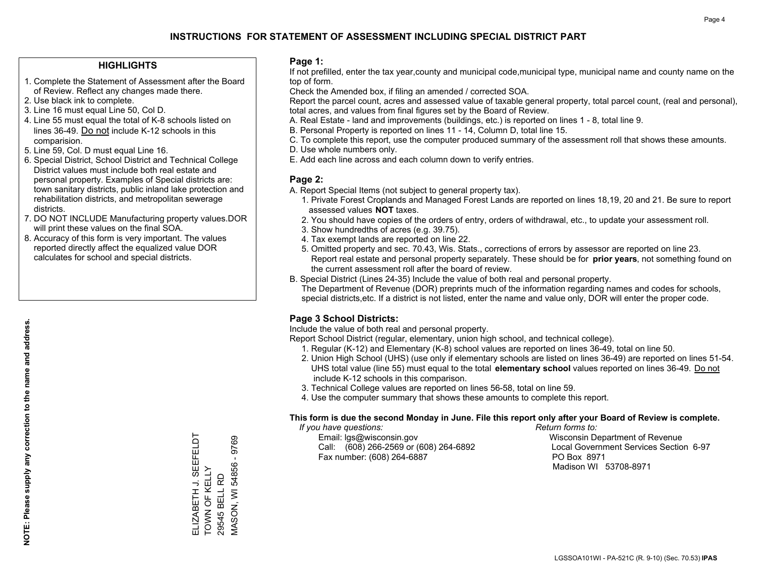#### **HIGHLIGHTS**

- 1. Complete the Statement of Assessment after the Board of Review. Reflect any changes made there.
- 2. Use black ink to complete.
- 3. Line 16 must equal Line 50, Col D.
- 4. Line 55 must equal the total of K-8 schools listed on lines 36-49. Do not include K-12 schools in this comparision.
- 5. Line 59, Col. D must equal Line 16.
- 6. Special District, School District and Technical College District values must include both real estate and personal property. Examples of Special districts are: town sanitary districts, public inland lake protection and rehabilitation districts, and metropolitan sewerage districts.
- 7. DO NOT INCLUDE Manufacturing property values.DOR will print these values on the final SOA.
- 8. Accuracy of this form is very important. The values reported directly affect the equalized value DOR calculates for school and special districts.

#### **Page 1:**

 If not prefilled, enter the tax year,county and municipal code,municipal type, municipal name and county name on the top of form.

Check the Amended box, if filing an amended / corrected SOA.

 Report the parcel count, acres and assessed value of taxable general property, total parcel count, (real and personal), total acres, and values from final figures set by the Board of Review.

- A. Real Estate land and improvements (buildings, etc.) is reported on lines 1 8, total line 9.
- B. Personal Property is reported on lines 11 14, Column D, total line 15.
- C. To complete this report, use the computer produced summary of the assessment roll that shows these amounts.
- D. Use whole numbers only.
- E. Add each line across and each column down to verify entries.

#### **Page 2:**

- A. Report Special Items (not subject to general property tax).
- 1. Private Forest Croplands and Managed Forest Lands are reported on lines 18,19, 20 and 21. Be sure to report assessed values **NOT** taxes.
- 2. You should have copies of the orders of entry, orders of withdrawal, etc., to update your assessment roll.
	- 3. Show hundredths of acres (e.g. 39.75).
- 4. Tax exempt lands are reported on line 22.
- 5. Omitted property and sec. 70.43, Wis. Stats., corrections of errors by assessor are reported on line 23. Report real estate and personal property separately. These should be for **prior years**, not something found on the current assessment roll after the board of review.
- B. Special District (Lines 24-35) Include the value of both real and personal property.
- The Department of Revenue (DOR) preprints much of the information regarding names and codes for schools, special districts,etc. If a district is not listed, enter the name and value only, DOR will enter the proper code.

## **Page 3 School Districts:**

Include the value of both real and personal property.

Report School District (regular, elementary, union high school, and technical college).

- 1. Regular (K-12) and Elementary (K-8) school values are reported on lines 36-49, total on line 50.
- 2. Union High School (UHS) (use only if elementary schools are listed on lines 36-49) are reported on lines 51-54. UHS total value (line 55) must equal to the total **elementary school** values reported on lines 36-49. Do notinclude K-12 schools in this comparison.
- 3. Technical College values are reported on lines 56-58, total on line 59.
- 4. Use the computer summary that shows these amounts to complete this report.

#### **This form is due the second Monday in June. File this report only after your Board of Review is complete.**

 *If you have questions: Return forms to:*

 Email: lgs@wisconsin.gov Wisconsin Department of RevenueCall:  $(608)$  266-2569 or  $(608)$  264-6892 Fax number: (608) 264-6887 PO Box 8971

Local Government Services Section 6-97 Madison WI 53708-8971

SEEFELDT ELIZABETH J. SEEFELDT 9769 MASON, WI 54856 - 9769 **VIASON, WI 54856** ELIZABETH J. SEE<br>TOWN OF KELLY TOWN OF KELLY 29545 BELL RD 29545 BELL RD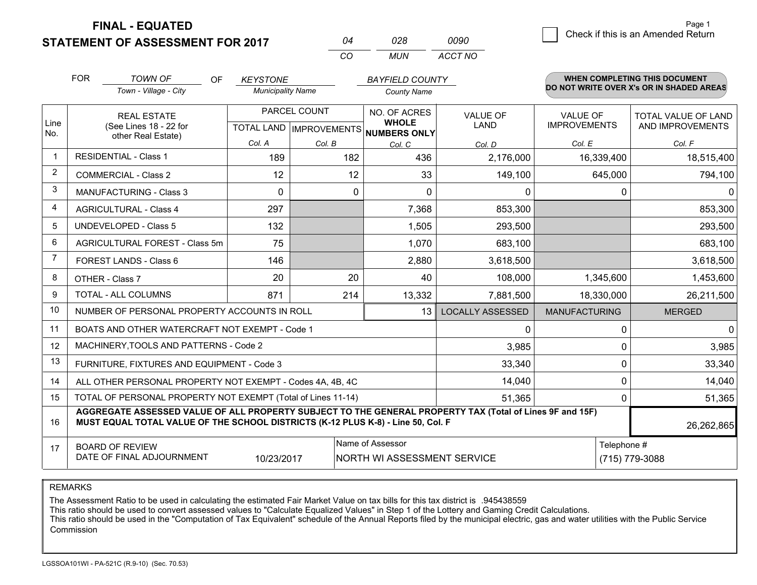**FINAL - EQUATED**

**STATEMENT OF ASSESSMENT FOR 2017** 

| N4  | 028 | nn9n    |
|-----|-----|---------|
| CO. | MUN | ACCT NO |

|                         | <b>FOR</b>                                                                                                                                                                                   | <b>TOWN OF</b><br>OF<br>Town - Village - City             | <b>KEYSTONE</b><br><b>Municipality Name</b> |                                                      | <b>BAYFIELD COUNTY</b> |                         |                      | WHEN COMPLETING THIS DOCUMENT<br>DO NOT WRITE OVER X's OR IN SHADED AREAS |
|-------------------------|----------------------------------------------------------------------------------------------------------------------------------------------------------------------------------------------|-----------------------------------------------------------|---------------------------------------------|------------------------------------------------------|------------------------|-------------------------|----------------------|---------------------------------------------------------------------------|
|                         |                                                                                                                                                                                              |                                                           |                                             |                                                      | <b>County Name</b>     |                         |                      |                                                                           |
|                         | <b>REAL ESTATE</b>                                                                                                                                                                           |                                                           | PARCEL COUNT                                |                                                      | NO. OF ACRES           | <b>VALUE OF</b>         | <b>VALUE OF</b>      | <b>TOTAL VALUE OF LAND</b>                                                |
| Line<br>No.             | (See Lines 18 - 22 for<br>other Real Estate)                                                                                                                                                 |                                                           |                                             | <b>WHOLE</b><br>TOTAL LAND IMPROVEMENTS NUMBERS ONLY | LAND                   | <b>IMPROVEMENTS</b>     | AND IMPROVEMENTS     |                                                                           |
|                         |                                                                                                                                                                                              |                                                           | Col. A                                      | Col. B                                               | Col. C                 | Col. D                  | Col. E               | Col. F                                                                    |
| -1                      | <b>RESIDENTIAL - Class 1</b>                                                                                                                                                                 |                                                           | 189                                         | 182                                                  | 436                    | 2,176,000               | 16,339,400           | 18,515,400                                                                |
| $\overline{2}$          |                                                                                                                                                                                              | <b>COMMERCIAL - Class 2</b>                               | 12                                          | 12                                                   | 33                     | 149,100                 | 645,000              | 794,100                                                                   |
| 3                       |                                                                                                                                                                                              | <b>MANUFACTURING - Class 3</b>                            | $\Omega$                                    | 0                                                    | $\Omega$               | 0                       |                      | $\Omega$<br>0                                                             |
| $\overline{\mathbf{4}}$ |                                                                                                                                                                                              | <b>AGRICULTURAL - Class 4</b>                             | 297                                         |                                                      | 7,368                  | 853,300                 |                      | 853,300                                                                   |
| 5                       |                                                                                                                                                                                              | UNDEVELOPED - Class 5                                     | 132                                         |                                                      | 1,505                  | 293,500                 |                      | 293,500                                                                   |
| 6                       | AGRICULTURAL FOREST - Class 5m                                                                                                                                                               |                                                           | 75                                          |                                                      | 1,070                  | 683,100                 |                      | 683,100                                                                   |
| $\overline{7}$          | FOREST LANDS - Class 6                                                                                                                                                                       |                                                           | 146                                         |                                                      | 2,880                  | 3,618,500               |                      | 3,618,500                                                                 |
| 8                       |                                                                                                                                                                                              | OTHER - Class 7                                           | 20                                          | 20                                                   | 40                     | 108,000                 | 1,345,600            | 1,453,600                                                                 |
| 9                       |                                                                                                                                                                                              | TOTAL - ALL COLUMNS                                       | 871                                         | 214                                                  | 13,332                 | 7,881,500               | 18,330,000           | 26,211,500                                                                |
| 10                      |                                                                                                                                                                                              | NUMBER OF PERSONAL PROPERTY ACCOUNTS IN ROLL              |                                             |                                                      | 13                     | <b>LOCALLY ASSESSED</b> | <b>MANUFACTURING</b> | <b>MERGED</b>                                                             |
| 11                      |                                                                                                                                                                                              | BOATS AND OTHER WATERCRAFT NOT EXEMPT - Code 1            |                                             |                                                      |                        | 0                       |                      | $\mathbf 0$<br>0                                                          |
| 12                      |                                                                                                                                                                                              | MACHINERY, TOOLS AND PATTERNS - Code 2                    |                                             |                                                      |                        | 3,985                   |                      | $\Omega$<br>3,985                                                         |
| 13                      |                                                                                                                                                                                              | FURNITURE, FIXTURES AND EQUIPMENT - Code 3                |                                             |                                                      |                        | 33,340                  |                      | $\mathbf 0$<br>33,340                                                     |
| 14                      |                                                                                                                                                                                              | ALL OTHER PERSONAL PROPERTY NOT EXEMPT - Codes 4A, 4B, 4C |                                             |                                                      |                        | 14,040                  |                      | $\mathbf 0$<br>14,040                                                     |
| 15                      | TOTAL OF PERSONAL PROPERTY NOT EXEMPT (Total of Lines 11-14)<br>51,365                                                                                                                       |                                                           |                                             |                                                      |                        |                         |                      | 51,365<br>0                                                               |
| 16                      | AGGREGATE ASSESSED VALUE OF ALL PROPERTY SUBJECT TO THE GENERAL PROPERTY TAX (Total of Lines 9F and 15F)<br>MUST EQUAL TOTAL VALUE OF THE SCHOOL DISTRICTS (K-12 PLUS K-8) - Line 50, Col. F |                                                           |                                             |                                                      |                        |                         | 26,262,865           |                                                                           |
| 17                      |                                                                                                                                                                                              |                                                           |                                             |                                                      | Name of Assessor       |                         |                      | Telephone #                                                               |
|                         | <b>BOARD OF REVIEW</b><br>DATE OF FINAL ADJOURNMENT<br>10/23/2017<br>NORTH WI ASSESSMENT SERVICE                                                                                             |                                                           |                                             |                                                      |                        |                         |                      | (715) 779-3088                                                            |

REMARKS

The Assessment Ratio to be used in calculating the estimated Fair Market Value on tax bills for this tax district is .945438559

This ratio should be used to convert assessed values to "Calculate Equalized Values" in Step 1 of the Lottery and Gaming Credit Calculations.<br>This ratio should be used in the "Computation of Tax Equivalent" schedule of the Commission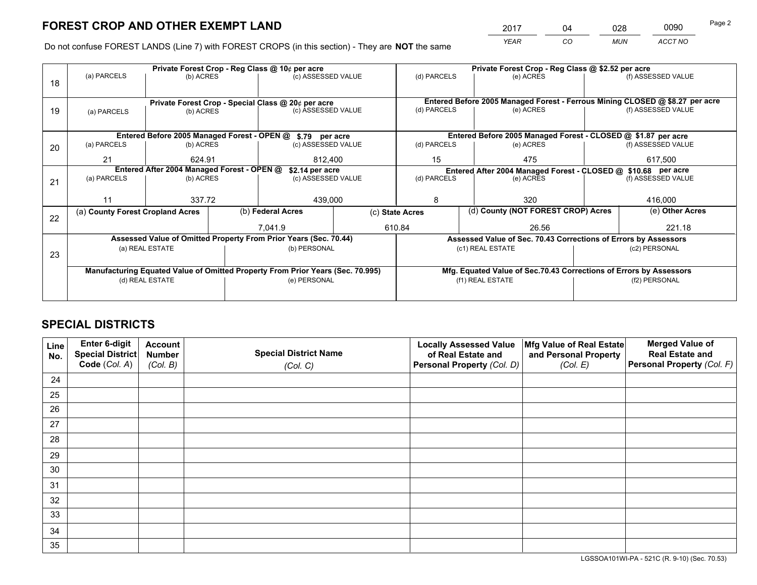*YEAR CO MUN ACCT NO* <sup>2017</sup> <sup>04</sup> <sup>028</sup> <sup>0090</sup>

Do not confuse FOREST LANDS (Line 7) with FOREST CROPS (in this section) - They are **NOT** the same

|    |                                                                                |                 |  | Private Forest Crop - Reg Class @ 10¢ per acre                   |  | Private Forest Crop - Reg Class @ \$2.52 per acre     |                                                               |           |                                                                    |                                                                              |  |
|----|--------------------------------------------------------------------------------|-----------------|--|------------------------------------------------------------------|--|-------------------------------------------------------|---------------------------------------------------------------|-----------|--------------------------------------------------------------------|------------------------------------------------------------------------------|--|
| 18 | (a) PARCELS                                                                    | (b) ACRES       |  | (c) ASSESSED VALUE                                               |  | (d) PARCELS                                           |                                                               | (e) ACRES |                                                                    | (f) ASSESSED VALUE                                                           |  |
|    |                                                                                |                 |  |                                                                  |  |                                                       |                                                               |           |                                                                    |                                                                              |  |
|    |                                                                                |                 |  | Private Forest Crop - Special Class @ 20¢ per acre               |  |                                                       |                                                               |           |                                                                    | Entered Before 2005 Managed Forest - Ferrous Mining CLOSED @ \$8.27 per acre |  |
| 19 | (a) PARCELS                                                                    | (b) ACRES       |  | (c) ASSESSED VALUE                                               |  | (d) PARCELS                                           |                                                               | (e) ACRES |                                                                    | (f) ASSESSED VALUE                                                           |  |
|    |                                                                                |                 |  |                                                                  |  |                                                       |                                                               |           |                                                                    |                                                                              |  |
|    |                                                                                |                 |  | Entered Before 2005 Managed Forest - OPEN @ \$.79 per acre       |  |                                                       |                                                               |           |                                                                    | Entered Before 2005 Managed Forest - CLOSED @ \$1.87 per acre                |  |
| 20 | (a) PARCELS                                                                    | (b) ACRES       |  | (c) ASSESSED VALUE                                               |  | (d) PARCELS                                           |                                                               | (e) ACRES |                                                                    | (f) ASSESSED VALUE                                                           |  |
|    | 21                                                                             | 624.91          |  | 812.400                                                          |  | 15                                                    |                                                               | 475       |                                                                    | 617.500                                                                      |  |
|    | Entered After 2004 Managed Forest - OPEN @<br>\$2.14 per acre                  |                 |  |                                                                  |  |                                                       | Entered After 2004 Managed Forest - CLOSED @ \$10.68 per acre |           |                                                                    |                                                                              |  |
| 21 | (a) PARCELS                                                                    | (b) ACRES       |  | (c) ASSESSED VALUE                                               |  | (d) PARCELS                                           |                                                               | (e) ACRES |                                                                    | (f) ASSESSED VALUE                                                           |  |
|    |                                                                                |                 |  |                                                                  |  |                                                       |                                                               |           |                                                                    |                                                                              |  |
|    | 11                                                                             | 337.72          |  | 439,000                                                          |  | 8                                                     |                                                               | 320       |                                                                    | 416,000                                                                      |  |
|    | (a) County Forest Cropland Acres                                               |                 |  | (b) Federal Acres                                                |  | (d) County (NOT FOREST CROP) Acres<br>(c) State Acres |                                                               |           |                                                                    | (e) Other Acres                                                              |  |
| 22 |                                                                                |                 |  | 7,041.9                                                          |  | 610.84                                                |                                                               | 26.56     |                                                                    | 221.18                                                                       |  |
|    |                                                                                |                 |  |                                                                  |  |                                                       |                                                               |           |                                                                    |                                                                              |  |
|    |                                                                                |                 |  | Assessed Value of Omitted Property From Prior Years (Sec. 70.44) |  |                                                       |                                                               |           |                                                                    | Assessed Value of Sec. 70.43 Corrections of Errors by Assessors              |  |
| 23 |                                                                                | (a) REAL ESTATE |  | (b) PERSONAL                                                     |  |                                                       | (c1) REAL ESTATE                                              |           | (c2) PERSONAL                                                      |                                                                              |  |
|    |                                                                                |                 |  |                                                                  |  |                                                       |                                                               |           |                                                                    |                                                                              |  |
|    | Manufacturing Equated Value of Omitted Property From Prior Years (Sec. 70.995) |                 |  |                                                                  |  |                                                       |                                                               |           | Mfg. Equated Value of Sec.70.43 Corrections of Errors by Assessors |                                                                              |  |
|    |                                                                                | (d) REAL ESTATE |  | (e) PERSONAL                                                     |  | (f1) REAL ESTATE                                      |                                                               |           | (f2) PERSONAL                                                      |                                                                              |  |
|    |                                                                                |                 |  |                                                                  |  |                                                       |                                                               |           |                                                                    |                                                                              |  |

## **SPECIAL DISTRICTS**

| Line<br>No. | Enter 6-digit<br>Special District<br>Code (Col. A) | <b>Account</b><br><b>Number</b> | <b>Special District Name</b> | <b>Locally Assessed Value</b><br>of Real Estate and | Mfg Value of Real Estate<br>and Personal Property | <b>Merged Value of</b><br><b>Real Estate and</b><br>Personal Property (Col. F) |
|-------------|----------------------------------------------------|---------------------------------|------------------------------|-----------------------------------------------------|---------------------------------------------------|--------------------------------------------------------------------------------|
|             |                                                    | (Col. B)                        | (Col. C)                     | Personal Property (Col. D)                          | (Col. E)                                          |                                                                                |
| 24          |                                                    |                                 |                              |                                                     |                                                   |                                                                                |
| 25          |                                                    |                                 |                              |                                                     |                                                   |                                                                                |
| 26          |                                                    |                                 |                              |                                                     |                                                   |                                                                                |
| 27          |                                                    |                                 |                              |                                                     |                                                   |                                                                                |
| 28          |                                                    |                                 |                              |                                                     |                                                   |                                                                                |
| 29          |                                                    |                                 |                              |                                                     |                                                   |                                                                                |
| 30          |                                                    |                                 |                              |                                                     |                                                   |                                                                                |
| 31          |                                                    |                                 |                              |                                                     |                                                   |                                                                                |
| 32          |                                                    |                                 |                              |                                                     |                                                   |                                                                                |
| 33          |                                                    |                                 |                              |                                                     |                                                   |                                                                                |
| 34          |                                                    |                                 |                              |                                                     |                                                   |                                                                                |
| 35          |                                                    |                                 |                              |                                                     |                                                   |                                                                                |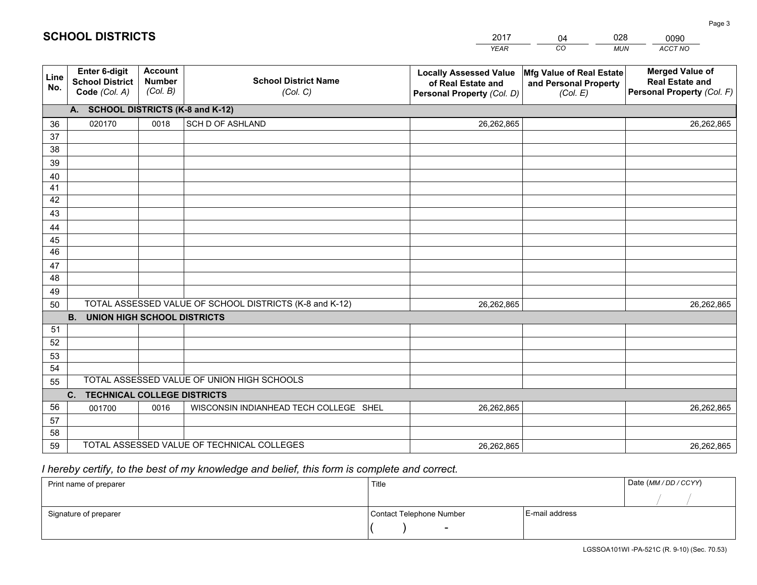|             |                                                          |                                             |                                                         | <b>YEAR</b>                                                                       | CO<br><b>MUN</b>                                              | ACCT NO                                                                        |
|-------------|----------------------------------------------------------|---------------------------------------------|---------------------------------------------------------|-----------------------------------------------------------------------------------|---------------------------------------------------------------|--------------------------------------------------------------------------------|
| Line<br>No. | Enter 6-digit<br><b>School District</b><br>Code (Col. A) | <b>Account</b><br><b>Number</b><br>(Col. B) | <b>School District Name</b><br>(Col. C)                 | <b>Locally Assessed Value</b><br>of Real Estate and<br>Personal Property (Col. D) | Mfg Value of Real Estate<br>and Personal Property<br>(Col. E) | <b>Merged Value of</b><br><b>Real Estate and</b><br>Personal Property (Col. F) |
|             | A. SCHOOL DISTRICTS (K-8 and K-12)                       |                                             |                                                         |                                                                                   |                                                               |                                                                                |
| 36          | 020170                                                   | 0018                                        | <b>SCH D OF ASHLAND</b>                                 | 26,262,865                                                                        |                                                               | 26,262,865                                                                     |
| 37          |                                                          |                                             |                                                         |                                                                                   |                                                               |                                                                                |
| 38          |                                                          |                                             |                                                         |                                                                                   |                                                               |                                                                                |
| 39          |                                                          |                                             |                                                         |                                                                                   |                                                               |                                                                                |
| 40          |                                                          |                                             |                                                         |                                                                                   |                                                               |                                                                                |
| 41          |                                                          |                                             |                                                         |                                                                                   |                                                               |                                                                                |
| 42          |                                                          |                                             |                                                         |                                                                                   |                                                               |                                                                                |
| 43          |                                                          |                                             |                                                         |                                                                                   |                                                               |                                                                                |
| 44<br>45    |                                                          |                                             |                                                         |                                                                                   |                                                               |                                                                                |
| 46          |                                                          |                                             |                                                         |                                                                                   |                                                               |                                                                                |
| 47          |                                                          |                                             |                                                         |                                                                                   |                                                               |                                                                                |
| 48          |                                                          |                                             |                                                         |                                                                                   |                                                               |                                                                                |
| 49          |                                                          |                                             |                                                         |                                                                                   |                                                               |                                                                                |
| 50          |                                                          |                                             | TOTAL ASSESSED VALUE OF SCHOOL DISTRICTS (K-8 and K-12) | 26,262,865                                                                        |                                                               | 26,262,865                                                                     |
|             | <b>B.</b><br><b>UNION HIGH SCHOOL DISTRICTS</b>          |                                             |                                                         |                                                                                   |                                                               |                                                                                |
| 51          |                                                          |                                             |                                                         |                                                                                   |                                                               |                                                                                |
| 52          |                                                          |                                             |                                                         |                                                                                   |                                                               |                                                                                |
| 53          |                                                          |                                             |                                                         |                                                                                   |                                                               |                                                                                |
| 54          |                                                          |                                             |                                                         |                                                                                   |                                                               |                                                                                |
| 55          |                                                          |                                             | TOTAL ASSESSED VALUE OF UNION HIGH SCHOOLS              |                                                                                   |                                                               |                                                                                |
|             | $C_{1}$<br><b>TECHNICAL COLLEGE DISTRICTS</b>            |                                             |                                                         |                                                                                   |                                                               |                                                                                |
| 56          | 001700                                                   | 0016                                        | WISCONSIN INDIANHEAD TECH COLLEGE SHEL                  | 26,262,865                                                                        |                                                               | 26,262,865                                                                     |
| 57          |                                                          |                                             |                                                         |                                                                                   |                                                               |                                                                                |
| 58          |                                                          |                                             |                                                         |                                                                                   |                                                               |                                                                                |
| 59          |                                                          |                                             | TOTAL ASSESSED VALUE OF TECHNICAL COLLEGES              | 26,262,865                                                                        |                                                               | 26,262,865                                                                     |

04

028

0090

 *I hereby certify, to the best of my knowledge and belief, this form is complete and correct.*

**SCHOOL DISTRICTS**

| Print name of preparer | Title                    |                | Date (MM/DD/CCYY) |
|------------------------|--------------------------|----------------|-------------------|
|                        |                          |                |                   |
| Signature of preparer  | Contact Telephone Number | E-mail address |                   |
|                        | $\overline{\phantom{0}}$ |                |                   |

Page 3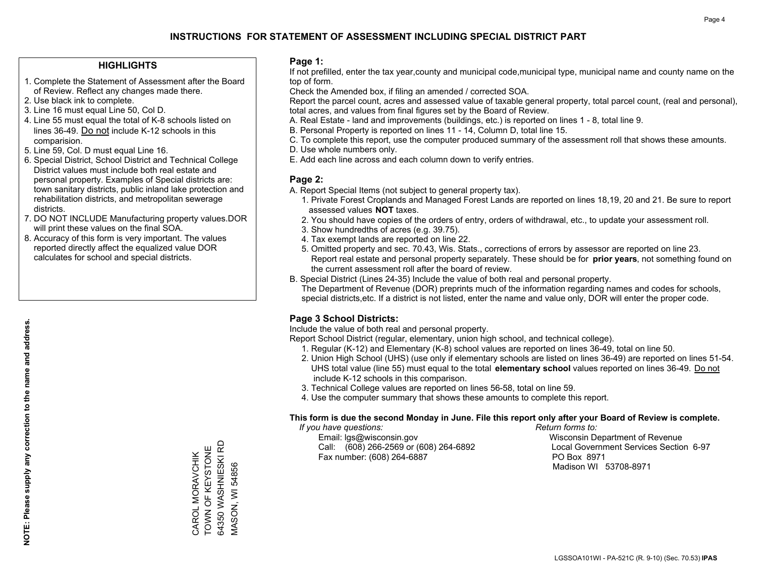#### **HIGHLIGHTS**

- 1. Complete the Statement of Assessment after the Board of Review. Reflect any changes made there.
- 2. Use black ink to complete.
- 3. Line 16 must equal Line 50, Col D.
- 4. Line 55 must equal the total of K-8 schools listed on lines 36-49. Do not include K-12 schools in this comparision.
- 5. Line 59, Col. D must equal Line 16.
- 6. Special District, School District and Technical College District values must include both real estate and personal property. Examples of Special districts are: town sanitary districts, public inland lake protection and rehabilitation districts, and metropolitan sewerage districts.
- 7. DO NOT INCLUDE Manufacturing property values.DOR will print these values on the final SOA.

CAROL MORAVCHIK TOWN OF KEYSTONE 64350 WASHNIESKI RD MASON, WI 54856

64350 WASHNIESKI RD CAROL MORAVCHIK<br>TOWN OF KEYSTONE

**VIASON, WI 54856** 

 8. Accuracy of this form is very important. The values reported directly affect the equalized value DOR calculates for school and special districts.

#### **Page 1:**

 If not prefilled, enter the tax year,county and municipal code,municipal type, municipal name and county name on the top of form.

Check the Amended box, if filing an amended / corrected SOA.

 Report the parcel count, acres and assessed value of taxable general property, total parcel count, (real and personal), total acres, and values from final figures set by the Board of Review.

- A. Real Estate land and improvements (buildings, etc.) is reported on lines 1 8, total line 9.
- B. Personal Property is reported on lines 11 14, Column D, total line 15.
- C. To complete this report, use the computer produced summary of the assessment roll that shows these amounts.
- D. Use whole numbers only.
- E. Add each line across and each column down to verify entries.

### **Page 2:**

- A. Report Special Items (not subject to general property tax).
- 1. Private Forest Croplands and Managed Forest Lands are reported on lines 18,19, 20 and 21. Be sure to report assessed values **NOT** taxes.
- 2. You should have copies of the orders of entry, orders of withdrawal, etc., to update your assessment roll.
	- 3. Show hundredths of acres (e.g. 39.75).
- 4. Tax exempt lands are reported on line 22.
- 5. Omitted property and sec. 70.43, Wis. Stats., corrections of errors by assessor are reported on line 23. Report real estate and personal property separately. These should be for **prior years**, not something found on the current assessment roll after the board of review.
- B. Special District (Lines 24-35) Include the value of both real and personal property.
- The Department of Revenue (DOR) preprints much of the information regarding names and codes for schools, special districts,etc. If a district is not listed, enter the name and value only, DOR will enter the proper code.

## **Page 3 School Districts:**

Include the value of both real and personal property.

Report School District (regular, elementary, union high school, and technical college).

- 1. Regular (K-12) and Elementary (K-8) school values are reported on lines 36-49, total on line 50.
- 2. Union High School (UHS) (use only if elementary schools are listed on lines 36-49) are reported on lines 51-54. UHS total value (line 55) must equal to the total **elementary school** values reported on lines 36-49. Do notinclude K-12 schools in this comparison.
- 3. Technical College values are reported on lines 56-58, total on line 59.
- 4. Use the computer summary that shows these amounts to complete this report.

#### **This form is due the second Monday in June. File this report only after your Board of Review is complete.**

 *If you have questions: Return forms to:*

 Email: lgs@wisconsin.gov Wisconsin Department of RevenueCall:  $(608)$  266-2569 or  $(608)$  264-6892 Fax number: (608) 264-6887 PO Box 8971

Local Government Services Section 6-97 Madison WI 53708-8971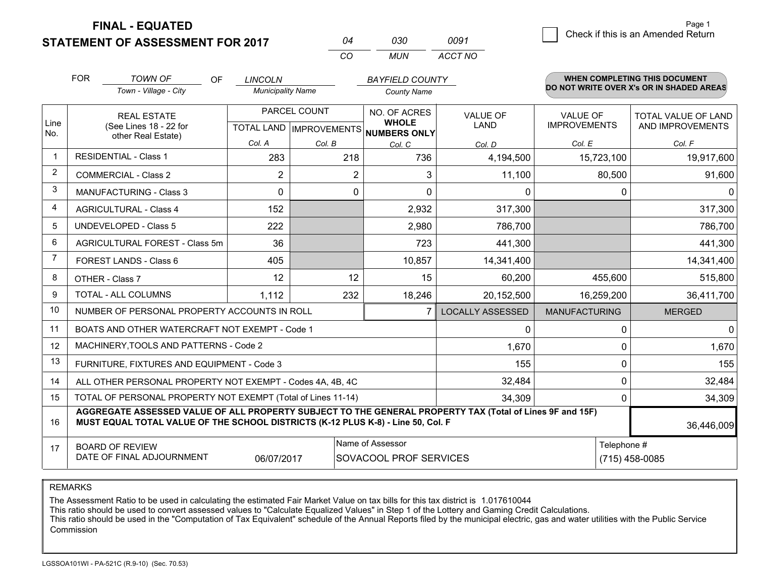**FINAL - EQUATED**

**STATEMENT OF ASSESSMENT FOR 2017** 

| በ4  | กจก  | nn91    |
|-----|------|---------|
| CO. | MUN. | ACCT NO |

|                | <b>FOR</b><br><b>TOWN OF</b><br>Town - Village - City                                                                                                                                        | <b>OF</b> | <b>LINCOLN</b><br><b>Municipality Name</b> |              | <b>BAYFIELD COUNTY</b><br><b>County Name</b>         |                         |                      | WHEN COMPLETING THIS DOCUMENT<br>DO NOT WRITE OVER X's OR IN SHADED AREAS |
|----------------|----------------------------------------------------------------------------------------------------------------------------------------------------------------------------------------------|-----------|--------------------------------------------|--------------|------------------------------------------------------|-------------------------|----------------------|---------------------------------------------------------------------------|
|                | <b>REAL ESTATE</b>                                                                                                                                                                           |           |                                            | PARCEL COUNT | NO. OF ACRES                                         | <b>VALUE OF</b>         | VALUE OF             | TOTAL VALUE OF LAND                                                       |
| Line<br>No.    | (See Lines 18 - 22 for<br>other Real Estate)                                                                                                                                                 |           |                                            |              | <b>WHOLE</b><br>TOTAL LAND IMPROVEMENTS NUMBERS ONLY | <b>LAND</b>             | <b>IMPROVEMENTS</b>  | AND IMPROVEMENTS                                                          |
|                |                                                                                                                                                                                              |           | Col. A                                     | Col. B       | Col. C                                               | Col. D                  | Col. E               | Col. F                                                                    |
| $\mathbf 1$    | <b>RESIDENTIAL - Class 1</b>                                                                                                                                                                 |           | 283                                        | 218          | 736                                                  | 4,194,500               | 15,723,100           | 19,917,600                                                                |
| $\overline{2}$ | <b>COMMERCIAL - Class 2</b>                                                                                                                                                                  |           | 2                                          | 2            | 3                                                    | 11,100                  | 80,500               | 91,600                                                                    |
| 3              | <b>MANUFACTURING - Class 3</b>                                                                                                                                                               |           | $\Omega$                                   | $\mathbf 0$  | $\Omega$                                             | 0                       | 0                    | $\mathbf{0}$                                                              |
| 4              | <b>AGRICULTURAL - Class 4</b>                                                                                                                                                                |           | 152                                        |              | 2,932                                                | 317,300                 |                      | 317,300                                                                   |
| 5              | UNDEVELOPED - Class 5                                                                                                                                                                        |           | 222                                        |              | 2,980                                                | 786,700                 |                      | 786,700                                                                   |
| 6              | AGRICULTURAL FOREST - Class 5m                                                                                                                                                               |           | 36                                         |              | 723                                                  | 441,300                 |                      | 441,300                                                                   |
| 7              | FOREST LANDS - Class 6                                                                                                                                                                       |           | 405                                        |              | 10,857                                               | 14,341,400              |                      | 14,341,400                                                                |
| 8              | OTHER - Class 7                                                                                                                                                                              |           | 12                                         | 12           | 15                                                   | 60,200                  | 455,600              | 515,800                                                                   |
| 9              | TOTAL - ALL COLUMNS                                                                                                                                                                          |           | 1,112                                      | 232          | 18,246                                               | 20,152,500              | 16,259,200           | 36,411,700                                                                |
| 10             | NUMBER OF PERSONAL PROPERTY ACCOUNTS IN ROLL                                                                                                                                                 |           |                                            |              | $\overline{7}$                                       | <b>LOCALLY ASSESSED</b> | <b>MANUFACTURING</b> | <b>MERGED</b>                                                             |
| 11             | BOATS AND OTHER WATERCRAFT NOT EXEMPT - Code 1                                                                                                                                               |           |                                            |              |                                                      | 0                       | 0                    | $\mathbf 0$                                                               |
| 12             | MACHINERY, TOOLS AND PATTERNS - Code 2                                                                                                                                                       |           |                                            |              |                                                      | 1,670                   | 0                    | 1,670                                                                     |
| 13             | FURNITURE, FIXTURES AND EQUIPMENT - Code 3                                                                                                                                                   |           |                                            |              |                                                      | 155                     | $\Omega$             | 155                                                                       |
| 14             | ALL OTHER PERSONAL PROPERTY NOT EXEMPT - Codes 4A, 4B, 4C                                                                                                                                    |           |                                            |              |                                                      | 32,484                  | 0                    | 32,484                                                                    |
| 15             | TOTAL OF PERSONAL PROPERTY NOT EXEMPT (Total of Lines 11-14)                                                                                                                                 |           |                                            | 34,309       | 0                                                    | 34,309                  |                      |                                                                           |
| 16             | AGGREGATE ASSESSED VALUE OF ALL PROPERTY SUBJECT TO THE GENERAL PROPERTY TAX (Total of Lines 9F and 15F)<br>MUST EQUAL TOTAL VALUE OF THE SCHOOL DISTRICTS (K-12 PLUS K-8) - Line 50, Col. F |           |                                            |              |                                                      |                         | 36,446,009           |                                                                           |
| 17             | Name of Assessor<br><b>BOARD OF REVIEW</b><br>DATE OF FINAL ADJOURNMENT<br>SOVACOOL PROF SERVICES<br>06/07/2017                                                                              |           |                                            |              |                                                      |                         | Telephone #          | $(715)$ 458-0085                                                          |

REMARKS

The Assessment Ratio to be used in calculating the estimated Fair Market Value on tax bills for this tax district is 1.017610044

This ratio should be used to convert assessed values to "Calculate Equalized Values" in Step 1 of the Lottery and Gaming Credit Calculations.<br>This ratio should be used in the "Computation of Tax Equivalent" schedule of the Commission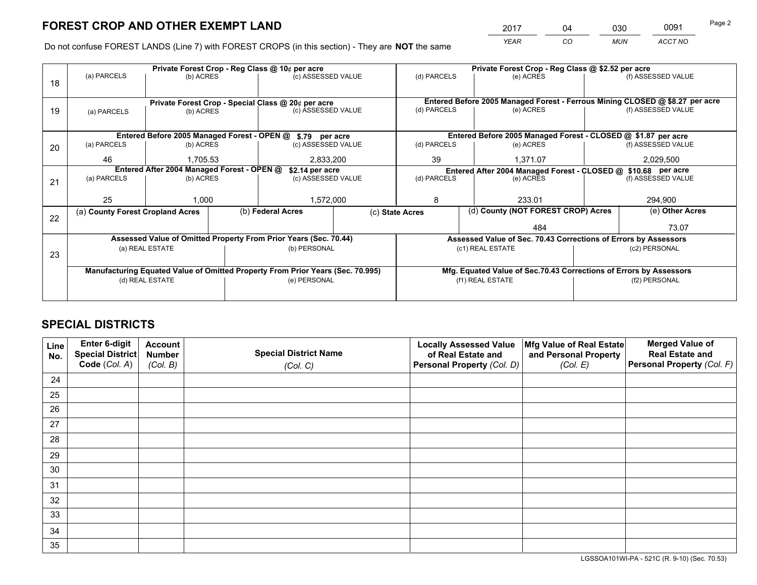*YEAR CO MUN ACCT NO* <sup>2017</sup> <sup>04</sup> <sup>030</sup> <sup>0091</sup>

Do not confuse FOREST LANDS (Line 7) with FOREST CROPS (in this section) - They are **NOT** the same

|    |                                                                                | Private Forest Crop - Reg Class @ 10¢ per acre |                                       |                                                                          |             | Private Forest Crop - Reg Class @ \$2.52 per acre                            |                                                                    |                    |                    |  |
|----|--------------------------------------------------------------------------------|------------------------------------------------|---------------------------------------|--------------------------------------------------------------------------|-------------|------------------------------------------------------------------------------|--------------------------------------------------------------------|--------------------|--------------------|--|
| 18 | (a) PARCELS                                                                    | (b) ACRES                                      |                                       | (c) ASSESSED VALUE                                                       |             | (d) PARCELS                                                                  | (e) ACRES                                                          |                    | (f) ASSESSED VALUE |  |
|    |                                                                                |                                                |                                       |                                                                          |             | Entered Before 2005 Managed Forest - Ferrous Mining CLOSED @ \$8.27 per acre |                                                                    |                    |                    |  |
| 19 |                                                                                |                                                |                                       | Private Forest Crop - Special Class @ 20¢ per acre<br>(c) ASSESSED VALUE |             | (d) PARCELS                                                                  | (e) ACRES                                                          |                    | (f) ASSESSED VALUE |  |
|    | (a) PARCELS                                                                    | (b) ACRES                                      |                                       |                                                                          |             |                                                                              |                                                                    |                    |                    |  |
|    |                                                                                |                                                |                                       |                                                                          |             |                                                                              |                                                                    |                    |                    |  |
|    |                                                                                |                                                |                                       | Entered Before 2005 Managed Forest - OPEN @ \$.79 per acre               |             |                                                                              | Entered Before 2005 Managed Forest - CLOSED @ \$1.87 per acre      |                    |                    |  |
| 20 | (a) PARCELS                                                                    | (b) ACRES                                      |                                       | (c) ASSESSED VALUE                                                       |             | (d) PARCELS                                                                  | (e) ACRES                                                          |                    | (f) ASSESSED VALUE |  |
|    | 46                                                                             | 1,705.53                                       |                                       | 2,833,200                                                                |             | 39                                                                           | 1,371.07                                                           |                    | 2,029,500          |  |
|    |                                                                                |                                                |                                       |                                                                          |             |                                                                              |                                                                    |                    |                    |  |
|    | Entered After 2004 Managed Forest - OPEN @                                     |                                                | \$2.14 per acre<br>(c) ASSESSED VALUE |                                                                          | (d) PARCELS | Entered After 2004 Managed Forest - CLOSED @ \$10.68 per acre<br>(e) ACRES   |                                                                    | (f) ASSESSED VALUE |                    |  |
| 21 | (a) PARCELS                                                                    | (b) ACRES                                      |                                       |                                                                          |             |                                                                              |                                                                    |                    |                    |  |
|    |                                                                                |                                                |                                       |                                                                          |             |                                                                              |                                                                    |                    |                    |  |
|    | 25                                                                             | 1,000                                          |                                       | 1,572,000                                                                |             | 8                                                                            | 233.01                                                             |                    | 294,900            |  |
|    | (a) County Forest Cropland Acres                                               |                                                |                                       | (b) Federal Acres                                                        |             | (d) County (NOT FOREST CROP) Acres<br>(c) State Acres                        |                                                                    |                    | (e) Other Acres    |  |
| 22 |                                                                                |                                                |                                       |                                                                          |             |                                                                              |                                                                    |                    |                    |  |
|    |                                                                                |                                                |                                       |                                                                          |             |                                                                              | 484                                                                |                    | 73.07              |  |
|    |                                                                                |                                                |                                       | Assessed Value of Omitted Property From Prior Years (Sec. 70.44)         |             |                                                                              | Assessed Value of Sec. 70.43 Corrections of Errors by Assessors    |                    |                    |  |
| 23 |                                                                                | (a) REAL ESTATE                                |                                       | (b) PERSONAL                                                             |             |                                                                              | (c1) REAL ESTATE                                                   |                    | (c2) PERSONAL      |  |
|    |                                                                                |                                                |                                       |                                                                          |             |                                                                              |                                                                    |                    |                    |  |
|    | Manufacturing Equated Value of Omitted Property From Prior Years (Sec. 70.995) |                                                |                                       |                                                                          |             |                                                                              | Mfg. Equated Value of Sec.70.43 Corrections of Errors by Assessors |                    |                    |  |
|    | (d) REAL ESTATE                                                                |                                                |                                       | (e) PERSONAL                                                             |             | (f1) REAL ESTATE                                                             |                                                                    |                    | (f2) PERSONAL      |  |
|    |                                                                                |                                                |                                       |                                                                          |             |                                                                              |                                                                    |                    |                    |  |
|    |                                                                                |                                                |                                       |                                                                          |             |                                                                              |                                                                    |                    |                    |  |

## **SPECIAL DISTRICTS**

| Line<br>No. | Enter 6-digit<br><b>Special District</b> | <b>Account</b><br><b>Number</b> | <b>Special District Name</b> | <b>Locally Assessed Value</b><br>of Real Estate and | Mfg Value of Real Estate<br>and Personal Property | <b>Merged Value of</b><br><b>Real Estate and</b> |
|-------------|------------------------------------------|---------------------------------|------------------------------|-----------------------------------------------------|---------------------------------------------------|--------------------------------------------------|
|             | Code (Col. A)                            | (Col. B)                        | (Col. C)                     | Personal Property (Col. D)                          | (Col. E)                                          | Personal Property (Col. F)                       |
| 24          |                                          |                                 |                              |                                                     |                                                   |                                                  |
| 25          |                                          |                                 |                              |                                                     |                                                   |                                                  |
| 26          |                                          |                                 |                              |                                                     |                                                   |                                                  |
| 27          |                                          |                                 |                              |                                                     |                                                   |                                                  |
| 28          |                                          |                                 |                              |                                                     |                                                   |                                                  |
| 29          |                                          |                                 |                              |                                                     |                                                   |                                                  |
| 30          |                                          |                                 |                              |                                                     |                                                   |                                                  |
| 31          |                                          |                                 |                              |                                                     |                                                   |                                                  |
| 32          |                                          |                                 |                              |                                                     |                                                   |                                                  |
| 33          |                                          |                                 |                              |                                                     |                                                   |                                                  |
| 34          |                                          |                                 |                              |                                                     |                                                   |                                                  |
| 35          |                                          |                                 |                              |                                                     |                                                   |                                                  |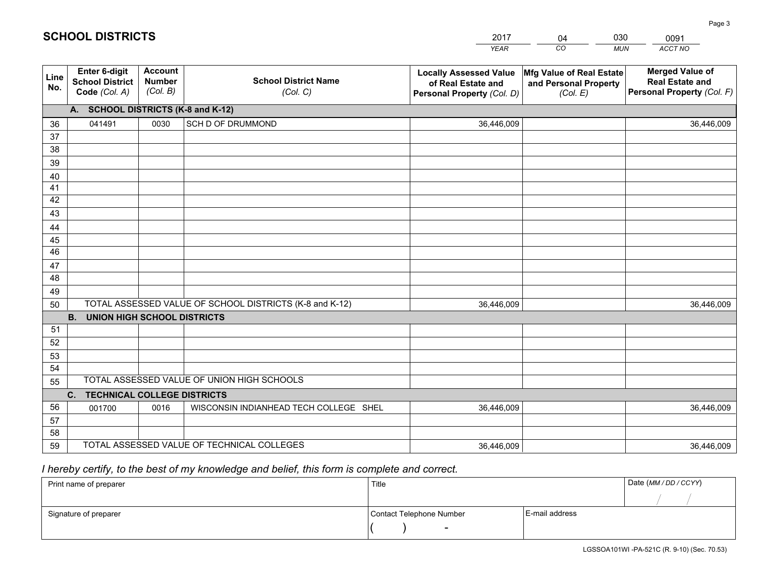|             |                                                          |                                             |                                                         | <b>YEAR</b>                                                                       | CO<br><b>MUN</b>                                              | ACCT NO                                                                        |
|-------------|----------------------------------------------------------|---------------------------------------------|---------------------------------------------------------|-----------------------------------------------------------------------------------|---------------------------------------------------------------|--------------------------------------------------------------------------------|
| Line<br>No. | Enter 6-digit<br><b>School District</b><br>Code (Col. A) | <b>Account</b><br><b>Number</b><br>(Col. B) | <b>School District Name</b><br>(Col. C)                 | <b>Locally Assessed Value</b><br>of Real Estate and<br>Personal Property (Col. D) | Mfg Value of Real Estate<br>and Personal Property<br>(Col. E) | <b>Merged Value of</b><br><b>Real Estate and</b><br>Personal Property (Col. F) |
|             | A. SCHOOL DISTRICTS (K-8 and K-12)                       |                                             |                                                         |                                                                                   |                                                               |                                                                                |
| 36          | 041491                                                   | 0030                                        | <b>SCH D OF DRUMMOND</b>                                | 36,446,009                                                                        |                                                               | 36,446,009                                                                     |
| 37          |                                                          |                                             |                                                         |                                                                                   |                                                               |                                                                                |
| 38          |                                                          |                                             |                                                         |                                                                                   |                                                               |                                                                                |
| 39          |                                                          |                                             |                                                         |                                                                                   |                                                               |                                                                                |
| 40          |                                                          |                                             |                                                         |                                                                                   |                                                               |                                                                                |
| 41          |                                                          |                                             |                                                         |                                                                                   |                                                               |                                                                                |
| 42          |                                                          |                                             |                                                         |                                                                                   |                                                               |                                                                                |
| 43          |                                                          |                                             |                                                         |                                                                                   |                                                               |                                                                                |
| 44          |                                                          |                                             |                                                         |                                                                                   |                                                               |                                                                                |
| 45<br>46    |                                                          |                                             |                                                         |                                                                                   |                                                               |                                                                                |
|             |                                                          |                                             |                                                         |                                                                                   |                                                               |                                                                                |
| 47<br>48    |                                                          |                                             |                                                         |                                                                                   |                                                               |                                                                                |
| 49          |                                                          |                                             |                                                         |                                                                                   |                                                               |                                                                                |
| 50          |                                                          |                                             | TOTAL ASSESSED VALUE OF SCHOOL DISTRICTS (K-8 and K-12) | 36,446,009                                                                        |                                                               | 36,446,009                                                                     |
|             | <b>B.</b><br><b>UNION HIGH SCHOOL DISTRICTS</b>          |                                             |                                                         |                                                                                   |                                                               |                                                                                |
| 51          |                                                          |                                             |                                                         |                                                                                   |                                                               |                                                                                |
| 52          |                                                          |                                             |                                                         |                                                                                   |                                                               |                                                                                |
| 53          |                                                          |                                             |                                                         |                                                                                   |                                                               |                                                                                |
| 54          |                                                          |                                             |                                                         |                                                                                   |                                                               |                                                                                |
| 55          |                                                          |                                             | TOTAL ASSESSED VALUE OF UNION HIGH SCHOOLS              |                                                                                   |                                                               |                                                                                |
|             | C.<br><b>TECHNICAL COLLEGE DISTRICTS</b>                 |                                             |                                                         |                                                                                   |                                                               |                                                                                |
| 56          | 001700                                                   | 0016                                        | WISCONSIN INDIANHEAD TECH COLLEGE SHEL                  | 36,446,009                                                                        |                                                               | 36,446,009                                                                     |
| 57          |                                                          |                                             |                                                         |                                                                                   |                                                               |                                                                                |
| 58          |                                                          |                                             |                                                         |                                                                                   |                                                               |                                                                                |
| 59          |                                                          |                                             | TOTAL ASSESSED VALUE OF TECHNICAL COLLEGES              | 36,446,009                                                                        |                                                               | 36,446,009                                                                     |

04

030

 *I hereby certify, to the best of my knowledge and belief, this form is complete and correct.*

**SCHOOL DISTRICTS**

| Print name of preparer | Title                    |                | Date (MM/DD/CCYY) |
|------------------------|--------------------------|----------------|-------------------|
|                        |                          |                |                   |
| Signature of preparer  | Contact Telephone Number | E-mail address |                   |
|                        | $\overline{\phantom{0}}$ |                |                   |

0091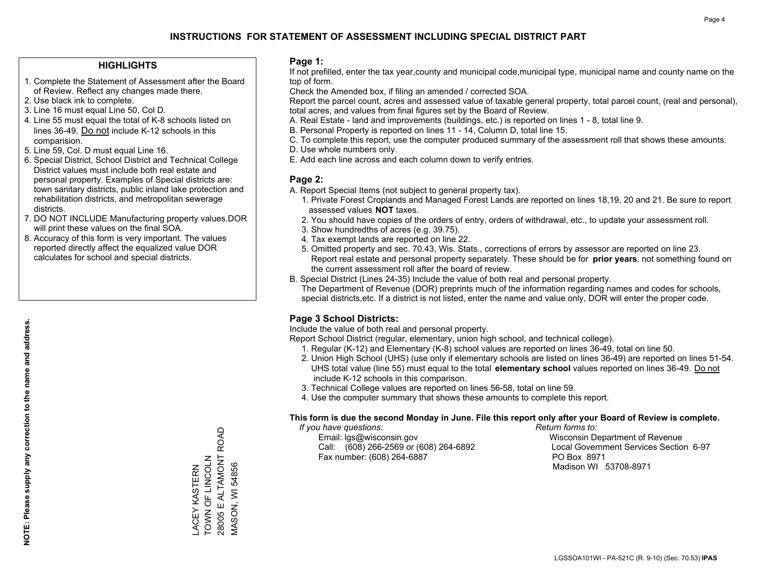#### **HIGHLIGHTS**

- 1. Complete the Statement of Assessment after the Board of Review. Reflect any changes made there.
- 2. Use black ink to complete.
- 3. Line 16 must equal Line 50, Col D.
- 4. Line 55 must equal the total of K-8 schools listed on lines 36-49. Do not include K-12 schools in this comparision.
- 5. Line 59, Col. D must equal Line 16.
- 6. Special District, School District and Technical College District values must include both real estate and personal property. Examples of Special districts are: town sanitary districts, public inland lake protection and rehabilitation districts, and metropolitan sewerage districts.
- 7. DO NOT INCLUDE Manufacturing property values.DOR will print these values on the final SOA.
- 8. Accuracy of this form is very important. The values reported directly affect the equalized value DOR calculates for school and special districts.

#### **Page 1:**

 If not prefilled, enter the tax year,county and municipal code,municipal type, municipal name and county name on the top of form.

Check the Amended box, if filing an amended / corrected SOA.

 Report the parcel count, acres and assessed value of taxable general property, total parcel count, (real and personal), total acres, and values from final figures set by the Board of Review.

- A. Real Estate land and improvements (buildings, etc.) is reported on lines 1 8, total line 9.
- B. Personal Property is reported on lines 11 14, Column D, total line 15.
- C. To complete this report, use the computer produced summary of the assessment roll that shows these amounts.
- D. Use whole numbers only.
- E. Add each line across and each column down to verify entries.

### **Page 2:**

- A. Report Special Items (not subject to general property tax).
- 1. Private Forest Croplands and Managed Forest Lands are reported on lines 18,19, 20 and 21. Be sure to report assessed values **NOT** taxes.
- 2. You should have copies of the orders of entry, orders of withdrawal, etc., to update your assessment roll.
	- 3. Show hundredths of acres (e.g. 39.75).
- 4. Tax exempt lands are reported on line 22.
- 5. Omitted property and sec. 70.43, Wis. Stats., corrections of errors by assessor are reported on line 23. Report real estate and personal property separately. These should be for **prior years**, not something found on the current assessment roll after the board of review.
- B. Special District (Lines 24-35) Include the value of both real and personal property.
- The Department of Revenue (DOR) preprints much of the information regarding names and codes for schools, special districts,etc. If a district is not listed, enter the name and value only, DOR will enter the proper code.

## **Page 3 School Districts:**

Include the value of both real and personal property.

Report School District (regular, elementary, union high school, and technical college).

- 1. Regular (K-12) and Elementary (K-8) school values are reported on lines 36-49, total on line 50.
- 2. Union High School (UHS) (use only if elementary schools are listed on lines 36-49) are reported on lines 51-54. UHS total value (line 55) must equal to the total **elementary school** values reported on lines 36-49. Do notinclude K-12 schools in this comparison.
- 3. Technical College values are reported on lines 56-58, total on line 59.
- 4. Use the computer summary that shows these amounts to complete this report.

#### **This form is due the second Monday in June. File this report only after your Board of Review is complete.**

 *If you have questions: Return forms to:*

 Email: lgs@wisconsin.gov Wisconsin Department of RevenueCall:  $(608)$  266-2569 or  $(608)$  264-6892 Fax number: (608) 264-6887 PO Box 8971

Local Government Services Section 6-97 Madison WI 53708-8971

28005 E ALTAMONT ROAD 28005 E ALTAMONT ROAD TOWN OF LINCOLN LACEY KASTERN<br>TOWN OF LINCOLN **VIASON, WI 54856** MASON, WI 54856 LACEY KASTERN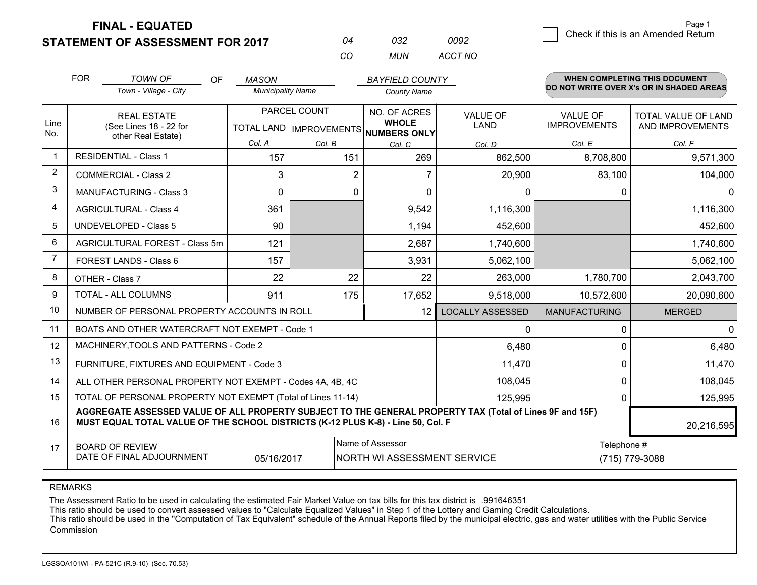**FINAL - EQUATED**

**STATEMENT OF ASSESSMENT FOR 2017** 

|          | กจว   | nnae    |
|----------|-------|---------|
| $\cdots$ | MI IN | ACCT NO |

|                | <b>FOR</b>                                                                                                                                                                                   | <b>TOWN OF</b><br>OF                                         | <b>MASON</b>             |                           | <b>BAYFIELD COUNTY</b>             |                         |                      | <b>WHEN COMPLETING THIS DOCUMENT</b>     |  |  |
|----------------|----------------------------------------------------------------------------------------------------------------------------------------------------------------------------------------------|--------------------------------------------------------------|--------------------------|---------------------------|------------------------------------|-------------------------|----------------------|------------------------------------------|--|--|
|                |                                                                                                                                                                                              | Town - Village - City                                        | <b>Municipality Name</b> |                           | <b>County Name</b>                 |                         |                      | DO NOT WRITE OVER X's OR IN SHADED AREAS |  |  |
|                |                                                                                                                                                                                              | <b>REAL ESTATE</b>                                           | PARCEL COUNT             |                           | NO. OF ACRES                       | <b>VALUE OF</b>         | <b>VALUE OF</b>      | TOTAL VALUE OF LAND                      |  |  |
| Line<br>No.    |                                                                                                                                                                                              | (See Lines 18 - 22 for<br>other Real Estate)                 |                          | TOTAL LAND   IMPROVEMENTS | <b>WHOLE</b><br>NUMBERS ONLY       | <b>LAND</b>             | <b>IMPROVEMENTS</b>  | AND IMPROVEMENTS                         |  |  |
|                |                                                                                                                                                                                              |                                                              | Col. A                   | Col. B                    | Col. C                             | Col. D                  | Col. E               | Col. F                                   |  |  |
| $\mathbf{1}$   |                                                                                                                                                                                              | <b>RESIDENTIAL - Class 1</b>                                 | 157                      | 151                       | 269                                | 862,500                 | 8,708,800            | 9,571,300                                |  |  |
| 2              |                                                                                                                                                                                              | <b>COMMERCIAL - Class 2</b>                                  | 3                        | $\overline{2}$            | 7                                  | 20,900                  | 83,100               | 104,000                                  |  |  |
| 3              |                                                                                                                                                                                              | MANUFACTURING - Class 3                                      | $\Omega$                 | 0                         | $\Omega$                           | $\mathbf{0}$            | 0                    | $\Omega$                                 |  |  |
| $\overline{4}$ |                                                                                                                                                                                              | <b>AGRICULTURAL - Class 4</b>                                | 361                      |                           | 9,542                              | 1,116,300               |                      | 1,116,300                                |  |  |
| 5              |                                                                                                                                                                                              | <b>UNDEVELOPED - Class 5</b>                                 | 90                       |                           | 1,194                              | 452,600                 |                      | 452,600                                  |  |  |
| 6              | AGRICULTURAL FOREST - Class 5m                                                                                                                                                               |                                                              | 121                      |                           | 2,687                              | 1,740,600               |                      | 1,740,600                                |  |  |
| 7              | FOREST LANDS - Class 6                                                                                                                                                                       |                                                              | 157                      |                           | 3,931                              | 5,062,100               |                      | 5,062,100                                |  |  |
| 8              |                                                                                                                                                                                              | OTHER - Class 7                                              | 22                       | 22                        | 22                                 | 263,000                 | 1,780,700            | 2,043,700                                |  |  |
| 9              |                                                                                                                                                                                              | TOTAL - ALL COLUMNS                                          | 911                      | 175                       | 17,652                             | 9,518,000               | 10,572,600           | 20,090,600                               |  |  |
| 10             |                                                                                                                                                                                              | NUMBER OF PERSONAL PROPERTY ACCOUNTS IN ROLL                 |                          |                           | 12 <sup>2</sup>                    | <b>LOCALLY ASSESSED</b> | <b>MANUFACTURING</b> | <b>MERGED</b>                            |  |  |
| 11             |                                                                                                                                                                                              | BOATS AND OTHER WATERCRAFT NOT EXEMPT - Code 1               |                          |                           |                                    | 0                       | 0                    | $\Omega$                                 |  |  |
| 12             |                                                                                                                                                                                              | MACHINERY, TOOLS AND PATTERNS - Code 2                       |                          |                           |                                    | 6,480                   | 0                    | 6,480                                    |  |  |
| 13             |                                                                                                                                                                                              | FURNITURE, FIXTURES AND EQUIPMENT - Code 3                   |                          |                           |                                    | 11,470                  | 0                    | 11,470                                   |  |  |
| 14             |                                                                                                                                                                                              | ALL OTHER PERSONAL PROPERTY NOT EXEMPT - Codes 4A, 4B, 4C    |                          |                           |                                    | 108,045                 | 0                    | 108,045                                  |  |  |
| 15             |                                                                                                                                                                                              | TOTAL OF PERSONAL PROPERTY NOT EXEMPT (Total of Lines 11-14) |                          | 125,995                   | 0                                  | 125,995                 |                      |                                          |  |  |
| 16             | AGGREGATE ASSESSED VALUE OF ALL PROPERTY SUBJECT TO THE GENERAL PROPERTY TAX (Total of Lines 9F and 15F)<br>MUST EQUAL TOTAL VALUE OF THE SCHOOL DISTRICTS (K-12 PLUS K-8) - Line 50, Col. F |                                                              |                          |                           |                                    |                         |                      | 20,216,595                               |  |  |
| 17             |                                                                                                                                                                                              | <b>BOARD OF REVIEW</b>                                       |                          |                           | Name of Assessor                   |                         | Telephone #          |                                          |  |  |
|                |                                                                                                                                                                                              | DATE OF FINAL ADJOURNMENT                                    | 05/16/2017               |                           | <b>NORTH WI ASSESSMENT SERVICE</b> |                         |                      | (715) 779-3088                           |  |  |

REMARKS

The Assessment Ratio to be used in calculating the estimated Fair Market Value on tax bills for this tax district is .991646351

This ratio should be used to convert assessed values to "Calculate Equalized Values" in Step 1 of the Lottery and Gaming Credit Calculations.<br>This ratio should be used in the "Computation of Tax Equivalent" schedule of the Commission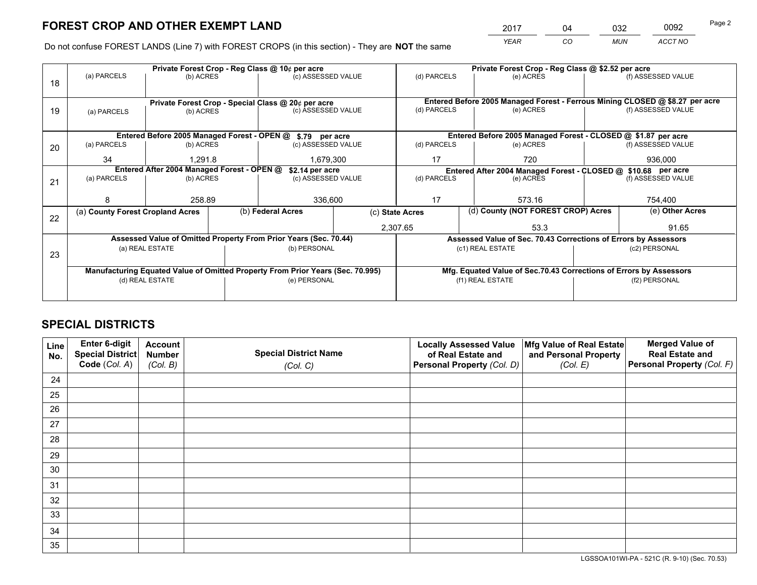*YEAR CO MUN ACCT NO* <sup>2017</sup> <sup>04</sup> <sup>032</sup> <sup>0092</sup> Page 2

Do not confuse FOREST LANDS (Line 7) with FOREST CROPS (in this section) - They are **NOT** the same

|    |                                                                                |                                  |  | Private Forest Crop - Reg Class @ 10¢ per acre                   |                                                               | Private Forest Crop - Reg Class @ \$2.52 per acre |                                                                              |                                    |                    |  |
|----|--------------------------------------------------------------------------------|----------------------------------|--|------------------------------------------------------------------|---------------------------------------------------------------|---------------------------------------------------|------------------------------------------------------------------------------|------------------------------------|--------------------|--|
| 18 | (a) PARCELS                                                                    | (b) ACRES                        |  | (c) ASSESSED VALUE                                               |                                                               | (d) PARCELS                                       | (e) ACRES                                                                    |                                    | (f) ASSESSED VALUE |  |
|    |                                                                                |                                  |  |                                                                  |                                                               |                                                   |                                                                              |                                    |                    |  |
|    |                                                                                |                                  |  | Private Forest Crop - Special Class @ 20¢ per acre               |                                                               |                                                   | Entered Before 2005 Managed Forest - Ferrous Mining CLOSED @ \$8.27 per acre |                                    |                    |  |
| 19 | (a) PARCELS                                                                    | (b) ACRES                        |  | (c) ASSESSED VALUE                                               |                                                               | (d) PARCELS                                       | (e) ACRES                                                                    |                                    | (f) ASSESSED VALUE |  |
|    |                                                                                |                                  |  |                                                                  |                                                               |                                                   |                                                                              |                                    |                    |  |
|    |                                                                                |                                  |  | Entered Before 2005 Managed Forest - OPEN @ \$.79 per acre       |                                                               |                                                   | Entered Before 2005 Managed Forest - CLOSED @ \$1.87 per acre                |                                    |                    |  |
| 20 | (a) PARCELS                                                                    | (b) ACRES                        |  | (c) ASSESSED VALUE                                               |                                                               | (d) PARCELS                                       | (e) ACRES                                                                    |                                    | (f) ASSESSED VALUE |  |
|    | 34                                                                             | 1,291.8                          |  | 1,679,300                                                        |                                                               | 17                                                | 720                                                                          |                                    | 936,000            |  |
|    | Entered After 2004 Managed Forest - OPEN @<br>\$2.14 per acre                  |                                  |  |                                                                  | Entered After 2004 Managed Forest - CLOSED @ \$10.68 per acre |                                                   |                                                                              |                                    |                    |  |
| 21 | (a) PARCELS                                                                    | (b) ACRES                        |  | (c) ASSESSED VALUE                                               | (d) PARCELS                                                   |                                                   | (e) ACRES                                                                    |                                    | (f) ASSESSED VALUE |  |
|    |                                                                                |                                  |  |                                                                  |                                                               |                                                   |                                                                              |                                    |                    |  |
|    |                                                                                | 258.89                           |  | 336,600                                                          |                                                               | 17<br>573.16                                      |                                                                              | 754,400                            |                    |  |
| 22 |                                                                                | (a) County Forest Cropland Acres |  | (b) Federal Acres                                                | (c) State Acres                                               |                                                   |                                                                              | (d) County (NOT FOREST CROP) Acres |                    |  |
|    |                                                                                |                                  |  |                                                                  |                                                               | 2,307.65                                          | 53.3                                                                         |                                    | 91.65              |  |
|    |                                                                                |                                  |  | Assessed Value of Omitted Property From Prior Years (Sec. 70.44) |                                                               |                                                   | Assessed Value of Sec. 70.43 Corrections of Errors by Assessors              |                                    |                    |  |
|    |                                                                                | (a) REAL ESTATE                  |  | (b) PERSONAL                                                     |                                                               |                                                   | (c1) REAL ESTATE                                                             |                                    | (c2) PERSONAL      |  |
| 23 |                                                                                |                                  |  |                                                                  |                                                               |                                                   |                                                                              |                                    |                    |  |
|    | Manufacturing Equated Value of Omitted Property From Prior Years (Sec. 70.995) |                                  |  |                                                                  |                                                               |                                                   | Mfg. Equated Value of Sec.70.43 Corrections of Errors by Assessors           |                                    |                    |  |
|    |                                                                                | (d) REAL ESTATE                  |  | (e) PERSONAL                                                     |                                                               | (f1) REAL ESTATE                                  |                                                                              |                                    | (f2) PERSONAL      |  |
|    |                                                                                |                                  |  |                                                                  |                                                               |                                                   |                                                                              |                                    |                    |  |

## **SPECIAL DISTRICTS**

| Line<br>No. | Enter 6-digit<br><b>Special District</b> | <b>Account</b><br><b>Number</b> | <b>Special District Name</b> | <b>Locally Assessed Value</b><br>of Real Estate and | Mfg Value of Real Estate<br>and Personal Property | <b>Merged Value of</b><br><b>Real Estate and</b> |
|-------------|------------------------------------------|---------------------------------|------------------------------|-----------------------------------------------------|---------------------------------------------------|--------------------------------------------------|
|             | Code (Col. A)                            | (Col. B)                        | (Col. C)                     | Personal Property (Col. D)                          | (Col. E)                                          | Personal Property (Col. F)                       |
| 24          |                                          |                                 |                              |                                                     |                                                   |                                                  |
| 25          |                                          |                                 |                              |                                                     |                                                   |                                                  |
| 26          |                                          |                                 |                              |                                                     |                                                   |                                                  |
| 27          |                                          |                                 |                              |                                                     |                                                   |                                                  |
| 28          |                                          |                                 |                              |                                                     |                                                   |                                                  |
| 29          |                                          |                                 |                              |                                                     |                                                   |                                                  |
| 30          |                                          |                                 |                              |                                                     |                                                   |                                                  |
| 31          |                                          |                                 |                              |                                                     |                                                   |                                                  |
| 32          |                                          |                                 |                              |                                                     |                                                   |                                                  |
| 33          |                                          |                                 |                              |                                                     |                                                   |                                                  |
| 34          |                                          |                                 |                              |                                                     |                                                   |                                                  |
| 35          |                                          |                                 |                              |                                                     |                                                   |                                                  |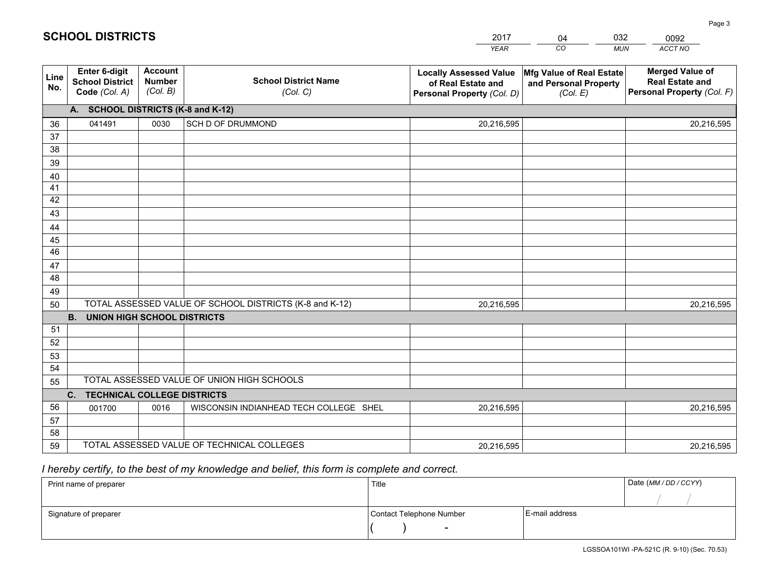|             |                                                          |                                             |                                                         | <b>YEAR</b>                                                                       | CO<br><b>MUN</b>                                              | ACCT NO                                                                        |
|-------------|----------------------------------------------------------|---------------------------------------------|---------------------------------------------------------|-----------------------------------------------------------------------------------|---------------------------------------------------------------|--------------------------------------------------------------------------------|
| Line<br>No. | Enter 6-digit<br><b>School District</b><br>Code (Col. A) | <b>Account</b><br><b>Number</b><br>(Col. B) | <b>School District Name</b><br>(Col. C)                 | <b>Locally Assessed Value</b><br>of Real Estate and<br>Personal Property (Col. D) | Mfg Value of Real Estate<br>and Personal Property<br>(Col. E) | <b>Merged Value of</b><br><b>Real Estate and</b><br>Personal Property (Col. F) |
|             | A. SCHOOL DISTRICTS (K-8 and K-12)                       |                                             |                                                         |                                                                                   |                                                               |                                                                                |
| 36          | 041491                                                   | 0030                                        | SCH D OF DRUMMOND                                       | 20,216,595                                                                        |                                                               | 20,216,595                                                                     |
| 37          |                                                          |                                             |                                                         |                                                                                   |                                                               |                                                                                |
| 38          |                                                          |                                             |                                                         |                                                                                   |                                                               |                                                                                |
| 39          |                                                          |                                             |                                                         |                                                                                   |                                                               |                                                                                |
| 40          |                                                          |                                             |                                                         |                                                                                   |                                                               |                                                                                |
| 41          |                                                          |                                             |                                                         |                                                                                   |                                                               |                                                                                |
| 42<br>43    |                                                          |                                             |                                                         |                                                                                   |                                                               |                                                                                |
|             |                                                          |                                             |                                                         |                                                                                   |                                                               |                                                                                |
| 44<br>45    |                                                          |                                             |                                                         |                                                                                   |                                                               |                                                                                |
| 46          |                                                          |                                             |                                                         |                                                                                   |                                                               |                                                                                |
| 47          |                                                          |                                             |                                                         |                                                                                   |                                                               |                                                                                |
| 48          |                                                          |                                             |                                                         |                                                                                   |                                                               |                                                                                |
| 49          |                                                          |                                             |                                                         |                                                                                   |                                                               |                                                                                |
| 50          |                                                          |                                             | TOTAL ASSESSED VALUE OF SCHOOL DISTRICTS (K-8 and K-12) | 20,216,595                                                                        |                                                               | 20,216,595                                                                     |
|             | <b>B.</b><br><b>UNION HIGH SCHOOL DISTRICTS</b>          |                                             |                                                         |                                                                                   |                                                               |                                                                                |
| 51          |                                                          |                                             |                                                         |                                                                                   |                                                               |                                                                                |
| 52          |                                                          |                                             |                                                         |                                                                                   |                                                               |                                                                                |
| 53          |                                                          |                                             |                                                         |                                                                                   |                                                               |                                                                                |
| 54          |                                                          |                                             |                                                         |                                                                                   |                                                               |                                                                                |
| 55          |                                                          |                                             | TOTAL ASSESSED VALUE OF UNION HIGH SCHOOLS              |                                                                                   |                                                               |                                                                                |
|             | C.<br><b>TECHNICAL COLLEGE DISTRICTS</b>                 |                                             |                                                         |                                                                                   |                                                               |                                                                                |
| 56          | 001700                                                   | 0016                                        | WISCONSIN INDIANHEAD TECH COLLEGE SHEL                  | 20,216,595                                                                        |                                                               | 20,216,595                                                                     |
| 57          |                                                          |                                             |                                                         |                                                                                   |                                                               |                                                                                |
| 58          |                                                          |                                             |                                                         |                                                                                   |                                                               |                                                                                |
| 59          |                                                          |                                             | TOTAL ASSESSED VALUE OF TECHNICAL COLLEGES              | 20,216,595                                                                        |                                                               | 20,216,595                                                                     |

04

032

 *I hereby certify, to the best of my knowledge and belief, this form is complete and correct.*

**SCHOOL DISTRICTS**

| Print name of preparer | Title                    |                | Date (MM/DD/CCYY) |
|------------------------|--------------------------|----------------|-------------------|
|                        |                          |                |                   |
| Signature of preparer  | Contact Telephone Number | E-mail address |                   |
|                        | $\overline{\phantom{a}}$ |                |                   |

0092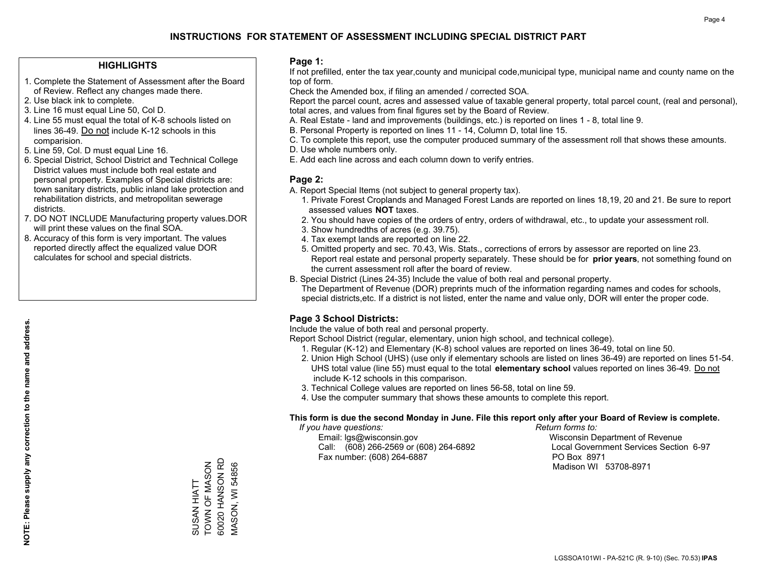#### **HIGHLIGHTS**

- 1. Complete the Statement of Assessment after the Board of Review. Reflect any changes made there.
- 2. Use black ink to complete.
- 3. Line 16 must equal Line 50, Col D.
- 4. Line 55 must equal the total of K-8 schools listed on lines 36-49. Do not include K-12 schools in this comparision.
- 5. Line 59, Col. D must equal Line 16.
- 6. Special District, School District and Technical College District values must include both real estate and personal property. Examples of Special districts are: town sanitary districts, public inland lake protection and rehabilitation districts, and metropolitan sewerage districts.
- 7. DO NOT INCLUDE Manufacturing property values.DOR will print these values on the final SOA.

SUSAN HIATT TOWN OF MASON 60020 HANSON RD MASON, WI 54856

SUSAN HIATT

60020 HANSON RD TOWN OF MASON

**VIASON, WI 54856** 

 8. Accuracy of this form is very important. The values reported directly affect the equalized value DOR calculates for school and special districts.

#### **Page 1:**

 If not prefilled, enter the tax year,county and municipal code,municipal type, municipal name and county name on the top of form.

Check the Amended box, if filing an amended / corrected SOA.

 Report the parcel count, acres and assessed value of taxable general property, total parcel count, (real and personal), total acres, and values from final figures set by the Board of Review.

- A. Real Estate land and improvements (buildings, etc.) is reported on lines 1 8, total line 9.
- B. Personal Property is reported on lines 11 14, Column D, total line 15.
- C. To complete this report, use the computer produced summary of the assessment roll that shows these amounts.
- D. Use whole numbers only.
- E. Add each line across and each column down to verify entries.

#### **Page 2:**

- A. Report Special Items (not subject to general property tax).
- 1. Private Forest Croplands and Managed Forest Lands are reported on lines 18,19, 20 and 21. Be sure to report assessed values **NOT** taxes.
- 2. You should have copies of the orders of entry, orders of withdrawal, etc., to update your assessment roll.
	- 3. Show hundredths of acres (e.g. 39.75).
- 4. Tax exempt lands are reported on line 22.
- 5. Omitted property and sec. 70.43, Wis. Stats., corrections of errors by assessor are reported on line 23. Report real estate and personal property separately. These should be for **prior years**, not something found on the current assessment roll after the board of review.
- B. Special District (Lines 24-35) Include the value of both real and personal property.
- The Department of Revenue (DOR) preprints much of the information regarding names and codes for schools, special districts,etc. If a district is not listed, enter the name and value only, DOR will enter the proper code.

## **Page 3 School Districts:**

Include the value of both real and personal property.

Report School District (regular, elementary, union high school, and technical college).

- 1. Regular (K-12) and Elementary (K-8) school values are reported on lines 36-49, total on line 50.
- 2. Union High School (UHS) (use only if elementary schools are listed on lines 36-49) are reported on lines 51-54. UHS total value (line 55) must equal to the total **elementary school** values reported on lines 36-49. Do notinclude K-12 schools in this comparison.
- 3. Technical College values are reported on lines 56-58, total on line 59.
- 4. Use the computer summary that shows these amounts to complete this report.

#### **This form is due the second Monday in June. File this report only after your Board of Review is complete.**

 *If you have questions: Return forms to:*

 Email: lgs@wisconsin.gov Wisconsin Department of RevenueCall:  $(608)$  266-2569 or  $(608)$  264-6892 Fax number: (608) 264-6887 PO Box 8971

Local Government Services Section 6-97

Madison WI 53708-8971

**NOTE: Please supply any correction to the name and address.**

NOTE: Please supply any correction to the name and address.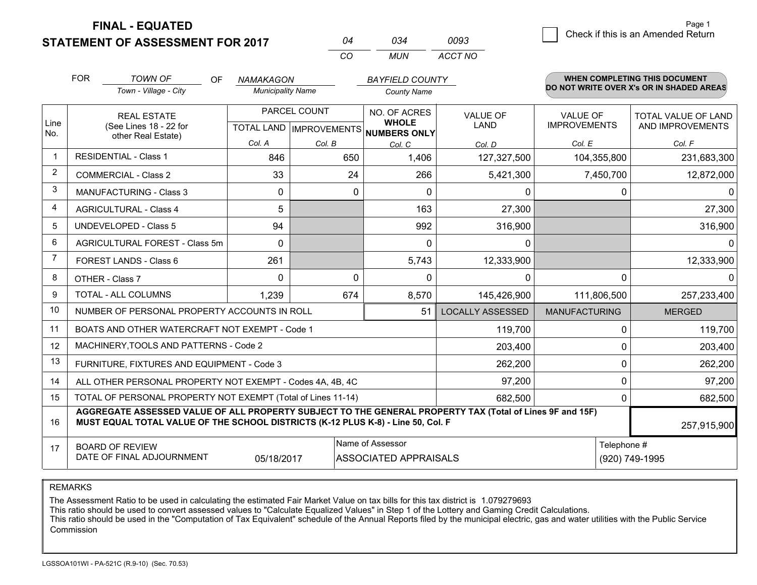**STATEMENT OF ASSESSMENT FOR 2017 FINAL - EQUATED**

|                | <b>FOR</b>                                                                                                                                                                                                  | <b>TOWN OF</b><br>OF.                                        | <b>NAMAKAGON</b>         |        | <b>BAYFIELD COUNTY</b>                               |                      |                     | <b>WHEN COMPLETING THIS DOCUMENT</b>     |  |
|----------------|-------------------------------------------------------------------------------------------------------------------------------------------------------------------------------------------------------------|--------------------------------------------------------------|--------------------------|--------|------------------------------------------------------|----------------------|---------------------|------------------------------------------|--|
|                |                                                                                                                                                                                                             | Town - Village - City                                        | <b>Municipality Name</b> |        | <b>County Name</b>                                   |                      |                     | DO NOT WRITE OVER X's OR IN SHADED AREAS |  |
|                | <b>REAL ESTATE</b>                                                                                                                                                                                          |                                                              | PARCEL COUNT             |        | NO. OF ACRES                                         | <b>VALUE OF</b>      | <b>VALUE OF</b>     | TOTAL VALUE OF LAND                      |  |
| Line<br>No.    |                                                                                                                                                                                                             | (See Lines 18 - 22 for<br>other Real Estate)                 |                          |        | <b>WHOLE</b><br>TOTAL LAND IMPROVEMENTS NUMBERS ONLY | <b>LAND</b>          | <b>IMPROVEMENTS</b> | AND IMPROVEMENTS                         |  |
|                |                                                                                                                                                                                                             |                                                              | Col. A                   | Col. B | Col. C                                               | Col. D               | Col. E              | Col. F                                   |  |
| $\mathbf 1$    | <b>RESIDENTIAL - Class 1</b>                                                                                                                                                                                |                                                              | 846                      | 650    | 1,406                                                | 127,327,500          | 104,355,800         | 231,683,300                              |  |
| 2              |                                                                                                                                                                                                             | <b>COMMERCIAL - Class 2</b>                                  | 33                       | 24     | 266                                                  | 5,421,300            | 7,450,700           | 12,872,000                               |  |
| 3              |                                                                                                                                                                                                             | <b>MANUFACTURING - Class 3</b>                               | 0                        | 0      | $\Omega$                                             | 0                    | 0                   | ∩                                        |  |
| $\overline{4}$ |                                                                                                                                                                                                             | <b>AGRICULTURAL - Class 4</b>                                | 5                        |        | 163                                                  | 27,300               |                     | 27,300                                   |  |
| 5              | <b>UNDEVELOPED - Class 5</b>                                                                                                                                                                                |                                                              | 94                       |        | 992                                                  | 316,900              |                     | 316,900                                  |  |
| 6              |                                                                                                                                                                                                             | AGRICULTURAL FOREST - Class 5m                               | 0                        |        | 0                                                    | 0                    |                     | 0                                        |  |
| $\overline{7}$ | FOREST LANDS - Class 6                                                                                                                                                                                      |                                                              | 261                      |        | 5,743                                                | 12,333,900           |                     | 12,333,900                               |  |
| 8              | OTHER - Class 7                                                                                                                                                                                             |                                                              | $\Omega$                 | 0      | $\Omega$                                             | $\Omega$             | $\Omega$            | 0                                        |  |
| 9              | TOTAL - ALL COLUMNS                                                                                                                                                                                         |                                                              | 1,239                    | 674    | 8,570                                                | 145,426,900          | 111,806,500         | 257,233,400                              |  |
| 10             |                                                                                                                                                                                                             | NUMBER OF PERSONAL PROPERTY ACCOUNTS IN ROLL                 |                          |        | <b>LOCALLY ASSESSED</b>                              | <b>MANUFACTURING</b> | <b>MERGED</b>       |                                          |  |
| 11             |                                                                                                                                                                                                             | BOATS AND OTHER WATERCRAFT NOT EXEMPT - Code 1               |                          |        | 119,700                                              | 0                    | 119,700             |                                          |  |
| 12             |                                                                                                                                                                                                             | MACHINERY, TOOLS AND PATTERNS - Code 2                       |                          |        | 203,400                                              | $\Omega$             | 203,400             |                                          |  |
| 13             |                                                                                                                                                                                                             | FURNITURE, FIXTURES AND EQUIPMENT - Code 3                   |                          |        | 262,200                                              | 0                    | 262,200             |                                          |  |
| 14             |                                                                                                                                                                                                             | ALL OTHER PERSONAL PROPERTY NOT EXEMPT - Codes 4A, 4B, 4C    |                          |        | 97,200                                               | $\Omega$             | 97,200              |                                          |  |
| 15             |                                                                                                                                                                                                             | TOTAL OF PERSONAL PROPERTY NOT EXEMPT (Total of Lines 11-14) |                          |        | 682,500                                              | 0                    | 682,500             |                                          |  |
| 16             | AGGREGATE ASSESSED VALUE OF ALL PROPERTY SUBJECT TO THE GENERAL PROPERTY TAX (Total of Lines 9F and 15F)<br>MUST EQUAL TOTAL VALUE OF THE SCHOOL DISTRICTS (K-12 PLUS K-8) - Line 50, Col. F<br>257,915,900 |                                                              |                          |        |                                                      |                      |                     |                                          |  |
| 17             |                                                                                                                                                                                                             | <b>BOARD OF REVIEW</b>                                       |                          |        | Name of Assessor                                     | Telephone #          |                     |                                          |  |
|                | DATE OF FINAL ADJOURNMENT<br>05/18/2017<br><b>ASSOCIATED APPRAISALS</b>                                                                                                                                     |                                                              |                          |        |                                                      |                      |                     | (920) 749-1995                           |  |

*CO*

*MUN*

*ACCT NO0093*

*<sup>04</sup> <sup>034</sup>*

REMARKS

The Assessment Ratio to be used in calculating the estimated Fair Market Value on tax bills for this tax district is 1.079279693<br>This ratio should be used to convert assessed values to "Calculate Equalized Values" in Step Commission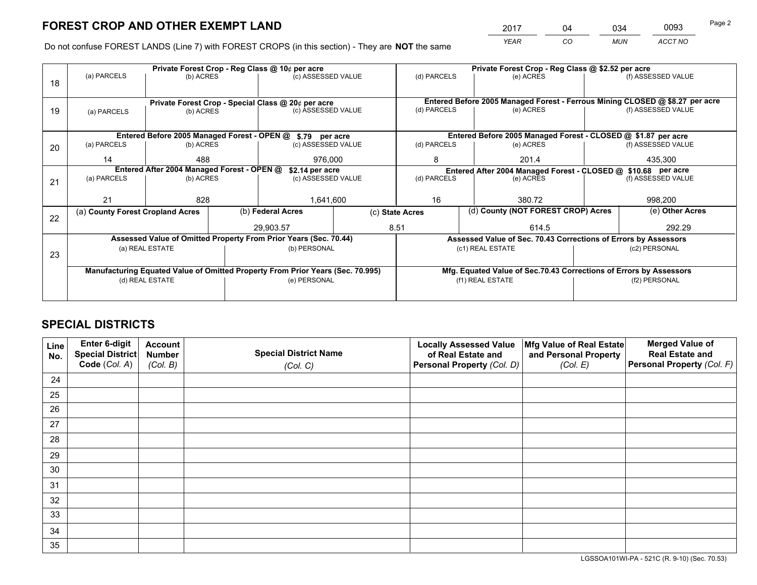*YEAR CO MUN ACCT NO* <sup>2017</sup> <sup>04</sup> <sup>034</sup> <sup>0093</sup> Page 2

Do not confuse FOREST LANDS (Line 7) with FOREST CROPS (in this section) - They are **NOT** the same

|    | Private Forest Crop - Reg Class @ 10¢ per acre                                 |           |                                                                    |                                                            |                    |                                                               | Private Forest Crop - Reg Class @ \$2.52 per acre                            |               |  |                    |  |
|----|--------------------------------------------------------------------------------|-----------|--------------------------------------------------------------------|------------------------------------------------------------|--------------------|---------------------------------------------------------------|------------------------------------------------------------------------------|---------------|--|--------------------|--|
| 18 | (a) PARCELS                                                                    | (b) ACRES |                                                                    | (c) ASSESSED VALUE                                         |                    | (d) PARCELS                                                   |                                                                              | (e) ACRES     |  | (f) ASSESSED VALUE |  |
|    | Private Forest Crop - Special Class @ 20¢ per acre                             |           |                                                                    |                                                            |                    |                                                               | Entered Before 2005 Managed Forest - Ferrous Mining CLOSED @ \$8.27 per acre |               |  |                    |  |
| 19 | (a) PARCELS                                                                    | (b) ACRES |                                                                    | (c) ASSESSED VALUE                                         |                    | (d) PARCELS                                                   |                                                                              | (e) ACRES     |  | (f) ASSESSED VALUE |  |
|    |                                                                                |           |                                                                    | Entered Before 2005 Managed Forest - OPEN @ \$.79 per acre |                    |                                                               | Entered Before 2005 Managed Forest - CLOSED @ \$1.87 per acre                |               |  |                    |  |
| 20 | (a) PARCELS<br>(b) ACRES                                                       |           |                                                                    | (c) ASSESSED VALUE                                         |                    | (d) PARCELS                                                   |                                                                              | (e) ACRES     |  | (f) ASSESSED VALUE |  |
|    | 14                                                                             | 488       |                                                                    | 976,000                                                    |                    | 8                                                             |                                                                              | 201.4         |  | 435,300            |  |
|    | Entered After 2004 Managed Forest - OPEN @<br>\$2.14 per acre                  |           |                                                                    |                                                            |                    | Entered After 2004 Managed Forest - CLOSED @ \$10.68 per acre |                                                                              |               |  |                    |  |
| 21 | (a) PARCELS                                                                    | (b) ACRES |                                                                    |                                                            | (c) ASSESSED VALUE |                                                               | (d) PARCELS                                                                  | (e) ACRES     |  | (f) ASSESSED VALUE |  |
|    |                                                                                |           |                                                                    |                                                            |                    |                                                               |                                                                              |               |  |                    |  |
|    |                                                                                | 21<br>828 |                                                                    | 1,641,600                                                  |                    | 16                                                            |                                                                              | 380.72        |  | 998,200            |  |
|    | (a) County Forest Cropland Acres                                               |           |                                                                    | (b) Federal Acres                                          |                    | (d) County (NOT FOREST CROP) Acres<br>(c) State Acres         |                                                                              |               |  | (e) Other Acres    |  |
| 22 |                                                                                |           |                                                                    | 29,903.57                                                  |                    | 8.51                                                          |                                                                              | 614.5         |  | 292.29             |  |
|    | Assessed Value of Omitted Property From Prior Years (Sec. 70.44)               |           | Assessed Value of Sec. 70.43 Corrections of Errors by Assessors    |                                                            |                    |                                                               |                                                                              |               |  |                    |  |
| 23 | (a) REAL ESTATE                                                                |           |                                                                    | (b) PERSONAL                                               |                    | (c1) REAL ESTATE                                              |                                                                              | (c2) PERSONAL |  |                    |  |
|    |                                                                                |           |                                                                    |                                                            |                    |                                                               |                                                                              |               |  |                    |  |
|    | Manufacturing Equated Value of Omitted Property From Prior Years (Sec. 70.995) |           | Mfg. Equated Value of Sec.70.43 Corrections of Errors by Assessors |                                                            |                    |                                                               |                                                                              |               |  |                    |  |
|    | (d) REAL ESTATE                                                                |           |                                                                    | (e) PERSONAL                                               | (f1) REAL ESTATE   |                                                               | (f2) PERSONAL                                                                |               |  |                    |  |
|    |                                                                                |           |                                                                    |                                                            |                    |                                                               |                                                                              |               |  |                    |  |

## **SPECIAL DISTRICTS**

| Line<br>No. | Enter 6-digit<br>Special District<br>Code (Col. A) | <b>Account</b><br><b>Number</b> | <b>Special District Name</b> | <b>Locally Assessed Value</b><br>of Real Estate and | Mfg Value of Real Estate<br>and Personal Property | <b>Merged Value of</b><br><b>Real Estate and</b><br>Personal Property (Col. F) |
|-------------|----------------------------------------------------|---------------------------------|------------------------------|-----------------------------------------------------|---------------------------------------------------|--------------------------------------------------------------------------------|
|             |                                                    | (Col. B)                        | (Col. C)                     | Personal Property (Col. D)                          | (Col. E)                                          |                                                                                |
| 24          |                                                    |                                 |                              |                                                     |                                                   |                                                                                |
| 25          |                                                    |                                 |                              |                                                     |                                                   |                                                                                |
| 26          |                                                    |                                 |                              |                                                     |                                                   |                                                                                |
| 27          |                                                    |                                 |                              |                                                     |                                                   |                                                                                |
| 28          |                                                    |                                 |                              |                                                     |                                                   |                                                                                |
| 29          |                                                    |                                 |                              |                                                     |                                                   |                                                                                |
| 30          |                                                    |                                 |                              |                                                     |                                                   |                                                                                |
| 31          |                                                    |                                 |                              |                                                     |                                                   |                                                                                |
| 32          |                                                    |                                 |                              |                                                     |                                                   |                                                                                |
| 33          |                                                    |                                 |                              |                                                     |                                                   |                                                                                |
| 34          |                                                    |                                 |                              |                                                     |                                                   |                                                                                |
| 35          |                                                    |                                 |                              |                                                     |                                                   |                                                                                |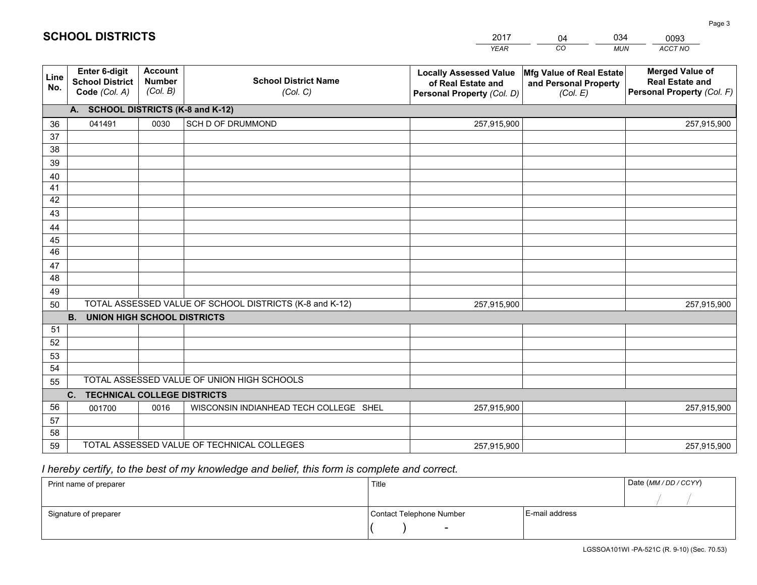|             |                                                          |                                             |                                                         | <b>YEAR</b>                                                                       | CO<br><b>MUN</b>                                              | ACCT NO                                                                        |  |  |  |  |
|-------------|----------------------------------------------------------|---------------------------------------------|---------------------------------------------------------|-----------------------------------------------------------------------------------|---------------------------------------------------------------|--------------------------------------------------------------------------------|--|--|--|--|
| Line<br>No. | Enter 6-digit<br><b>School District</b><br>Code (Col. A) | <b>Account</b><br><b>Number</b><br>(Col. B) | <b>School District Name</b><br>(Col. C)                 | <b>Locally Assessed Value</b><br>of Real Estate and<br>Personal Property (Col. D) | Mfg Value of Real Estate<br>and Personal Property<br>(Col. E) | <b>Merged Value of</b><br><b>Real Estate and</b><br>Personal Property (Col. F) |  |  |  |  |
|             | A. SCHOOL DISTRICTS (K-8 and K-12)                       |                                             |                                                         |                                                                                   |                                                               |                                                                                |  |  |  |  |
| 36          | 041491                                                   | 0030                                        | SCH D OF DRUMMOND                                       | 257,915,900                                                                       |                                                               | 257,915,900                                                                    |  |  |  |  |
| 37          |                                                          |                                             |                                                         |                                                                                   |                                                               |                                                                                |  |  |  |  |
| 38          |                                                          |                                             |                                                         |                                                                                   |                                                               |                                                                                |  |  |  |  |
| 39          |                                                          |                                             |                                                         |                                                                                   |                                                               |                                                                                |  |  |  |  |
| 40          |                                                          |                                             |                                                         |                                                                                   |                                                               |                                                                                |  |  |  |  |
| 41          |                                                          |                                             |                                                         |                                                                                   |                                                               |                                                                                |  |  |  |  |
| 42          |                                                          |                                             |                                                         |                                                                                   |                                                               |                                                                                |  |  |  |  |
| 43          |                                                          |                                             |                                                         |                                                                                   |                                                               |                                                                                |  |  |  |  |
| 44<br>45    |                                                          |                                             |                                                         |                                                                                   |                                                               |                                                                                |  |  |  |  |
| 46          |                                                          |                                             |                                                         |                                                                                   |                                                               |                                                                                |  |  |  |  |
| 47          |                                                          |                                             |                                                         |                                                                                   |                                                               |                                                                                |  |  |  |  |
| 48          |                                                          |                                             |                                                         |                                                                                   |                                                               |                                                                                |  |  |  |  |
| 49          |                                                          |                                             |                                                         |                                                                                   |                                                               |                                                                                |  |  |  |  |
| 50          |                                                          |                                             | TOTAL ASSESSED VALUE OF SCHOOL DISTRICTS (K-8 and K-12) | 257,915,900                                                                       |                                                               | 257,915,900                                                                    |  |  |  |  |
|             | <b>B.</b><br><b>UNION HIGH SCHOOL DISTRICTS</b>          |                                             |                                                         |                                                                                   |                                                               |                                                                                |  |  |  |  |
| 51          |                                                          |                                             |                                                         |                                                                                   |                                                               |                                                                                |  |  |  |  |
| 52          |                                                          |                                             |                                                         |                                                                                   |                                                               |                                                                                |  |  |  |  |
| 53          |                                                          |                                             |                                                         |                                                                                   |                                                               |                                                                                |  |  |  |  |
| 54          |                                                          |                                             |                                                         |                                                                                   |                                                               |                                                                                |  |  |  |  |
| 55          | TOTAL ASSESSED VALUE OF UNION HIGH SCHOOLS               |                                             |                                                         |                                                                                   |                                                               |                                                                                |  |  |  |  |
|             | C.<br><b>TECHNICAL COLLEGE DISTRICTS</b>                 |                                             |                                                         |                                                                                   |                                                               |                                                                                |  |  |  |  |
| 56          | 001700                                                   | 0016                                        | WISCONSIN INDIANHEAD TECH COLLEGE SHEL                  | 257,915,900                                                                       |                                                               | 257,915,900                                                                    |  |  |  |  |
| 57          |                                                          |                                             |                                                         |                                                                                   |                                                               |                                                                                |  |  |  |  |
| 58          |                                                          |                                             |                                                         |                                                                                   |                                                               |                                                                                |  |  |  |  |
| 59          |                                                          |                                             | TOTAL ASSESSED VALUE OF TECHNICAL COLLEGES              | 257,915,900                                                                       |                                                               | 257,915,900                                                                    |  |  |  |  |

04

034

 *I hereby certify, to the best of my knowledge and belief, this form is complete and correct.*

**SCHOOL DISTRICTS**

| Print name of preparer | Title                    | Date (MM / DD / CCYY) |  |
|------------------------|--------------------------|-----------------------|--|
|                        |                          |                       |  |
| Signature of preparer  | Contact Telephone Number | E-mail address        |  |
|                        | $\overline{\phantom{0}}$ |                       |  |

0093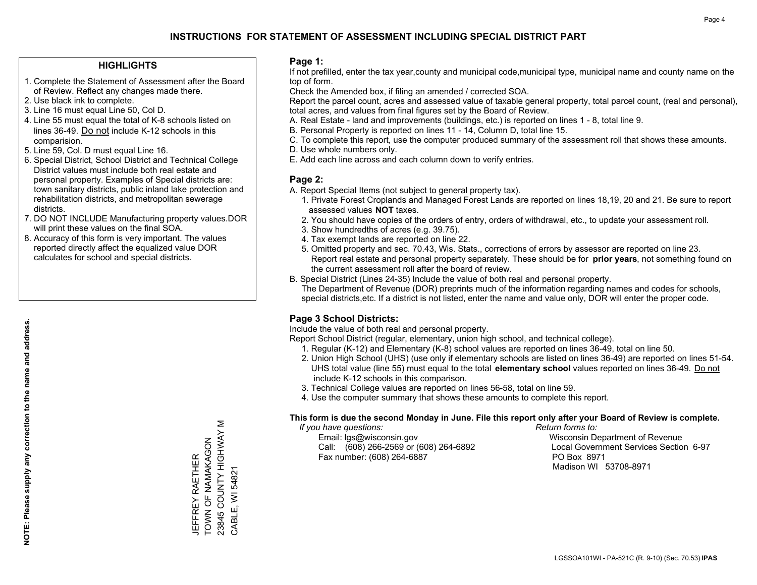#### **HIGHLIGHTS**

- 1. Complete the Statement of Assessment after the Board of Review. Reflect any changes made there.
- 2. Use black ink to complete.
- 3. Line 16 must equal Line 50, Col D.
- 4. Line 55 must equal the total of K-8 schools listed on lines 36-49. Do not include K-12 schools in this comparision.
- 5. Line 59, Col. D must equal Line 16.
- 6. Special District, School District and Technical College District values must include both real estate and personal property. Examples of Special districts are: town sanitary districts, public inland lake protection and rehabilitation districts, and metropolitan sewerage districts.
- 7. DO NOT INCLUDE Manufacturing property values.DOR will print these values on the final SOA.
- 8. Accuracy of this form is very important. The values reported directly affect the equalized value DOR calculates for school and special districts.

#### **Page 1:**

 If not prefilled, enter the tax year,county and municipal code,municipal type, municipal name and county name on the top of form.

Check the Amended box, if filing an amended / corrected SOA.

 Report the parcel count, acres and assessed value of taxable general property, total parcel count, (real and personal), total acres, and values from final figures set by the Board of Review.

- A. Real Estate land and improvements (buildings, etc.) is reported on lines 1 8, total line 9.
- B. Personal Property is reported on lines 11 14, Column D, total line 15.
- C. To complete this report, use the computer produced summary of the assessment roll that shows these amounts.
- D. Use whole numbers only.
- E. Add each line across and each column down to verify entries.

#### **Page 2:**

- A. Report Special Items (not subject to general property tax).
- 1. Private Forest Croplands and Managed Forest Lands are reported on lines 18,19, 20 and 21. Be sure to report assessed values **NOT** taxes.
- 2. You should have copies of the orders of entry, orders of withdrawal, etc., to update your assessment roll.
	- 3. Show hundredths of acres (e.g. 39.75).
- 4. Tax exempt lands are reported on line 22.
- 5. Omitted property and sec. 70.43, Wis. Stats., corrections of errors by assessor are reported on line 23. Report real estate and personal property separately. These should be for **prior years**, not something found on the current assessment roll after the board of review.
- B. Special District (Lines 24-35) Include the value of both real and personal property.
- The Department of Revenue (DOR) preprints much of the information regarding names and codes for schools, special districts,etc. If a district is not listed, enter the name and value only, DOR will enter the proper code.

## **Page 3 School Districts:**

Include the value of both real and personal property.

Report School District (regular, elementary, union high school, and technical college).

- 1. Regular (K-12) and Elementary (K-8) school values are reported on lines 36-49, total on line 50.
- 2. Union High School (UHS) (use only if elementary schools are listed on lines 36-49) are reported on lines 51-54. UHS total value (line 55) must equal to the total **elementary school** values reported on lines 36-49. Do notinclude K-12 schools in this comparison.
- 3. Technical College values are reported on lines 56-58, total on line 59.
- 4. Use the computer summary that shows these amounts to complete this report.

#### **This form is due the second Monday in June. File this report only after your Board of Review is complete.**

 *If you have questions: Return forms to:*

 Email: lgs@wisconsin.gov Wisconsin Department of RevenueCall:  $(608)$  266-2569 or  $(608)$  264-6892 Fax number: (608) 264-6887 PO Box 8971

Local Government Services Section 6-97 Madison WI 53708-8971

23845 COUNTY HIGHWAY M 23845 COUNTY HIGHWAY TOWN OF NAMAKAGON TOWN OF NAMAKAGON **JEFFREY RAETHER** JEFFREY RAETHER CABLE, WI 54821 CABLE, WI 54821

Σ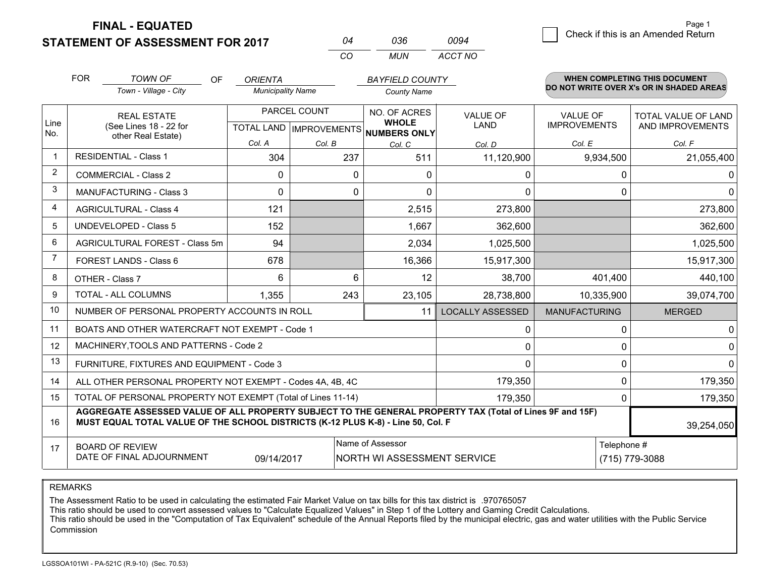**FINAL - EQUATED**

**STATEMENT OF ASSESSMENT FOR 2017** 

| 04  | 036.  | 0094    |
|-----|-------|---------|
| CO. | MI IN | ACCT NO |

|             | <b>FOR</b><br><b>TOWN OF</b><br>OF<br>Town - Village - City                                                                                                                                  | <b>ORIENTA</b><br><b>Municipality Name</b>           |          | <b>BAYFIELD COUNTY</b><br><b>County Name</b> |                                |                                        | WHEN COMPLETING THIS DOCUMENT<br>DO NOT WRITE OVER X's OR IN SHADED AREAS |
|-------------|----------------------------------------------------------------------------------------------------------------------------------------------------------------------------------------------|------------------------------------------------------|----------|----------------------------------------------|--------------------------------|----------------------------------------|---------------------------------------------------------------------------|
| Line<br>No. | <b>REAL ESTATE</b><br>(See Lines 18 - 22 for<br>other Real Estate)                                                                                                                           | PARCEL COUNT<br>TOTAL LAND IMPROVEMENTS NUMBERS ONLY |          | NO. OF ACRES<br><b>WHOLE</b>                 | <b>VALUE OF</b><br><b>LAND</b> | <b>VALUE OF</b><br><b>IMPROVEMENTS</b> | TOTAL VALUE OF LAND<br>AND IMPROVEMENTS                                   |
|             |                                                                                                                                                                                              | Col. A                                               | Col. B   | Col. C                                       | Col. D                         | Col. E                                 | Col. F                                                                    |
| -1          | <b>RESIDENTIAL - Class 1</b>                                                                                                                                                                 | 304                                                  | 237      | 511                                          | 11,120,900                     | 9,934,500                              | 21,055,400                                                                |
| 2           | <b>COMMERCIAL - Class 2</b>                                                                                                                                                                  | $\Omega$                                             | $\Omega$ | $\Omega$                                     | 0                              | $\Omega$                               | $\Omega$                                                                  |
| 3           | <b>MANUFACTURING - Class 3</b>                                                                                                                                                               | $\Omega$                                             | 0        | $\Omega$                                     | $\mathbf{0}$                   | $\Omega$                               | $\Omega$                                                                  |
| 4           | <b>AGRICULTURAL - Class 4</b>                                                                                                                                                                | 121                                                  |          | 2,515                                        | 273,800                        |                                        | 273,800                                                                   |
| 5           | <b>UNDEVELOPED - Class 5</b>                                                                                                                                                                 | 152                                                  |          | 1,667                                        | 362,600                        |                                        | 362,600                                                                   |
| 6           | AGRICULTURAL FOREST - Class 5m                                                                                                                                                               | 94                                                   |          | 2,034                                        | 1,025,500                      |                                        | 1,025,500                                                                 |
| 7           | FOREST LANDS - Class 6                                                                                                                                                                       | 678                                                  |          | 16,366                                       | 15,917,300                     |                                        | 15,917,300                                                                |
| 8           | OTHER - Class 7                                                                                                                                                                              | 6                                                    | 6        | 12                                           | 38,700                         | 401,400                                | 440,100                                                                   |
| 9           | TOTAL - ALL COLUMNS                                                                                                                                                                          | 1,355                                                | 243      | 23,105                                       | 28,738,800                     | 10,335,900                             | 39,074,700                                                                |
| 10          | NUMBER OF PERSONAL PROPERTY ACCOUNTS IN ROLL                                                                                                                                                 |                                                      |          | 11                                           | <b>LOCALLY ASSESSED</b>        | <b>MANUFACTURING</b>                   | <b>MERGED</b>                                                             |
| 11          | BOATS AND OTHER WATERCRAFT NOT EXEMPT - Code 1                                                                                                                                               |                                                      |          |                                              | 0                              | 0                                      | $\mathbf 0$                                                               |
| 12          | MACHINERY, TOOLS AND PATTERNS - Code 2                                                                                                                                                       |                                                      |          |                                              | $\Omega$                       | $\Omega$                               | 0                                                                         |
| 13          | FURNITURE, FIXTURES AND EQUIPMENT - Code 3                                                                                                                                                   |                                                      |          |                                              | $\Omega$                       | $\Omega$                               | $\mathbf 0$                                                               |
| 14          | ALL OTHER PERSONAL PROPERTY NOT EXEMPT - Codes 4A, 4B, 4C                                                                                                                                    |                                                      |          |                                              | 179,350                        | $\mathbf 0$                            | 179,350                                                                   |
| 15          | TOTAL OF PERSONAL PROPERTY NOT EXEMPT (Total of Lines 11-14)                                                                                                                                 | $\Omega$                                             | 179,350  |                                              |                                |                                        |                                                                           |
| 16          | AGGREGATE ASSESSED VALUE OF ALL PROPERTY SUBJECT TO THE GENERAL PROPERTY TAX (Total of Lines 9F and 15F)<br>MUST EQUAL TOTAL VALUE OF THE SCHOOL DISTRICTS (K-12 PLUS K-8) - Line 50, Col. F |                                                      |          |                                              |                                |                                        | 39,254,050                                                                |
| 17          | Name of Assessor<br>Telephone #<br><b>BOARD OF REVIEW</b><br>DATE OF FINAL ADJOURNMENT<br>NORTH WI ASSESSMENT SERVICE<br>09/14/2017                                                          |                                                      |          |                                              |                                |                                        | (715) 779-3088                                                            |

REMARKS

The Assessment Ratio to be used in calculating the estimated Fair Market Value on tax bills for this tax district is .970765057

This ratio should be used to convert assessed values to "Calculate Equalized Values" in Step 1 of the Lottery and Gaming Credit Calculations.<br>This ratio should be used in the "Computation of Tax Equivalent" schedule of the Commission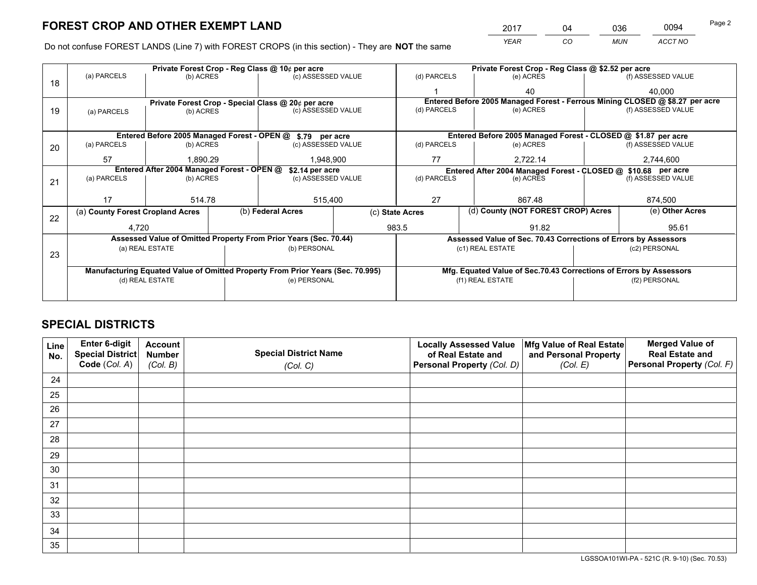*YEAR CO MUN ACCT NO* <sup>2017</sup> <sup>04</sup> <sup>036</sup> <sup>0094</sup> Page 2

Do not confuse FOREST LANDS (Line 7) with FOREST CROPS (in this section) - They are **NOT** the same

| Private Forest Crop - Reg Class @ 10¢ per acre |                       |                                                              |                                               |                                                               | Private Forest Crop - Reg Class @ \$2.52 per acre                                                                                                                                                                                                                                                                                                                                                                            |                                                                              |                    |                               |                                                                                                                                                                                                        |
|------------------------------------------------|-----------------------|--------------------------------------------------------------|-----------------------------------------------|---------------------------------------------------------------|------------------------------------------------------------------------------------------------------------------------------------------------------------------------------------------------------------------------------------------------------------------------------------------------------------------------------------------------------------------------------------------------------------------------------|------------------------------------------------------------------------------|--------------------|-------------------------------|--------------------------------------------------------------------------------------------------------------------------------------------------------------------------------------------------------|
|                                                |                       |                                                              |                                               |                                                               | (d) PARCELS                                                                                                                                                                                                                                                                                                                                                                                                                  |                                                                              | (e) ACRES          |                               | (f) ASSESSED VALUE                                                                                                                                                                                     |
|                                                |                       |                                                              |                                               |                                                               |                                                                                                                                                                                                                                                                                                                                                                                                                              |                                                                              | 40                 |                               | 40.000                                                                                                                                                                                                 |
|                                                |                       |                                                              |                                               |                                                               |                                                                                                                                                                                                                                                                                                                                                                                                                              | Entered Before 2005 Managed Forest - Ferrous Mining CLOSED @ \$8.27 per acre |                    |                               |                                                                                                                                                                                                        |
| (a) PARCELS                                    | (b) ACRES             |                                                              |                                               |                                                               |                                                                                                                                                                                                                                                                                                                                                                                                                              |                                                                              | (f) ASSESSED VALUE |                               |                                                                                                                                                                                                        |
|                                                |                       |                                                              |                                               |                                                               |                                                                                                                                                                                                                                                                                                                                                                                                                              |                                                                              |                    |                               |                                                                                                                                                                                                        |
|                                                |                       |                                                              |                                               |                                                               |                                                                                                                                                                                                                                                                                                                                                                                                                              |                                                                              |                    |                               |                                                                                                                                                                                                        |
| (a) PARCELS                                    |                       |                                                              |                                               |                                                               | (d) PARCELS                                                                                                                                                                                                                                                                                                                                                                                                                  |                                                                              | (e) ACRES          |                               | (f) ASSESSED VALUE                                                                                                                                                                                     |
| 57                                             | 1.890.29<br>1,948,900 |                                                              |                                               | 77                                                            |                                                                                                                                                                                                                                                                                                                                                                                                                              | 2,722.14                                                                     |                    | 2,744,600                     |                                                                                                                                                                                                        |
| Entered After 2004 Managed Forest - OPEN @     |                       |                                                              |                                               | Entered After 2004 Managed Forest - CLOSED @ \$10.68 per acre |                                                                                                                                                                                                                                                                                                                                                                                                                              |                                                                              |                    |                               |                                                                                                                                                                                                        |
| (a) PARCELS                                    |                       |                                                              |                                               |                                                               | (d) PARCELS                                                                                                                                                                                                                                                                                                                                                                                                                  |                                                                              | (e) ACRES          |                               | (f) ASSESSED VALUE                                                                                                                                                                                     |
|                                                |                       |                                                              |                                               |                                                               |                                                                                                                                                                                                                                                                                                                                                                                                                              |                                                                              |                    |                               |                                                                                                                                                                                                        |
| 17                                             |                       |                                                              |                                               |                                                               | 27                                                                                                                                                                                                                                                                                                                                                                                                                           |                                                                              | 867.48             |                               | 874,500                                                                                                                                                                                                |
|                                                |                       |                                                              |                                               |                                                               | (d) County (NOT FOREST CROP) Acres                                                                                                                                                                                                                                                                                                                                                                                           |                                                                              | (e) Other Acres    |                               |                                                                                                                                                                                                        |
|                                                |                       |                                                              |                                               | 983.5                                                         |                                                                                                                                                                                                                                                                                                                                                                                                                              |                                                                              | 91.82              |                               | 95.61                                                                                                                                                                                                  |
|                                                |                       |                                                              |                                               |                                                               |                                                                                                                                                                                                                                                                                                                                                                                                                              |                                                                              |                    |                               |                                                                                                                                                                                                        |
|                                                |                       |                                                              |                                               |                                                               |                                                                                                                                                                                                                                                                                                                                                                                                                              |                                                                              |                    |                               | (c2) PERSONAL                                                                                                                                                                                          |
|                                                |                       |                                                              |                                               |                                                               |                                                                                                                                                                                                                                                                                                                                                                                                                              |                                                                              |                    |                               |                                                                                                                                                                                                        |
|                                                |                       |                                                              |                                               |                                                               |                                                                                                                                                                                                                                                                                                                                                                                                                              |                                                                              |                    |                               |                                                                                                                                                                                                        |
| (d) REAL ESTATE                                |                       |                                                              |                                               |                                                               | (f1) REAL ESTATE                                                                                                                                                                                                                                                                                                                                                                                                             |                                                                              |                    | (f2) PERSONAL                 |                                                                                                                                                                                                        |
|                                                |                       |                                                              |                                               |                                                               |                                                                                                                                                                                                                                                                                                                                                                                                                              |                                                                              |                    |                               |                                                                                                                                                                                                        |
|                                                | (a) PARCELS           | (a) County Forest Cropland Acres<br>4,720<br>(a) REAL ESTATE | (b) ACRES<br>(b) ACRES<br>(b) ACRES<br>514.78 | (b) Federal Acres                                             | (c) ASSESSED VALUE<br>Private Forest Crop - Special Class @ 20¢ per acre<br>(c) ASSESSED VALUE<br>Entered Before 2005 Managed Forest - OPEN @ \$.79 per acre<br>(c) ASSESSED VALUE<br>\$2.14 per acre<br>(c) ASSESSED VALUE<br>515,400<br>Assessed Value of Omitted Property From Prior Years (Sec. 70.44)<br>(b) PERSONAL<br>Manufacturing Equated Value of Omitted Property From Prior Years (Sec. 70.995)<br>(e) PERSONAL | (c) State Acres                                                              | (d) PARCELS        | (e) ACRES<br>(c1) REAL ESTATE | Entered Before 2005 Managed Forest - CLOSED @ \$1.87 per acre<br>Assessed Value of Sec. 70.43 Corrections of Errors by Assessors<br>Mfg. Equated Value of Sec.70.43 Corrections of Errors by Assessors |

# **SPECIAL DISTRICTS**

| Line<br>No. | Enter 6-digit<br>Special District<br>Code (Col. A) | <b>Account</b><br><b>Number</b> | <b>Special District Name</b> | <b>Locally Assessed Value</b><br>of Real Estate and | Mfg Value of Real Estate<br>and Personal Property | <b>Merged Value of</b><br><b>Real Estate and</b><br>Personal Property (Col. F) |
|-------------|----------------------------------------------------|---------------------------------|------------------------------|-----------------------------------------------------|---------------------------------------------------|--------------------------------------------------------------------------------|
|             |                                                    | (Col. B)                        | (Col. C)                     | Personal Property (Col. D)                          | (Col. E)                                          |                                                                                |
| 24          |                                                    |                                 |                              |                                                     |                                                   |                                                                                |
| 25          |                                                    |                                 |                              |                                                     |                                                   |                                                                                |
| 26          |                                                    |                                 |                              |                                                     |                                                   |                                                                                |
| 27          |                                                    |                                 |                              |                                                     |                                                   |                                                                                |
| 28          |                                                    |                                 |                              |                                                     |                                                   |                                                                                |
| 29          |                                                    |                                 |                              |                                                     |                                                   |                                                                                |
| 30          |                                                    |                                 |                              |                                                     |                                                   |                                                                                |
| 31          |                                                    |                                 |                              |                                                     |                                                   |                                                                                |
| 32          |                                                    |                                 |                              |                                                     |                                                   |                                                                                |
| 33          |                                                    |                                 |                              |                                                     |                                                   |                                                                                |
| 34          |                                                    |                                 |                              |                                                     |                                                   |                                                                                |
| 35          |                                                    |                                 |                              |                                                     |                                                   |                                                                                |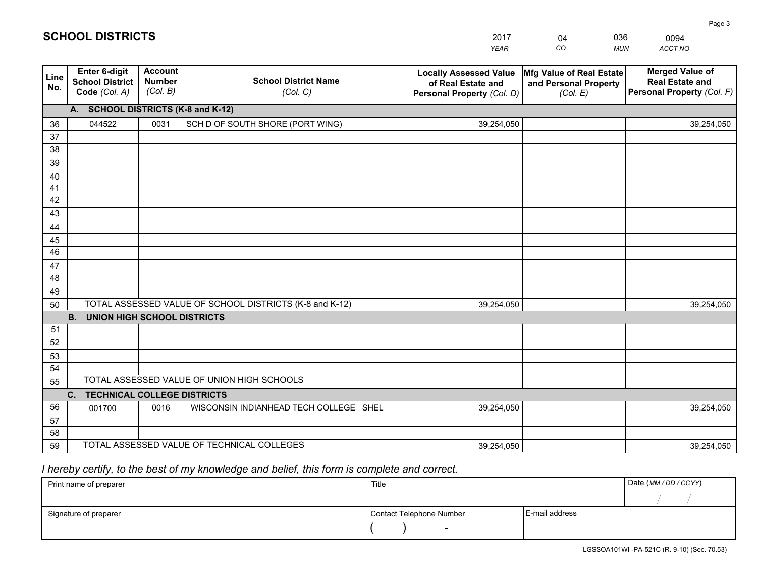|                 |                                                          |                                             |                                                         | <b>YEAR</b>                                                                       | CO<br><b>MUN</b>                                              | ACCT NO                                                                        |
|-----------------|----------------------------------------------------------|---------------------------------------------|---------------------------------------------------------|-----------------------------------------------------------------------------------|---------------------------------------------------------------|--------------------------------------------------------------------------------|
| Line<br>No.     | Enter 6-digit<br><b>School District</b><br>Code (Col. A) | <b>Account</b><br><b>Number</b><br>(Col. B) | <b>School District Name</b><br>(Col. C)                 | <b>Locally Assessed Value</b><br>of Real Estate and<br>Personal Property (Col. D) | Mfg Value of Real Estate<br>and Personal Property<br>(Col. E) | <b>Merged Value of</b><br><b>Real Estate and</b><br>Personal Property (Col. F) |
|                 | A. SCHOOL DISTRICTS (K-8 and K-12)                       |                                             |                                                         |                                                                                   |                                                               |                                                                                |
| 36              | 044522                                                   | 0031                                        | SCH D OF SOUTH SHORE (PORT WING)                        | 39,254,050                                                                        |                                                               | 39,254,050                                                                     |
| 37              |                                                          |                                             |                                                         |                                                                                   |                                                               |                                                                                |
| 38              |                                                          |                                             |                                                         |                                                                                   |                                                               |                                                                                |
| 39              |                                                          |                                             |                                                         |                                                                                   |                                                               |                                                                                |
| 40              |                                                          |                                             |                                                         |                                                                                   |                                                               |                                                                                |
| 41<br>42        |                                                          |                                             |                                                         |                                                                                   |                                                               |                                                                                |
| 43              |                                                          |                                             |                                                         |                                                                                   |                                                               |                                                                                |
| 44              |                                                          |                                             |                                                         |                                                                                   |                                                               |                                                                                |
| 45              |                                                          |                                             |                                                         |                                                                                   |                                                               |                                                                                |
| $\overline{46}$ |                                                          |                                             |                                                         |                                                                                   |                                                               |                                                                                |
| 47              |                                                          |                                             |                                                         |                                                                                   |                                                               |                                                                                |
| 48              |                                                          |                                             |                                                         |                                                                                   |                                                               |                                                                                |
| 49              |                                                          |                                             |                                                         |                                                                                   |                                                               |                                                                                |
| 50              |                                                          |                                             | TOTAL ASSESSED VALUE OF SCHOOL DISTRICTS (K-8 and K-12) | 39,254,050                                                                        |                                                               | 39,254,050                                                                     |
|                 | <b>B.</b><br><b>UNION HIGH SCHOOL DISTRICTS</b>          |                                             |                                                         |                                                                                   |                                                               |                                                                                |
| 51              |                                                          |                                             |                                                         |                                                                                   |                                                               |                                                                                |
| 52              |                                                          |                                             |                                                         |                                                                                   |                                                               |                                                                                |
| 53              |                                                          |                                             |                                                         |                                                                                   |                                                               |                                                                                |
| 54              |                                                          |                                             |                                                         |                                                                                   |                                                               |                                                                                |
| 55              |                                                          |                                             | TOTAL ASSESSED VALUE OF UNION HIGH SCHOOLS              |                                                                                   |                                                               |                                                                                |
|                 | C. TECHNICAL COLLEGE DISTRICTS                           |                                             |                                                         |                                                                                   |                                                               |                                                                                |
| 56              | 001700                                                   | 0016                                        | WISCONSIN INDIANHEAD TECH COLLEGE SHEL                  | 39,254,050                                                                        |                                                               | 39,254,050                                                                     |
| 57<br>58        |                                                          |                                             |                                                         |                                                                                   |                                                               |                                                                                |
| 59              |                                                          |                                             | TOTAL ASSESSED VALUE OF TECHNICAL COLLEGES              | 39,254,050                                                                        |                                                               | 39,254,050                                                                     |
|                 |                                                          |                                             |                                                         |                                                                                   |                                                               |                                                                                |

04

036

 *I hereby certify, to the best of my knowledge and belief, this form is complete and correct.*

**SCHOOL DISTRICTS**

| Print name of preparer | Title                    |                | Date (MM / DD / CCYY) |
|------------------------|--------------------------|----------------|-----------------------|
|                        |                          |                |                       |
| Signature of preparer  | Contact Telephone Number | E-mail address |                       |
|                        | $\overline{\phantom{a}}$ |                |                       |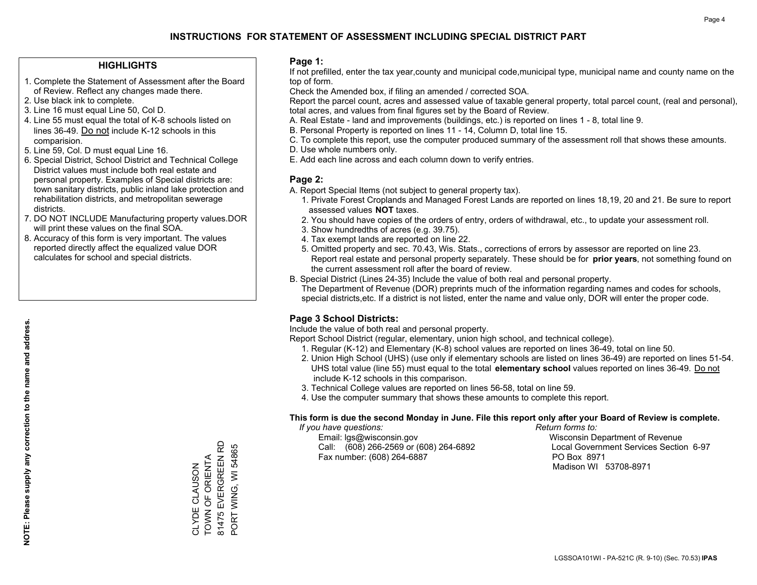### **HIGHLIGHTS**

- 1. Complete the Statement of Assessment after the Board of Review. Reflect any changes made there.
- 2. Use black ink to complete.
- 3. Line 16 must equal Line 50, Col D.
- 4. Line 55 must equal the total of K-8 schools listed on lines 36-49. Do not include K-12 schools in this comparision.
- 5. Line 59, Col. D must equal Line 16.
- 6. Special District, School District and Technical College District values must include both real estate and personal property. Examples of Special districts are: town sanitary districts, public inland lake protection and rehabilitation districts, and metropolitan sewerage districts.
- 7. DO NOT INCLUDE Manufacturing property values.DOR will print these values on the final SOA.

CLYDE CLAUSON TOWN OF ORIENTA 81475 EVERGREEN RD PORT WING, WI 54865

CLYDE CLAUSON<br>TOWN OF ORIENTA

81475 EVERGREEN RD PORT WING, WI 54865

 8. Accuracy of this form is very important. The values reported directly affect the equalized value DOR calculates for school and special districts.

### **Page 1:**

 If not prefilled, enter the tax year,county and municipal code,municipal type, municipal name and county name on the top of form.

Check the Amended box, if filing an amended / corrected SOA.

 Report the parcel count, acres and assessed value of taxable general property, total parcel count, (real and personal), total acres, and values from final figures set by the Board of Review.

- A. Real Estate land and improvements (buildings, etc.) is reported on lines 1 8, total line 9.
- B. Personal Property is reported on lines 11 14, Column D, total line 15.
- C. To complete this report, use the computer produced summary of the assessment roll that shows these amounts.
- D. Use whole numbers only.
- E. Add each line across and each column down to verify entries.

### **Page 2:**

- A. Report Special Items (not subject to general property tax).
- 1. Private Forest Croplands and Managed Forest Lands are reported on lines 18,19, 20 and 21. Be sure to report assessed values **NOT** taxes.
- 2. You should have copies of the orders of entry, orders of withdrawal, etc., to update your assessment roll.
	- 3. Show hundredths of acres (e.g. 39.75).
- 4. Tax exempt lands are reported on line 22.
- 5. Omitted property and sec. 70.43, Wis. Stats., corrections of errors by assessor are reported on line 23. Report real estate and personal property separately. These should be for **prior years**, not something found on the current assessment roll after the board of review.
- B. Special District (Lines 24-35) Include the value of both real and personal property.

 The Department of Revenue (DOR) preprints much of the information regarding names and codes for schools, special districts,etc. If a district is not listed, enter the name and value only, DOR will enter the proper code.

## **Page 3 School Districts:**

Include the value of both real and personal property.

Report School District (regular, elementary, union high school, and technical college).

- 1. Regular (K-12) and Elementary (K-8) school values are reported on lines 36-49, total on line 50.
- 2. Union High School (UHS) (use only if elementary schools are listed on lines 36-49) are reported on lines 51-54. UHS total value (line 55) must equal to the total **elementary school** values reported on lines 36-49. Do notinclude K-12 schools in this comparison.
- 3. Technical College values are reported on lines 56-58, total on line 59.
- 4. Use the computer summary that shows these amounts to complete this report.

#### **This form is due the second Monday in June. File this report only after your Board of Review is complete.**

 *If you have questions: Return forms to:*

 Email: lgs@wisconsin.gov Wisconsin Department of RevenueCall:  $(608)$  266-2569 or  $(608)$  264-6892 Fax number: (608) 264-6887 PO Box 8971

Local Government Services Section 6-97 Madison WI 53708-8971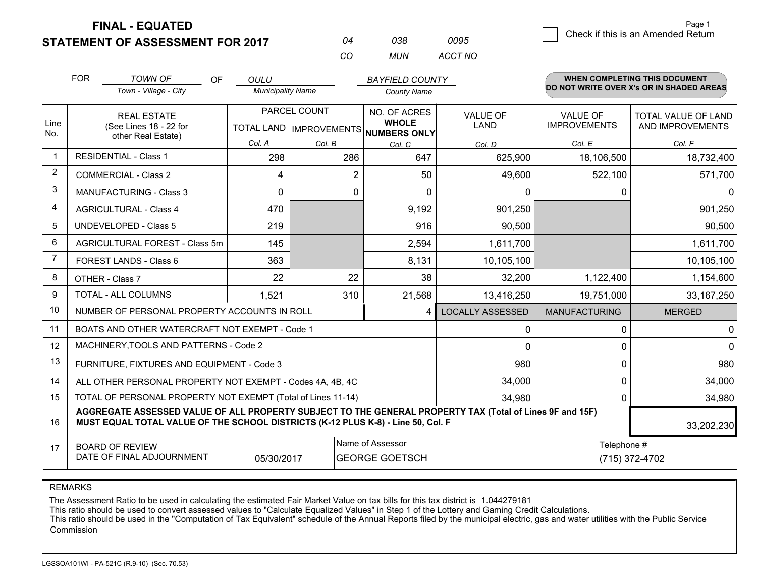**FINAL - EQUATED**

**STATEMENT OF ASSESSMENT FOR 2017** 

| በ4  | กาล | 0095    |
|-----|-----|---------|
| CO. | MUN | ACCT NO |

|             | <b>FOR</b>                                                                                                                                                                                   | <b>TOWN OF</b><br><b>OF</b>                               | <b>OULU</b>              |              | <b>BAYFIELD COUNTY</b>                              |                         |                      | <b>WHEN COMPLETING THIS DOCUMENT</b>     |
|-------------|----------------------------------------------------------------------------------------------------------------------------------------------------------------------------------------------|-----------------------------------------------------------|--------------------------|--------------|-----------------------------------------------------|-------------------------|----------------------|------------------------------------------|
|             |                                                                                                                                                                                              | Town - Village - City                                     | <b>Municipality Name</b> |              | <b>County Name</b>                                  |                         |                      | DO NOT WRITE OVER X's OR IN SHADED AREAS |
|             |                                                                                                                                                                                              | <b>REAL ESTATE</b>                                        |                          | PARCEL COUNT | NO. OF ACRES                                        | <b>VALUE OF</b>         | <b>VALUE OF</b>      | TOTAL VALUE OF LAND                      |
| Line<br>No. |                                                                                                                                                                                              | (See Lines 18 - 22 for<br>other Real Estate)              |                          |              | <b>WHOLE</b><br>TOTAL LAND MPROVEMENTS NUMBERS ONLY | <b>LAND</b>             | <b>IMPROVEMENTS</b>  | AND IMPROVEMENTS                         |
|             |                                                                                                                                                                                              |                                                           | Col. A                   | Col. B       | Col. C                                              | Col. D                  | Col. E               | Col. F                                   |
| $\mathbf 1$ |                                                                                                                                                                                              | <b>RESIDENTIAL - Class 1</b>                              | 298                      | 286          | 647                                                 | 625,900                 | 18,106,500           | 18,732,400                               |
| 2           |                                                                                                                                                                                              | <b>COMMERCIAL - Class 2</b>                               | 4                        | 2            | 50                                                  | 49,600                  | 522,100              | 571,700                                  |
| 3           |                                                                                                                                                                                              | <b>MANUFACTURING - Class 3</b>                            | 0                        | 0            | 0                                                   | 0                       | 0                    | $\Omega$                                 |
| 4           |                                                                                                                                                                                              | <b>AGRICULTURAL - Class 4</b>                             | 470                      |              | 9,192                                               | 901,250                 |                      | 901,250                                  |
| 5           |                                                                                                                                                                                              | <b>UNDEVELOPED - Class 5</b>                              | 219                      |              | 916                                                 | 90,500                  |                      | 90,500                                   |
| 6           |                                                                                                                                                                                              | AGRICULTURAL FOREST - Class 5m                            | 145                      |              | 2,594                                               | 1,611,700               |                      | 1,611,700                                |
| 7           | FOREST LANDS - Class 6                                                                                                                                                                       |                                                           | 363                      |              | 8,131                                               | 10,105,100              |                      | 10,105,100                               |
| 8           |                                                                                                                                                                                              | OTHER - Class 7                                           | 22                       | 22           | 38                                                  | 32,200                  | 1,122,400            | 1,154,600                                |
| 9           |                                                                                                                                                                                              | TOTAL - ALL COLUMNS                                       | 1,521                    | 310          | 21,568                                              | 13,416,250              | 19,751,000           | 33, 167, 250                             |
| 10          |                                                                                                                                                                                              | NUMBER OF PERSONAL PROPERTY ACCOUNTS IN ROLL              |                          |              | 4                                                   | <b>LOCALLY ASSESSED</b> | <b>MANUFACTURING</b> | <b>MERGED</b>                            |
| 11          |                                                                                                                                                                                              | BOATS AND OTHER WATERCRAFT NOT EXEMPT - Code 1            |                          |              |                                                     | 0                       | 0                    | $\overline{0}$                           |
| 12          |                                                                                                                                                                                              | MACHINERY, TOOLS AND PATTERNS - Code 2                    |                          |              |                                                     | $\Omega$                | 0                    | $\overline{0}$                           |
| 13          |                                                                                                                                                                                              | FURNITURE, FIXTURES AND EQUIPMENT - Code 3                |                          |              |                                                     | 980                     | 0                    | 980                                      |
| 14          |                                                                                                                                                                                              | ALL OTHER PERSONAL PROPERTY NOT EXEMPT - Codes 4A, 4B, 4C |                          |              |                                                     | 34,000                  | 0                    | 34,000                                   |
| 15          | TOTAL OF PERSONAL PROPERTY NOT EXEMPT (Total of Lines 11-14)<br>34,980                                                                                                                       |                                                           |                          |              |                                                     |                         | 0                    | 34,980                                   |
| 16          | AGGREGATE ASSESSED VALUE OF ALL PROPERTY SUBJECT TO THE GENERAL PROPERTY TAX (Total of Lines 9F and 15F)<br>MUST EQUAL TOTAL VALUE OF THE SCHOOL DISTRICTS (K-12 PLUS K-8) - Line 50, Col. F |                                                           |                          |              |                                                     |                         | 33,202,230           |                                          |
| 17          |                                                                                                                                                                                              | <b>BOARD OF REVIEW</b>                                    |                          |              | Name of Assessor                                    |                         | Telephone #          |                                          |
|             |                                                                                                                                                                                              | DATE OF FINAL ADJOURNMENT                                 | 05/30/2017               |              | <b>GEORGE GOETSCH</b>                               |                         |                      | (715) 372-4702                           |

REMARKS

The Assessment Ratio to be used in calculating the estimated Fair Market Value on tax bills for this tax district is 1.044279181

This ratio should be used to convert assessed values to "Calculate Equalized Values" in Step 1 of the Lottery and Gaming Credit Calculations.<br>This ratio should be used in the "Computation of Tax Equivalent" schedule of the Commission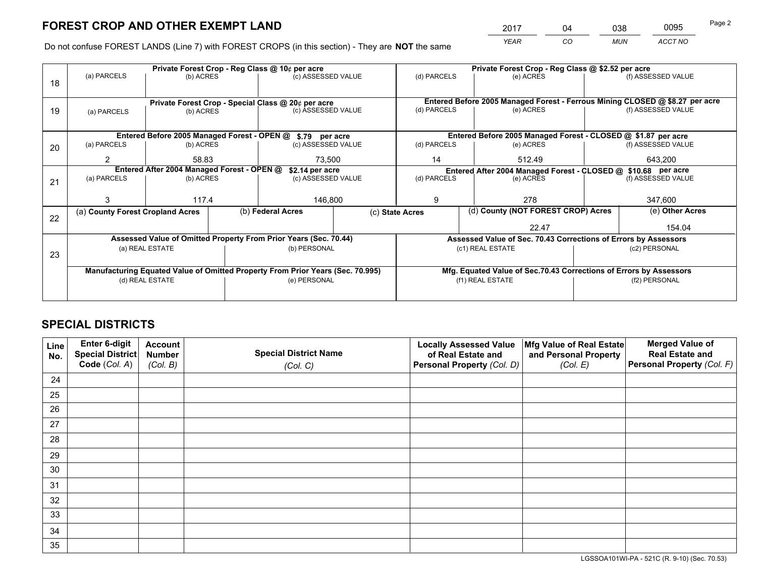*YEAR CO MUN ACCT NO* <sup>2017</sup> <sup>04</sup> <sup>038</sup> <sup>0095</sup>

Do not confuse FOREST LANDS (Line 7) with FOREST CROPS (in this section) - They are **NOT** the same

|    |                                                                                |                 |  | Private Forest Crop - Reg Class @ 10¢ per acre                   |             | Private Forest Crop - Reg Class @ \$2.52 per acre                  |                                                                              |         |                    |  |
|----|--------------------------------------------------------------------------------|-----------------|--|------------------------------------------------------------------|-------------|--------------------------------------------------------------------|------------------------------------------------------------------------------|---------|--------------------|--|
| 18 | (a) PARCELS                                                                    | (b) ACRES       |  | (c) ASSESSED VALUE                                               |             | (d) PARCELS                                                        | (e) ACRES                                                                    |         | (f) ASSESSED VALUE |  |
|    |                                                                                |                 |  |                                                                  |             |                                                                    |                                                                              |         |                    |  |
|    | Private Forest Crop - Special Class @ 20¢ per acre                             |                 |  |                                                                  |             |                                                                    | Entered Before 2005 Managed Forest - Ferrous Mining CLOSED @ \$8.27 per acre |         |                    |  |
| 19 | (c) ASSESSED VALUE<br>(b) ACRES<br>(a) PARCELS                                 |                 |  | (d) PARCELS                                                      | (e) ACRES   |                                                                    | (f) ASSESSED VALUE                                                           |         |                    |  |
|    |                                                                                |                 |  |                                                                  |             |                                                                    |                                                                              |         |                    |  |
|    |                                                                                |                 |  | Entered Before 2005 Managed Forest - OPEN @ \$.79 per acre       |             |                                                                    | Entered Before 2005 Managed Forest - CLOSED @ \$1.87 per acre                |         |                    |  |
| 20 | (a) PARCELS                                                                    | (b) ACRES       |  | (c) ASSESSED VALUE                                               |             | (d) PARCELS                                                        | (e) ACRES                                                                    |         | (f) ASSESSED VALUE |  |
|    | 2                                                                              | 58.83<br>73,500 |  |                                                                  | 14          | 512.49                                                             |                                                                              | 643,200 |                    |  |
|    | Entered After 2004 Managed Forest - OPEN @                                     |                 |  | \$2.14 per acre                                                  |             | Entered After 2004 Managed Forest - CLOSED @ \$10.68 per acre      |                                                                              |         |                    |  |
| 21 | (a) PARCELS                                                                    | (b) ACRES       |  | (c) ASSESSED VALUE                                               | (d) PARCELS |                                                                    | (e) ACRES                                                                    |         |                    |  |
|    |                                                                                |                 |  |                                                                  |             |                                                                    |                                                                              |         |                    |  |
|    | 3                                                                              | 117.4           |  | 146,800                                                          |             | 9                                                                  | 278                                                                          |         | 347,600            |  |
| 22 | (a) County Forest Cropland Acres                                               |                 |  | (b) Federal Acres                                                |             | (c) State Acres                                                    | (d) County (NOT FOREST CROP) Acres                                           |         | (e) Other Acres    |  |
|    |                                                                                |                 |  |                                                                  |             |                                                                    | 22.47                                                                        | 154.04  |                    |  |
|    |                                                                                |                 |  | Assessed Value of Omitted Property From Prior Years (Sec. 70.44) |             | Assessed Value of Sec. 70.43 Corrections of Errors by Assessors    |                                                                              |         |                    |  |
| 23 |                                                                                | (a) REAL ESTATE |  | (b) PERSONAL                                                     |             |                                                                    | (c1) REAL ESTATE                                                             |         | (c2) PERSONAL      |  |
|    |                                                                                |                 |  |                                                                  |             |                                                                    |                                                                              |         |                    |  |
|    | Manufacturing Equated Value of Omitted Property From Prior Years (Sec. 70.995) |                 |  |                                                                  |             | Mfg. Equated Value of Sec.70.43 Corrections of Errors by Assessors |                                                                              |         |                    |  |
|    | (d) REAL ESTATE                                                                |                 |  | (e) PERSONAL                                                     |             |                                                                    | (f1) REAL ESTATE                                                             |         | (f2) PERSONAL      |  |
|    |                                                                                |                 |  |                                                                  |             |                                                                    |                                                                              |         |                    |  |

# **SPECIAL DISTRICTS**

| Line<br>No. | Enter 6-digit<br>Special District<br>Code (Col. A) | <b>Account</b><br><b>Number</b> | <b>Special District Name</b> | <b>Locally Assessed Value</b><br>of Real Estate and | Mfg Value of Real Estate<br>and Personal Property | <b>Merged Value of</b><br><b>Real Estate and</b><br>Personal Property (Col. F) |
|-------------|----------------------------------------------------|---------------------------------|------------------------------|-----------------------------------------------------|---------------------------------------------------|--------------------------------------------------------------------------------|
|             |                                                    | (Col. B)                        | (Col. C)                     | Personal Property (Col. D)                          | (Col. E)                                          |                                                                                |
| 24          |                                                    |                                 |                              |                                                     |                                                   |                                                                                |
| 25          |                                                    |                                 |                              |                                                     |                                                   |                                                                                |
| 26          |                                                    |                                 |                              |                                                     |                                                   |                                                                                |
| 27          |                                                    |                                 |                              |                                                     |                                                   |                                                                                |
| 28          |                                                    |                                 |                              |                                                     |                                                   |                                                                                |
| 29          |                                                    |                                 |                              |                                                     |                                                   |                                                                                |
| 30          |                                                    |                                 |                              |                                                     |                                                   |                                                                                |
| 31          |                                                    |                                 |                              |                                                     |                                                   |                                                                                |
| 32          |                                                    |                                 |                              |                                                     |                                                   |                                                                                |
| 33          |                                                    |                                 |                              |                                                     |                                                   |                                                                                |
| 34          |                                                    |                                 |                              |                                                     |                                                   |                                                                                |
| 35          |                                                    |                                 |                              |                                                     |                                                   |                                                                                |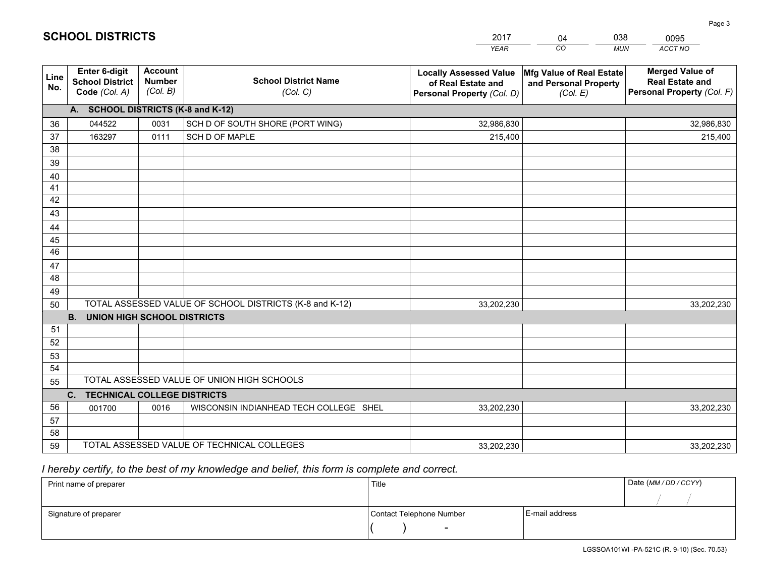|             |                                                                 |                                             |                                                         | <b>YEAR</b>                                                                       | CO<br><b>MUN</b>                                              | ACCT NO                                                                        |
|-------------|-----------------------------------------------------------------|---------------------------------------------|---------------------------------------------------------|-----------------------------------------------------------------------------------|---------------------------------------------------------------|--------------------------------------------------------------------------------|
| Line<br>No. | <b>Enter 6-digit</b><br><b>School District</b><br>Code (Col. A) | <b>Account</b><br><b>Number</b><br>(Col. B) | <b>School District Name</b><br>(Col. C)                 | <b>Locally Assessed Value</b><br>of Real Estate and<br>Personal Property (Col. D) | Mfg Value of Real Estate<br>and Personal Property<br>(Col. E) | <b>Merged Value of</b><br><b>Real Estate and</b><br>Personal Property (Col. F) |
|             | A. SCHOOL DISTRICTS (K-8 and K-12)                              |                                             |                                                         |                                                                                   |                                                               |                                                                                |
| 36          | 044522                                                          | 0031                                        | SCH D OF SOUTH SHORE (PORT WING)                        | 32,986,830                                                                        |                                                               | 32,986,830                                                                     |
| 37          | 163297                                                          | 0111                                        | SCH D OF MAPLE                                          | 215,400                                                                           |                                                               | 215,400                                                                        |
| 38          |                                                                 |                                             |                                                         |                                                                                   |                                                               |                                                                                |
| 39          |                                                                 |                                             |                                                         |                                                                                   |                                                               |                                                                                |
| 40          |                                                                 |                                             |                                                         |                                                                                   |                                                               |                                                                                |
| 41          |                                                                 |                                             |                                                         |                                                                                   |                                                               |                                                                                |
| 42          |                                                                 |                                             |                                                         |                                                                                   |                                                               |                                                                                |
| 43          |                                                                 |                                             |                                                         |                                                                                   |                                                               |                                                                                |
| 44          |                                                                 |                                             |                                                         |                                                                                   |                                                               |                                                                                |
| 45          |                                                                 |                                             |                                                         |                                                                                   |                                                               |                                                                                |
| 46          |                                                                 |                                             |                                                         |                                                                                   |                                                               |                                                                                |
| 47          |                                                                 |                                             |                                                         |                                                                                   |                                                               |                                                                                |
| 48          |                                                                 |                                             |                                                         |                                                                                   |                                                               |                                                                                |
| 49          |                                                                 |                                             | TOTAL ASSESSED VALUE OF SCHOOL DISTRICTS (K-8 and K-12) |                                                                                   |                                                               |                                                                                |
| 50          | <b>B.</b><br><b>UNION HIGH SCHOOL DISTRICTS</b>                 |                                             |                                                         | 33,202,230                                                                        |                                                               | 33,202,230                                                                     |
| 51          |                                                                 |                                             |                                                         |                                                                                   |                                                               |                                                                                |
| 52          |                                                                 |                                             |                                                         |                                                                                   |                                                               |                                                                                |
| 53          |                                                                 |                                             |                                                         |                                                                                   |                                                               |                                                                                |
| 54          |                                                                 |                                             |                                                         |                                                                                   |                                                               |                                                                                |
| 55          |                                                                 |                                             | TOTAL ASSESSED VALUE OF UNION HIGH SCHOOLS              |                                                                                   |                                                               |                                                                                |
|             | <b>TECHNICAL COLLEGE DISTRICTS</b><br>C.                        |                                             |                                                         |                                                                                   |                                                               |                                                                                |
| 56          | 001700                                                          | 0016                                        | WISCONSIN INDIANHEAD TECH COLLEGE SHEL                  | 33,202,230                                                                        |                                                               | 33,202,230                                                                     |
| 57          |                                                                 |                                             |                                                         |                                                                                   |                                                               |                                                                                |
| 58          |                                                                 |                                             |                                                         |                                                                                   |                                                               |                                                                                |
| 59          |                                                                 |                                             | TOTAL ASSESSED VALUE OF TECHNICAL COLLEGES              | 33,202,230                                                                        |                                                               | 33,202,230                                                                     |

04

038

 *I hereby certify, to the best of my knowledge and belief, this form is complete and correct.*

**SCHOOL DISTRICTS**

| Print name of preparer | Title                    |                | Date (MM / DD / CCYY) |
|------------------------|--------------------------|----------------|-----------------------|
|                        |                          |                |                       |
| Signature of preparer  | Contact Telephone Number | E-mail address |                       |
|                        | $\sim$                   |                |                       |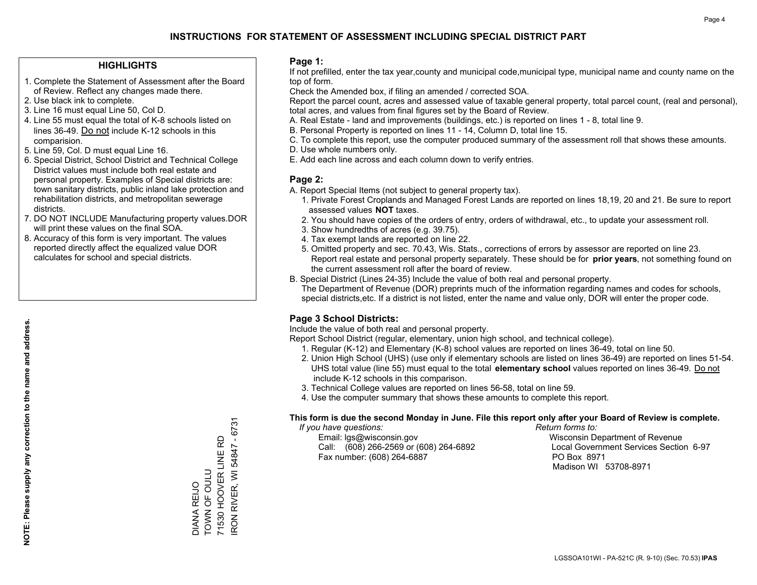### **HIGHLIGHTS**

- 1. Complete the Statement of Assessment after the Board of Review. Reflect any changes made there.
- 2. Use black ink to complete.
- 3. Line 16 must equal Line 50, Col D.
- 4. Line 55 must equal the total of K-8 schools listed on lines 36-49. Do not include K-12 schools in this comparision.
- 5. Line 59, Col. D must equal Line 16.
- 6. Special District, School District and Technical College District values must include both real estate and personal property. Examples of Special districts are: town sanitary districts, public inland lake protection and rehabilitation districts, and metropolitan sewerage districts.
- 7. DO NOT INCLUDE Manufacturing property values.DOR will print these values on the final SOA.

DIANA REIJO TOWN OF OULU

DIANA REIJO<br>TOWN OF OULU

71530 HOOVER LINE RD IRON RIVER, WI 54847 - 6731

RON RIVER, WI 54847 - 6731 71530 HOOVER LINE RD

 8. Accuracy of this form is very important. The values reported directly affect the equalized value DOR calculates for school and special districts.

### **Page 1:**

 If not prefilled, enter the tax year,county and municipal code,municipal type, municipal name and county name on the top of form.

Check the Amended box, if filing an amended / corrected SOA.

 Report the parcel count, acres and assessed value of taxable general property, total parcel count, (real and personal), total acres, and values from final figures set by the Board of Review.

- A. Real Estate land and improvements (buildings, etc.) is reported on lines 1 8, total line 9.
- B. Personal Property is reported on lines 11 14, Column D, total line 15.
- C. To complete this report, use the computer produced summary of the assessment roll that shows these amounts.
- D. Use whole numbers only.
- E. Add each line across and each column down to verify entries.

### **Page 2:**

- A. Report Special Items (not subject to general property tax).
- 1. Private Forest Croplands and Managed Forest Lands are reported on lines 18,19, 20 and 21. Be sure to report assessed values **NOT** taxes.
- 2. You should have copies of the orders of entry, orders of withdrawal, etc., to update your assessment roll.
	- 3. Show hundredths of acres (e.g. 39.75).
- 4. Tax exempt lands are reported on line 22.
- 5. Omitted property and sec. 70.43, Wis. Stats., corrections of errors by assessor are reported on line 23. Report real estate and personal property separately. These should be for **prior years**, not something found on the current assessment roll after the board of review.
- B. Special District (Lines 24-35) Include the value of both real and personal property.
- The Department of Revenue (DOR) preprints much of the information regarding names and codes for schools, special districts,etc. If a district is not listed, enter the name and value only, DOR will enter the proper code.

## **Page 3 School Districts:**

Include the value of both real and personal property.

Report School District (regular, elementary, union high school, and technical college).

- 1. Regular (K-12) and Elementary (K-8) school values are reported on lines 36-49, total on line 50.
- 2. Union High School (UHS) (use only if elementary schools are listed on lines 36-49) are reported on lines 51-54. UHS total value (line 55) must equal to the total **elementary school** values reported on lines 36-49. Do notinclude K-12 schools in this comparison.
- 3. Technical College values are reported on lines 56-58, total on line 59.
- 4. Use the computer summary that shows these amounts to complete this report.

#### **This form is due the second Monday in June. File this report only after your Board of Review is complete.**

 *If you have questions: Return forms to:*

 Email: lgs@wisconsin.gov Wisconsin Department of RevenueCall:  $(608)$  266-2569 or  $(608)$  264-6892 Fax number: (608) 264-6887 PO Box 8971

Local Government Services Section 6-97 Madison WI 53708-8971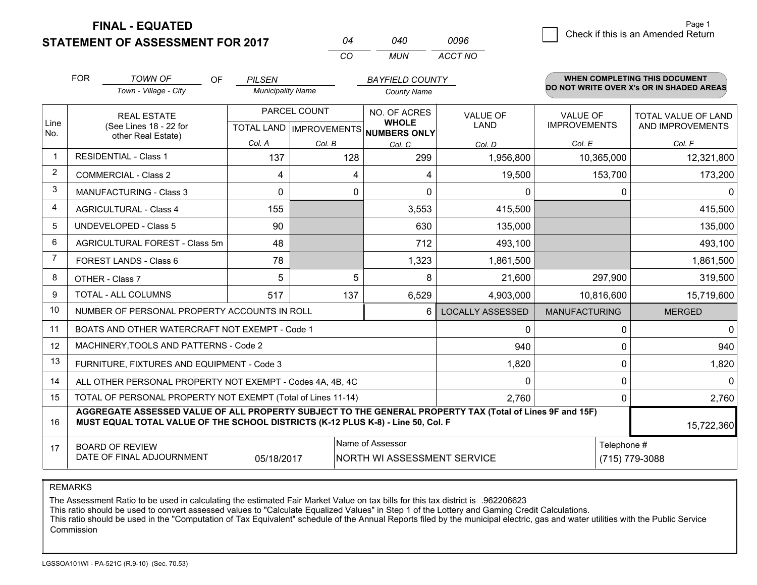**STATEMENT OF ASSESSMENT FOR 2017 FINAL - EQUATED**

6 **Check if this is an Amended Return** 

|                      | <b>FOR</b>                                                                                                                                                                                   | <b>TOWN OF</b><br>OF                                         | <b>PILSEN</b>            |              | <b>BAYFIELD COUNTY</b>                               |                         |                      | <b>WHEN COMPLETING THIS DOCUMENT</b>     |
|----------------------|----------------------------------------------------------------------------------------------------------------------------------------------------------------------------------------------|--------------------------------------------------------------|--------------------------|--------------|------------------------------------------------------|-------------------------|----------------------|------------------------------------------|
|                      |                                                                                                                                                                                              | Town - Village - City                                        | <b>Municipality Name</b> |              | <b>County Name</b>                                   |                         |                      | DO NOT WRITE OVER X's OR IN SHADED AREAS |
|                      |                                                                                                                                                                                              | <b>REAL ESTATE</b>                                           |                          | PARCEL COUNT | NO. OF ACRES                                         | <b>VALUE OF</b>         | <b>VALUE OF</b>      | <b>TOTAL VALUE OF LAND</b>               |
| Line<br>No.          |                                                                                                                                                                                              | (See Lines 18 - 22 for<br>other Real Estate)                 |                          |              | <b>WHOLE</b><br>TOTAL LAND IMPROVEMENTS NUMBERS ONLY | <b>LAND</b>             | <b>IMPROVEMENTS</b>  | AND IMPROVEMENTS                         |
|                      |                                                                                                                                                                                              |                                                              | Col. A                   | Col. B       | Col. C                                               | Col. D                  | Col. E               | Col. F                                   |
| $\blacktriangleleft$ |                                                                                                                                                                                              | <b>RESIDENTIAL - Class 1</b>                                 | 137                      | 128          | 299                                                  | 1,956,800               | 10,365,000           | 12,321,800                               |
| 2                    |                                                                                                                                                                                              | <b>COMMERCIAL - Class 2</b>                                  | 4                        |              | 4<br>4                                               | 19,500                  | 153,700              | 173,200                                  |
| 3                    |                                                                                                                                                                                              | <b>MANUFACTURING - Class 3</b>                               | 0                        |              | $\overline{0}$<br>0                                  | $\mathbf{0}$            | $\mathbf{0}$         | <sup>0</sup>                             |
| 4                    |                                                                                                                                                                                              | <b>AGRICULTURAL - Class 4</b>                                | 155                      |              | 3,553                                                | 415,500                 |                      | 415,500                                  |
| 5                    |                                                                                                                                                                                              | <b>UNDEVELOPED - Class 5</b>                                 | 90                       |              | 630                                                  | 135,000                 |                      | 135,000                                  |
| 6                    |                                                                                                                                                                                              | AGRICULTURAL FOREST - Class 5m                               | 48                       |              | 712                                                  | 493,100                 |                      | 493,100                                  |
| $\overline{7}$       |                                                                                                                                                                                              | FOREST LANDS - Class 6                                       | 78                       |              | 1,323                                                | 1,861,500               |                      | 1,861,500                                |
| 8                    |                                                                                                                                                                                              | OTHER - Class 7                                              | 5                        |              | 5<br>8                                               | 21,600                  | 297,900              | 319,500                                  |
| 9                    |                                                                                                                                                                                              | <b>TOTAL - ALL COLUMNS</b>                                   | 517                      | 137          | 6,529                                                | 4,903,000               | 10,816,600           | 15,719,600                               |
| 10                   |                                                                                                                                                                                              | NUMBER OF PERSONAL PROPERTY ACCOUNTS IN ROLL                 |                          |              | 6                                                    | <b>LOCALLY ASSESSED</b> | <b>MANUFACTURING</b> | <b>MERGED</b>                            |
| 11                   |                                                                                                                                                                                              | BOATS AND OTHER WATERCRAFT NOT EXEMPT - Code 1               |                          |              |                                                      | $\mathbf{0}$            | $\pmb{0}$            | $\mathbf{0}$                             |
| 12                   |                                                                                                                                                                                              | MACHINERY, TOOLS AND PATTERNS - Code 2                       |                          |              |                                                      | 940                     | $\mathbf 0$          | 940                                      |
| 13                   |                                                                                                                                                                                              | FURNITURE, FIXTURES AND EQUIPMENT - Code 3                   |                          |              |                                                      | 1,820                   | $\pmb{0}$            | 1,820                                    |
| 14                   |                                                                                                                                                                                              | ALL OTHER PERSONAL PROPERTY NOT EXEMPT - Codes 4A, 4B, 4C    |                          |              |                                                      | $\mathbf{0}$            | $\mathbf 0$          | $\Omega$                                 |
| 15                   |                                                                                                                                                                                              | TOTAL OF PERSONAL PROPERTY NOT EXEMPT (Total of Lines 11-14) |                          |              |                                                      | 2,760                   | $\mathbf 0$          | 2,760                                    |
| 16                   | AGGREGATE ASSESSED VALUE OF ALL PROPERTY SUBJECT TO THE GENERAL PROPERTY TAX (Total of Lines 9F and 15F)<br>MUST EQUAL TOTAL VALUE OF THE SCHOOL DISTRICTS (K-12 PLUS K-8) - Line 50, Col. F |                                                              |                          |              |                                                      |                         | 15,722,360           |                                          |
| 17                   |                                                                                                                                                                                              | <b>BOARD OF REVIEW</b>                                       |                          |              | Name of Assessor                                     |                         | Telephone #          |                                          |
|                      |                                                                                                                                                                                              | DATE OF FINAL ADJOURNMENT                                    | 05/18/2017               |              | NORTH WI ASSESSMENT SERVICE                          |                         |                      | (715) 779-3088                           |

*CO*

*MUN*

*ACCT NO0096*

*<sup>04</sup> <sup>040</sup>*

REMARKS

The Assessment Ratio to be used in calculating the estimated Fair Market Value on tax bills for this tax district is .962206623<br>This ratio should be used to convert assessed values to "Calculate Equalized Values" in Step 1 Commission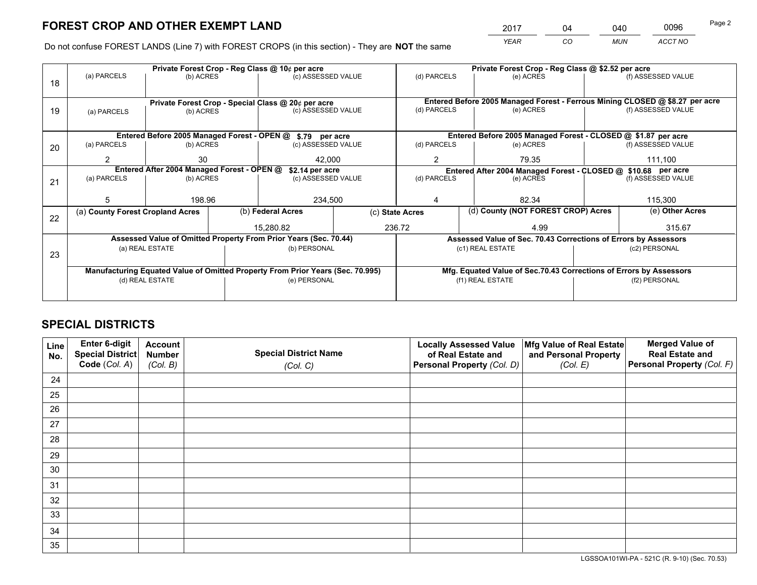*YEAR CO MUN ACCT NO* <sup>2017</sup> <sup>04</sup> <sup>040</sup> <sup>0096</sup>

Do not confuse FOREST LANDS (Line 7) with FOREST CROPS (in this section) - They are **NOT** the same

|    |                                                               |                 |  | Private Forest Crop - Reg Class @ 10¢ per acre                                 |  | Private Forest Crop - Reg Class @ \$2.52 per acre |                                                                 |                                                                              |                                                               |                                                                    |  |
|----|---------------------------------------------------------------|-----------------|--|--------------------------------------------------------------------------------|--|---------------------------------------------------|-----------------------------------------------------------------|------------------------------------------------------------------------------|---------------------------------------------------------------|--------------------------------------------------------------------|--|
| 18 | (a) PARCELS                                                   | (b) ACRES       |  | (c) ASSESSED VALUE                                                             |  | (d) PARCELS                                       | (e) ACRES                                                       |                                                                              |                                                               | (f) ASSESSED VALUE                                                 |  |
|    |                                                               |                 |  |                                                                                |  |                                                   |                                                                 |                                                                              |                                                               |                                                                    |  |
|    | Private Forest Crop - Special Class @ 20¢ per acre            |                 |  |                                                                                |  |                                                   |                                                                 | Entered Before 2005 Managed Forest - Ferrous Mining CLOSED @ \$8.27 per acre |                                                               |                                                                    |  |
| 19 | (a) PARCELS                                                   | (b) ACRES       |  | (c) ASSESSED VALUE                                                             |  | (d) PARCELS                                       | (e) ACRES                                                       |                                                                              |                                                               | (f) ASSESSED VALUE                                                 |  |
|    |                                                               |                 |  |                                                                                |  |                                                   |                                                                 |                                                                              |                                                               |                                                                    |  |
|    |                                                               |                 |  | Entered Before 2005 Managed Forest - OPEN @ \$.79 per acre                     |  |                                                   |                                                                 |                                                                              |                                                               | Entered Before 2005 Managed Forest - CLOSED @ \$1.87 per acre      |  |
| 20 | (a) PARCELS                                                   | (b) ACRES       |  | (c) ASSESSED VALUE                                                             |  | (d) PARCELS                                       | (e) ACRES                                                       |                                                                              |                                                               | (f) ASSESSED VALUE                                                 |  |
|    | 2                                                             | 30              |  | 42.000                                                                         |  | $\overline{2}$                                    | 79.35                                                           |                                                                              |                                                               | 111.100                                                            |  |
|    | Entered After 2004 Managed Forest - OPEN @<br>\$2.14 per acre |                 |  |                                                                                |  |                                                   |                                                                 |                                                                              | Entered After 2004 Managed Forest - CLOSED @ \$10.68 per acre |                                                                    |  |
| 21 | (a) PARCELS                                                   | (b) ACRES       |  | (c) ASSESSED VALUE                                                             |  | (d) PARCELS                                       | (e) ACRES                                                       |                                                                              |                                                               | (f) ASSESSED VALUE                                                 |  |
|    |                                                               |                 |  |                                                                                |  |                                                   |                                                                 |                                                                              |                                                               |                                                                    |  |
|    | 5                                                             | 198.96          |  | 234,500                                                                        |  | 82.34<br>4                                        |                                                                 |                                                                              | 115,300                                                       |                                                                    |  |
| 22 | (a) County Forest Cropland Acres                              |                 |  | (b) Federal Acres                                                              |  | (c) State Acres                                   | (d) County (NOT FOREST CROP) Acres                              |                                                                              |                                                               | (e) Other Acres                                                    |  |
|    |                                                               |                 |  | 15,280.82                                                                      |  | 236.72                                            |                                                                 | 4.99                                                                         |                                                               | 315.67                                                             |  |
|    |                                                               |                 |  | Assessed Value of Omitted Property From Prior Years (Sec. 70.44)               |  |                                                   | Assessed Value of Sec. 70.43 Corrections of Errors by Assessors |                                                                              |                                                               |                                                                    |  |
| 23 |                                                               | (a) REAL ESTATE |  | (b) PERSONAL                                                                   |  |                                                   | (c1) REAL ESTATE                                                |                                                                              |                                                               | (c2) PERSONAL                                                      |  |
|    |                                                               |                 |  |                                                                                |  |                                                   |                                                                 |                                                                              |                                                               |                                                                    |  |
|    |                                                               |                 |  | Manufacturing Equated Value of Omitted Property From Prior Years (Sec. 70.995) |  |                                                   |                                                                 |                                                                              |                                                               | Mfg. Equated Value of Sec.70.43 Corrections of Errors by Assessors |  |
|    | (d) REAL ESTATE                                               |                 |  | (e) PERSONAL                                                                   |  |                                                   | (f1) REAL ESTATE                                                |                                                                              |                                                               | (f2) PERSONAL                                                      |  |
|    |                                                               |                 |  |                                                                                |  |                                                   |                                                                 |                                                                              |                                                               |                                                                    |  |

# **SPECIAL DISTRICTS**

| Line<br>No. | Enter 6-digit<br><b>Special District</b> | <b>Account</b><br><b>Number</b> | <b>Special District Name</b> | <b>Locally Assessed Value</b><br>of Real Estate and | Mfg Value of Real Estate<br>and Personal Property | <b>Merged Value of</b><br><b>Real Estate and</b> |
|-------------|------------------------------------------|---------------------------------|------------------------------|-----------------------------------------------------|---------------------------------------------------|--------------------------------------------------|
|             | Code (Col. A)                            | (Col. B)                        | (Col. C)                     | Personal Property (Col. D)                          | (Col. E)                                          | Personal Property (Col. F)                       |
| 24          |                                          |                                 |                              |                                                     |                                                   |                                                  |
| 25          |                                          |                                 |                              |                                                     |                                                   |                                                  |
| 26          |                                          |                                 |                              |                                                     |                                                   |                                                  |
| 27          |                                          |                                 |                              |                                                     |                                                   |                                                  |
| 28          |                                          |                                 |                              |                                                     |                                                   |                                                  |
| 29          |                                          |                                 |                              |                                                     |                                                   |                                                  |
| 30          |                                          |                                 |                              |                                                     |                                                   |                                                  |
| 31          |                                          |                                 |                              |                                                     |                                                   |                                                  |
| 32          |                                          |                                 |                              |                                                     |                                                   |                                                  |
| 33          |                                          |                                 |                              |                                                     |                                                   |                                                  |
| 34          |                                          |                                 |                              |                                                     |                                                   |                                                  |
| 35          |                                          |                                 |                              |                                                     |                                                   |                                                  |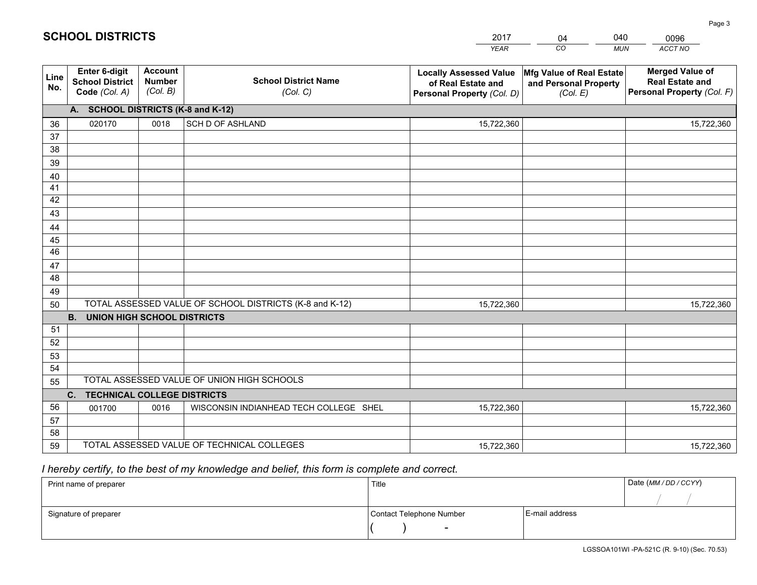|                 |                                                          |                                             |                                                         | YEAR                                                                              | CO.<br><b>MUN</b>                                             | ACCT NO                                                                        |
|-----------------|----------------------------------------------------------|---------------------------------------------|---------------------------------------------------------|-----------------------------------------------------------------------------------|---------------------------------------------------------------|--------------------------------------------------------------------------------|
| Line<br>No.     | Enter 6-digit<br><b>School District</b><br>Code (Col. A) | <b>Account</b><br><b>Number</b><br>(Col. B) | <b>School District Name</b><br>(Col. C)                 | <b>Locally Assessed Value</b><br>of Real Estate and<br>Personal Property (Col. D) | Mfg Value of Real Estate<br>and Personal Property<br>(Col. E) | <b>Merged Value of</b><br><b>Real Estate and</b><br>Personal Property (Col. F) |
|                 | A. SCHOOL DISTRICTS (K-8 and K-12)                       |                                             |                                                         |                                                                                   |                                                               |                                                                                |
| 36              | 020170                                                   | 0018                                        | <b>SCH D OF ASHLAND</b>                                 | 15,722,360                                                                        |                                                               | 15,722,360                                                                     |
| 37              |                                                          |                                             |                                                         |                                                                                   |                                                               |                                                                                |
| 38              |                                                          |                                             |                                                         |                                                                                   |                                                               |                                                                                |
| 39              |                                                          |                                             |                                                         |                                                                                   |                                                               |                                                                                |
| 40              |                                                          |                                             |                                                         |                                                                                   |                                                               |                                                                                |
| 41<br>42        |                                                          |                                             |                                                         |                                                                                   |                                                               |                                                                                |
| 43              |                                                          |                                             |                                                         |                                                                                   |                                                               |                                                                                |
| 44              |                                                          |                                             |                                                         |                                                                                   |                                                               |                                                                                |
| 45              |                                                          |                                             |                                                         |                                                                                   |                                                               |                                                                                |
| $\overline{46}$ |                                                          |                                             |                                                         |                                                                                   |                                                               |                                                                                |
| 47              |                                                          |                                             |                                                         |                                                                                   |                                                               |                                                                                |
| 48              |                                                          |                                             |                                                         |                                                                                   |                                                               |                                                                                |
| 49              |                                                          |                                             |                                                         |                                                                                   |                                                               |                                                                                |
| 50              |                                                          |                                             | TOTAL ASSESSED VALUE OF SCHOOL DISTRICTS (K-8 and K-12) | 15,722,360                                                                        |                                                               | 15,722,360                                                                     |
|                 | <b>UNION HIGH SCHOOL DISTRICTS</b><br><b>B.</b>          |                                             |                                                         |                                                                                   |                                                               |                                                                                |
| 51              |                                                          |                                             |                                                         |                                                                                   |                                                               |                                                                                |
| 52              |                                                          |                                             |                                                         |                                                                                   |                                                               |                                                                                |
| 53<br>54        |                                                          |                                             |                                                         |                                                                                   |                                                               |                                                                                |
| 55              |                                                          |                                             | TOTAL ASSESSED VALUE OF UNION HIGH SCHOOLS              |                                                                                   |                                                               |                                                                                |
|                 | <b>TECHNICAL COLLEGE DISTRICTS</b><br>$C_{1}$            |                                             |                                                         |                                                                                   |                                                               |                                                                                |
| 56              | 001700                                                   | 0016                                        | WISCONSIN INDIANHEAD TECH COLLEGE SHEL                  | 15,722,360                                                                        |                                                               | 15,722,360                                                                     |
| 57              |                                                          |                                             |                                                         |                                                                                   |                                                               |                                                                                |
| 58              |                                                          |                                             |                                                         |                                                                                   |                                                               |                                                                                |
| 59              |                                                          |                                             | TOTAL ASSESSED VALUE OF TECHNICAL COLLEGES              | 15,722,360                                                                        |                                                               | 15,722,360                                                                     |

04

040

 *I hereby certify, to the best of my knowledge and belief, this form is complete and correct.*

**SCHOOL DISTRICTS**

| Print name of preparer | Title                    |                | Date (MM / DD / CCYY) |
|------------------------|--------------------------|----------------|-----------------------|
|                        |                          |                |                       |
| Signature of preparer  | Contact Telephone Number | E-mail address |                       |
|                        | $\sim$                   |                |                       |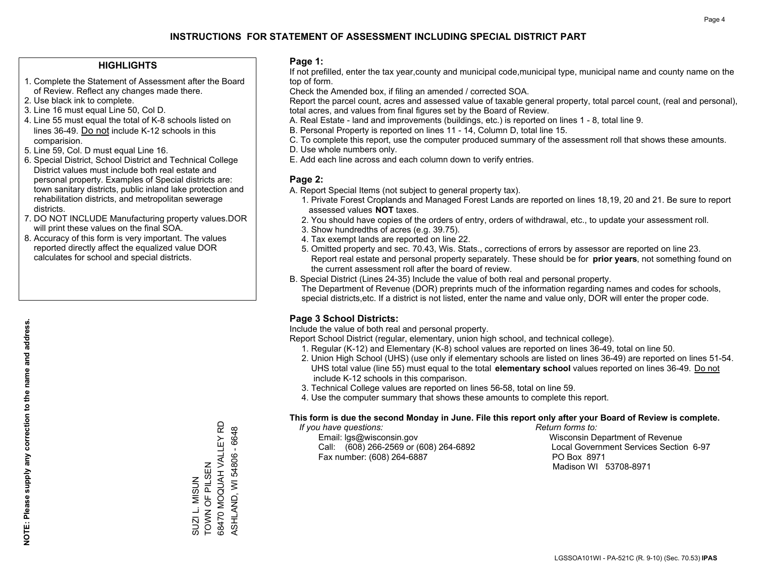### **HIGHLIGHTS**

- 1. Complete the Statement of Assessment after the Board of Review. Reflect any changes made there.
- 2. Use black ink to complete.
- 3. Line 16 must equal Line 50, Col D.
- 4. Line 55 must equal the total of K-8 schools listed on lines 36-49. Do not include K-12 schools in this comparision.
- 5. Line 59, Col. D must equal Line 16.
- 6. Special District, School District and Technical College District values must include both real estate and personal property. Examples of Special districts are: town sanitary districts, public inland lake protection and rehabilitation districts, and metropolitan sewerage districts.
- 7. DO NOT INCLUDE Manufacturing property values.DOR will print these values on the final SOA.
- 8. Accuracy of this form is very important. The values reported directly affect the equalized value DOR calculates for school and special districts.

### **Page 1:**

 If not prefilled, enter the tax year,county and municipal code,municipal type, municipal name and county name on the top of form.

Check the Amended box, if filing an amended / corrected SOA.

 Report the parcel count, acres and assessed value of taxable general property, total parcel count, (real and personal), total acres, and values from final figures set by the Board of Review.

- A. Real Estate land and improvements (buildings, etc.) is reported on lines 1 8, total line 9.
- B. Personal Property is reported on lines 11 14, Column D, total line 15.
- C. To complete this report, use the computer produced summary of the assessment roll that shows these amounts.
- D. Use whole numbers only.
- E. Add each line across and each column down to verify entries.

### **Page 2:**

- A. Report Special Items (not subject to general property tax).
- 1. Private Forest Croplands and Managed Forest Lands are reported on lines 18,19, 20 and 21. Be sure to report assessed values **NOT** taxes.
- 2. You should have copies of the orders of entry, orders of withdrawal, etc., to update your assessment roll.
	- 3. Show hundredths of acres (e.g. 39.75).
- 4. Tax exempt lands are reported on line 22.
- 5. Omitted property and sec. 70.43, Wis. Stats., corrections of errors by assessor are reported on line 23. Report real estate and personal property separately. These should be for **prior years**, not something found on the current assessment roll after the board of review.
- B. Special District (Lines 24-35) Include the value of both real and personal property.

 The Department of Revenue (DOR) preprints much of the information regarding names and codes for schools, special districts,etc. If a district is not listed, enter the name and value only, DOR will enter the proper code.

## **Page 3 School Districts:**

Include the value of both real and personal property.

Report School District (regular, elementary, union high school, and technical college).

- 1. Regular (K-12) and Elementary (K-8) school values are reported on lines 36-49, total on line 50.
- 2. Union High School (UHS) (use only if elementary schools are listed on lines 36-49) are reported on lines 51-54. UHS total value (line 55) must equal to the total **elementary school** values reported on lines 36-49. Do notinclude K-12 schools in this comparison.
- 3. Technical College values are reported on lines 56-58, total on line 59.
- 4. Use the computer summary that shows these amounts to complete this report.

#### **This form is due the second Monday in June. File this report only after your Board of Review is complete.**

 *If you have questions: Return forms to:*

 Email: lgs@wisconsin.gov Wisconsin Department of RevenueCall:  $(608)$  266-2569 or  $(608)$  264-6892 Fax number: (608) 264-6887 PO Box 8971

Local Government Services Section 6-97 Madison WI 53708-8971

68470 MOQUAH VALLEY RD 68470 MOQUAH VALLEY RD ASHLAND, WI 54806 - 6648 ASHLAND, WI 54806 - 6648 TOWN OF PILSEN SUZI L. MISUN<br>TOWN OF PILSEN SUZI L. MISUN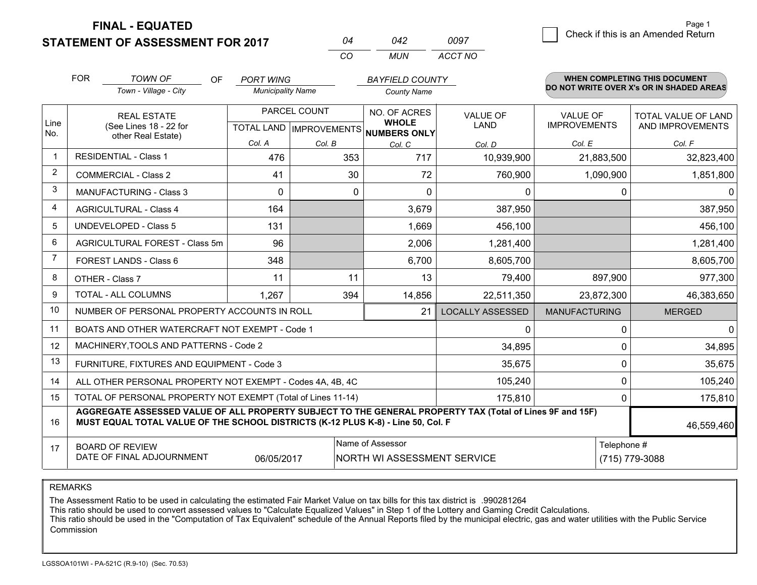**FINAL - EQUATED**

**STATEMENT OF ASSESSMENT FOR 2017** 

| ሰ4  | 042 | 0097    |
|-----|-----|---------|
| CO. | MUN | ACCT NO |

|             | <b>FOR</b>                                                                                                                                                                                   | <b>TOWN OF</b><br>OF<br>Town - Village - City                | <b>PORT WING</b><br><b>Municipality Name</b> |        | <b>BAYFIELD COUNTY</b><br><b>County Name</b>        |                         |                      | WHEN COMPLETING THIS DOCUMENT<br>DO NOT WRITE OVER X's OR IN SHADED AREAS |  |
|-------------|----------------------------------------------------------------------------------------------------------------------------------------------------------------------------------------------|--------------------------------------------------------------|----------------------------------------------|--------|-----------------------------------------------------|-------------------------|----------------------|---------------------------------------------------------------------------|--|
|             |                                                                                                                                                                                              |                                                              |                                              |        |                                                     |                         |                      |                                                                           |  |
|             |                                                                                                                                                                                              | <b>REAL ESTATE</b>                                           | PARCEL COUNT                                 |        | NO. OF ACRES                                        | <b>VALUE OF</b>         | <b>VALUE OF</b>      | <b>TOTAL VALUE OF LAND</b>                                                |  |
| Line<br>No. | (See Lines 18 - 22 for                                                                                                                                                                       |                                                              |                                              |        | <b>WHOLE</b><br>TOTAL LAND MPROVEMENTS NUMBERS ONLY | <b>LAND</b>             | <b>IMPROVEMENTS</b>  | AND IMPROVEMENTS                                                          |  |
|             |                                                                                                                                                                                              | other Real Estate)                                           | Col. A                                       | Col. B | Col. C                                              | Col. D                  | Col. E               | Col. F                                                                    |  |
| -1          |                                                                                                                                                                                              | <b>RESIDENTIAL - Class 1</b>                                 | 476                                          | 353    | 717                                                 | 10,939,900              | 21,883,500           | 32,823,400                                                                |  |
| 2           |                                                                                                                                                                                              | <b>COMMERCIAL - Class 2</b>                                  | 41                                           | 30     | 72                                                  | 760,900                 | 1,090,900            | 1,851,800                                                                 |  |
| 3           |                                                                                                                                                                                              | <b>MANUFACTURING - Class 3</b>                               | $\Omega$                                     | 0      | $\Omega$                                            | 0                       |                      | $\mathbf{0}$<br>0                                                         |  |
| 4           |                                                                                                                                                                                              | <b>AGRICULTURAL - Class 4</b>                                | 164                                          |        | 3,679                                               | 387,950                 |                      | 387,950                                                                   |  |
| 5           |                                                                                                                                                                                              | <b>UNDEVELOPED - Class 5</b>                                 | 131                                          |        | 1,669                                               | 456,100                 |                      | 456,100                                                                   |  |
| 6           |                                                                                                                                                                                              | AGRICULTURAL FOREST - Class 5m                               | 96                                           |        | 2,006                                               | 1,281,400               |                      | 1,281,400                                                                 |  |
| 7           |                                                                                                                                                                                              | FOREST LANDS - Class 6                                       | 348                                          |        | 6,700                                               | 8,605,700               |                      | 8,605,700                                                                 |  |
| 8           |                                                                                                                                                                                              | OTHER - Class 7                                              | 11                                           | 11     | 13                                                  | 79,400                  | 897,900              | 977,300                                                                   |  |
| 9           |                                                                                                                                                                                              | TOTAL - ALL COLUMNS                                          | 1,267                                        | 394    | 14,856                                              | 22,511,350              | 23,872,300           | 46,383,650                                                                |  |
| 10          |                                                                                                                                                                                              | NUMBER OF PERSONAL PROPERTY ACCOUNTS IN ROLL                 |                                              |        | 21                                                  | <b>LOCALLY ASSESSED</b> | <b>MANUFACTURING</b> | <b>MERGED</b>                                                             |  |
| 11          |                                                                                                                                                                                              | BOATS AND OTHER WATERCRAFT NOT EXEMPT - Code 1               |                                              |        |                                                     | 0                       |                      | $\mathbf 0$<br>0                                                          |  |
| 12          |                                                                                                                                                                                              | MACHINERY, TOOLS AND PATTERNS - Code 2                       |                                              |        |                                                     | 34,895                  |                      | 34,895<br>$\Omega$                                                        |  |
| 13          |                                                                                                                                                                                              | FURNITURE, FIXTURES AND EQUIPMENT - Code 3                   |                                              |        |                                                     | 35,675                  |                      | 0<br>35,675                                                               |  |
| 14          |                                                                                                                                                                                              | ALL OTHER PERSONAL PROPERTY NOT EXEMPT - Codes 4A, 4B, 4C    |                                              |        | 105,240                                             |                         | 0<br>105,240         |                                                                           |  |
| 15          |                                                                                                                                                                                              | TOTAL OF PERSONAL PROPERTY NOT EXEMPT (Total of Lines 11-14) |                                              |        | 175,810                                             |                         | $\Omega$<br>175,810  |                                                                           |  |
| 16          | AGGREGATE ASSESSED VALUE OF ALL PROPERTY SUBJECT TO THE GENERAL PROPERTY TAX (Total of Lines 9F and 15F)<br>MUST EQUAL TOTAL VALUE OF THE SCHOOL DISTRICTS (K-12 PLUS K-8) - Line 50, Col. F |                                                              |                                              |        |                                                     |                         | 46,559,460           |                                                                           |  |
| 17          |                                                                                                                                                                                              | <b>BOARD OF REVIEW</b>                                       |                                              |        | Name of Assessor                                    |                         |                      | Telephone #                                                               |  |
|             |                                                                                                                                                                                              | DATE OF FINAL ADJOURNMENT                                    | 06/05/2017                                   |        | NORTH WI ASSESSMENT SERVICE                         |                         |                      | (715) 779-3088                                                            |  |

REMARKS

The Assessment Ratio to be used in calculating the estimated Fair Market Value on tax bills for this tax district is .990281264

This ratio should be used to convert assessed values to "Calculate Equalized Values" in Step 1 of the Lottery and Gaming Credit Calculations.<br>This ratio should be used in the "Computation of Tax Equivalent" schedule of the Commission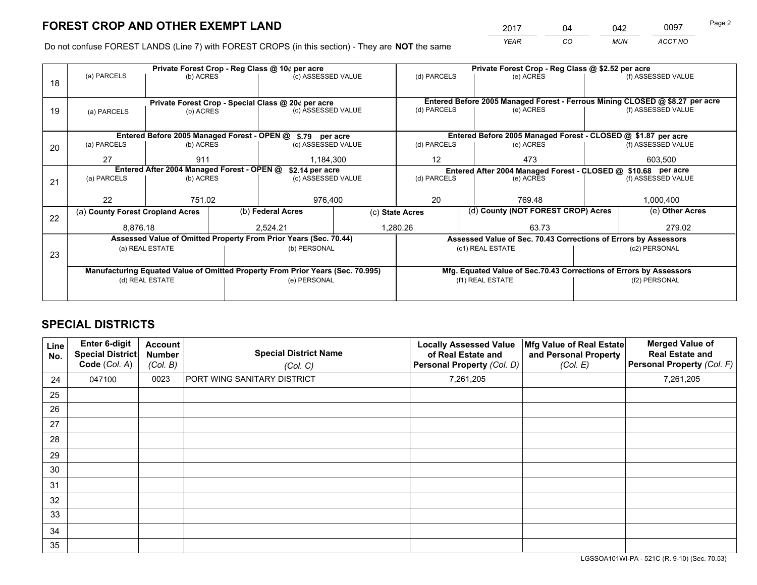*YEAR CO MUN ACCT NO* 2017 04 042 0097 Page 2

Do not confuse FOREST LANDS (Line 7) with FOREST CROPS (in this section) - They are **NOT** the same

|    |                                                               |                                             |  | Private Forest Crop - Reg Class @ 10¢ per acre                                 |                                                               | Private Forest Crop - Reg Class @ \$2.52 per acre |                                                                              |               |                     |  |
|----|---------------------------------------------------------------|---------------------------------------------|--|--------------------------------------------------------------------------------|---------------------------------------------------------------|---------------------------------------------------|------------------------------------------------------------------------------|---------------|---------------------|--|
| 18 | (a) PARCELS                                                   | (b) ACRES                                   |  | (c) ASSESSED VALUE                                                             |                                                               | (d) PARCELS                                       | (e) ACRES                                                                    |               | (f) ASSESSED VALUE  |  |
|    |                                                               |                                             |  |                                                                                |                                                               |                                                   |                                                                              |               |                     |  |
|    | Private Forest Crop - Special Class @ 20¢ per acre            |                                             |  |                                                                                |                                                               |                                                   | Entered Before 2005 Managed Forest - Ferrous Mining CLOSED @ \$8.27 per acre |               |                     |  |
| 19 | (a) PARCELS                                                   | (b) ACRES                                   |  | (c) ASSESSED VALUE                                                             |                                                               | (d) PARCELS                                       | (e) ACRES                                                                    |               | (f) ASSESSED VALUE  |  |
|    |                                                               |                                             |  |                                                                                |                                                               |                                                   |                                                                              |               |                     |  |
|    |                                                               | Entered Before 2005 Managed Forest - OPEN @ |  | \$.79 per acre                                                                 |                                                               |                                                   | Entered Before 2005 Managed Forest - CLOSED @ \$1.87 per acre                |               |                     |  |
| 20 | (a) PARCELS                                                   | (b) ACRES                                   |  | (c) ASSESSED VALUE                                                             |                                                               | (d) PARCELS                                       | (e) ACRES                                                                    |               | (f) ASSESSED VALUE  |  |
|    | 27                                                            | 911                                         |  | 1,184,300                                                                      |                                                               | 12                                                | 473                                                                          | 603,500       |                     |  |
|    | Entered After 2004 Managed Forest - OPEN @<br>\$2.14 per acre |                                             |  |                                                                                | Entered After 2004 Managed Forest - CLOSED @ \$10.68 per acre |                                                   |                                                                              |               |                     |  |
| 21 | (a) PARCELS                                                   | (b) ACRES                                   |  | (c) ASSESSED VALUE                                                             |                                                               | (d) PARCELS                                       | (e) ACRES                                                                    |               | (f) ASSESSED VALUE  |  |
|    |                                                               |                                             |  |                                                                                |                                                               |                                                   |                                                                              |               |                     |  |
|    | 22                                                            | 751.02                                      |  | 976.400                                                                        |                                                               | 20                                                | 769.48                                                                       |               |                     |  |
| 22 | (a) County Forest Cropland Acres                              |                                             |  | (b) Federal Acres                                                              |                                                               | (c) State Acres                                   | (d) County (NOT FOREST CROP) Acres                                           |               | (e) Other Acres     |  |
|    | 8.876.18                                                      |                                             |  | 2.524.21                                                                       |                                                               | 1,280.26                                          | 63.73                                                                        |               | 1,000,400<br>279.02 |  |
|    |                                                               |                                             |  | Assessed Value of Omitted Property From Prior Years (Sec. 70.44)               |                                                               |                                                   | Assessed Value of Sec. 70.43 Corrections of Errors by Assessors              |               |                     |  |
| 23 |                                                               | (a) REAL ESTATE                             |  | (b) PERSONAL                                                                   |                                                               |                                                   | (c1) REAL ESTATE                                                             |               | (c2) PERSONAL       |  |
|    |                                                               |                                             |  |                                                                                |                                                               |                                                   |                                                                              |               |                     |  |
|    |                                                               |                                             |  | Manufacturing Equated Value of Omitted Property From Prior Years (Sec. 70.995) |                                                               |                                                   | Mfg. Equated Value of Sec.70.43 Corrections of Errors by Assessors           |               |                     |  |
|    | (d) REAL ESTATE                                               |                                             |  | (e) PERSONAL                                                                   |                                                               |                                                   | (f1) REAL ESTATE                                                             | (f2) PERSONAL |                     |  |
|    |                                                               |                                             |  |                                                                                |                                                               |                                                   |                                                                              |               |                     |  |

# **SPECIAL DISTRICTS**

| Line<br>No. | Enter 6-digit<br>Special District<br>Code (Col. A) | <b>Account</b><br><b>Number</b><br>(Col. B) | <b>Special District Name</b><br>(Col. C) | <b>Locally Assessed Value</b><br>of Real Estate and<br>Personal Property (Col. D) | Mfg Value of Real Estate<br>and Personal Property<br>(Col. E) | <b>Merged Value of</b><br><b>Real Estate and</b><br>Personal Property (Col. F) |
|-------------|----------------------------------------------------|---------------------------------------------|------------------------------------------|-----------------------------------------------------------------------------------|---------------------------------------------------------------|--------------------------------------------------------------------------------|
| 24          | 047100                                             | 0023                                        | PORT WING SANITARY DISTRICT              | 7,261,205                                                                         |                                                               | 7,261,205                                                                      |
| 25          |                                                    |                                             |                                          |                                                                                   |                                                               |                                                                                |
| 26          |                                                    |                                             |                                          |                                                                                   |                                                               |                                                                                |
| 27          |                                                    |                                             |                                          |                                                                                   |                                                               |                                                                                |
| 28          |                                                    |                                             |                                          |                                                                                   |                                                               |                                                                                |
| 29          |                                                    |                                             |                                          |                                                                                   |                                                               |                                                                                |
| 30          |                                                    |                                             |                                          |                                                                                   |                                                               |                                                                                |
| 31          |                                                    |                                             |                                          |                                                                                   |                                                               |                                                                                |
| 32          |                                                    |                                             |                                          |                                                                                   |                                                               |                                                                                |
| 33          |                                                    |                                             |                                          |                                                                                   |                                                               |                                                                                |
| 34          |                                                    |                                             |                                          |                                                                                   |                                                               |                                                                                |
| 35          |                                                    |                                             |                                          |                                                                                   |                                                               |                                                                                |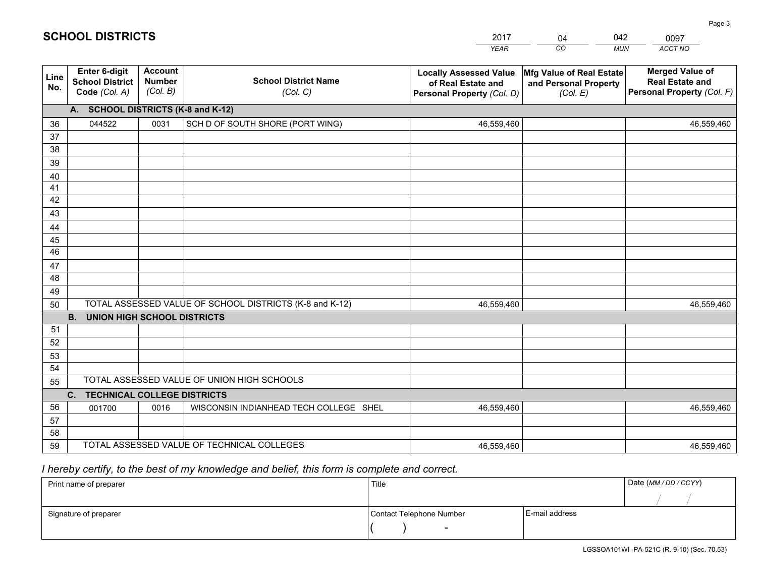|                 |                                                          |                                             |                                                         | <b>YEAR</b>                                                                       | CO<br><b>MUN</b>                                              | ACCT NO                                                                        |  |
|-----------------|----------------------------------------------------------|---------------------------------------------|---------------------------------------------------------|-----------------------------------------------------------------------------------|---------------------------------------------------------------|--------------------------------------------------------------------------------|--|
| Line<br>No.     | Enter 6-digit<br><b>School District</b><br>Code (Col. A) | <b>Account</b><br><b>Number</b><br>(Col. B) | <b>School District Name</b><br>(Col. C)                 | <b>Locally Assessed Value</b><br>of Real Estate and<br>Personal Property (Col. D) | Mfg Value of Real Estate<br>and Personal Property<br>(Col. E) | <b>Merged Value of</b><br><b>Real Estate and</b><br>Personal Property (Col. F) |  |
|                 | A. SCHOOL DISTRICTS (K-8 and K-12)                       |                                             |                                                         |                                                                                   |                                                               |                                                                                |  |
| 36              | 044522                                                   | 0031                                        | SCH D OF SOUTH SHORE (PORT WING)                        | 46,559,460                                                                        |                                                               | 46,559,460                                                                     |  |
| 37              |                                                          |                                             |                                                         |                                                                                   |                                                               |                                                                                |  |
| 38              |                                                          |                                             |                                                         |                                                                                   |                                                               |                                                                                |  |
| 39              |                                                          |                                             |                                                         |                                                                                   |                                                               |                                                                                |  |
| 40              |                                                          |                                             |                                                         |                                                                                   |                                                               |                                                                                |  |
| 41<br>42        |                                                          |                                             |                                                         |                                                                                   |                                                               |                                                                                |  |
| 43              |                                                          |                                             |                                                         |                                                                                   |                                                               |                                                                                |  |
| 44              |                                                          |                                             |                                                         |                                                                                   |                                                               |                                                                                |  |
| 45              |                                                          |                                             |                                                         |                                                                                   |                                                               |                                                                                |  |
| $\overline{46}$ |                                                          |                                             |                                                         |                                                                                   |                                                               |                                                                                |  |
| 47              |                                                          |                                             |                                                         |                                                                                   |                                                               |                                                                                |  |
| 48              |                                                          |                                             |                                                         |                                                                                   |                                                               |                                                                                |  |
| 49              |                                                          |                                             |                                                         |                                                                                   |                                                               |                                                                                |  |
| 50              |                                                          |                                             | TOTAL ASSESSED VALUE OF SCHOOL DISTRICTS (K-8 and K-12) | 46,559,460                                                                        |                                                               | 46,559,460                                                                     |  |
|                 | <b>B.</b><br><b>UNION HIGH SCHOOL DISTRICTS</b>          |                                             |                                                         |                                                                                   |                                                               |                                                                                |  |
| 51              |                                                          |                                             |                                                         |                                                                                   |                                                               |                                                                                |  |
| 52              |                                                          |                                             |                                                         |                                                                                   |                                                               |                                                                                |  |
| 53              |                                                          |                                             |                                                         |                                                                                   |                                                               |                                                                                |  |
| 54              |                                                          |                                             |                                                         |                                                                                   |                                                               |                                                                                |  |
|                 | TOTAL ASSESSED VALUE OF UNION HIGH SCHOOLS<br>55         |                                             |                                                         |                                                                                   |                                                               |                                                                                |  |
|                 | C. TECHNICAL COLLEGE DISTRICTS                           |                                             |                                                         |                                                                                   |                                                               |                                                                                |  |
| 56              | 001700                                                   | 0016                                        | WISCONSIN INDIANHEAD TECH COLLEGE SHEL                  | 46,559,460                                                                        |                                                               | 46,559,460                                                                     |  |
| 57<br>58        |                                                          |                                             |                                                         |                                                                                   |                                                               |                                                                                |  |
| 59              |                                                          |                                             | TOTAL ASSESSED VALUE OF TECHNICAL COLLEGES              | 46,559,460                                                                        |                                                               | 46,559,460                                                                     |  |
|                 |                                                          |                                             |                                                         |                                                                                   |                                                               |                                                                                |  |

04

042

 *I hereby certify, to the best of my knowledge and belief, this form is complete and correct.*

**SCHOOL DISTRICTS**

| Print name of preparer | Title                    |                | Date (MM / DD / CCYY) |
|------------------------|--------------------------|----------------|-----------------------|
|                        |                          |                |                       |
| Signature of preparer  | Contact Telephone Number | E-mail address |                       |
|                        |                          |                |                       |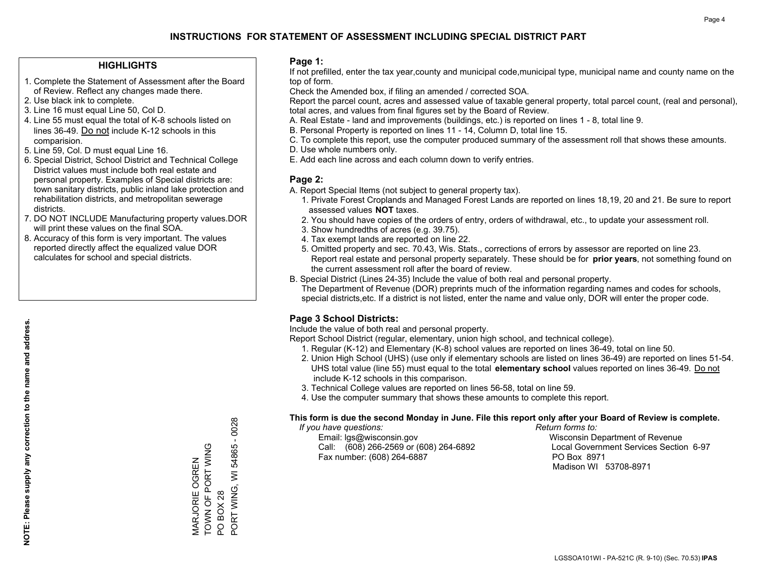### **HIGHLIGHTS**

- 1. Complete the Statement of Assessment after the Board of Review. Reflect any changes made there.
- 2. Use black ink to complete.
- 3. Line 16 must equal Line 50, Col D.
- 4. Line 55 must equal the total of K-8 schools listed on lines 36-49. Do not include K-12 schools in this comparision.
- 5. Line 59, Col. D must equal Line 16.
- 6. Special District, School District and Technical College District values must include both real estate and personal property. Examples of Special districts are: town sanitary districts, public inland lake protection and rehabilitation districts, and metropolitan sewerage districts.
- 7. DO NOT INCLUDE Manufacturing property values.DOR will print these values on the final SOA.

MARJORIE OGREN TOWN OF PORT WING

MARJORIE OGREN<br>TOWN OF PORT WING

PO BOX 28

PO BOX 28

PORT WING, WI 54865 - 0028

PORT WING, WI 54865 - 0028

 8. Accuracy of this form is very important. The values reported directly affect the equalized value DOR calculates for school and special districts.

### **Page 1:**

 If not prefilled, enter the tax year,county and municipal code,municipal type, municipal name and county name on the top of form.

Check the Amended box, if filing an amended / corrected SOA.

 Report the parcel count, acres and assessed value of taxable general property, total parcel count, (real and personal), total acres, and values from final figures set by the Board of Review.

- A. Real Estate land and improvements (buildings, etc.) is reported on lines 1 8, total line 9.
- B. Personal Property is reported on lines 11 14, Column D, total line 15.
- C. To complete this report, use the computer produced summary of the assessment roll that shows these amounts.
- D. Use whole numbers only.
- E. Add each line across and each column down to verify entries.

### **Page 2:**

- A. Report Special Items (not subject to general property tax).
- 1. Private Forest Croplands and Managed Forest Lands are reported on lines 18,19, 20 and 21. Be sure to report assessed values **NOT** taxes.
- 2. You should have copies of the orders of entry, orders of withdrawal, etc., to update your assessment roll.
	- 3. Show hundredths of acres (e.g. 39.75).
- 4. Tax exempt lands are reported on line 22.
- 5. Omitted property and sec. 70.43, Wis. Stats., corrections of errors by assessor are reported on line 23. Report real estate and personal property separately. These should be for **prior years**, not something found on the current assessment roll after the board of review.
- B. Special District (Lines 24-35) Include the value of both real and personal property.

 The Department of Revenue (DOR) preprints much of the information regarding names and codes for schools, special districts,etc. If a district is not listed, enter the name and value only, DOR will enter the proper code.

## **Page 3 School Districts:**

Include the value of both real and personal property.

Report School District (regular, elementary, union high school, and technical college).

- 1. Regular (K-12) and Elementary (K-8) school values are reported on lines 36-49, total on line 50.
- 2. Union High School (UHS) (use only if elementary schools are listed on lines 36-49) are reported on lines 51-54. UHS total value (line 55) must equal to the total **elementary school** values reported on lines 36-49. Do notinclude K-12 schools in this comparison.
- 3. Technical College values are reported on lines 56-58, total on line 59.
- 4. Use the computer summary that shows these amounts to complete this report.

#### **This form is due the second Monday in June. File this report only after your Board of Review is complete.**

 *If you have questions: Return forms to:*

 Email: lgs@wisconsin.gov Wisconsin Department of RevenueCall:  $(608)$  266-2569 or  $(608)$  264-6892 Fax number: (608) 264-6887 PO Box 8971

Local Government Services Section 6-97 Madison WI 53708-8971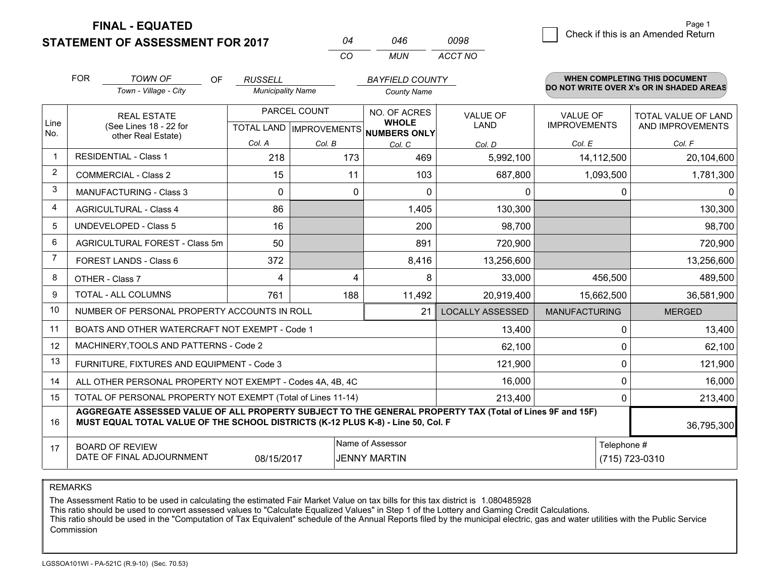**FINAL - EQUATED**

**STATEMENT OF ASSESSMENT FOR 2017** 

| 04 | 046 | 0098    |
|----|-----|---------|
| CO | MUN | ACCT NO |

|                | <b>FOR</b>                        | <b>TOWN OF</b><br><b>OF</b>                                                                                                                                                                  | <b>RUSSELL</b>           |              | <b>BAYFIELD COUNTY</b>                                   |                         |                      | <b>WHEN COMPLETING THIS DOCUMENT</b>     |
|----------------|-----------------------------------|----------------------------------------------------------------------------------------------------------------------------------------------------------------------------------------------|--------------------------|--------------|----------------------------------------------------------|-------------------------|----------------------|------------------------------------------|
|                |                                   | Town - Village - City                                                                                                                                                                        | <b>Municipality Name</b> |              | <b>County Name</b>                                       |                         |                      | DO NOT WRITE OVER X's OR IN SHADED AREAS |
|                | <b>REAL ESTATE</b>                |                                                                                                                                                                                              |                          | PARCEL COUNT | NO. OF ACRES                                             | <b>VALUE OF</b>         | <b>VALUE OF</b>      | TOTAL VALUE OF LAND                      |
| Line<br>No.    |                                   | (See Lines 18 - 22 for<br>other Real Estate)                                                                                                                                                 |                          |              | <b>WHOLE</b><br>TOTAL LAND   IMPROVEMENTS   NUMBERS ONLY | LAND                    | <b>IMPROVEMENTS</b>  | AND IMPROVEMENTS                         |
|                |                                   |                                                                                                                                                                                              | Col. A                   | Col. B       | Col. C                                                   | Col. D                  | Col. E               | Col. F                                   |
|                |                                   | <b>RESIDENTIAL - Class 1</b>                                                                                                                                                                 | 218                      | 173          | 469                                                      | 5,992,100               | 14,112,500           | 20,104,600                               |
| 2              |                                   | <b>COMMERCIAL - Class 2</b>                                                                                                                                                                  | 15                       | 11           | 103                                                      | 687,800                 | 1,093,500            | 1,781,300                                |
| 3              |                                   | <b>MANUFACTURING - Class 3</b>                                                                                                                                                               | $\Omega$                 | $\mathbf 0$  | $\Omega$                                                 | 0                       | 0                    | $\mathbf{0}$                             |
| 4              |                                   | <b>AGRICULTURAL - Class 4</b>                                                                                                                                                                | 86                       |              | 1,405                                                    | 130,300                 |                      | 130,300                                  |
| 5              |                                   | <b>UNDEVELOPED - Class 5</b>                                                                                                                                                                 | 16                       |              | 200                                                      | 98,700                  |                      | 98,700                                   |
| 6              |                                   | AGRICULTURAL FOREST - Class 5m                                                                                                                                                               | 50                       |              | 891                                                      | 720,900                 |                      | 720,900                                  |
| $\overline{7}$ |                                   | FOREST LANDS - Class 6                                                                                                                                                                       | 372                      |              | 8,416                                                    | 13,256,600              |                      | 13,256,600                               |
| 8              |                                   | OTHER - Class 7                                                                                                                                                                              | 4                        | 4            | 8                                                        | 33,000                  | 456,500              | 489,500                                  |
| 9              | TOTAL - ALL COLUMNS<br>761<br>188 |                                                                                                                                                                                              |                          |              | 11,492                                                   | 20,919,400              | 15,662,500           | 36,581,900                               |
| 10             |                                   | NUMBER OF PERSONAL PROPERTY ACCOUNTS IN ROLL                                                                                                                                                 |                          |              | 21                                                       | <b>LOCALLY ASSESSED</b> | <b>MANUFACTURING</b> | <b>MERGED</b>                            |
| 11             |                                   | BOATS AND OTHER WATERCRAFT NOT EXEMPT - Code 1                                                                                                                                               |                          |              |                                                          | 13,400                  | 0                    | 13,400                                   |
| 12             |                                   | MACHINERY, TOOLS AND PATTERNS - Code 2                                                                                                                                                       |                          |              |                                                          | 62,100                  | 0                    | 62,100                                   |
| 13             |                                   | FURNITURE, FIXTURES AND EQUIPMENT - Code 3                                                                                                                                                   |                          |              | 121,900                                                  | 0                       | 121,900              |                                          |
| 14             |                                   | ALL OTHER PERSONAL PROPERTY NOT EXEMPT - Codes 4A, 4B, 4C                                                                                                                                    |                          |              | 16,000                                                   | 0                       | 16,000               |                                          |
| 15             |                                   | TOTAL OF PERSONAL PROPERTY NOT EXEMPT (Total of Lines 11-14)                                                                                                                                 |                          | 213,400      | 0                                                        | 213,400                 |                      |                                          |
| 16             |                                   | AGGREGATE ASSESSED VALUE OF ALL PROPERTY SUBJECT TO THE GENERAL PROPERTY TAX (Total of Lines 9F and 15F)<br>MUST EQUAL TOTAL VALUE OF THE SCHOOL DISTRICTS (K-12 PLUS K-8) - Line 50, Col. F |                          |              |                                                          |                         |                      | 36,795,300                               |
| 17             |                                   | <b>BOARD OF REVIEW</b>                                                                                                                                                                       |                          |              | Name of Assessor                                         |                         | Telephone #          |                                          |
|                |                                   | DATE OF FINAL ADJOURNMENT                                                                                                                                                                    | 08/15/2017               |              | <b>JENNY MARTIN</b>                                      |                         |                      | (715) 723-0310                           |

REMARKS

The Assessment Ratio to be used in calculating the estimated Fair Market Value on tax bills for this tax district is 1.080485928

This ratio should be used to convert assessed values to "Calculate Equalized Values" in Step 1 of the Lottery and Gaming Credit Calculations.<br>This ratio should be used in the "Computation of Tax Equivalent" schedule of the Commission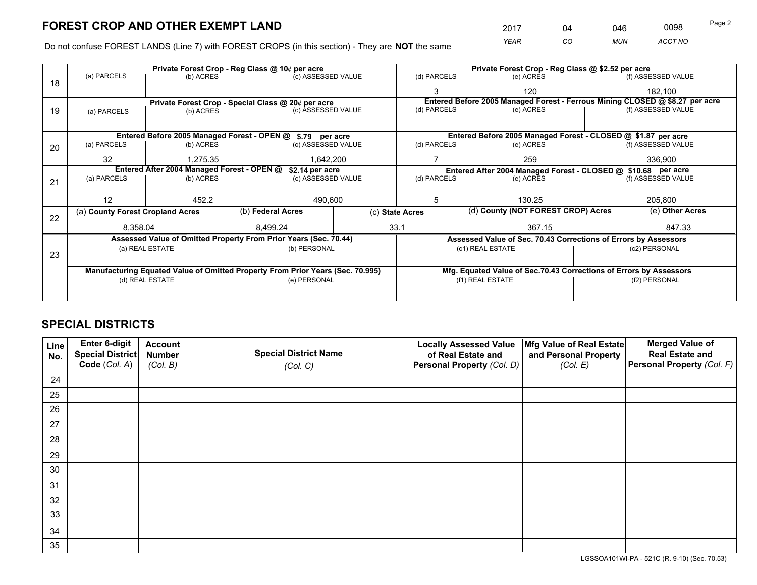*YEAR CO MUN ACCT NO* <sup>2017</sup> <sup>04</sup> <sup>046</sup> <sup>0098</sup> Page 2

Do not confuse FOREST LANDS (Line 7) with FOREST CROPS (in this section) - They are **NOT** the same

|    | Private Forest Crop - Reg Class @ 10¢ per acre                |                 |  |                                                                                |  |                                                                              |                                                               | Private Forest Crop - Reg Class @ \$2.52 per acre                  |                    |                    |
|----|---------------------------------------------------------------|-----------------|--|--------------------------------------------------------------------------------|--|------------------------------------------------------------------------------|---------------------------------------------------------------|--------------------------------------------------------------------|--------------------|--------------------|
| 18 | (a) PARCELS                                                   | (b) ACRES       |  | (c) ASSESSED VALUE                                                             |  | (d) PARCELS                                                                  |                                                               | (e) ACRES                                                          |                    | (f) ASSESSED VALUE |
|    |                                                               |                 |  |                                                                                |  | 3                                                                            |                                                               | 120                                                                |                    | 182,100            |
|    |                                                               |                 |  | Private Forest Crop - Special Class @ 20¢ per acre                             |  | Entered Before 2005 Managed Forest - Ferrous Mining CLOSED @ \$8.27 per acre |                                                               |                                                                    |                    |                    |
| 19 | (a) PARCELS                                                   | (b) ACRES       |  | (c) ASSESSED VALUE                                                             |  | (d) PARCELS                                                                  |                                                               | (e) ACRES                                                          |                    | (f) ASSESSED VALUE |
|    |                                                               |                 |  |                                                                                |  |                                                                              |                                                               |                                                                    |                    |                    |
|    | Entered Before 2005 Managed Forest - OPEN @ \$.79 per acre    |                 |  |                                                                                |  |                                                                              | Entered Before 2005 Managed Forest - CLOSED @ \$1.87 per acre |                                                                    |                    |                    |
| 20 | (a) PARCELS                                                   | (b) ACRES       |  | (c) ASSESSED VALUE                                                             |  | (d) PARCELS                                                                  |                                                               | (e) ACRES                                                          | (f) ASSESSED VALUE |                    |
|    | 32                                                            | 1.275.35        |  | 1,642,200                                                                      |  |                                                                              |                                                               | 259                                                                |                    | 336,900            |
|    | Entered After 2004 Managed Forest - OPEN @<br>\$2.14 per acre |                 |  |                                                                                |  | Entered After 2004 Managed Forest - CLOSED @ \$10.68 per acre                |                                                               |                                                                    |                    |                    |
| 21 | (a) PARCELS                                                   | (b) ACRES       |  | (c) ASSESSED VALUE                                                             |  | (d) PARCELS                                                                  |                                                               | (e) ACRES                                                          |                    | (f) ASSESSED VALUE |
|    |                                                               |                 |  |                                                                                |  |                                                                              |                                                               |                                                                    |                    |                    |
|    | 12<br>452.2                                                   |                 |  | 490,600                                                                        |  | 5                                                                            |                                                               | 130.25                                                             |                    | 205,800            |
| 22 | (a) County Forest Cropland Acres                              |                 |  | (b) Federal Acres                                                              |  | (c) State Acres                                                              |                                                               | (d) County (NOT FOREST CROP) Acres                                 |                    | (e) Other Acres    |
|    | 8,358.04                                                      |                 |  | 8.499.24                                                                       |  | 33.1                                                                         |                                                               | 367.15                                                             |                    | 847.33             |
|    |                                                               |                 |  | Assessed Value of Omitted Property From Prior Years (Sec. 70.44)               |  |                                                                              |                                                               | Assessed Value of Sec. 70.43 Corrections of Errors by Assessors    |                    |                    |
|    | (a) REAL ESTATE                                               |                 |  | (b) PERSONAL                                                                   |  | (c1) REAL ESTATE                                                             |                                                               | (c2) PERSONAL                                                      |                    |                    |
| 23 |                                                               |                 |  |                                                                                |  |                                                                              |                                                               |                                                                    |                    |                    |
|    |                                                               |                 |  | Manufacturing Equated Value of Omitted Property From Prior Years (Sec. 70.995) |  |                                                                              |                                                               | Mfg. Equated Value of Sec.70.43 Corrections of Errors by Assessors |                    |                    |
|    |                                                               | (d) REAL ESTATE |  | (e) PERSONAL                                                                   |  |                                                                              |                                                               | (f1) REAL ESTATE                                                   |                    | (f2) PERSONAL      |
|    |                                                               |                 |  |                                                                                |  |                                                                              |                                                               |                                                                    |                    |                    |

# **SPECIAL DISTRICTS**

| Line<br>No. | Enter 6-digit<br>Special District<br>Code (Col. A) | <b>Account</b><br><b>Number</b> | <b>Special District Name</b> | <b>Locally Assessed Value</b><br>of Real Estate and | Mfg Value of Real Estate<br>and Personal Property | <b>Merged Value of</b><br><b>Real Estate and</b><br>Personal Property (Col. F) |
|-------------|----------------------------------------------------|---------------------------------|------------------------------|-----------------------------------------------------|---------------------------------------------------|--------------------------------------------------------------------------------|
|             |                                                    | (Col. B)                        | (Col. C)                     | Personal Property (Col. D)                          | (Col. E)                                          |                                                                                |
| 24          |                                                    |                                 |                              |                                                     |                                                   |                                                                                |
| 25          |                                                    |                                 |                              |                                                     |                                                   |                                                                                |
| 26          |                                                    |                                 |                              |                                                     |                                                   |                                                                                |
| 27          |                                                    |                                 |                              |                                                     |                                                   |                                                                                |
| 28          |                                                    |                                 |                              |                                                     |                                                   |                                                                                |
| 29          |                                                    |                                 |                              |                                                     |                                                   |                                                                                |
| 30          |                                                    |                                 |                              |                                                     |                                                   |                                                                                |
| 31          |                                                    |                                 |                              |                                                     |                                                   |                                                                                |
| 32          |                                                    |                                 |                              |                                                     |                                                   |                                                                                |
| 33          |                                                    |                                 |                              |                                                     |                                                   |                                                                                |
| 34          |                                                    |                                 |                              |                                                     |                                                   |                                                                                |
| 35          |                                                    |                                 |                              |                                                     |                                                   |                                                                                |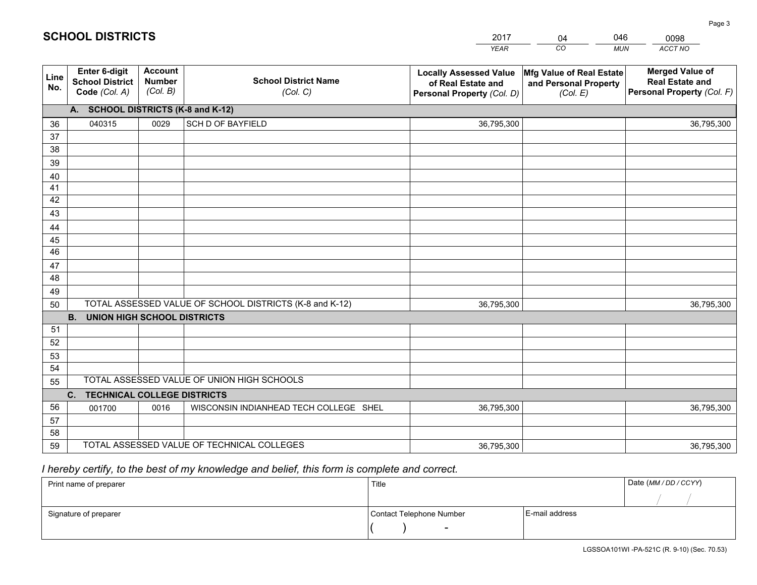|             |                                                          |                                             |                                                         | <b>YEAR</b>                                                                       | CO<br><b>MUN</b>                                              | ACCT NO                                                                        |
|-------------|----------------------------------------------------------|---------------------------------------------|---------------------------------------------------------|-----------------------------------------------------------------------------------|---------------------------------------------------------------|--------------------------------------------------------------------------------|
| Line<br>No. | Enter 6-digit<br><b>School District</b><br>Code (Col. A) | <b>Account</b><br><b>Number</b><br>(Col. B) | <b>School District Name</b><br>(Col. C)                 | <b>Locally Assessed Value</b><br>of Real Estate and<br>Personal Property (Col. D) | Mfg Value of Real Estate<br>and Personal Property<br>(Col. E) | <b>Merged Value of</b><br><b>Real Estate and</b><br>Personal Property (Col. F) |
|             | A. SCHOOL DISTRICTS (K-8 and K-12)                       |                                             |                                                         |                                                                                   |                                                               |                                                                                |
| 36          | 040315                                                   | 0029                                        | <b>SCH D OF BAYFIELD</b>                                | 36,795,300                                                                        |                                                               | 36,795,300                                                                     |
| 37          |                                                          |                                             |                                                         |                                                                                   |                                                               |                                                                                |
| 38          |                                                          |                                             |                                                         |                                                                                   |                                                               |                                                                                |
| 39          |                                                          |                                             |                                                         |                                                                                   |                                                               |                                                                                |
| 40          |                                                          |                                             |                                                         |                                                                                   |                                                               |                                                                                |
| 41          |                                                          |                                             |                                                         |                                                                                   |                                                               |                                                                                |
| 42          |                                                          |                                             |                                                         |                                                                                   |                                                               |                                                                                |
| 43          |                                                          |                                             |                                                         |                                                                                   |                                                               |                                                                                |
| 44<br>45    |                                                          |                                             |                                                         |                                                                                   |                                                               |                                                                                |
| 46          |                                                          |                                             |                                                         |                                                                                   |                                                               |                                                                                |
| 47          |                                                          |                                             |                                                         |                                                                                   |                                                               |                                                                                |
| 48          |                                                          |                                             |                                                         |                                                                                   |                                                               |                                                                                |
| 49          |                                                          |                                             |                                                         |                                                                                   |                                                               |                                                                                |
| 50          |                                                          |                                             | TOTAL ASSESSED VALUE OF SCHOOL DISTRICTS (K-8 and K-12) | 36,795,300                                                                        |                                                               | 36,795,300                                                                     |
|             | <b>B.</b><br><b>UNION HIGH SCHOOL DISTRICTS</b>          |                                             |                                                         |                                                                                   |                                                               |                                                                                |
| 51          |                                                          |                                             |                                                         |                                                                                   |                                                               |                                                                                |
| 52          |                                                          |                                             |                                                         |                                                                                   |                                                               |                                                                                |
| 53          |                                                          |                                             |                                                         |                                                                                   |                                                               |                                                                                |
| 54          |                                                          |                                             |                                                         |                                                                                   |                                                               |                                                                                |
| 55          |                                                          |                                             | TOTAL ASSESSED VALUE OF UNION HIGH SCHOOLS              |                                                                                   |                                                               |                                                                                |
|             | C.<br><b>TECHNICAL COLLEGE DISTRICTS</b>                 |                                             |                                                         |                                                                                   |                                                               |                                                                                |
| 56          | 001700                                                   | 0016                                        | WISCONSIN INDIANHEAD TECH COLLEGE SHEL                  | 36,795,300                                                                        |                                                               | 36,795,300                                                                     |
| 57          |                                                          |                                             |                                                         |                                                                                   |                                                               |                                                                                |
| 58          |                                                          |                                             |                                                         |                                                                                   |                                                               |                                                                                |
| 59          |                                                          |                                             | TOTAL ASSESSED VALUE OF TECHNICAL COLLEGES              | 36,795,300                                                                        |                                                               | 36,795,300                                                                     |

04

046

 *I hereby certify, to the best of my knowledge and belief, this form is complete and correct.*

**SCHOOL DISTRICTS**

| Print name of preparer | Title                    |                | Date (MM / DD / CCYY) |
|------------------------|--------------------------|----------------|-----------------------|
|                        |                          |                |                       |
| Signature of preparer  | Contact Telephone Number | E-mail address |                       |
|                        | $\sim$                   |                |                       |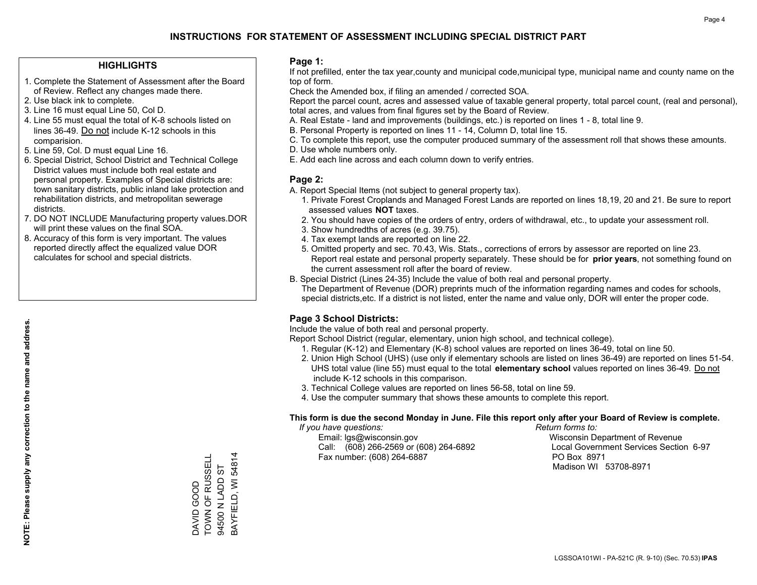### **HIGHLIGHTS**

- 1. Complete the Statement of Assessment after the Board of Review. Reflect any changes made there.
- 2. Use black ink to complete.
- 3. Line 16 must equal Line 50, Col D.
- 4. Line 55 must equal the total of K-8 schools listed on lines 36-49. Do not include K-12 schools in this comparision.
- 5. Line 59, Col. D must equal Line 16.
- 6. Special District, School District and Technical College District values must include both real estate and personal property. Examples of Special districts are: town sanitary districts, public inland lake protection and rehabilitation districts, and metropolitan sewerage districts.
- 7. DO NOT INCLUDE Manufacturing property values.DOR will print these values on the final SOA.

DAVID GOOD

TOWN OF RUSSELL 94500 N LADD ST BAYFIELD, WI 54814

DAVID GOOD<br>TOWN OF RUSSELL 94500 N LADD ST

BAYFIELD, WI 54814

 8. Accuracy of this form is very important. The values reported directly affect the equalized value DOR calculates for school and special districts.

### **Page 1:**

 If not prefilled, enter the tax year,county and municipal code,municipal type, municipal name and county name on the top of form.

Check the Amended box, if filing an amended / corrected SOA.

 Report the parcel count, acres and assessed value of taxable general property, total parcel count, (real and personal), total acres, and values from final figures set by the Board of Review.

- A. Real Estate land and improvements (buildings, etc.) is reported on lines 1 8, total line 9.
- B. Personal Property is reported on lines 11 14, Column D, total line 15.
- C. To complete this report, use the computer produced summary of the assessment roll that shows these amounts.
- D. Use whole numbers only.
- E. Add each line across and each column down to verify entries.

### **Page 2:**

- A. Report Special Items (not subject to general property tax).
- 1. Private Forest Croplands and Managed Forest Lands are reported on lines 18,19, 20 and 21. Be sure to report assessed values **NOT** taxes.
- 2. You should have copies of the orders of entry, orders of withdrawal, etc., to update your assessment roll.
	- 3. Show hundredths of acres (e.g. 39.75).
- 4. Tax exempt lands are reported on line 22.
- 5. Omitted property and sec. 70.43, Wis. Stats., corrections of errors by assessor are reported on line 23. Report real estate and personal property separately. These should be for **prior years**, not something found on the current assessment roll after the board of review.
- B. Special District (Lines 24-35) Include the value of both real and personal property.
- The Department of Revenue (DOR) preprints much of the information regarding names and codes for schools, special districts,etc. If a district is not listed, enter the name and value only, DOR will enter the proper code.

## **Page 3 School Districts:**

Include the value of both real and personal property.

Report School District (regular, elementary, union high school, and technical college).

- 1. Regular (K-12) and Elementary (K-8) school values are reported on lines 36-49, total on line 50.
- 2. Union High School (UHS) (use only if elementary schools are listed on lines 36-49) are reported on lines 51-54. UHS total value (line 55) must equal to the total **elementary school** values reported on lines 36-49. Do notinclude K-12 schools in this comparison.
- 3. Technical College values are reported on lines 56-58, total on line 59.
- 4. Use the computer summary that shows these amounts to complete this report.

#### **This form is due the second Monday in June. File this report only after your Board of Review is complete.**

 *If you have questions: Return forms to:*

 Email: lgs@wisconsin.gov Wisconsin Department of RevenueCall:  $(608)$  266-2569 or  $(608)$  264-6892 Fax number: (608) 264-6887 PO Box 8971

Local Government Services Section 6-97 Madison WI 53708-8971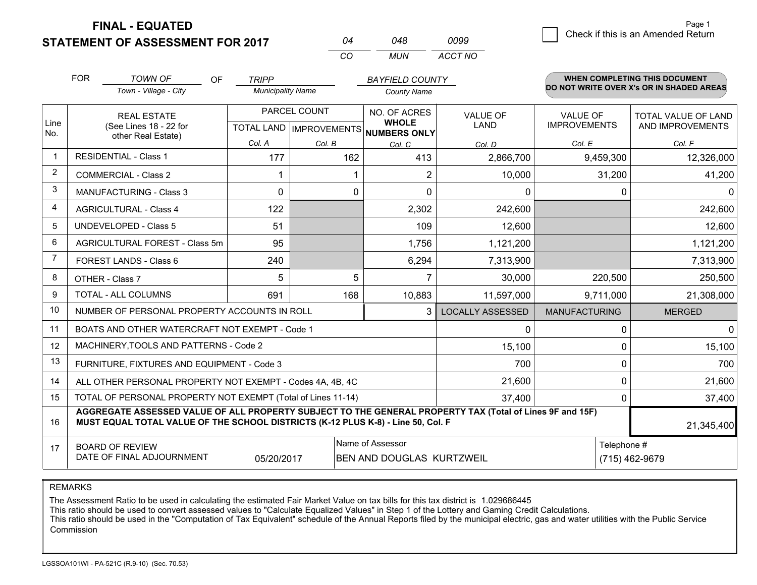**STATEMENT OF ASSESSMENT FOR 2017 FINAL - EQUATED**

| 04  | 048. | 0099    |
|-----|------|---------|
| -CO | MUN  | ACCT NO |

|             | <b>FOR</b>                               | <b>TOWN OF</b><br><b>OF</b>                                                                                                                                                                  | <b>TRIPP</b>             |                           | <b>BAYFIELD COUNTY</b>              |                         |                      | <b>WHEN COMPLETING THIS DOCUMENT</b>     |
|-------------|------------------------------------------|----------------------------------------------------------------------------------------------------------------------------------------------------------------------------------------------|--------------------------|---------------------------|-------------------------------------|-------------------------|----------------------|------------------------------------------|
|             |                                          | Town - Village - City                                                                                                                                                                        | <b>Municipality Name</b> |                           | <b>County Name</b>                  |                         |                      | DO NOT WRITE OVER X's OR IN SHADED AREAS |
|             | <b>REAL ESTATE</b>                       |                                                                                                                                                                                              |                          | PARCEL COUNT              | NO. OF ACRES                        | <b>VALUE OF</b>         | <b>VALUE OF</b>      | TOTAL VALUE OF LAND                      |
| Line<br>No. |                                          | (See Lines 18 - 22 for<br>other Real Estate)                                                                                                                                                 |                          | TOTAL LAND   IMPROVEMENTS | <b>WHOLE</b><br><b>NUMBERS ONLY</b> | <b>LAND</b>             | <b>IMPROVEMENTS</b>  | AND IMPROVEMENTS                         |
|             |                                          |                                                                                                                                                                                              | Col. A                   | Col. B                    | Col. C                              | Col. D                  | Col. E               | Col. F                                   |
| -1          |                                          | <b>RESIDENTIAL - Class 1</b>                                                                                                                                                                 | 177                      | 162                       | 413                                 | 2,866,700               | 9,459,300            | 12,326,000                               |
| 2           |                                          | <b>COMMERCIAL - Class 2</b>                                                                                                                                                                  |                          |                           | $\overline{2}$                      | 10,000                  | 31,200               | 41,200                                   |
| 3           |                                          | <b>MANUFACTURING - Class 3</b>                                                                                                                                                               | $\Omega$                 | 0                         | $\Omega$                            | 0                       | $\Omega$             | $\Omega$                                 |
| 4           |                                          | <b>AGRICULTURAL - Class 4</b>                                                                                                                                                                | 122                      |                           | 2,302                               | 242,600                 |                      | 242,600                                  |
| 5           |                                          | <b>UNDEVELOPED - Class 5</b>                                                                                                                                                                 | 51                       |                           | 109                                 | 12,600                  |                      | 12,600                                   |
| 6           |                                          | AGRICULTURAL FOREST - Class 5m                                                                                                                                                               | 95                       |                           | 1,756                               | 1,121,200               |                      | 1,121,200                                |
| 7           |                                          | FOREST LANDS - Class 6                                                                                                                                                                       | 240                      |                           | 6,294                               | 7,313,900               |                      | 7,313,900                                |
| 8           |                                          | OTHER - Class 7                                                                                                                                                                              | 5                        | 5                         | $\overline{7}$                      | 30,000                  | 220,500              | 250,500                                  |
| 9           | <b>TOTAL - ALL COLUMNS</b><br>691<br>168 |                                                                                                                                                                                              |                          |                           | 10,883                              | 11,597,000              | 9,711,000            | 21,308,000                               |
| 10          |                                          | NUMBER OF PERSONAL PROPERTY ACCOUNTS IN ROLL                                                                                                                                                 |                          |                           | 3                                   | <b>LOCALLY ASSESSED</b> | <b>MANUFACTURING</b> | <b>MERGED</b>                            |
| 11          |                                          | BOATS AND OTHER WATERCRAFT NOT EXEMPT - Code 1                                                                                                                                               |                          |                           |                                     | 0                       | $\Omega$             | $\Omega$                                 |
| 12          |                                          | MACHINERY, TOOLS AND PATTERNS - Code 2                                                                                                                                                       |                          |                           |                                     | 15,100                  | $\Omega$             | 15,100                                   |
| 13          |                                          | FURNITURE, FIXTURES AND EQUIPMENT - Code 3                                                                                                                                                   |                          |                           | 700                                 | 0                       | 700                  |                                          |
| 14          |                                          | ALL OTHER PERSONAL PROPERTY NOT EXEMPT - Codes 4A, 4B, 4C                                                                                                                                    |                          |                           | 21,600                              | $\Omega$                | 21,600               |                                          |
| 15          |                                          | TOTAL OF PERSONAL PROPERTY NOT EXEMPT (Total of Lines 11-14)                                                                                                                                 |                          |                           |                                     | 37,400                  | 0                    | 37,400                                   |
| 16          |                                          | AGGREGATE ASSESSED VALUE OF ALL PROPERTY SUBJECT TO THE GENERAL PROPERTY TAX (Total of Lines 9F and 15F)<br>MUST EQUAL TOTAL VALUE OF THE SCHOOL DISTRICTS (K-12 PLUS K-8) - Line 50, Col. F |                          |                           |                                     |                         |                      | 21,345,400                               |
| 17          |                                          | <b>BOARD OF REVIEW</b>                                                                                                                                                                       |                          |                           | Name of Assessor                    |                         | Telephone #          |                                          |
|             |                                          | DATE OF FINAL ADJOURNMENT                                                                                                                                                                    | 05/20/2017               |                           | BEN AND DOUGLAS KURTZWEIL           |                         |                      | (715) 462-9679                           |

REMARKS

The Assessment Ratio to be used in calculating the estimated Fair Market Value on tax bills for this tax district is 1.029686445

This ratio should be used to convert assessed values to "Calculate Equalized Values" in Step 1 of the Lottery and Gaming Credit Calculations.

 This ratio should be used in the "Computation of Tax Equivalent" schedule of the Annual Reports filed by the municipal electric, gas and water utilities with the Public Service Commission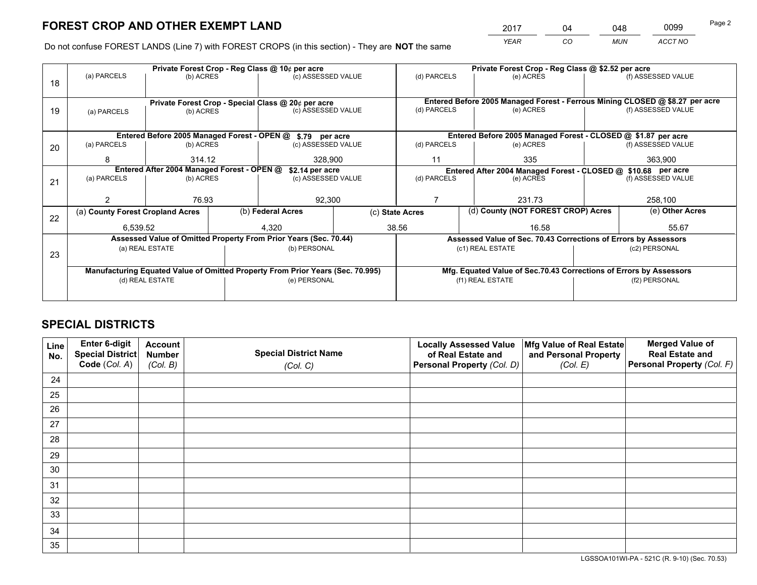*YEAR CO MUN ACCT NO* <sup>2017</sup> <sup>04</sup> <sup>048</sup> <sup>0099</sup>

Do not confuse FOREST LANDS (Line 7) with FOREST CROPS (in this section) - They are **NOT** the same

|    |                                                               |                 |                                 | Private Forest Crop - Reg Class @ 10¢ per acre                                 |             |                  | Private Forest Crop - Reg Class @ \$2.52 per acre |                                                               |                                                                 |                                                                              |  |
|----|---------------------------------------------------------------|-----------------|---------------------------------|--------------------------------------------------------------------------------|-------------|------------------|---------------------------------------------------|---------------------------------------------------------------|-----------------------------------------------------------------|------------------------------------------------------------------------------|--|
| 18 | (a) PARCELS                                                   | (b) ACRES       |                                 | (c) ASSESSED VALUE                                                             |             | (d) PARCELS      |                                                   | (e) ACRES                                                     |                                                                 | (f) ASSESSED VALUE                                                           |  |
|    |                                                               |                 |                                 |                                                                                |             |                  |                                                   |                                                               |                                                                 |                                                                              |  |
|    |                                                               |                 |                                 | Private Forest Crop - Special Class @ 20¢ per acre                             |             |                  |                                                   |                                                               |                                                                 | Entered Before 2005 Managed Forest - Ferrous Mining CLOSED @ \$8.27 per acre |  |
| 19 | (a) PARCELS                                                   | (b) ACRES       |                                 | (c) ASSESSED VALUE                                                             |             | (d) PARCELS      |                                                   | (e) ACRES                                                     |                                                                 | (f) ASSESSED VALUE                                                           |  |
|    |                                                               |                 |                                 |                                                                                |             |                  |                                                   |                                                               |                                                                 |                                                                              |  |
|    | Entered Before 2005 Managed Forest - OPEN @ \$.79 per acre    |                 |                                 |                                                                                |             |                  |                                                   |                                                               | Entered Before 2005 Managed Forest - CLOSED @ \$1.87 per acre   |                                                                              |  |
| 20 | (a) PARCELS                                                   |                 | (b) ACRES<br>(c) ASSESSED VALUE |                                                                                | (d) PARCELS |                  | (e) ACRES                                         |                                                               | (f) ASSESSED VALUE                                              |                                                                              |  |
|    | 8                                                             | 314.12          |                                 | 328.900                                                                        |             | 11               |                                                   | 335                                                           |                                                                 | 363,900                                                                      |  |
|    | Entered After 2004 Managed Forest - OPEN @<br>\$2.14 per acre |                 |                                 |                                                                                |             |                  |                                                   | Entered After 2004 Managed Forest - CLOSED @ \$10.68 per acre |                                                                 |                                                                              |  |
| 21 | (a) PARCELS                                                   | (b) ACRES       |                                 | (c) ASSESSED VALUE                                                             |             | (d) PARCELS      |                                                   | (e) ACRES                                                     |                                                                 | (f) ASSESSED VALUE                                                           |  |
|    |                                                               |                 |                                 |                                                                                |             |                  |                                                   |                                                               |                                                                 |                                                                              |  |
|    | 76.93                                                         |                 |                                 | 92,300                                                                         |             |                  |                                                   | 231.73                                                        |                                                                 | 258,100                                                                      |  |
| 22 | (a) County Forest Cropland Acres                              |                 |                                 | (b) Federal Acres                                                              |             | (c) State Acres  |                                                   | (d) County (NOT FOREST CROP) Acres                            |                                                                 | (e) Other Acres                                                              |  |
|    | 6,539.52                                                      |                 |                                 | 4,320                                                                          | 38.56       |                  |                                                   | 16.58                                                         |                                                                 | 55.67                                                                        |  |
|    |                                                               |                 |                                 | Assessed Value of Omitted Property From Prior Years (Sec. 70.44)               |             |                  |                                                   |                                                               | Assessed Value of Sec. 70.43 Corrections of Errors by Assessors |                                                                              |  |
| 23 |                                                               | (a) REAL ESTATE |                                 | (b) PERSONAL                                                                   |             | (c1) REAL ESTATE |                                                   | (c2) PERSONAL                                                 |                                                                 |                                                                              |  |
|    |                                                               |                 |                                 |                                                                                |             |                  |                                                   |                                                               |                                                                 |                                                                              |  |
|    |                                                               |                 |                                 | Manufacturing Equated Value of Omitted Property From Prior Years (Sec. 70.995) |             |                  |                                                   |                                                               |                                                                 | Mfg. Equated Value of Sec.70.43 Corrections of Errors by Assessors           |  |
|    |                                                               | (d) REAL ESTATE |                                 | (e) PERSONAL                                                                   |             |                  | (f1) REAL ESTATE                                  |                                                               |                                                                 | (f2) PERSONAL                                                                |  |
|    |                                                               |                 |                                 |                                                                                |             |                  |                                                   |                                                               |                                                                 |                                                                              |  |

# **SPECIAL DISTRICTS**

| Line<br>No. | Enter 6-digit<br>Special District<br>Code (Col. A) | <b>Account</b><br><b>Number</b> | <b>Special District Name</b> | <b>Locally Assessed Value</b><br>of Real Estate and | Mfg Value of Real Estate<br>and Personal Property | <b>Merged Value of</b><br><b>Real Estate and</b><br>Personal Property (Col. F) |
|-------------|----------------------------------------------------|---------------------------------|------------------------------|-----------------------------------------------------|---------------------------------------------------|--------------------------------------------------------------------------------|
|             |                                                    | (Col. B)                        | (Col. C)                     | Personal Property (Col. D)                          | (Col. E)                                          |                                                                                |
| 24          |                                                    |                                 |                              |                                                     |                                                   |                                                                                |
| 25          |                                                    |                                 |                              |                                                     |                                                   |                                                                                |
| 26          |                                                    |                                 |                              |                                                     |                                                   |                                                                                |
| 27          |                                                    |                                 |                              |                                                     |                                                   |                                                                                |
| 28          |                                                    |                                 |                              |                                                     |                                                   |                                                                                |
| 29          |                                                    |                                 |                              |                                                     |                                                   |                                                                                |
| 30          |                                                    |                                 |                              |                                                     |                                                   |                                                                                |
| 31          |                                                    |                                 |                              |                                                     |                                                   |                                                                                |
| 32          |                                                    |                                 |                              |                                                     |                                                   |                                                                                |
| 33          |                                                    |                                 |                              |                                                     |                                                   |                                                                                |
| 34          |                                                    |                                 |                              |                                                     |                                                   |                                                                                |
| 35          |                                                    |                                 |                              |                                                     |                                                   |                                                                                |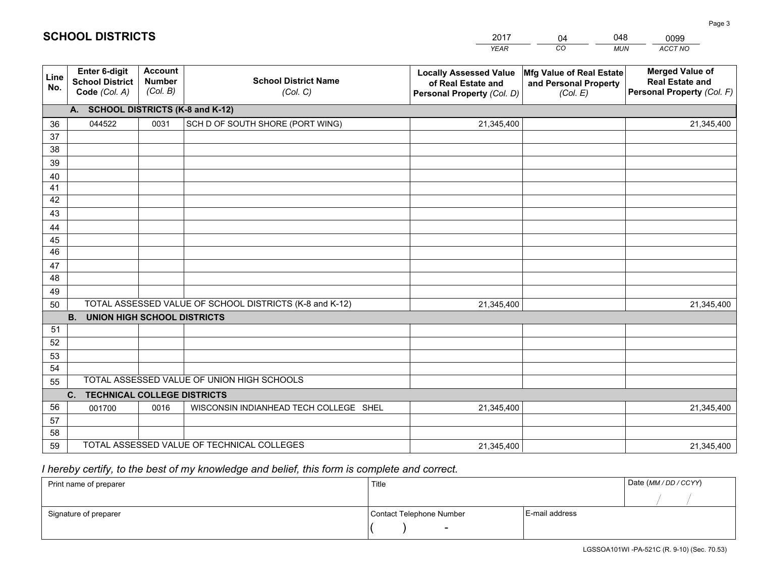| <b>Account</b><br><b>Merged Value of</b><br>Enter 6-digit<br><b>Locally Assessed Value</b><br>Mfg Value of Real Estate<br>Line<br><b>School District Name</b><br><b>Number</b><br><b>School District</b><br><b>Real Estate and</b><br>of Real Estate and<br>and Personal Property<br>No.<br>(Col. B)<br>Personal Property (Col. F)<br>Code (Col. A)<br>(Col. C)<br>Personal Property (Col. D)<br>(Col. E)<br>A. SCHOOL DISTRICTS (K-8 and K-12)<br>044522<br>0031<br>SCH D OF SOUTH SHORE (PORT WING)<br>21,345,400<br>21,345,400<br>36<br>37<br>38<br>39<br>40<br>41<br>42<br>43<br>44<br>45<br>46<br>47<br>48 |    |  |  |  | <b>YEAR</b> | CO<br><b>MUN</b> | ACCT NO |  |
|-----------------------------------------------------------------------------------------------------------------------------------------------------------------------------------------------------------------------------------------------------------------------------------------------------------------------------------------------------------------------------------------------------------------------------------------------------------------------------------------------------------------------------------------------------------------------------------------------------------------|----|--|--|--|-------------|------------------|---------|--|
|                                                                                                                                                                                                                                                                                                                                                                                                                                                                                                                                                                                                                 |    |  |  |  |             |                  |         |  |
|                                                                                                                                                                                                                                                                                                                                                                                                                                                                                                                                                                                                                 |    |  |  |  |             |                  |         |  |
|                                                                                                                                                                                                                                                                                                                                                                                                                                                                                                                                                                                                                 |    |  |  |  |             |                  |         |  |
|                                                                                                                                                                                                                                                                                                                                                                                                                                                                                                                                                                                                                 |    |  |  |  |             |                  |         |  |
|                                                                                                                                                                                                                                                                                                                                                                                                                                                                                                                                                                                                                 |    |  |  |  |             |                  |         |  |
|                                                                                                                                                                                                                                                                                                                                                                                                                                                                                                                                                                                                                 |    |  |  |  |             |                  |         |  |
|                                                                                                                                                                                                                                                                                                                                                                                                                                                                                                                                                                                                                 |    |  |  |  |             |                  |         |  |
|                                                                                                                                                                                                                                                                                                                                                                                                                                                                                                                                                                                                                 |    |  |  |  |             |                  |         |  |
|                                                                                                                                                                                                                                                                                                                                                                                                                                                                                                                                                                                                                 |    |  |  |  |             |                  |         |  |
|                                                                                                                                                                                                                                                                                                                                                                                                                                                                                                                                                                                                                 |    |  |  |  |             |                  |         |  |
|                                                                                                                                                                                                                                                                                                                                                                                                                                                                                                                                                                                                                 |    |  |  |  |             |                  |         |  |
|                                                                                                                                                                                                                                                                                                                                                                                                                                                                                                                                                                                                                 |    |  |  |  |             |                  |         |  |
|                                                                                                                                                                                                                                                                                                                                                                                                                                                                                                                                                                                                                 |    |  |  |  |             |                  |         |  |
|                                                                                                                                                                                                                                                                                                                                                                                                                                                                                                                                                                                                                 |    |  |  |  |             |                  |         |  |
|                                                                                                                                                                                                                                                                                                                                                                                                                                                                                                                                                                                                                 | 49 |  |  |  |             |                  |         |  |
| TOTAL ASSESSED VALUE OF SCHOOL DISTRICTS (K-8 and K-12)<br>21,345,400<br>21,345,400<br>50                                                                                                                                                                                                                                                                                                                                                                                                                                                                                                                       |    |  |  |  |             |                  |         |  |
| B <sub>1</sub><br><b>UNION HIGH SCHOOL DISTRICTS</b>                                                                                                                                                                                                                                                                                                                                                                                                                                                                                                                                                            |    |  |  |  |             |                  |         |  |
| 51                                                                                                                                                                                                                                                                                                                                                                                                                                                                                                                                                                                                              |    |  |  |  |             |                  |         |  |
| 52                                                                                                                                                                                                                                                                                                                                                                                                                                                                                                                                                                                                              |    |  |  |  |             |                  |         |  |
| 53                                                                                                                                                                                                                                                                                                                                                                                                                                                                                                                                                                                                              |    |  |  |  |             |                  |         |  |
| 54<br>TOTAL ASSESSED VALUE OF UNION HIGH SCHOOLS                                                                                                                                                                                                                                                                                                                                                                                                                                                                                                                                                                |    |  |  |  |             |                  |         |  |
| 55                                                                                                                                                                                                                                                                                                                                                                                                                                                                                                                                                                                                              |    |  |  |  |             |                  |         |  |
| C. TECHNICAL COLLEGE DISTRICTS                                                                                                                                                                                                                                                                                                                                                                                                                                                                                                                                                                                  |    |  |  |  |             |                  |         |  |
| 56<br>WISCONSIN INDIANHEAD TECH COLLEGE SHEL<br>001700<br>0016<br>21,345,400<br>21,345,400<br>57                                                                                                                                                                                                                                                                                                                                                                                                                                                                                                                |    |  |  |  |             |                  |         |  |
| 58                                                                                                                                                                                                                                                                                                                                                                                                                                                                                                                                                                                                              |    |  |  |  |             |                  |         |  |
| TOTAL ASSESSED VALUE OF TECHNICAL COLLEGES<br>59<br>21,345,400<br>21,345,400                                                                                                                                                                                                                                                                                                                                                                                                                                                                                                                                    |    |  |  |  |             |                  |         |  |

04

048

 *I hereby certify, to the best of my knowledge and belief, this form is complete and correct.*

**SCHOOL DISTRICTS**

| Print name of preparer | Title                    |                | Date (MM / DD / CCYY) |
|------------------------|--------------------------|----------------|-----------------------|
|                        |                          |                |                       |
| Signature of preparer  | Contact Telephone Number | E-mail address |                       |
|                        | $\sim$                   |                |                       |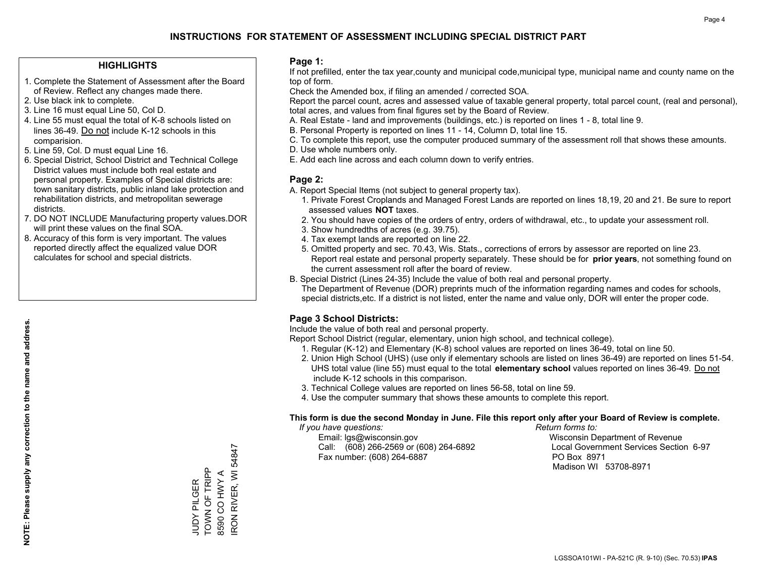### **HIGHLIGHTS**

- 1. Complete the Statement of Assessment after the Board of Review. Reflect any changes made there.
- 2. Use black ink to complete.
- 3. Line 16 must equal Line 50, Col D.
- 4. Line 55 must equal the total of K-8 schools listed on lines 36-49. Do not include K-12 schools in this comparision.
- 5. Line 59, Col. D must equal Line 16.
- 6. Special District, School District and Technical College District values must include both real estate and personal property. Examples of Special districts are: town sanitary districts, public inland lake protection and rehabilitation districts, and metropolitan sewerage districts.
- 7. DO NOT INCLUDE Manufacturing property values.DOR will print these values on the final SOA.

JUDY PILGER TOWN OF TRIPP 8590 CO HWY A

JUDY PILGER<br>TOWN OF TRIPP 8590 CO HWY A IRON RIVER, WI 54847

RON RIVER, WI 54847

 8. Accuracy of this form is very important. The values reported directly affect the equalized value DOR calculates for school and special districts.

### **Page 1:**

 If not prefilled, enter the tax year,county and municipal code,municipal type, municipal name and county name on the top of form.

Check the Amended box, if filing an amended / corrected SOA.

 Report the parcel count, acres and assessed value of taxable general property, total parcel count, (real and personal), total acres, and values from final figures set by the Board of Review.

- A. Real Estate land and improvements (buildings, etc.) is reported on lines 1 8, total line 9.
- B. Personal Property is reported on lines 11 14, Column D, total line 15.
- C. To complete this report, use the computer produced summary of the assessment roll that shows these amounts.
- D. Use whole numbers only.
- E. Add each line across and each column down to verify entries.

### **Page 2:**

- A. Report Special Items (not subject to general property tax).
- 1. Private Forest Croplands and Managed Forest Lands are reported on lines 18,19, 20 and 21. Be sure to report assessed values **NOT** taxes.
- 2. You should have copies of the orders of entry, orders of withdrawal, etc., to update your assessment roll.
	- 3. Show hundredths of acres (e.g. 39.75).
- 4. Tax exempt lands are reported on line 22.
- 5. Omitted property and sec. 70.43, Wis. Stats., corrections of errors by assessor are reported on line 23. Report real estate and personal property separately. These should be for **prior years**, not something found on the current assessment roll after the board of review.
- B. Special District (Lines 24-35) Include the value of both real and personal property.
- The Department of Revenue (DOR) preprints much of the information regarding names and codes for schools, special districts,etc. If a district is not listed, enter the name and value only, DOR will enter the proper code.

## **Page 3 School Districts:**

Include the value of both real and personal property.

Report School District (regular, elementary, union high school, and technical college).

- 1. Regular (K-12) and Elementary (K-8) school values are reported on lines 36-49, total on line 50.
- 2. Union High School (UHS) (use only if elementary schools are listed on lines 36-49) are reported on lines 51-54. UHS total value (line 55) must equal to the total **elementary school** values reported on lines 36-49. Do notinclude K-12 schools in this comparison.
- 3. Technical College values are reported on lines 56-58, total on line 59.
- 4. Use the computer summary that shows these amounts to complete this report.

#### **This form is due the second Monday in June. File this report only after your Board of Review is complete.**

 *If you have questions: Return forms to:*

 Email: lgs@wisconsin.gov Wisconsin Department of RevenueCall:  $(608)$  266-2569 or  $(608)$  264-6892 Fax number: (608) 264-6887 PO Box 8971

Local Government Services Section 6-97 Madison WI 53708-8971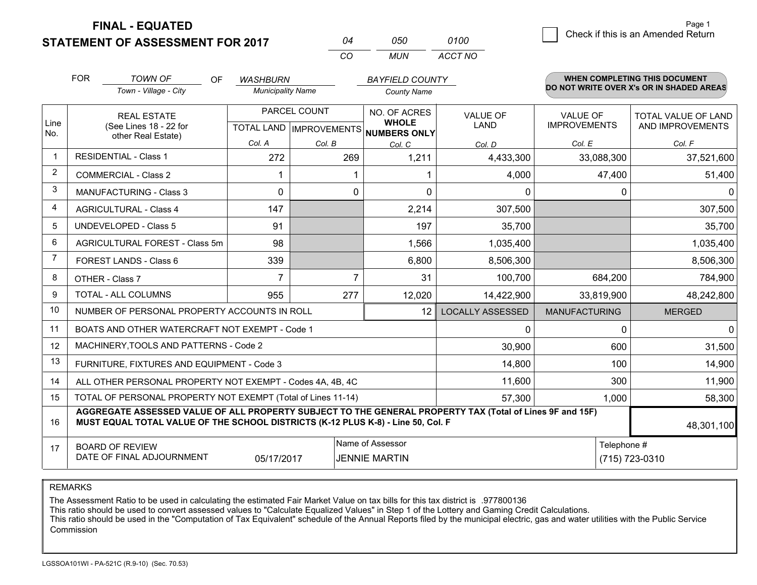**STATEMENT OF ASSESSMENT FOR 2017** 

**FINAL - EQUATED**

| ሰ4  | กรก   | 0100.   |
|-----|-------|---------|
| ΓO. | MI IN | ACCT NO |

|             | <b>FOR</b>                                                                                                                                                                                   | <b>TOWN OF</b><br><b>OF</b><br>Town - Village - City               | <b>WASHBURN</b><br><b>Municipality Name</b> |              | <b>BAYFIELD COUNTY</b><br><b>County Name</b>                         |                         |                                 | WHEN COMPLETING THIS DOCUMENT<br>DO NOT WRITE OVER X's OR IN SHADED AREAS |
|-------------|----------------------------------------------------------------------------------------------------------------------------------------------------------------------------------------------|--------------------------------------------------------------------|---------------------------------------------|--------------|----------------------------------------------------------------------|-------------------------|---------------------------------|---------------------------------------------------------------------------|
| Line<br>No. |                                                                                                                                                                                              | <b>REAL ESTATE</b><br>(See Lines 18 - 22 for<br>other Real Estate) |                                             | PARCEL COUNT | NO. OF ACRES<br><b>WHOLE</b><br>TOTAL LAND IMPROVEMENTS NUMBERS ONLY | <b>VALUE OF</b><br>LAND | VALUE OF<br><b>IMPROVEMENTS</b> | <b>TOTAL VALUE OF LAND</b><br>AND IMPROVEMENTS                            |
|             |                                                                                                                                                                                              |                                                                    | Col. A                                      | Col. B       | Col. C                                                               | Col. D                  | Col. E                          | Col. F                                                                    |
| $\mathbf 1$ |                                                                                                                                                                                              | <b>RESIDENTIAL - Class 1</b>                                       | 272                                         | 269          | 1,211                                                                | 4,433,300               | 33,088,300                      | 37,521,600                                                                |
| 2           |                                                                                                                                                                                              | <b>COMMERCIAL - Class 2</b>                                        |                                             |              |                                                                      | 4,000                   | 47,400                          | 51,400                                                                    |
| 3           |                                                                                                                                                                                              | <b>MANUFACTURING - Class 3</b>                                     | $\Omega$                                    | 0            | $\Omega$                                                             | 0                       | 0                               | $\mathbf 0$                                                               |
| 4           |                                                                                                                                                                                              | <b>AGRICULTURAL - Class 4</b>                                      | 147                                         |              | 2,214                                                                | 307,500                 |                                 | 307,500                                                                   |
| 5           |                                                                                                                                                                                              | <b>UNDEVELOPED - Class 5</b>                                       | 91                                          |              | 197                                                                  | 35,700                  |                                 | 35,700                                                                    |
| 6           |                                                                                                                                                                                              | AGRICULTURAL FOREST - Class 5m                                     | 98                                          |              | 1,566                                                                | 1,035,400               |                                 | 1,035,400                                                                 |
| 7           |                                                                                                                                                                                              | FOREST LANDS - Class 6                                             | 339                                         |              | 6,800                                                                | 8,506,300               |                                 | 8,506,300                                                                 |
| 8           |                                                                                                                                                                                              | OTHER - Class 7                                                    | $\overline{7}$                              | 7            | 31                                                                   | 100,700                 | 684,200                         | 784,900                                                                   |
| 9           |                                                                                                                                                                                              | TOTAL - ALL COLUMNS                                                | 955                                         | 277          | 12,020                                                               | 14,422,900              | 33,819,900                      | 48,242,800                                                                |
| 10          |                                                                                                                                                                                              | NUMBER OF PERSONAL PROPERTY ACCOUNTS IN ROLL                       |                                             |              | 12                                                                   | <b>LOCALLY ASSESSED</b> | <b>MANUFACTURING</b>            | <b>MERGED</b>                                                             |
| 11          |                                                                                                                                                                                              | BOATS AND OTHER WATERCRAFT NOT EXEMPT - Code 1                     |                                             |              |                                                                      | 0                       | $\Omega$                        | $\mathbf 0$                                                               |
| 12          |                                                                                                                                                                                              | MACHINERY, TOOLS AND PATTERNS - Code 2                             |                                             |              |                                                                      | 30,900                  | 600                             | 31,500                                                                    |
| 13          |                                                                                                                                                                                              | FURNITURE, FIXTURES AND EQUIPMENT - Code 3                         |                                             |              |                                                                      | 14,800                  | 100                             | 14,900                                                                    |
| 14          |                                                                                                                                                                                              | ALL OTHER PERSONAL PROPERTY NOT EXEMPT - Codes 4A, 4B, 4C          |                                             |              |                                                                      | 11,600                  | 300                             | 11,900                                                                    |
| 15          |                                                                                                                                                                                              | TOTAL OF PERSONAL PROPERTY NOT EXEMPT (Total of Lines 11-14)       |                                             |              | 57,300                                                               | 1,000                   | 58,300                          |                                                                           |
| 16          | AGGREGATE ASSESSED VALUE OF ALL PROPERTY SUBJECT TO THE GENERAL PROPERTY TAX (Total of Lines 9F and 15F)<br>MUST EQUAL TOTAL VALUE OF THE SCHOOL DISTRICTS (K-12 PLUS K-8) - Line 50, Col. F |                                                                    |                                             |              |                                                                      |                         |                                 | 48,301,100                                                                |
| 17          |                                                                                                                                                                                              | <b>BOARD OF REVIEW</b><br>DATE OF FINAL ADJOURNMENT                | 05/17/2017                                  |              | Name of Assessor<br><b>JENNIE MARTIN</b>                             |                         | Telephone #                     | (715) 723-0310                                                            |

REMARKS

The Assessment Ratio to be used in calculating the estimated Fair Market Value on tax bills for this tax district is .977800136

This ratio should be used to convert assessed values to "Calculate Equalized Values" in Step 1 of the Lottery and Gaming Credit Calculations.<br>This ratio should be used in the "Computation of Tax Equivalent" schedule of the Commission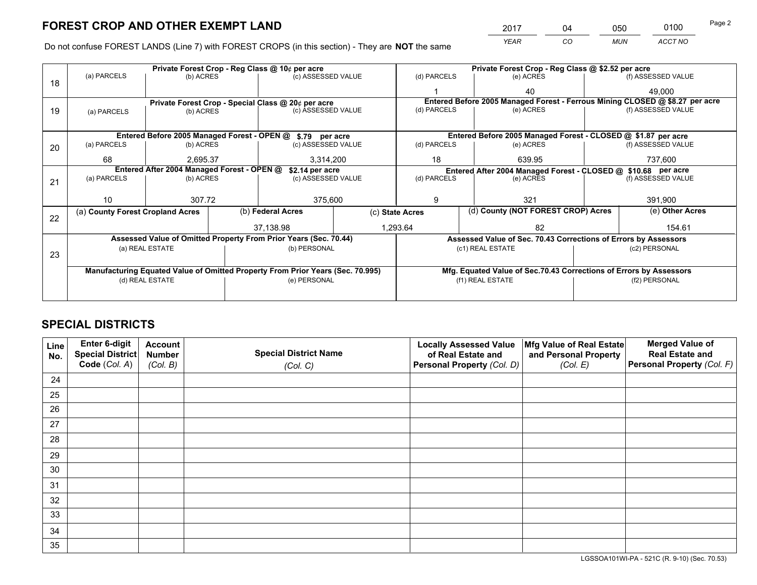*YEAR CO MUN ACCT NO* <sup>2017</sup> <sup>04</sup> <sup>050</sup> <sup>0100</sup> Page 2

Do not confuse FOREST LANDS (Line 7) with FOREST CROPS (in this section) - They are **NOT** the same

|    |                                                                                |                 | Private Forest Crop - Reg Class @ \$2.52 per acre |                                                                  |  |                                                                    |                                   |                                                                 |                 |                                                                              |
|----|--------------------------------------------------------------------------------|-----------------|---------------------------------------------------|------------------------------------------------------------------|--|--------------------------------------------------------------------|-----------------------------------|-----------------------------------------------------------------|-----------------|------------------------------------------------------------------------------|
| 18 | (a) PARCELS                                                                    | (b) ACRES       |                                                   | (c) ASSESSED VALUE                                               |  | (d) PARCELS                                                        |                                   | (e) ACRES                                                       |                 | (f) ASSESSED VALUE                                                           |
|    |                                                                                |                 |                                                   |                                                                  |  |                                                                    |                                   | 40                                                              |                 | 49.000                                                                       |
|    |                                                                                |                 |                                                   | Private Forest Crop - Special Class @ 20¢ per acre               |  |                                                                    |                                   |                                                                 |                 | Entered Before 2005 Managed Forest - Ferrous Mining CLOSED @ \$8.27 per acre |
| 19 | (a) PARCELS                                                                    | (b) ACRES       |                                                   | (c) ASSESSED VALUE                                               |  | (d) PARCELS                                                        |                                   | (e) ACRES                                                       |                 | (f) ASSESSED VALUE                                                           |
|    |                                                                                |                 |                                                   |                                                                  |  |                                                                    |                                   |                                                                 |                 |                                                                              |
|    |                                                                                |                 |                                                   | Entered Before 2005 Managed Forest - OPEN @ \$.79 per acre       |  |                                                                    |                                   | Entered Before 2005 Managed Forest - CLOSED @ \$1.87 per acre   |                 |                                                                              |
| 20 | (a) PARCELS                                                                    | (b) ACRES       |                                                   | (c) ASSESSED VALUE                                               |  | (d) PARCELS                                                        |                                   | (e) ACRES                                                       |                 | (f) ASSESSED VALUE                                                           |
|    | 68                                                                             | 2.695.37        |                                                   | 3,314,200                                                        |  | 18<br>639.95                                                       |                                   | 737,600                                                         |                 |                                                                              |
|    | Entered After 2004 Managed Forest - OPEN @<br>\$2.14 per acre                  |                 |                                                   |                                                                  |  |                                                                    |                                   | Entered After 2004 Managed Forest - CLOSED @ \$10.68 per acre   |                 |                                                                              |
| 21 | (a) PARCELS                                                                    | (b) ACRES       |                                                   | (c) ASSESSED VALUE                                               |  | (d) PARCELS<br>(e) ACRES                                           |                                   | (f) ASSESSED VALUE                                              |                 |                                                                              |
|    |                                                                                |                 |                                                   |                                                                  |  |                                                                    |                                   |                                                                 |                 |                                                                              |
|    | 10                                                                             | 307.72          |                                                   | 375,600                                                          |  | 9                                                                  | 321                               |                                                                 | 391,900         |                                                                              |
| 22 | (a) County Forest Cropland Acres                                               |                 |                                                   | (b) Federal Acres                                                |  | (d) County (NOT FOREST CROP) Acres<br>(c) State Acres              |                                   |                                                                 | (e) Other Acres |                                                                              |
|    |                                                                                |                 |                                                   | 37,138.98                                                        |  | 1,293.64                                                           |                                   | 82                                                              |                 | 154.61                                                                       |
|    |                                                                                |                 |                                                   | Assessed Value of Omitted Property From Prior Years (Sec. 70.44) |  |                                                                    |                                   | Assessed Value of Sec. 70.43 Corrections of Errors by Assessors |                 |                                                                              |
|    |                                                                                | (a) REAL ESTATE |                                                   | (b) PERSONAL                                                     |  |                                                                    | (c1) REAL ESTATE<br>(c2) PERSONAL |                                                                 |                 |                                                                              |
| 23 |                                                                                |                 |                                                   |                                                                  |  |                                                                    |                                   |                                                                 |                 |                                                                              |
|    | Manufacturing Equated Value of Omitted Property From Prior Years (Sec. 70.995) |                 |                                                   |                                                                  |  | Mfg. Equated Value of Sec.70.43 Corrections of Errors by Assessors |                                   |                                                                 |                 |                                                                              |
|    | (d) REAL ESTATE                                                                |                 |                                                   | (e) PERSONAL                                                     |  | (f1) REAL ESTATE                                                   |                                   | (f2) PERSONAL                                                   |                 |                                                                              |
|    |                                                                                |                 |                                                   |                                                                  |  |                                                                    |                                   |                                                                 |                 |                                                                              |

# **SPECIAL DISTRICTS**

| Line<br>No. | Enter 6-digit<br>Special District<br>Code (Col. A) | <b>Account</b><br><b>Number</b> | <b>Special District Name</b> | <b>Locally Assessed Value</b><br>of Real Estate and | Mfg Value of Real Estate<br>and Personal Property | <b>Merged Value of</b><br><b>Real Estate and</b><br>Personal Property (Col. F) |
|-------------|----------------------------------------------------|---------------------------------|------------------------------|-----------------------------------------------------|---------------------------------------------------|--------------------------------------------------------------------------------|
|             |                                                    | (Col. B)                        | (Col. C)                     | Personal Property (Col. D)                          | (Col. E)                                          |                                                                                |
| 24          |                                                    |                                 |                              |                                                     |                                                   |                                                                                |
| 25          |                                                    |                                 |                              |                                                     |                                                   |                                                                                |
| 26          |                                                    |                                 |                              |                                                     |                                                   |                                                                                |
| 27          |                                                    |                                 |                              |                                                     |                                                   |                                                                                |
| 28          |                                                    |                                 |                              |                                                     |                                                   |                                                                                |
| 29          |                                                    |                                 |                              |                                                     |                                                   |                                                                                |
| 30          |                                                    |                                 |                              |                                                     |                                                   |                                                                                |
| 31          |                                                    |                                 |                              |                                                     |                                                   |                                                                                |
| 32          |                                                    |                                 |                              |                                                     |                                                   |                                                                                |
| 33          |                                                    |                                 |                              |                                                     |                                                   |                                                                                |
| 34          |                                                    |                                 |                              |                                                     |                                                   |                                                                                |
| 35          |                                                    |                                 |                              |                                                     |                                                   |                                                                                |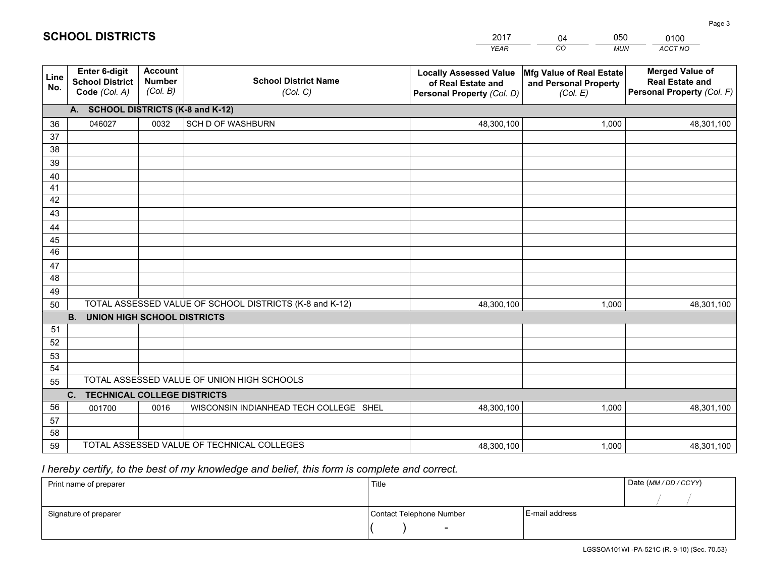|             |                                                                 |                                             |                                                         | <b>YEAR</b>                                                                       | CO<br><b>MUN</b>                                              | ACCT NO                                                                        |  |
|-------------|-----------------------------------------------------------------|---------------------------------------------|---------------------------------------------------------|-----------------------------------------------------------------------------------|---------------------------------------------------------------|--------------------------------------------------------------------------------|--|
| Line<br>No. | <b>Enter 6-digit</b><br><b>School District</b><br>Code (Col. A) | <b>Account</b><br><b>Number</b><br>(Col. B) | <b>School District Name</b><br>(Col. C)                 | <b>Locally Assessed Value</b><br>of Real Estate and<br>Personal Property (Col. D) | Mfg Value of Real Estate<br>and Personal Property<br>(Col. E) | <b>Merged Value of</b><br><b>Real Estate and</b><br>Personal Property (Col. F) |  |
|             | A. SCHOOL DISTRICTS (K-8 and K-12)                              |                                             |                                                         |                                                                                   |                                                               |                                                                                |  |
| 36          | 046027                                                          | 0032                                        | <b>SCH D OF WASHBURN</b>                                | 48,300,100                                                                        | 1,000                                                         | 48,301,100                                                                     |  |
| 37          |                                                                 |                                             |                                                         |                                                                                   |                                                               |                                                                                |  |
| 38          |                                                                 |                                             |                                                         |                                                                                   |                                                               |                                                                                |  |
| 39          |                                                                 |                                             |                                                         |                                                                                   |                                                               |                                                                                |  |
| 40          |                                                                 |                                             |                                                         |                                                                                   |                                                               |                                                                                |  |
| 41<br>42    |                                                                 |                                             |                                                         |                                                                                   |                                                               |                                                                                |  |
| 43          |                                                                 |                                             |                                                         |                                                                                   |                                                               |                                                                                |  |
|             |                                                                 |                                             |                                                         |                                                                                   |                                                               |                                                                                |  |
| 44<br>45    |                                                                 |                                             |                                                         |                                                                                   |                                                               |                                                                                |  |
| 46          |                                                                 |                                             |                                                         |                                                                                   |                                                               |                                                                                |  |
| 47          |                                                                 |                                             |                                                         |                                                                                   |                                                               |                                                                                |  |
| 48          |                                                                 |                                             |                                                         |                                                                                   |                                                               |                                                                                |  |
| 49          |                                                                 |                                             |                                                         |                                                                                   |                                                               |                                                                                |  |
| 50          |                                                                 |                                             | TOTAL ASSESSED VALUE OF SCHOOL DISTRICTS (K-8 and K-12) | 48,300,100                                                                        | 1,000                                                         | 48,301,100                                                                     |  |
|             | <b>B.</b><br>UNION HIGH SCHOOL DISTRICTS                        |                                             |                                                         |                                                                                   |                                                               |                                                                                |  |
| 51          |                                                                 |                                             |                                                         |                                                                                   |                                                               |                                                                                |  |
| 52          |                                                                 |                                             |                                                         |                                                                                   |                                                               |                                                                                |  |
| 53          |                                                                 |                                             |                                                         |                                                                                   |                                                               |                                                                                |  |
| 54          |                                                                 |                                             |                                                         |                                                                                   |                                                               |                                                                                |  |
| 55          | TOTAL ASSESSED VALUE OF UNION HIGH SCHOOLS                      |                                             |                                                         |                                                                                   |                                                               |                                                                                |  |
|             | C.<br><b>TECHNICAL COLLEGE DISTRICTS</b>                        |                                             |                                                         |                                                                                   |                                                               |                                                                                |  |
| 56          | 001700                                                          | 0016                                        | WISCONSIN INDIANHEAD TECH COLLEGE SHEL                  | 48,300,100                                                                        | 1,000                                                         | 48,301,100                                                                     |  |
| 57<br>58    |                                                                 |                                             |                                                         |                                                                                   |                                                               |                                                                                |  |
| 59          |                                                                 |                                             | TOTAL ASSESSED VALUE OF TECHNICAL COLLEGES              | 48,300,100                                                                        | 1,000                                                         | 48,301,100                                                                     |  |
|             |                                                                 |                                             |                                                         |                                                                                   |                                                               |                                                                                |  |

04

050

 *I hereby certify, to the best of my knowledge and belief, this form is complete and correct.*

**SCHOOL DISTRICTS**

| Print name of preparer | Title                    |                | Date (MM / DD / CCYY) |
|------------------------|--------------------------|----------------|-----------------------|
|                        |                          |                |                       |
| Signature of preparer  | Contact Telephone Number | E-mail address |                       |
|                        | $\sim$                   |                |                       |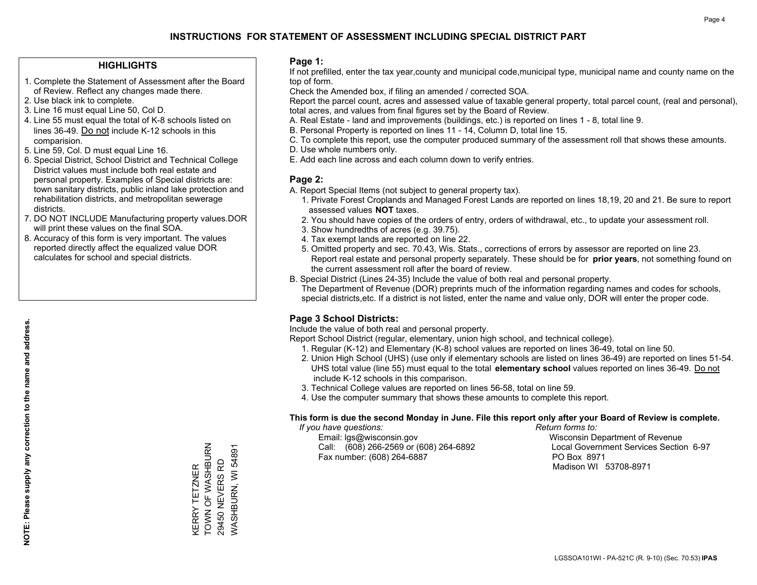### **HIGHLIGHTS**

- 1. Complete the Statement of Assessment after the Board of Review. Reflect any changes made there.
- 2. Use black ink to complete.
- 3. Line 16 must equal Line 50, Col D.
- 4. Line 55 must equal the total of K-8 schools listed on lines 36-49. Do not include K-12 schools in this comparision.
- 5. Line 59, Col. D must equal Line 16.
- 6. Special District, School District and Technical College District values must include both real estate and personal property. Examples of Special districts are: town sanitary districts, public inland lake protection and rehabilitation districts, and metropolitan sewerage districts.
- 7. DO NOT INCLUDE Manufacturing property values.DOR will print these values on the final SOA.
- 8. Accuracy of this form is very important. The values reported directly affect the equalized value DOR calculates for school and special districts.

### **Page 1:**

 If not prefilled, enter the tax year,county and municipal code,municipal type, municipal name and county name on the top of form.

Check the Amended box, if filing an amended / corrected SOA.

 Report the parcel count, acres and assessed value of taxable general property, total parcel count, (real and personal), total acres, and values from final figures set by the Board of Review.

- A. Real Estate land and improvements (buildings, etc.) is reported on lines 1 8, total line 9.
- B. Personal Property is reported on lines 11 14, Column D, total line 15.
- C. To complete this report, use the computer produced summary of the assessment roll that shows these amounts.
- D. Use whole numbers only.
- E. Add each line across and each column down to verify entries.

### **Page 2:**

- A. Report Special Items (not subject to general property tax).
- 1. Private Forest Croplands and Managed Forest Lands are reported on lines 18,19, 20 and 21. Be sure to report assessed values **NOT** taxes.
- 2. You should have copies of the orders of entry, orders of withdrawal, etc., to update your assessment roll.
	- 3. Show hundredths of acres (e.g. 39.75).
- 4. Tax exempt lands are reported on line 22.
- 5. Omitted property and sec. 70.43, Wis. Stats., corrections of errors by assessor are reported on line 23. Report real estate and personal property separately. These should be for **prior years**, not something found on the current assessment roll after the board of review.
- B. Special District (Lines 24-35) Include the value of both real and personal property.

 The Department of Revenue (DOR) preprints much of the information regarding names and codes for schools, special districts,etc. If a district is not listed, enter the name and value only, DOR will enter the proper code.

## **Page 3 School Districts:**

Include the value of both real and personal property.

Report School District (regular, elementary, union high school, and technical college).

- 1. Regular (K-12) and Elementary (K-8) school values are reported on lines 36-49, total on line 50.
- 2. Union High School (UHS) (use only if elementary schools are listed on lines 36-49) are reported on lines 51-54. UHS total value (line 55) must equal to the total **elementary school** values reported on lines 36-49. Do notinclude K-12 schools in this comparison.
- 3. Technical College values are reported on lines 56-58, total on line 59.
- 4. Use the computer summary that shows these amounts to complete this report.

#### **This form is due the second Monday in June. File this report only after your Board of Review is complete.**

 *If you have questions: Return forms to:*

 Email: lgs@wisconsin.gov Wisconsin Department of RevenueCall:  $(608)$  266-2569 or  $(608)$  264-6892 Fax number: (608) 264-6887 PO Box 8971

Local Government Services Section 6-97 Madison WI 53708-8971

TOWN OF WASHBURN KERRY TETZNER<br>TOWN OF WASHBURN WASHBURN, WI 54891 WASHBURN, WI 54891 29450 NEVERS RD 29450 NEVERS RD KERRY TETZNER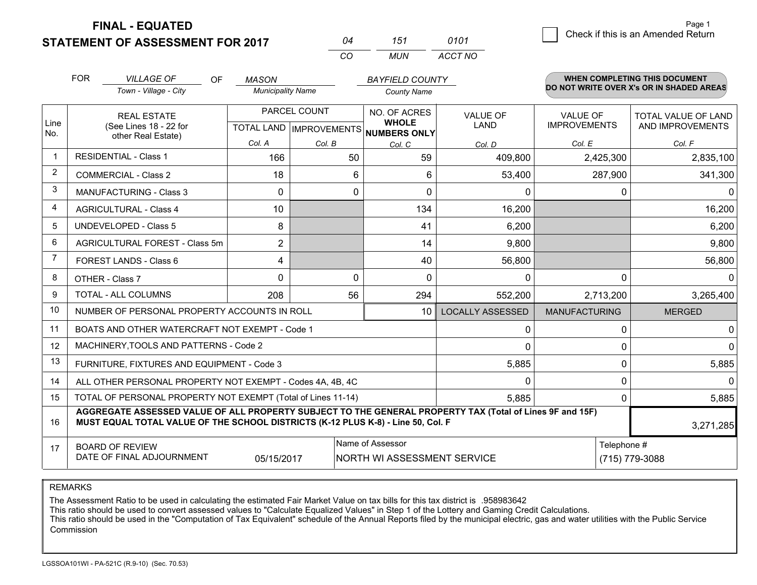**STATEMENT OF ASSESSMENT FOR 2017 FINAL - EQUATED**

| N4 | 151 | 0101    |
|----|-----|---------|
| cо | MUN | ACCT NO |

|                | <b>FOR</b> | <b>VILLAGE OF</b><br>OF                                                                                                                                                                      | <b>MASON</b>             |              | <b>BAYFIELD COUNTY</b>              |                         |                                        | <b>WHEN COMPLETING THIS DOCUMENT</b>     |
|----------------|------------|----------------------------------------------------------------------------------------------------------------------------------------------------------------------------------------------|--------------------------|--------------|-------------------------------------|-------------------------|----------------------------------------|------------------------------------------|
|                |            | Town - Village - City                                                                                                                                                                        | <b>Municipality Name</b> |              | <b>County Name</b>                  |                         |                                        | DO NOT WRITE OVER X's OR IN SHADED AREAS |
| Line           |            | <b>REAL ESTATE</b><br>(See Lines 18 - 22 for                                                                                                                                                 |                          | PARCEL COUNT | NO. OF ACRES<br><b>WHOLE</b>        | <b>VALUE OF</b><br>LAND | <b>VALUE OF</b><br><b>IMPROVEMENTS</b> | TOTAL VALUE OF LAND<br>AND IMPROVEMENTS  |
| No.            |            | other Real Estate)                                                                                                                                                                           | Col. A                   |              | TOTAL LAND MPROVEMENTS NUMBERS ONLY |                         |                                        |                                          |
| $\overline{1}$ |            | <b>RESIDENTIAL - Class 1</b>                                                                                                                                                                 | 166                      | Col. B<br>50 | Col. C<br>59                        | Col. D<br>409,800       | Col. E<br>2,425,300                    | Col. F<br>2,835,100                      |
| 2              |            | <b>COMMERCIAL - Class 2</b>                                                                                                                                                                  | 18                       | 6            | 6                                   | 53,400                  | 287,900                                | 341,300                                  |
| 3              |            | <b>MANUFACTURING - Class 3</b>                                                                                                                                                               | $\Omega$                 | 0            | $\Omega$                            | 0                       | 0                                      | 0                                        |
| $\overline{4}$ |            | <b>AGRICULTURAL - Class 4</b>                                                                                                                                                                | 10                       |              | 134                                 | 16,200                  |                                        | 16,200                                   |
| 5              |            | <b>UNDEVELOPED - Class 5</b>                                                                                                                                                                 | 8                        |              | 41                                  | 6,200                   |                                        | 6,200                                    |
| 6              |            | AGRICULTURAL FOREST - Class 5m                                                                                                                                                               | $\overline{2}$           |              |                                     |                         |                                        |                                          |
| $\overline{7}$ |            |                                                                                                                                                                                              |                          |              | 14                                  | 9,800                   |                                        | 9,800                                    |
|                |            | <b>FOREST LANDS - Class 6</b>                                                                                                                                                                | 4                        |              | 40                                  | 56,800                  |                                        | 56,800                                   |
| 8              |            | OTHER - Class 7                                                                                                                                                                              | $\Omega$                 | $\Omega$     | $\Omega$                            | $\Omega$                | $\Omega$                               | 0                                        |
| 9              |            | TOTAL - ALL COLUMNS                                                                                                                                                                          | 208                      | 56           | 294                                 | 552,200                 | 2,713,200                              | 3,265,400                                |
| 10             |            | NUMBER OF PERSONAL PROPERTY ACCOUNTS IN ROLL                                                                                                                                                 |                          |              | 10 <sup>1</sup>                     | <b>LOCALLY ASSESSED</b> | <b>MANUFACTURING</b>                   | <b>MERGED</b>                            |
| 11             |            | BOATS AND OTHER WATERCRAFT NOT EXEMPT - Code 1                                                                                                                                               |                          |              |                                     | 0                       | 0                                      | 0                                        |
| 12             |            | MACHINERY, TOOLS AND PATTERNS - Code 2                                                                                                                                                       |                          |              |                                     | $\Omega$                | $\Omega$                               | 0                                        |
| 13             |            | FURNITURE, FIXTURES AND EQUIPMENT - Code 3                                                                                                                                                   |                          |              |                                     | 5,885                   | $\mathbf{0}$                           | 5,885                                    |
| 14             |            | ALL OTHER PERSONAL PROPERTY NOT EXEMPT - Codes 4A, 4B, 4C                                                                                                                                    |                          |              |                                     | 0                       | 0                                      | $\Omega$                                 |
| 15             |            | TOTAL OF PERSONAL PROPERTY NOT EXEMPT (Total of Lines 11-14)                                                                                                                                 |                          |              | 5,885                               | $\Omega$                | 5,885                                  |                                          |
| 16             |            | AGGREGATE ASSESSED VALUE OF ALL PROPERTY SUBJECT TO THE GENERAL PROPERTY TAX (Total of Lines 9F and 15F)<br>MUST EQUAL TOTAL VALUE OF THE SCHOOL DISTRICTS (K-12 PLUS K-8) - Line 50, Col. F |                          |              |                                     |                         |                                        | 3,271,285                                |
| 17             |            | <b>BOARD OF REVIEW</b>                                                                                                                                                                       |                          |              | Name of Assessor                    |                         | Telephone #                            |                                          |
|                |            | DATE OF FINAL ADJOURNMENT                                                                                                                                                                    | 05/15/2017               |              | NORTH WI ASSESSMENT SERVICE         |                         |                                        | (715) 779-3088                           |

REMARKS

The Assessment Ratio to be used in calculating the estimated Fair Market Value on tax bills for this tax district is .958983642

This ratio should be used to convert assessed values to "Calculate Equalized Values" in Step 1 of the Lottery and Gaming Credit Calculations.<br>This ratio should be used in the "Computation of Tax Equivalent" schedule of the Commission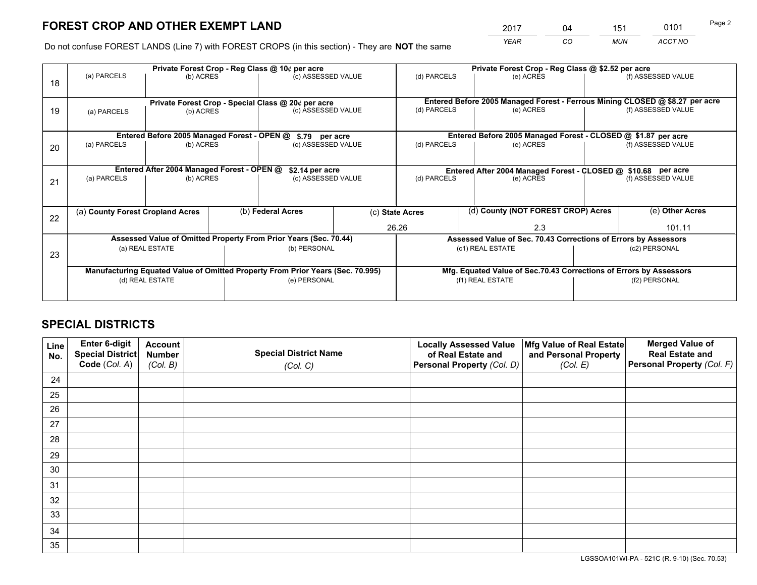*YEAR CO MUN ACCT NO* <sup>2017</sup> <sup>04</sup> <sup>151</sup> <sup>0101</sup>

Do not confuse FOREST LANDS (Line 7) with FOREST CROPS (in this section) - They are **NOT** the same

|    | Private Forest Crop - Reg Class @ 10¢ per acre                |                                             |  |                                                                                |                                                                              | Private Forest Crop - Reg Class @ \$2.52 per acre             |                                                                    |        |                    |  |
|----|---------------------------------------------------------------|---------------------------------------------|--|--------------------------------------------------------------------------------|------------------------------------------------------------------------------|---------------------------------------------------------------|--------------------------------------------------------------------|--------|--------------------|--|
| 18 | (a) PARCELS                                                   | (b) ACRES                                   |  | (c) ASSESSED VALUE                                                             |                                                                              | (d) PARCELS                                                   | (e) ACRES                                                          |        | (f) ASSESSED VALUE |  |
|    |                                                               |                                             |  |                                                                                |                                                                              |                                                               |                                                                    |        |                    |  |
|    | Private Forest Crop - Special Class @ 20¢ per acre            |                                             |  |                                                                                | Entered Before 2005 Managed Forest - Ferrous Mining CLOSED @ \$8.27 per acre |                                                               |                                                                    |        |                    |  |
| 19 | (a) PARCELS                                                   | (b) ACRES                                   |  | (c) ASSESSED VALUE                                                             |                                                                              | (d) PARCELS                                                   | (e) ACRES                                                          |        | (f) ASSESSED VALUE |  |
|    |                                                               |                                             |  |                                                                                |                                                                              |                                                               |                                                                    |        |                    |  |
|    |                                                               | Entered Before 2005 Managed Forest - OPEN @ |  | \$.79 per acre                                                                 |                                                                              |                                                               | Entered Before 2005 Managed Forest - CLOSED @ \$1.87 per acre      |        |                    |  |
| 20 | (a) PARCELS                                                   | (b) ACRES                                   |  | (c) ASSESSED VALUE                                                             |                                                                              | (d) PARCELS                                                   | (e) ACRES                                                          |        | (f) ASSESSED VALUE |  |
|    |                                                               |                                             |  |                                                                                |                                                                              |                                                               |                                                                    |        |                    |  |
|    | Entered After 2004 Managed Forest - OPEN @<br>\$2.14 per acre |                                             |  |                                                                                |                                                                              | Entered After 2004 Managed Forest - CLOSED @ \$10.68 per acre |                                                                    |        |                    |  |
| 21 | (a) PARCELS                                                   | (b) ACRES                                   |  | (c) ASSESSED VALUE                                                             |                                                                              | (d) PARCELS<br>(e) ACRES                                      |                                                                    |        | (f) ASSESSED VALUE |  |
|    |                                                               |                                             |  |                                                                                |                                                                              |                                                               |                                                                    |        |                    |  |
|    |                                                               |                                             |  |                                                                                |                                                                              |                                                               | (d) County (NOT FOREST CROP) Acres                                 |        |                    |  |
| 22 |                                                               | (a) County Forest Cropland Acres            |  | (b) Federal Acres                                                              |                                                                              | (c) State Acres                                               |                                                                    |        | (e) Other Acres    |  |
|    |                                                               |                                             |  |                                                                                |                                                                              | 26.26                                                         | 2.3                                                                | 101.11 |                    |  |
|    |                                                               |                                             |  | Assessed Value of Omitted Property From Prior Years (Sec. 70.44)               |                                                                              |                                                               | Assessed Value of Sec. 70.43 Corrections of Errors by Assessors    |        |                    |  |
| 23 |                                                               | (a) REAL ESTATE                             |  | (b) PERSONAL                                                                   |                                                                              |                                                               | (c1) REAL ESTATE                                                   |        | (c2) PERSONAL      |  |
|    |                                                               |                                             |  |                                                                                |                                                                              |                                                               |                                                                    |        |                    |  |
|    |                                                               |                                             |  | Manufacturing Equated Value of Omitted Property From Prior Years (Sec. 70.995) |                                                                              |                                                               | Mfg. Equated Value of Sec.70.43 Corrections of Errors by Assessors |        |                    |  |
|    | (d) REAL ESTATE                                               |                                             |  | (e) PERSONAL                                                                   |                                                                              | (f1) REAL ESTATE                                              |                                                                    |        | (f2) PERSONAL      |  |
|    |                                                               |                                             |  |                                                                                |                                                                              |                                                               |                                                                    |        |                    |  |

# **SPECIAL DISTRICTS**

| Line<br>No. | Enter 6-digit<br>Special District<br>Code (Col. A) | <b>Account</b><br><b>Number</b> | <b>Special District Name</b> | <b>Locally Assessed Value</b><br>of Real Estate and | Mfg Value of Real Estate<br>and Personal Property | <b>Merged Value of</b><br><b>Real Estate and</b><br>Personal Property (Col. F) |
|-------------|----------------------------------------------------|---------------------------------|------------------------------|-----------------------------------------------------|---------------------------------------------------|--------------------------------------------------------------------------------|
|             |                                                    | (Col. B)                        | (Col. C)                     | Personal Property (Col. D)                          | (Col. E)                                          |                                                                                |
| 24          |                                                    |                                 |                              |                                                     |                                                   |                                                                                |
| 25          |                                                    |                                 |                              |                                                     |                                                   |                                                                                |
| 26          |                                                    |                                 |                              |                                                     |                                                   |                                                                                |
| 27          |                                                    |                                 |                              |                                                     |                                                   |                                                                                |
| 28          |                                                    |                                 |                              |                                                     |                                                   |                                                                                |
| 29          |                                                    |                                 |                              |                                                     |                                                   |                                                                                |
| 30          |                                                    |                                 |                              |                                                     |                                                   |                                                                                |
| 31          |                                                    |                                 |                              |                                                     |                                                   |                                                                                |
| 32          |                                                    |                                 |                              |                                                     |                                                   |                                                                                |
| 33          |                                                    |                                 |                              |                                                     |                                                   |                                                                                |
| 34          |                                                    |                                 |                              |                                                     |                                                   |                                                                                |
| 35          |                                                    |                                 |                              |                                                     |                                                   |                                                                                |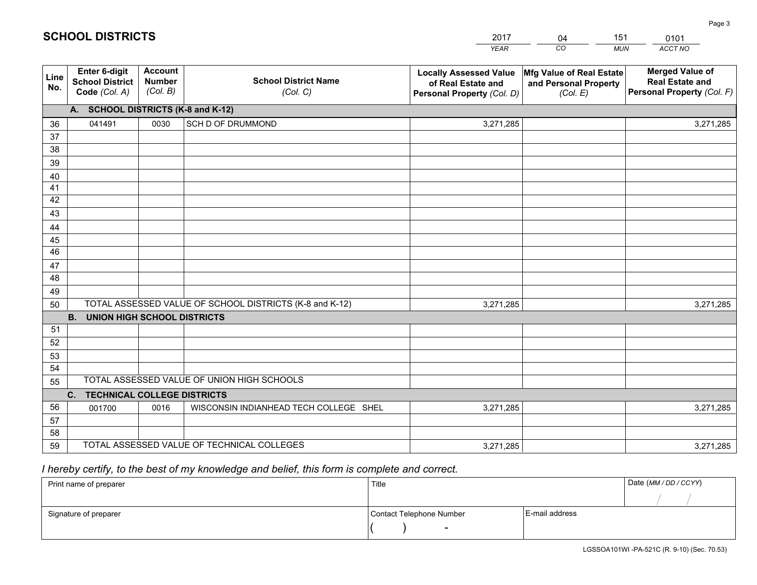|             |                                                          |                                             |                                                         | YEAR                                                                              | CO.<br><b>MUN</b>                                             | ACCT NO                                                                        |
|-------------|----------------------------------------------------------|---------------------------------------------|---------------------------------------------------------|-----------------------------------------------------------------------------------|---------------------------------------------------------------|--------------------------------------------------------------------------------|
| Line<br>No. | Enter 6-digit<br><b>School District</b><br>Code (Col. A) | <b>Account</b><br><b>Number</b><br>(Col. B) | <b>School District Name</b><br>(Col. C)                 | <b>Locally Assessed Value</b><br>of Real Estate and<br>Personal Property (Col. D) | Mfg Value of Real Estate<br>and Personal Property<br>(Col. E) | <b>Merged Value of</b><br><b>Real Estate and</b><br>Personal Property (Col. F) |
|             | A. SCHOOL DISTRICTS (K-8 and K-12)                       |                                             |                                                         |                                                                                   |                                                               |                                                                                |
| 36          | 041491                                                   | 0030                                        | SCH D OF DRUMMOND                                       | 3,271,285                                                                         |                                                               | 3,271,285                                                                      |
| 37          |                                                          |                                             |                                                         |                                                                                   |                                                               |                                                                                |
| 38          |                                                          |                                             |                                                         |                                                                                   |                                                               |                                                                                |
| 39          |                                                          |                                             |                                                         |                                                                                   |                                                               |                                                                                |
| 40          |                                                          |                                             |                                                         |                                                                                   |                                                               |                                                                                |
| 41          |                                                          |                                             |                                                         |                                                                                   |                                                               |                                                                                |
| 42          |                                                          |                                             |                                                         |                                                                                   |                                                               |                                                                                |
| 43          |                                                          |                                             |                                                         |                                                                                   |                                                               |                                                                                |
| 44          |                                                          |                                             |                                                         |                                                                                   |                                                               |                                                                                |
| 45<br>46    |                                                          |                                             |                                                         |                                                                                   |                                                               |                                                                                |
| 47          |                                                          |                                             |                                                         |                                                                                   |                                                               |                                                                                |
| 48          |                                                          |                                             |                                                         |                                                                                   |                                                               |                                                                                |
| 49          |                                                          |                                             |                                                         |                                                                                   |                                                               |                                                                                |
| 50          |                                                          |                                             | TOTAL ASSESSED VALUE OF SCHOOL DISTRICTS (K-8 and K-12) | 3,271,285                                                                         |                                                               | 3,271,285                                                                      |
|             | <b>UNION HIGH SCHOOL DISTRICTS</b><br><b>B.</b>          |                                             |                                                         |                                                                                   |                                                               |                                                                                |
| 51          |                                                          |                                             |                                                         |                                                                                   |                                                               |                                                                                |
| 52          |                                                          |                                             |                                                         |                                                                                   |                                                               |                                                                                |
| 53          |                                                          |                                             |                                                         |                                                                                   |                                                               |                                                                                |
| 54          |                                                          |                                             |                                                         |                                                                                   |                                                               |                                                                                |
| 55          |                                                          |                                             | TOTAL ASSESSED VALUE OF UNION HIGH SCHOOLS              |                                                                                   |                                                               |                                                                                |
|             | C.<br><b>TECHNICAL COLLEGE DISTRICTS</b>                 |                                             |                                                         |                                                                                   |                                                               |                                                                                |
| 56          | 001700                                                   | 0016                                        | WISCONSIN INDIANHEAD TECH COLLEGE SHEL                  | 3,271,285                                                                         |                                                               | 3,271,285                                                                      |
| 57          |                                                          |                                             |                                                         |                                                                                   |                                                               |                                                                                |
| 58          |                                                          |                                             |                                                         |                                                                                   |                                                               |                                                                                |
| 59          |                                                          |                                             | TOTAL ASSESSED VALUE OF TECHNICAL COLLEGES              | 3,271,285                                                                         |                                                               | 3,271,285                                                                      |

04

151

 *I hereby certify, to the best of my knowledge and belief, this form is complete and correct.*

**SCHOOL DISTRICTS**

| Print name of preparer | Title                    |                | Date (MM / DD / CCYY) |
|------------------------|--------------------------|----------------|-----------------------|
|                        |                          |                |                       |
| Signature of preparer  | Contact Telephone Number | E-mail address |                       |
|                        | $\sim$                   |                |                       |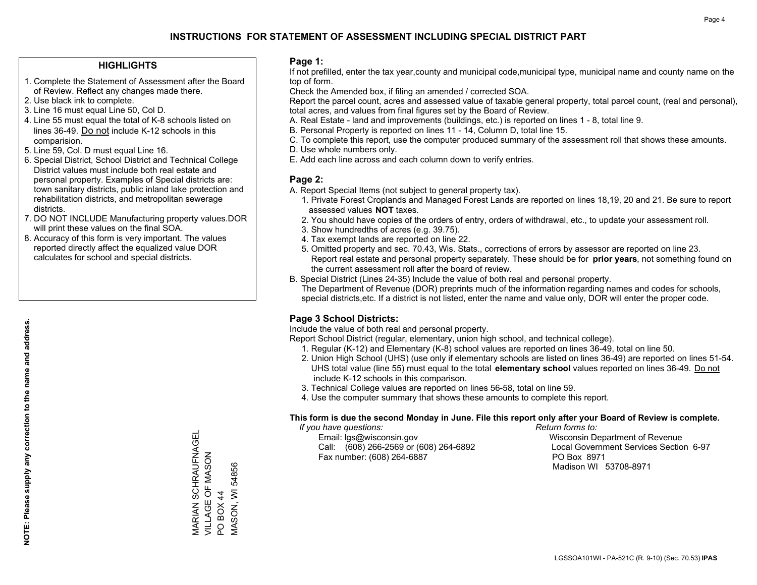### **HIGHLIGHTS**

- 1. Complete the Statement of Assessment after the Board of Review. Reflect any changes made there.
- 2. Use black ink to complete.
- 3. Line 16 must equal Line 50, Col D.
- 4. Line 55 must equal the total of K-8 schools listed on lines 36-49. Do not include K-12 schools in this comparision.
- 5. Line 59, Col. D must equal Line 16.
- 6. Special District, School District and Technical College District values must include both real estate and personal property. Examples of Special districts are: town sanitary districts, public inland lake protection and rehabilitation districts, and metropolitan sewerage districts.
- 7. DO NOT INCLUDE Manufacturing property values.DOR will print these values on the final SOA.
- 8. Accuracy of this form is very important. The values reported directly affect the equalized value DOR calculates for school and special districts.

### **Page 1:**

 If not prefilled, enter the tax year,county and municipal code,municipal type, municipal name and county name on the top of form.

Check the Amended box, if filing an amended / corrected SOA.

 Report the parcel count, acres and assessed value of taxable general property, total parcel count, (real and personal), total acres, and values from final figures set by the Board of Review.

- A. Real Estate land and improvements (buildings, etc.) is reported on lines 1 8, total line 9.
- B. Personal Property is reported on lines 11 14, Column D, total line 15.
- C. To complete this report, use the computer produced summary of the assessment roll that shows these amounts.
- D. Use whole numbers only.
- E. Add each line across and each column down to verify entries.

### **Page 2:**

- A. Report Special Items (not subject to general property tax).
- 1. Private Forest Croplands and Managed Forest Lands are reported on lines 18,19, 20 and 21. Be sure to report assessed values **NOT** taxes.
- 2. You should have copies of the orders of entry, orders of withdrawal, etc., to update your assessment roll.
	- 3. Show hundredths of acres (e.g. 39.75).
- 4. Tax exempt lands are reported on line 22.
- 5. Omitted property and sec. 70.43, Wis. Stats., corrections of errors by assessor are reported on line 23. Report real estate and personal property separately. These should be for **prior years**, not something found on the current assessment roll after the board of review.
- B. Special District (Lines 24-35) Include the value of both real and personal property.

 The Department of Revenue (DOR) preprints much of the information regarding names and codes for schools, special districts,etc. If a district is not listed, enter the name and value only, DOR will enter the proper code.

## **Page 3 School Districts:**

Include the value of both real and personal property.

Report School District (regular, elementary, union high school, and technical college).

- 1. Regular (K-12) and Elementary (K-8) school values are reported on lines 36-49, total on line 50.
- 2. Union High School (UHS) (use only if elementary schools are listed on lines 36-49) are reported on lines 51-54. UHS total value (line 55) must equal to the total **elementary school** values reported on lines 36-49. Do notinclude K-12 schools in this comparison.
- 3. Technical College values are reported on lines 56-58, total on line 59.
- 4. Use the computer summary that shows these amounts to complete this report.

#### **This form is due the second Monday in June. File this report only after your Board of Review is complete.**

 *If you have questions: Return forms to:*

 Email: lgs@wisconsin.gov Wisconsin Department of RevenueCall:  $(608)$  266-2569 or  $(608)$  264-6892 Fax number: (608) 264-6887 PO Box 8971

Local Government Services Section 6-97 Madison WI 53708-8971

MARIAN SCHRAUFNAGEL **VARIAN SCHRAUFNAGEL** VILLAGE OF MASON VILLAGE OF MASON **MASON, WI 54856** MASON, WI 54856 PO BOX 44 PO BOX 44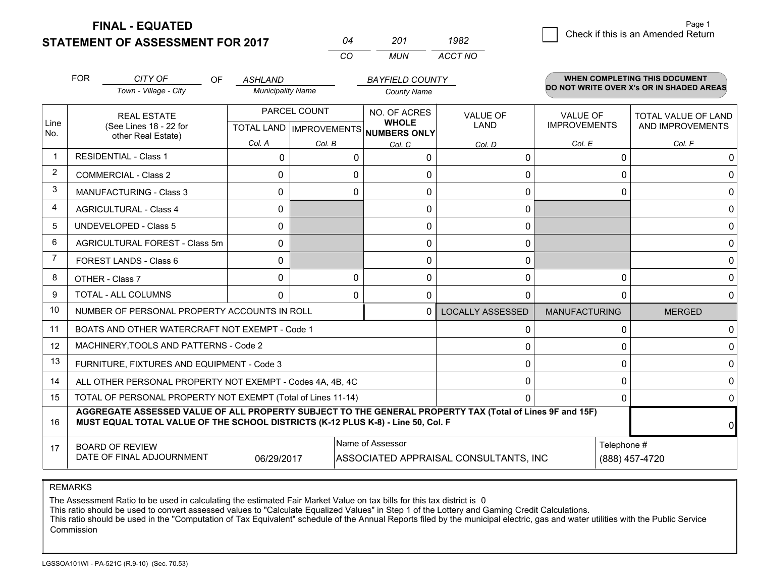**STATEMENT OF ASSESSMENT FOR 2017 FINAL - EQUATED**

|     | 201   | 1982    |
|-----|-------|---------|
| Γn. | MI IN | ACCT NO |

|                | <b>FOR</b>                                                                                                                                                                                   | CITY OF<br>OF.                                 | <b>ASHLAND</b>           |                                     | <b>BAYFIELD COUNTY</b>  |                                        |                     | <b>WHEN COMPLETING THIS DOCUMENT</b><br>DO NOT WRITE OVER X's OR IN SHADED AREAS |  |
|----------------|----------------------------------------------------------------------------------------------------------------------------------------------------------------------------------------------|------------------------------------------------|--------------------------|-------------------------------------|-------------------------|----------------------------------------|---------------------|----------------------------------------------------------------------------------|--|
|                |                                                                                                                                                                                              | Town - Village - City                          | <b>Municipality Name</b> |                                     | <b>County Name</b>      |                                        |                     |                                                                                  |  |
|                | <b>REAL ESTATE</b>                                                                                                                                                                           |                                                | PARCEL COUNT             |                                     | NO. OF ACRES            | <b>VALUE OF</b>                        | <b>VALUE OF</b>     | TOTAL VALUE OF LAND                                                              |  |
| Line<br>No.    |                                                                                                                                                                                              | (See Lines 18 - 22 for<br>other Real Estate)   |                          | TOTAL LAND MPROVEMENTS NUMBERS ONLY | <b>WHOLE</b>            | <b>LAND</b>                            | <b>IMPROVEMENTS</b> | AND IMPROVEMENTS                                                                 |  |
|                |                                                                                                                                                                                              |                                                | Col. A                   | Col. B                              | Col. C                  | Col. D                                 | Col. E              | Col. F                                                                           |  |
| $\mathbf 1$    |                                                                                                                                                                                              | <b>RESIDENTIAL - Class 1</b>                   | $\Omega$                 | $\Omega$                            | $\Omega$                | 0                                      | $\Omega$            | 0                                                                                |  |
| 2              |                                                                                                                                                                                              | <b>COMMERCIAL - Class 2</b>                    | $\Omega$                 | $\Omega$                            |                         | 0                                      | 0                   | 0                                                                                |  |
| 3              |                                                                                                                                                                                              | <b>MANUFACTURING - Class 3</b>                 | $\Omega$                 | 0                                   | $\Omega$                | 0                                      | $\Omega$            | 0                                                                                |  |
| 4              |                                                                                                                                                                                              | <b>AGRICULTURAL - Class 4</b>                  | $\Omega$                 |                                     | $\Omega$                | $\mathbf{0}$                           |                     | 0                                                                                |  |
| 5              |                                                                                                                                                                                              | <b>UNDEVELOPED - Class 5</b>                   | $\Omega$                 |                                     | $\Omega$                | $\mathbf{0}$                           |                     | 0                                                                                |  |
| 6              |                                                                                                                                                                                              | AGRICULTURAL FOREST - Class 5m                 | $\Omega$                 |                                     | $\Omega$                | 0                                      |                     | 0 <sup>1</sup>                                                                   |  |
| $\overline{7}$ |                                                                                                                                                                                              | FOREST LANDS - Class 6                         | $\Omega$                 |                                     | $\Omega$                | $\mathbf{0}$                           |                     | 0                                                                                |  |
| 8              |                                                                                                                                                                                              | OTHER - Class 7                                | $\Omega$                 | $\Omega$                            | $\mathbf 0$             | $\mathbf 0$                            | $\Omega$            | 0                                                                                |  |
| 9              |                                                                                                                                                                                              | TOTAL - ALL COLUMNS                            | $\Omega$                 | 0                                   | 0                       | 0                                      | $\Omega$            | 0                                                                                |  |
| 10             | NUMBER OF PERSONAL PROPERTY ACCOUNTS IN ROLL<br>$\Omega$                                                                                                                                     |                                                |                          |                                     | <b>LOCALLY ASSESSED</b> | <b>MANUFACTURING</b>                   | <b>MERGED</b>       |                                                                                  |  |
| 11             |                                                                                                                                                                                              | BOATS AND OTHER WATERCRAFT NOT EXEMPT - Code 1 |                          |                                     |                         | 0                                      | 0                   | 0                                                                                |  |
| 12             |                                                                                                                                                                                              | MACHINERY, TOOLS AND PATTERNS - Code 2         |                          |                                     |                         | 0                                      | $\Omega$            | 0                                                                                |  |
| 13             |                                                                                                                                                                                              | FURNITURE, FIXTURES AND EQUIPMENT - Code 3     |                          |                                     |                         | 0                                      | $\Omega$            | 0                                                                                |  |
| 14             | ALL OTHER PERSONAL PROPERTY NOT EXEMPT - Codes 4A, 4B, 4C                                                                                                                                    |                                                |                          |                                     |                         |                                        | 0                   | 0                                                                                |  |
| 15             | TOTAL OF PERSONAL PROPERTY NOT EXEMPT (Total of Lines 11-14)<br>0                                                                                                                            |                                                |                          |                                     |                         |                                        | $\Omega$            | $\Omega$                                                                         |  |
| 16             | AGGREGATE ASSESSED VALUE OF ALL PROPERTY SUBJECT TO THE GENERAL PROPERTY TAX (Total of Lines 9F and 15F)<br>MUST EQUAL TOTAL VALUE OF THE SCHOOL DISTRICTS (K-12 PLUS K-8) - Line 50, Col. F |                                                |                          |                                     |                         |                                        | ΩI                  |                                                                                  |  |
| 17             | Name of Assessor<br><b>BOARD OF REVIEW</b>                                                                                                                                                   |                                                |                          |                                     |                         | Telephone #                            |                     |                                                                                  |  |
|                |                                                                                                                                                                                              | DATE OF FINAL ADJOURNMENT                      | 06/29/2017               |                                     |                         | ASSOCIATED APPRAISAL CONSULTANTS, INC. |                     | (888) 457-4720                                                                   |  |

REMARKS

The Assessment Ratio to be used in calculating the estimated Fair Market Value on tax bills for this tax district is 0

This ratio should be used to convert assessed values to "Calculate Equalized Values" in Step 1 of the Lottery and Gaming Credit Calculations.<br>This ratio should be used in the "Computation of Tax Equivalent" schedule of the Commission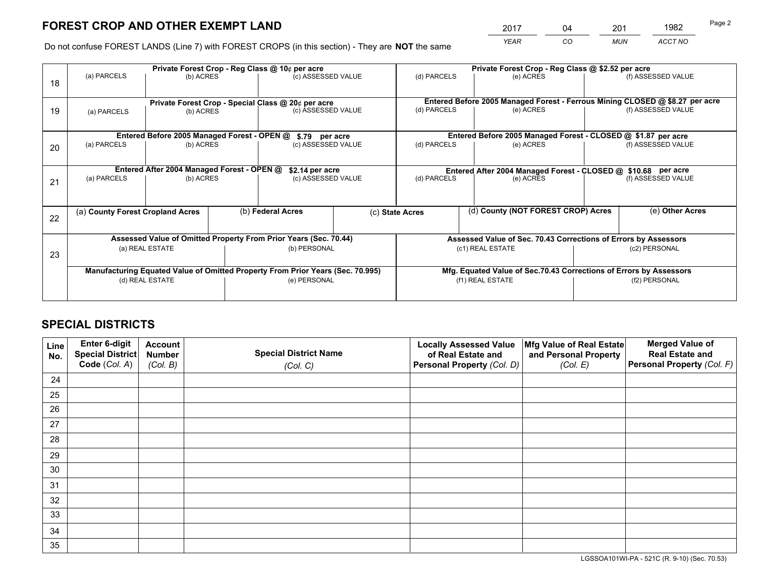*YEAR CO MUN ACCT NO* <sup>2017</sup> <sup>04</sup> <sup>201</sup> <sup>1982</sup>

Do not confuse FOREST LANDS (Line 7) with FOREST CROPS (in this section) - They are **NOT** the same

|    | Private Forest Crop - Reg Class @ 10¢ per acre                                 |                                                    |              |                                      |                  |                                                                              | Private Forest Crop - Reg Class @ \$2.52 per acre |                    |                    |  |
|----|--------------------------------------------------------------------------------|----------------------------------------------------|--------------|--------------------------------------|------------------|------------------------------------------------------------------------------|---------------------------------------------------|--------------------|--------------------|--|
| 18 | (a) PARCELS                                                                    | (b) ACRES                                          |              | (c) ASSESSED VALUE                   |                  | (d) PARCELS                                                                  | (e) ACRES                                         |                    | (f) ASSESSED VALUE |  |
|    |                                                                                | Private Forest Crop - Special Class @ 20¢ per acre |              |                                      |                  | Entered Before 2005 Managed Forest - Ferrous Mining CLOSED @ \$8.27 per acre |                                                   |                    |                    |  |
| 19 | (a) PARCELS                                                                    | (b) ACRES                                          |              | (c) ASSESSED VALUE                   |                  | (d) PARCELS                                                                  | (e) ACRES                                         |                    | (f) ASSESSED VALUE |  |
|    |                                                                                | Entered Before 2005 Managed Forest - OPEN @        |              |                                      |                  | Entered Before 2005 Managed Forest - CLOSED @ \$1.87 per acre                |                                                   |                    |                    |  |
| 20 | (a) PARCELS                                                                    | (b) ACRES                                          |              | \$.79 per acre<br>(c) ASSESSED VALUE |                  | (d) PARCELS                                                                  | (e) ACRES                                         | (f) ASSESSED VALUE |                    |  |
|    | Entered After 2004 Managed Forest - OPEN @<br>\$2.14 per acre                  |                                                    |              |                                      |                  | Entered After 2004 Managed Forest - CLOSED @ \$10.68 per acre                |                                                   |                    |                    |  |
| 21 | (a) PARCELS<br>(b) ACRES                                                       |                                                    |              | (c) ASSESSED VALUE                   |                  | (d) PARCELS<br>(e) ACRES                                                     |                                                   | (f) ASSESSED VALUE |                    |  |
|    | (a) County Forest Cropland Acres                                               |                                                    |              | (b) Federal Acres                    |                  | (d) County (NOT FOREST CROP) Acres<br>(c) State Acres                        |                                                   |                    | (e) Other Acres    |  |
| 22 |                                                                                |                                                    |              |                                      |                  |                                                                              |                                                   |                    |                    |  |
|    | Assessed Value of Omitted Property From Prior Years (Sec. 70.44)               |                                                    |              |                                      |                  | Assessed Value of Sec. 70.43 Corrections of Errors by Assessors              |                                                   |                    |                    |  |
| 23 | (a) REAL ESTATE                                                                |                                                    | (b) PERSONAL |                                      | (c1) REAL ESTATE |                                                                              |                                                   | (c2) PERSONAL      |                    |  |
|    | Manufacturing Equated Value of Omitted Property From Prior Years (Sec. 70.995) |                                                    |              |                                      |                  | Mfg. Equated Value of Sec.70.43 Corrections of Errors by Assessors           |                                                   |                    |                    |  |
|    | (d) REAL ESTATE                                                                |                                                    |              | (e) PERSONAL                         |                  | (f1) REAL ESTATE                                                             |                                                   |                    | (f2) PERSONAL      |  |
|    |                                                                                |                                                    |              |                                      |                  |                                                                              |                                                   |                    |                    |  |

# **SPECIAL DISTRICTS**

| Line<br>No. | Enter 6-digit<br><b>Special District</b> | <b>Account</b><br><b>Number</b> | <b>Special District Name</b> | <b>Locally Assessed Value</b><br>of Real Estate and | Mfg Value of Real Estate<br>and Personal Property | <b>Merged Value of</b><br><b>Real Estate and</b> |
|-------------|------------------------------------------|---------------------------------|------------------------------|-----------------------------------------------------|---------------------------------------------------|--------------------------------------------------|
|             | Code (Col. A)                            | (Col. B)                        | (Col. C)                     | Personal Property (Col. D)                          | (Col. E)                                          | Personal Property (Col. F)                       |
| 24          |                                          |                                 |                              |                                                     |                                                   |                                                  |
| 25          |                                          |                                 |                              |                                                     |                                                   |                                                  |
| 26          |                                          |                                 |                              |                                                     |                                                   |                                                  |
| 27          |                                          |                                 |                              |                                                     |                                                   |                                                  |
| 28          |                                          |                                 |                              |                                                     |                                                   |                                                  |
| 29          |                                          |                                 |                              |                                                     |                                                   |                                                  |
| 30          |                                          |                                 |                              |                                                     |                                                   |                                                  |
| 31          |                                          |                                 |                              |                                                     |                                                   |                                                  |
| 32          |                                          |                                 |                              |                                                     |                                                   |                                                  |
| 33          |                                          |                                 |                              |                                                     |                                                   |                                                  |
| 34          |                                          |                                 |                              |                                                     |                                                   |                                                  |
| 35          |                                          |                                 |                              |                                                     |                                                   |                                                  |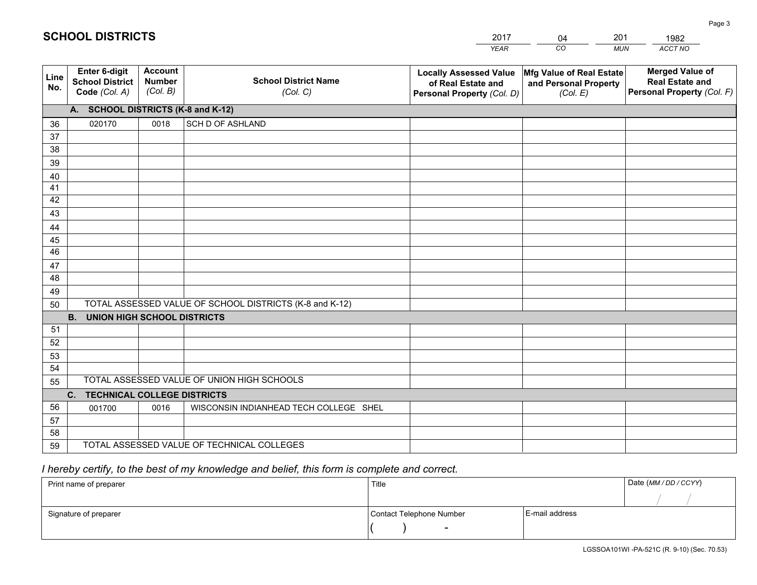|             |                                                          |                                             |                                                         | YEAR                                                                              | CO.<br><b>MUN</b>                                             | ACCT NO                                                                        |  |
|-------------|----------------------------------------------------------|---------------------------------------------|---------------------------------------------------------|-----------------------------------------------------------------------------------|---------------------------------------------------------------|--------------------------------------------------------------------------------|--|
| Line<br>No. | Enter 6-digit<br><b>School District</b><br>Code (Col. A) | <b>Account</b><br><b>Number</b><br>(Col. B) | <b>School District Name</b><br>(Col. C)                 | <b>Locally Assessed Value</b><br>of Real Estate and<br>Personal Property (Col. D) | Mfg Value of Real Estate<br>and Personal Property<br>(Col. E) | <b>Merged Value of</b><br><b>Real Estate and</b><br>Personal Property (Col. F) |  |
|             | A. SCHOOL DISTRICTS (K-8 and K-12)                       |                                             |                                                         |                                                                                   |                                                               |                                                                                |  |
| 36          | 020170                                                   | 0018                                        | <b>SCH D OF ASHLAND</b>                                 |                                                                                   |                                                               |                                                                                |  |
| 37          |                                                          |                                             |                                                         |                                                                                   |                                                               |                                                                                |  |
| 38          |                                                          |                                             |                                                         |                                                                                   |                                                               |                                                                                |  |
| 39          |                                                          |                                             |                                                         |                                                                                   |                                                               |                                                                                |  |
| 40          |                                                          |                                             |                                                         |                                                                                   |                                                               |                                                                                |  |
| 41          |                                                          |                                             |                                                         |                                                                                   |                                                               |                                                                                |  |
| 42          |                                                          |                                             |                                                         |                                                                                   |                                                               |                                                                                |  |
| 43          |                                                          |                                             |                                                         |                                                                                   |                                                               |                                                                                |  |
| 44          |                                                          |                                             |                                                         |                                                                                   |                                                               |                                                                                |  |
| 45<br>46    |                                                          |                                             |                                                         |                                                                                   |                                                               |                                                                                |  |
| 47          |                                                          |                                             |                                                         |                                                                                   |                                                               |                                                                                |  |
| 48          |                                                          |                                             |                                                         |                                                                                   |                                                               |                                                                                |  |
| 49          |                                                          |                                             |                                                         |                                                                                   |                                                               |                                                                                |  |
| 50          |                                                          |                                             | TOTAL ASSESSED VALUE OF SCHOOL DISTRICTS (K-8 and K-12) |                                                                                   |                                                               |                                                                                |  |
|             | <b>UNION HIGH SCHOOL DISTRICTS</b><br><b>B.</b>          |                                             |                                                         |                                                                                   |                                                               |                                                                                |  |
| 51          |                                                          |                                             |                                                         |                                                                                   |                                                               |                                                                                |  |
| 52          |                                                          |                                             |                                                         |                                                                                   |                                                               |                                                                                |  |
| 53          |                                                          |                                             |                                                         |                                                                                   |                                                               |                                                                                |  |
| 54          |                                                          |                                             |                                                         |                                                                                   |                                                               |                                                                                |  |
| 55          |                                                          |                                             | TOTAL ASSESSED VALUE OF UNION HIGH SCHOOLS              |                                                                                   |                                                               |                                                                                |  |
|             | C. TECHNICAL COLLEGE DISTRICTS                           |                                             |                                                         |                                                                                   |                                                               |                                                                                |  |
| 56          | 001700                                                   | 0016                                        | WISCONSIN INDIANHEAD TECH COLLEGE SHEL                  |                                                                                   |                                                               |                                                                                |  |
| 57          |                                                          |                                             |                                                         |                                                                                   |                                                               |                                                                                |  |
| 58          |                                                          |                                             |                                                         |                                                                                   |                                                               |                                                                                |  |
| 59          | TOTAL ASSESSED VALUE OF TECHNICAL COLLEGES               |                                             |                                                         |                                                                                   |                                                               |                                                                                |  |

04

201

# *I hereby certify, to the best of my knowledge and belief, this form is complete and correct.*

**SCHOOL DISTRICTS**

| Print name of preparer | Title                    | Date (MM / DD / CCYY) |  |
|------------------------|--------------------------|-----------------------|--|
|                        |                          |                       |  |
| Signature of preparer  | Contact Telephone Number | E-mail address        |  |
|                        | $\overline{\phantom{0}}$ |                       |  |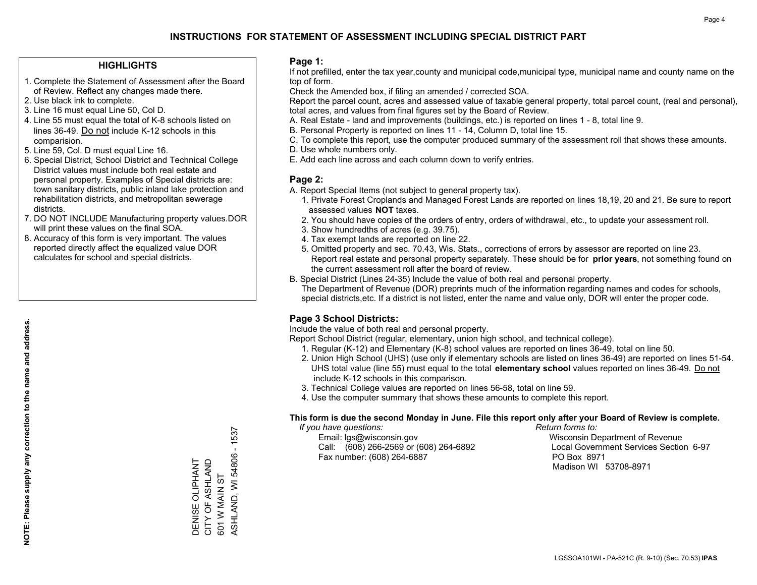### **HIGHLIGHTS**

- 1. Complete the Statement of Assessment after the Board of Review. Reflect any changes made there.
- 2. Use black ink to complete.
- 3. Line 16 must equal Line 50, Col D.
- 4. Line 55 must equal the total of K-8 schools listed on lines 36-49. Do not include K-12 schools in this comparision.
- 5. Line 59, Col. D must equal Line 16.
- 6. Special District, School District and Technical College District values must include both real estate and personal property. Examples of Special districts are: town sanitary districts, public inland lake protection and rehabilitation districts, and metropolitan sewerage districts.
- 7. DO NOT INCLUDE Manufacturing property values.DOR will print these values on the final SOA.
- 8. Accuracy of this form is very important. The values reported directly affect the equalized value DOR calculates for school and special districts.

### **Page 1:**

 If not prefilled, enter the tax year,county and municipal code,municipal type, municipal name and county name on the top of form.

Check the Amended box, if filing an amended / corrected SOA.

 Report the parcel count, acres and assessed value of taxable general property, total parcel count, (real and personal), total acres, and values from final figures set by the Board of Review.

- A. Real Estate land and improvements (buildings, etc.) is reported on lines 1 8, total line 9.
- B. Personal Property is reported on lines 11 14, Column D, total line 15.
- C. To complete this report, use the computer produced summary of the assessment roll that shows these amounts.
- D. Use whole numbers only.
- E. Add each line across and each column down to verify entries.

### **Page 2:**

- A. Report Special Items (not subject to general property tax).
- 1. Private Forest Croplands and Managed Forest Lands are reported on lines 18,19, 20 and 21. Be sure to report assessed values **NOT** taxes.
- 2. You should have copies of the orders of entry, orders of withdrawal, etc., to update your assessment roll.
	- 3. Show hundredths of acres (e.g. 39.75).
- 4. Tax exempt lands are reported on line 22.
- 5. Omitted property and sec. 70.43, Wis. Stats., corrections of errors by assessor are reported on line 23. Report real estate and personal property separately. These should be for **prior years**, not something found on the current assessment roll after the board of review.
- B. Special District (Lines 24-35) Include the value of both real and personal property.
- The Department of Revenue (DOR) preprints much of the information regarding names and codes for schools, special districts,etc. If a district is not listed, enter the name and value only, DOR will enter the proper code.

## **Page 3 School Districts:**

Include the value of both real and personal property.

Report School District (regular, elementary, union high school, and technical college).

- 1. Regular (K-12) and Elementary (K-8) school values are reported on lines 36-49, total on line 50.
- 2. Union High School (UHS) (use only if elementary schools are listed on lines 36-49) are reported on lines 51-54. UHS total value (line 55) must equal to the total **elementary school** values reported on lines 36-49. Do notinclude K-12 schools in this comparison.
- 3. Technical College values are reported on lines 56-58, total on line 59.
- 4. Use the computer summary that shows these amounts to complete this report.

#### **This form is due the second Monday in June. File this report only after your Board of Review is complete.**

 *If you have questions: Return forms to:*

 Email: lgs@wisconsin.gov Wisconsin Department of RevenueCall:  $(608)$  266-2569 or  $(608)$  264-6892 Fax number: (608) 264-6887 PO Box 8971

Local Government Services Section 6-97 Madison WI 53708-8971

 $-1537$ ASHLAND, WI 54806 - 1537 ASHLAND, WI 54806 CITY OF ASHLAND DENISE OLIPHANT<br>CITY OF ASHLAND DENISE OLIPHANT 601 W MAIN ST 601 W MAIN ST

**NOTE: Please supply any correction to the name and address.**

NOTE: Please supply any correction to the name and address.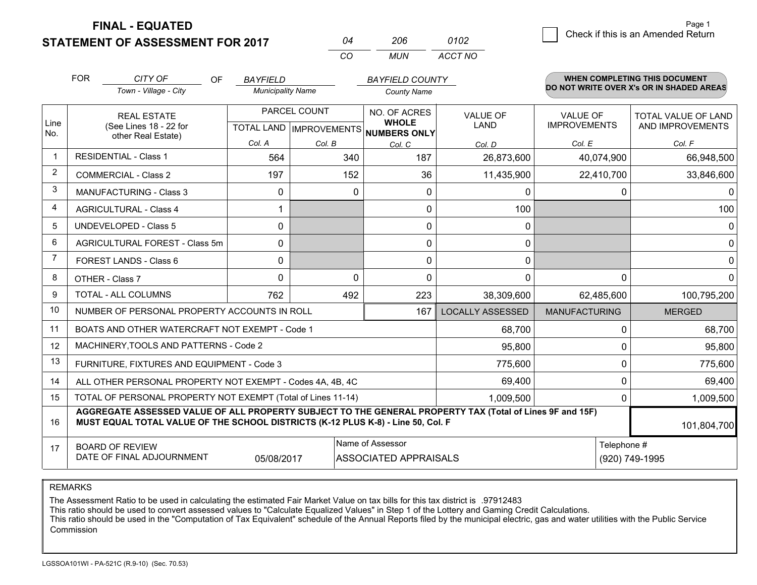**STATEMENT OF ASSESSMENT FOR 2017 FINAL - EQUATED**

2 **Check if this is an Amended Return** Page 1

MANUFACTURING MERGED

Telephone #

(920) 749-1995

101,804,700

<sup>0</sup> 68,700 0 95,800<sup>0</sup> 775,600  $0 | 69.400$  $0 | 1,009,500$ 

|             |            | UIAILINEINI VI AUVLUVINEINI I VIVEVIII       |                          |                     |                                     |                 |                     |                                                                           |
|-------------|------------|----------------------------------------------|--------------------------|---------------------|-------------------------------------|-----------------|---------------------|---------------------------------------------------------------------------|
|             |            |                                              |                          | CO                  | MUN                                 | ACCT NO         |                     |                                                                           |
|             | <b>FOR</b> | CITY OF<br><b>OF</b>                         | BAYFIELD                 |                     | <b>BAYFIELD COUNTY</b>              |                 |                     | WHEN COMPLETING THIS DOCUMENT<br>DO NOT WRITE OVER X's OR IN SHADED AREAS |
|             |            | Town - Village - City                        | <b>Municipality Name</b> |                     | <b>County Name</b>                  |                 |                     |                                                                           |
|             |            | <b>REAL ESTATE</b>                           |                          | PARCEL COUNT        | NO. OF ACRES                        | <b>VALUE OF</b> | <b>VALUE OF</b>     | <b>TOTAL VALUE OF LAND</b>                                                |
| Line<br>No. |            | (See Lines 18 - 22 for<br>other Real Estate) | TOTAL LAND               | <b>IMPROVEMENTS</b> | <b>WHOLE</b><br><b>NUMBERS ONLY</b> | LAND            | <b>IMPROVEMENTS</b> | AND IMPROVEMENTS                                                          |
|             |            |                                              | Col. A                   | Col. B              | Col. C                              | Col. D          | Col. E              | Col. F                                                                    |
|             |            | <b>RESIDENTIAL - Class 1</b>                 | 564                      | 340                 | 187                                 | 26,873,600      | 40,074,900          | 66,948,500                                                                |
| 2           |            | <b>COMMERCIAL - Class 2</b>                  | 197                      | 152                 | 36                                  | 11,435,900      | 22,410,700          | 33,846,600                                                                |
| 3           |            | <b>MANUFACTURING - Class 3</b>               |                          | 0                   |                                     |                 |                     |                                                                           |
| 4           |            | <b>AGRICULTURAL - Class 4</b>                |                          |                     |                                     | 100             |                     | 100                                                                       |
| 5           |            | UNDEVELOPED - Class 5                        | 0                        |                     |                                     |                 |                     | 0                                                                         |
| 6           |            | AGRICULTURAL FOREST - Class 5m               | $\Omega$                 |                     |                                     |                 |                     | 0                                                                         |
|             |            | FOREST LANDS - Class 6                       | $\Omega$                 |                     |                                     | <sup>0</sup>    |                     |                                                                           |
| 8           |            | OTHER - Class 7                              |                          |                     |                                     |                 |                     | 0                                                                         |
|             |            |                                              |                          |                     |                                     |                 |                     |                                                                           |

*<sup>04</sup> <sup>206</sup>*

*0102*

LOCALLY ASSESSED

167

762 492 492 223 38,309,600 62,485,600 100,795,200

 68,700 95,800 775,600 69,4001,009,500

REMARKS

> 1415

> 16

17

The Assessment Ratio to be used in calculating the estimated Fair Market Value on tax bills for this tax district is .97912483

05/08/2017

**MUST EQUAL TOTAL VALUE OF THE SCHOOL DISTRICTS (K-12 PLUS K-8) - Line 50, Col. F**

TOTAL OF PERSONAL PROPERTY NOT EXEMPT (Total of Lines 11-14)

ALL OTHER PERSONAL PROPERTY NOT EXEMPT - Codes 4A, 4B, 4C

NUMBER OF PERSONAL PROPERTY ACCOUNTS IN ROLLBOATS AND OTHER WATERCRAFT NOT EXEMPT - Code 1

MACHINERY,TOOLS AND PATTERNS - Code 2

FURNITURE, FIXTURES AND EQUIPMENT - Code 3

This ratio should be used to convert assessed values to "Calculate Equalized Values" in Step 1 of the Lottery and Gaming Credit Calculations.

**AGGREGATE ASSESSED VALUE OF ALL PROPERTY SUBJECT TO THE GENERAL PROPERTY TAX (Total of Lines 9F and 15F)**

 This ratio should be used in the "Computation of Tax Equivalent" schedule of the Annual Reports filed by the municipal electric, gas and water utilities with the Public Service Commission

Name of Assessor

ASSOCIATED APPRAISALS

BOARD OF REVIEW

DATE OF FINAL ADJOURNMENT

TOTAL - ALL COLUMNS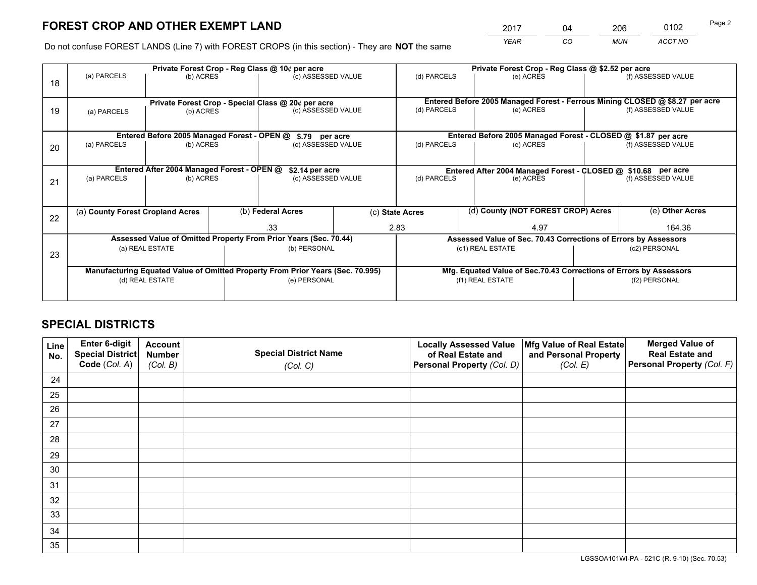# **FOREST CROP AND OTHER EXEMPT LAND**

 *YEAR CO MUN ACCT NO* 2017 04 206 0102

Do not confuse FOREST LANDS (Line 7) with FOREST CROPS (in this section) - They are **NOT** the same

|    | Private Forest Crop - Reg Class @ 10¢ per acre                                 |                                             |                   |                                                                  |  |                                                               | Private Forest Crop - Reg Class @ \$2.52 per acre                            |                                                                 |                    |  |
|----|--------------------------------------------------------------------------------|---------------------------------------------|-------------------|------------------------------------------------------------------|--|---------------------------------------------------------------|------------------------------------------------------------------------------|-----------------------------------------------------------------|--------------------|--|
| 18 | (a) PARCELS<br>(b) ACRES                                                       |                                             |                   | (c) ASSESSED VALUE                                               |  | (d) PARCELS                                                   | (e) ACRES                                                                    |                                                                 | (f) ASSESSED VALUE |  |
|    |                                                                                |                                             |                   |                                                                  |  |                                                               |                                                                              |                                                                 |                    |  |
|    |                                                                                |                                             |                   | Private Forest Crop - Special Class @ 20¢ per acre               |  |                                                               | Entered Before 2005 Managed Forest - Ferrous Mining CLOSED @ \$8.27 per acre |                                                                 |                    |  |
| 19 | (a) PARCELS                                                                    | (b) ACRES                                   |                   | (c) ASSESSED VALUE                                               |  | (d) PARCELS                                                   | (e) ACRES                                                                    |                                                                 | (f) ASSESSED VALUE |  |
|    |                                                                                |                                             |                   |                                                                  |  |                                                               |                                                                              |                                                                 |                    |  |
|    |                                                                                | Entered Before 2005 Managed Forest - OPEN @ |                   | \$.79 per acre                                                   |  |                                                               | Entered Before 2005 Managed Forest - CLOSED @ \$1.87 per acre                |                                                                 |                    |  |
| 20 | (a) PARCELS                                                                    | (b) ACRES                                   |                   | (c) ASSESSED VALUE                                               |  | (d) PARCELS                                                   | (e) ACRES                                                                    |                                                                 | (f) ASSESSED VALUE |  |
|    |                                                                                |                                             |                   |                                                                  |  |                                                               |                                                                              |                                                                 |                    |  |
|    |                                                                                | Entered After 2004 Managed Forest - OPEN @  |                   | \$2.14 per acre                                                  |  | Entered After 2004 Managed Forest - CLOSED @ \$10.68 per acre |                                                                              |                                                                 |                    |  |
| 21 | (a) PARCELS                                                                    | (b) ACRES                                   |                   | (c) ASSESSED VALUE                                               |  | (d) PARCELS<br>(e) ACRES                                      |                                                                              | (f) ASSESSED VALUE                                              |                    |  |
|    |                                                                                |                                             |                   |                                                                  |  |                                                               |                                                                              |                                                                 |                    |  |
|    |                                                                                | (a) County Forest Cropland Acres            |                   |                                                                  |  | (d) County (NOT FOREST CROP) Acres                            |                                                                              | (e) Other Acres                                                 |                    |  |
| 22 |                                                                                |                                             | (b) Federal Acres |                                                                  |  | (c) State Acres                                               |                                                                              |                                                                 |                    |  |
|    |                                                                                |                                             |                   | .33                                                              |  | 2.83<br>4.97                                                  |                                                                              | 164.36                                                          |                    |  |
|    |                                                                                |                                             |                   | Assessed Value of Omitted Property From Prior Years (Sec. 70.44) |  |                                                               |                                                                              | Assessed Value of Sec. 70.43 Corrections of Errors by Assessors |                    |  |
| 23 | (a) REAL ESTATE                                                                |                                             |                   | (b) PERSONAL                                                     |  |                                                               | (c1) REAL ESTATE                                                             | (c2) PERSONAL                                                   |                    |  |
|    |                                                                                |                                             |                   |                                                                  |  |                                                               |                                                                              |                                                                 |                    |  |
|    | Manufacturing Equated Value of Omitted Property From Prior Years (Sec. 70.995) |                                             |                   |                                                                  |  |                                                               | Mfg. Equated Value of Sec.70.43 Corrections of Errors by Assessors           |                                                                 |                    |  |
|    | (d) REAL ESTATE                                                                |                                             |                   | (e) PERSONAL                                                     |  |                                                               | (f1) REAL ESTATE                                                             |                                                                 | (f2) PERSONAL      |  |
|    |                                                                                |                                             |                   |                                                                  |  |                                                               |                                                                              |                                                                 |                    |  |

# **SPECIAL DISTRICTS**

| Line<br>No. | Enter 6-digit<br>Special District<br>Code (Col. A) | <b>Account</b><br><b>Number</b> | <b>Special District Name</b> | <b>Locally Assessed Value</b><br>of Real Estate and | Mfg Value of Real Estate<br>and Personal Property | <b>Merged Value of</b><br><b>Real Estate and</b><br>Personal Property (Col. F) |
|-------------|----------------------------------------------------|---------------------------------|------------------------------|-----------------------------------------------------|---------------------------------------------------|--------------------------------------------------------------------------------|
|             |                                                    | (Col. B)                        | (Col. C)                     | Personal Property (Col. D)                          | (Col. E)                                          |                                                                                |
| 24          |                                                    |                                 |                              |                                                     |                                                   |                                                                                |
| 25          |                                                    |                                 |                              |                                                     |                                                   |                                                                                |
| 26          |                                                    |                                 |                              |                                                     |                                                   |                                                                                |
| 27          |                                                    |                                 |                              |                                                     |                                                   |                                                                                |
| 28          |                                                    |                                 |                              |                                                     |                                                   |                                                                                |
| 29          |                                                    |                                 |                              |                                                     |                                                   |                                                                                |
| 30          |                                                    |                                 |                              |                                                     |                                                   |                                                                                |
| 31          |                                                    |                                 |                              |                                                     |                                                   |                                                                                |
| 32          |                                                    |                                 |                              |                                                     |                                                   |                                                                                |
| 33          |                                                    |                                 |                              |                                                     |                                                   |                                                                                |
| 34          |                                                    |                                 |                              |                                                     |                                                   |                                                                                |
| 35          |                                                    |                                 |                              |                                                     |                                                   |                                                                                |

LGSSOA101WI-PA - 521C (R. 9-10) (Sec. 70.53)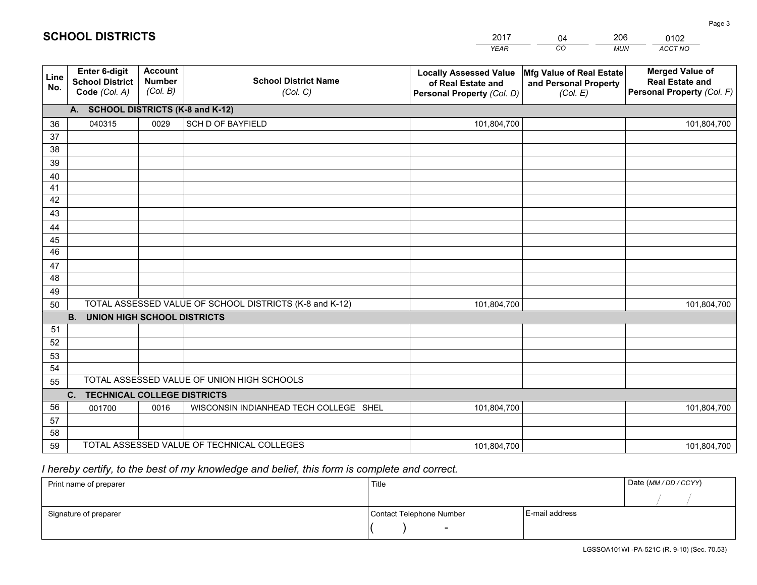|             |                                                          |                                             |                                                         | <b>YEAR</b>                                                                       | CO<br><b>MUN</b>                                              | ACCT NO                                                                        |
|-------------|----------------------------------------------------------|---------------------------------------------|---------------------------------------------------------|-----------------------------------------------------------------------------------|---------------------------------------------------------------|--------------------------------------------------------------------------------|
| Line<br>No. | Enter 6-digit<br><b>School District</b><br>Code (Col. A) | <b>Account</b><br><b>Number</b><br>(Col. B) | <b>School District Name</b><br>(Col. C)                 | <b>Locally Assessed Value</b><br>of Real Estate and<br>Personal Property (Col. D) | Mfg Value of Real Estate<br>and Personal Property<br>(Col. E) | <b>Merged Value of</b><br><b>Real Estate and</b><br>Personal Property (Col. F) |
|             | A. SCHOOL DISTRICTS (K-8 and K-12)                       |                                             |                                                         |                                                                                   |                                                               |                                                                                |
| 36          | 040315                                                   | 0029                                        | <b>SCH D OF BAYFIELD</b>                                | 101,804,700                                                                       |                                                               | 101,804,700                                                                    |
| 37          |                                                          |                                             |                                                         |                                                                                   |                                                               |                                                                                |
| 38          |                                                          |                                             |                                                         |                                                                                   |                                                               |                                                                                |
| 39          |                                                          |                                             |                                                         |                                                                                   |                                                               |                                                                                |
| 40          |                                                          |                                             |                                                         |                                                                                   |                                                               |                                                                                |
| 41          |                                                          |                                             |                                                         |                                                                                   |                                                               |                                                                                |
| 42          |                                                          |                                             |                                                         |                                                                                   |                                                               |                                                                                |
| 43          |                                                          |                                             |                                                         |                                                                                   |                                                               |                                                                                |
| 44<br>45    |                                                          |                                             |                                                         |                                                                                   |                                                               |                                                                                |
| 46          |                                                          |                                             |                                                         |                                                                                   |                                                               |                                                                                |
| 47          |                                                          |                                             |                                                         |                                                                                   |                                                               |                                                                                |
| 48          |                                                          |                                             |                                                         |                                                                                   |                                                               |                                                                                |
| 49          |                                                          |                                             |                                                         |                                                                                   |                                                               |                                                                                |
| 50          |                                                          |                                             | TOTAL ASSESSED VALUE OF SCHOOL DISTRICTS (K-8 and K-12) | 101,804,700                                                                       |                                                               | 101,804,700                                                                    |
|             | <b>B.</b><br><b>UNION HIGH SCHOOL DISTRICTS</b>          |                                             |                                                         |                                                                                   |                                                               |                                                                                |
| 51          |                                                          |                                             |                                                         |                                                                                   |                                                               |                                                                                |
| 52          |                                                          |                                             |                                                         |                                                                                   |                                                               |                                                                                |
| 53          |                                                          |                                             |                                                         |                                                                                   |                                                               |                                                                                |
| 54          |                                                          |                                             |                                                         |                                                                                   |                                                               |                                                                                |
| 55          |                                                          |                                             | TOTAL ASSESSED VALUE OF UNION HIGH SCHOOLS              |                                                                                   |                                                               |                                                                                |
|             | C.<br><b>TECHNICAL COLLEGE DISTRICTS</b>                 |                                             |                                                         |                                                                                   |                                                               |                                                                                |
| 56          | 001700                                                   | 0016                                        | WISCONSIN INDIANHEAD TECH COLLEGE SHEL                  | 101,804,700                                                                       |                                                               | 101,804,700                                                                    |
| 57          |                                                          |                                             |                                                         |                                                                                   |                                                               |                                                                                |
| 58          |                                                          |                                             |                                                         |                                                                                   |                                                               |                                                                                |
| 59          |                                                          |                                             | TOTAL ASSESSED VALUE OF TECHNICAL COLLEGES              | 101,804,700                                                                       |                                                               | 101,804,700                                                                    |

2017

04

206

# *I hereby certify, to the best of my knowledge and belief, this form is complete and correct.*

**SCHOOL DISTRICTS**

| Print name of preparer | Title                    |                | Date (MM / DD / CCYY) |
|------------------------|--------------------------|----------------|-----------------------|
|                        |                          |                |                       |
| Signature of preparer  | Contact Telephone Number | E-mail address |                       |
|                        | $\overline{\phantom{0}}$ |                |                       |

0102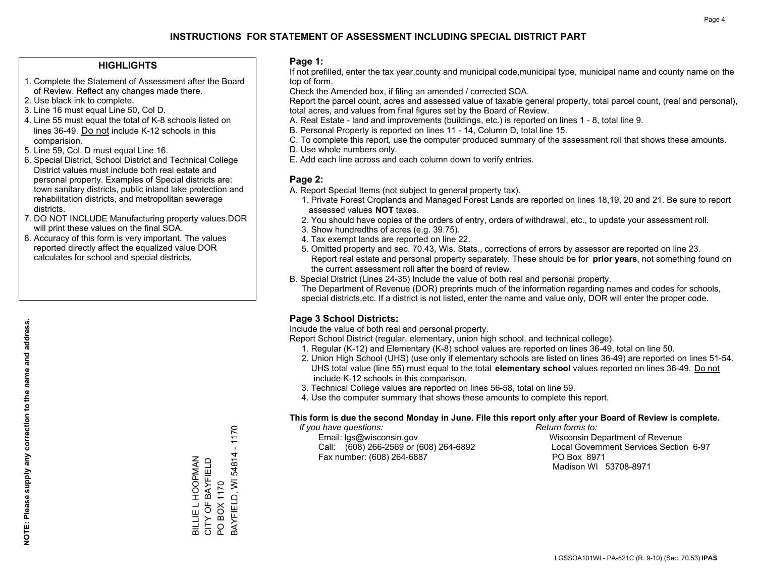## **INSTRUCTIONS FOR STATEMENT OF ASSESSMENT INCLUDING SPECIAL DISTRICT PART**

### **HIGHLIGHTS**

- 1. Complete the Statement of Assessment after the Board of Review. Reflect any changes made there.
- 2. Use black ink to complete.
- 3. Line 16 must equal Line 50, Col D.
- 4. Line 55 must equal the total of K-8 schools listed on lines 36-49. Do not include K-12 schools in this comparision.
- 5. Line 59, Col. D must equal Line 16.
- 6. Special District, School District and Technical College District values must include both real estate and personal property. Examples of Special districts are: town sanitary districts, public inland lake protection and rehabilitation districts, and metropolitan sewerage districts.
- 7. DO NOT INCLUDE Manufacturing property values.DOR will print these values on the final SOA.

BILLIE L HOOPMAN CITY OF BAYFIELD PO BOX 1170

BILLIE L HOOPMAN<br>CITY OF BAYFIELD

BAYFIELD, WI 54814 - 1170

3AYFIELD, WI 54814

PO BOX 1170

 $-1170$ 

 8. Accuracy of this form is very important. The values reported directly affect the equalized value DOR calculates for school and special districts.

### **Page 1:**

 If not prefilled, enter the tax year,county and municipal code,municipal type, municipal name and county name on the top of form.

Check the Amended box, if filing an amended / corrected SOA.

 Report the parcel count, acres and assessed value of taxable general property, total parcel count, (real and personal), total acres, and values from final figures set by the Board of Review.

- A. Real Estate land and improvements (buildings, etc.) is reported on lines 1 8, total line 9.
- B. Personal Property is reported on lines 11 14, Column D, total line 15.
- C. To complete this report, use the computer produced summary of the assessment roll that shows these amounts.
- D. Use whole numbers only.
- E. Add each line across and each column down to verify entries.

### **Page 2:**

- A. Report Special Items (not subject to general property tax).
- 1. Private Forest Croplands and Managed Forest Lands are reported on lines 18,19, 20 and 21. Be sure to report assessed values **NOT** taxes.
- 2. You should have copies of the orders of entry, orders of withdrawal, etc., to update your assessment roll.
	- 3. Show hundredths of acres (e.g. 39.75).
- 4. Tax exempt lands are reported on line 22.
- 5. Omitted property and sec. 70.43, Wis. Stats., corrections of errors by assessor are reported on line 23. Report real estate and personal property separately. These should be for **prior years**, not something found on the current assessment roll after the board of review.
- B. Special District (Lines 24-35) Include the value of both real and personal property.

 The Department of Revenue (DOR) preprints much of the information regarding names and codes for schools, special districts,etc. If a district is not listed, enter the name and value only, DOR will enter the proper code.

### **Page 3 School Districts:**

Include the value of both real and personal property.

Report School District (regular, elementary, union high school, and technical college).

- 1. Regular (K-12) and Elementary (K-8) school values are reported on lines 36-49, total on line 50.
- 2. Union High School (UHS) (use only if elementary schools are listed on lines 36-49) are reported on lines 51-54. UHS total value (line 55) must equal to the total **elementary school** values reported on lines 36-49. Do notinclude K-12 schools in this comparison.
- 3. Technical College values are reported on lines 56-58, total on line 59.
- 4. Use the computer summary that shows these amounts to complete this report.

#### **This form is due the second Monday in June. File this report only after your Board of Review is complete.**

 *If you have questions: Return forms to:*

 Email: lgs@wisconsin.gov Wisconsin Department of RevenueCall:  $(608)$  266-2569 or  $(608)$  264-6892 Fax number: (608) 264-6887 PO Box 8971

Local Government Services Section 6-97 Madison WI 53708-8971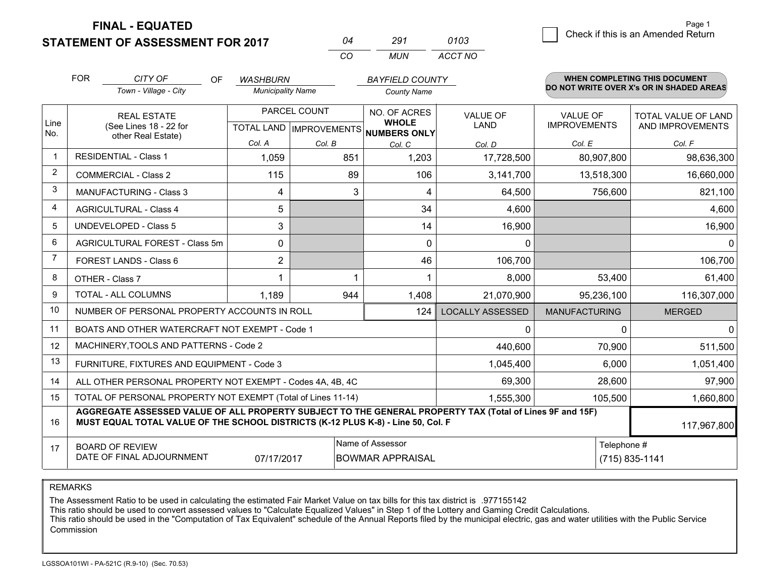**STATEMENT OF ASSESSMENT FOR 2017** 

**FINAL - EQUATED**

|             | <b>FOR</b>                                                   | CITY OF<br>OF                                                                                                                                                                                | <b>WASHBURN</b>          |                           | <b>BAYFIELD COUNTY</b>       |                         |                            | WHEN COMPLETING THIS DOCUMENT<br>DO NOT WRITE OVER X's OR IN SHADED AREAS |
|-------------|--------------------------------------------------------------|----------------------------------------------------------------------------------------------------------------------------------------------------------------------------------------------|--------------------------|---------------------------|------------------------------|-------------------------|----------------------------|---------------------------------------------------------------------------|
|             |                                                              | Town - Village - City                                                                                                                                                                        | <b>Municipality Name</b> |                           | <b>County Name</b>           |                         |                            |                                                                           |
|             |                                                              | PARCEL COUNT<br><b>REAL ESTATE</b>                                                                                                                                                           |                          | NO. OF ACRES              | <b>VALUE OF</b>              | <b>VALUE OF</b>         | <b>TOTAL VALUE OF LAND</b> |                                                                           |
| Line<br>No. |                                                              | (See Lines 18 - 22 for                                                                                                                                                                       |                          | TOTAL LAND   IMPROVEMENTS | <b>WHOLE</b><br>NUMBERS ONLY | <b>LAND</b>             | <b>IMPROVEMENTS</b>        | AND IMPROVEMENTS                                                          |
|             |                                                              | other Real Estate)                                                                                                                                                                           | Col. A                   | Col. B                    | Col. C                       | Col. D                  | Col. E                     | Col. F                                                                    |
| $\mathbf 1$ |                                                              | <b>RESIDENTIAL - Class 1</b>                                                                                                                                                                 | 1,059                    | 851                       | 1,203                        | 17,728,500              | 80,907,800                 | 98,636,300                                                                |
| 2           |                                                              | <b>COMMERCIAL - Class 2</b>                                                                                                                                                                  | 115                      | 89                        | 106                          | 3,141,700               | 13,518,300                 | 16,660,000                                                                |
| 3           |                                                              | <b>MANUFACTURING - Class 3</b>                                                                                                                                                               | 4                        | 3                         | 4                            | 64,500                  | 756,600                    | 821,100                                                                   |
| 4           |                                                              | <b>AGRICULTURAL - Class 4</b>                                                                                                                                                                | 5                        |                           | 34                           | 4,600                   |                            | 4,600                                                                     |
| 5           |                                                              | <b>UNDEVELOPED - Class 5</b>                                                                                                                                                                 | 3                        |                           | 14                           | 16,900                  |                            | 16,900                                                                    |
| 6           |                                                              | AGRICULTURAL FOREST - Class 5m                                                                                                                                                               | 0                        |                           | 0                            | $\mathbf{0}$            |                            | $\Omega$                                                                  |
| 7           |                                                              | FOREST LANDS - Class 6                                                                                                                                                                       | $\overline{2}$           |                           | 46                           | 106,700                 |                            | 106,700                                                                   |
| 8           |                                                              | OTHER - Class 7                                                                                                                                                                              |                          |                           |                              | 8,000                   | 53,400                     | 61,400                                                                    |
| 9           |                                                              | <b>TOTAL - ALL COLUMNS</b>                                                                                                                                                                   | 1.189                    | 944                       | 1,408                        | 21,070,900              | 95,236,100                 | 116,307,000                                                               |
| 10          |                                                              | NUMBER OF PERSONAL PROPERTY ACCOUNTS IN ROLL                                                                                                                                                 |                          |                           | 124                          | <b>LOCALLY ASSESSED</b> | <b>MANUFACTURING</b>       | <b>MERGED</b>                                                             |
| 11          |                                                              | BOATS AND OTHER WATERCRAFT NOT EXEMPT - Code 1                                                                                                                                               |                          |                           |                              | 0                       | $\Omega$                   | $\mathbf 0$                                                               |
| 12          |                                                              | MACHINERY, TOOLS AND PATTERNS - Code 2                                                                                                                                                       |                          |                           |                              | 440,600                 | 70,900                     | 511,500                                                                   |
| 13          |                                                              | FURNITURE, FIXTURES AND EQUIPMENT - Code 3                                                                                                                                                   |                          |                           |                              | 1,045,400               | 6,000                      | 1,051,400                                                                 |
| 14          |                                                              | ALL OTHER PERSONAL PROPERTY NOT EXEMPT - Codes 4A, 4B, 4C                                                                                                                                    |                          |                           |                              | 69,300                  | 28,600                     | 97,900                                                                    |
| 15          | TOTAL OF PERSONAL PROPERTY NOT EXEMPT (Total of Lines 11-14) |                                                                                                                                                                                              |                          |                           |                              | 1,555,300               | 105,500                    | 1,660,800                                                                 |
| 16          |                                                              | AGGREGATE ASSESSED VALUE OF ALL PROPERTY SUBJECT TO THE GENERAL PROPERTY TAX (Total of Lines 9F and 15F)<br>MUST EQUAL TOTAL VALUE OF THE SCHOOL DISTRICTS (K-12 PLUS K-8) - Line 50, Col. F |                          |                           |                              |                         |                            | 117,967,800                                                               |
| 17          |                                                              | <b>BOARD OF REVIEW</b>                                                                                                                                                                       |                          |                           | Name of Assessor             |                         | Telephone #                |                                                                           |
|             |                                                              | DATE OF FINAL ADJOURNMENT                                                                                                                                                                    | 07/17/2017               |                           | <b>BOWMAR APPRAISAL</b>      |                         |                            | (715) 835-1141                                                            |

*CO*

*MUN*

*ACCT NO0103*

*<sup>04</sup> <sup>291</sup>*

REMARKS

The Assessment Ratio to be used in calculating the estimated Fair Market Value on tax bills for this tax district is .977155142<br>This ratio should be used to convert assessed values to "Calculate Equalized Values" in Step 1 Commission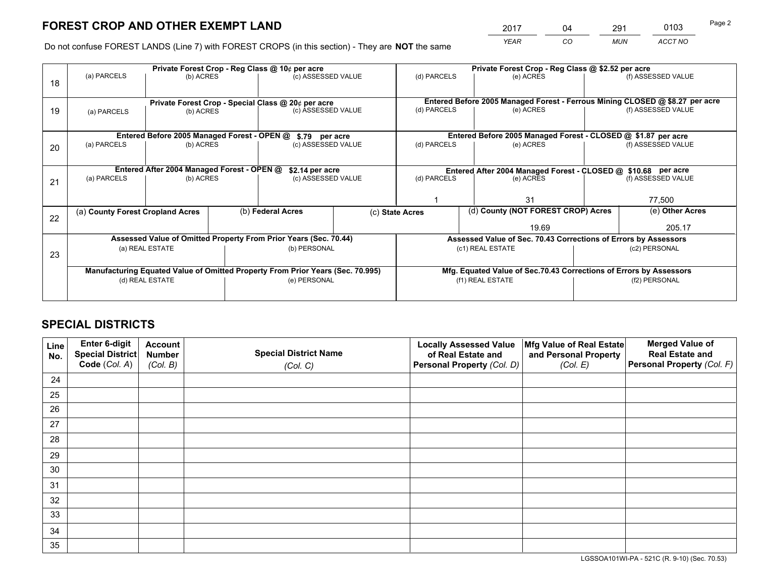# **FOREST CROP AND OTHER EXEMPT LAND**

 *YEAR CO MUN ACCT NO* <sup>2017</sup> <sup>04</sup> <sup>291</sup> <sup>0103</sup> Page 2

Do not confuse FOREST LANDS (Line 7) with FOREST CROPS (in this section) - They are **NOT** the same

|    |                                                                                |                                                       |  | Private Forest Crop - Reg Class @ 10¢ per acre                   |  | Private Forest Crop - Reg Class @ \$2.52 per acre             |                                                                              |                                                                    |                    |
|----|--------------------------------------------------------------------------------|-------------------------------------------------------|--|------------------------------------------------------------------|--|---------------------------------------------------------------|------------------------------------------------------------------------------|--------------------------------------------------------------------|--------------------|
| 18 | (a) PARCELS<br>(b) ACRES                                                       |                                                       |  | (c) ASSESSED VALUE                                               |  | (d) PARCELS                                                   | (e) ACRES                                                                    |                                                                    | (f) ASSESSED VALUE |
|    |                                                                                |                                                       |  |                                                                  |  |                                                               |                                                                              |                                                                    |                    |
|    |                                                                                |                                                       |  | Private Forest Crop - Special Class @ 20¢ per acre               |  |                                                               | Entered Before 2005 Managed Forest - Ferrous Mining CLOSED @ \$8.27 per acre |                                                                    |                    |
| 19 | (a) PARCELS                                                                    | (b) ACRES                                             |  | (c) ASSESSED VALUE                                               |  | (d) PARCELS                                                   | (e) ACRES                                                                    |                                                                    | (f) ASSESSED VALUE |
|    |                                                                                |                                                       |  |                                                                  |  |                                                               |                                                                              |                                                                    |                    |
|    |                                                                                | Entered Before 2005 Managed Forest - OPEN @           |  | \$.79 per acre                                                   |  |                                                               | Entered Before 2005 Managed Forest - CLOSED @ \$1.87 per acre                |                                                                    |                    |
| 20 | (a) PARCELS                                                                    | (b) ACRES                                             |  | (c) ASSESSED VALUE                                               |  | (d) PARCELS                                                   | (e) ACRES                                                                    |                                                                    | (f) ASSESSED VALUE |
|    |                                                                                |                                                       |  |                                                                  |  |                                                               |                                                                              |                                                                    |                    |
|    | Entered After 2004 Managed Forest - OPEN @                                     |                                                       |  | \$2.14 per acre                                                  |  | Entered After 2004 Managed Forest - CLOSED @ \$10.68 per acre |                                                                              |                                                                    |                    |
| 21 | (a) PARCELS                                                                    | (b) ACRES                                             |  | (c) ASSESSED VALUE                                               |  | (d) PARCELS                                                   | (e) ACRES                                                                    |                                                                    | (f) ASSESSED VALUE |
|    |                                                                                |                                                       |  |                                                                  |  |                                                               |                                                                              |                                                                    |                    |
|    |                                                                                |                                                       |  |                                                                  |  |                                                               | 31                                                                           |                                                                    | 77,500             |
|    |                                                                                | (b) Federal Acres<br>(a) County Forest Cropland Acres |  |                                                                  |  | (c) State Acres                                               | (d) County (NOT FOREST CROP) Acres                                           |                                                                    | (e) Other Acres    |
| 22 |                                                                                |                                                       |  |                                                                  |  |                                                               | 19.69                                                                        |                                                                    | 205.17             |
|    |                                                                                |                                                       |  | Assessed Value of Omitted Property From Prior Years (Sec. 70.44) |  |                                                               | Assessed Value of Sec. 70.43 Corrections of Errors by Assessors              |                                                                    |                    |
|    | (a) REAL ESTATE                                                                |                                                       |  | (b) PERSONAL                                                     |  |                                                               | (c1) REAL ESTATE                                                             | (c2) PERSONAL                                                      |                    |
| 23 |                                                                                |                                                       |  |                                                                  |  |                                                               |                                                                              |                                                                    |                    |
|    | Manufacturing Equated Value of Omitted Property From Prior Years (Sec. 70.995) |                                                       |  |                                                                  |  |                                                               |                                                                              | Mfg. Equated Value of Sec.70.43 Corrections of Errors by Assessors |                    |
|    | (d) REAL ESTATE                                                                |                                                       |  | (e) PERSONAL                                                     |  |                                                               | (f1) REAL ESTATE                                                             | (f2) PERSONAL                                                      |                    |
|    |                                                                                |                                                       |  |                                                                  |  |                                                               |                                                                              |                                                                    |                    |

# **SPECIAL DISTRICTS**

| Line<br>No. | Enter 6-digit<br><b>Special District</b> | <b>Account</b><br><b>Number</b> | <b>Special District Name</b> | <b>Locally Assessed Value</b><br>of Real Estate and | Mfg Value of Real Estate<br>and Personal Property | <b>Merged Value of</b><br><b>Real Estate and</b> |
|-------------|------------------------------------------|---------------------------------|------------------------------|-----------------------------------------------------|---------------------------------------------------|--------------------------------------------------|
|             | Code (Col. A)                            | (Col. B)                        | (Col. C)                     | Personal Property (Col. D)                          | (Col. E)                                          | Personal Property (Col. F)                       |
| 24          |                                          |                                 |                              |                                                     |                                                   |                                                  |
| 25          |                                          |                                 |                              |                                                     |                                                   |                                                  |
| 26          |                                          |                                 |                              |                                                     |                                                   |                                                  |
| 27          |                                          |                                 |                              |                                                     |                                                   |                                                  |
| 28          |                                          |                                 |                              |                                                     |                                                   |                                                  |
| 29          |                                          |                                 |                              |                                                     |                                                   |                                                  |
| 30          |                                          |                                 |                              |                                                     |                                                   |                                                  |
| 31          |                                          |                                 |                              |                                                     |                                                   |                                                  |
| 32          |                                          |                                 |                              |                                                     |                                                   |                                                  |
| 33          |                                          |                                 |                              |                                                     |                                                   |                                                  |
| 34          |                                          |                                 |                              |                                                     |                                                   |                                                  |
| 35          |                                          |                                 |                              |                                                     |                                                   |                                                  |

LGSSOA101WI-PA - 521C (R. 9-10) (Sec. 70.53)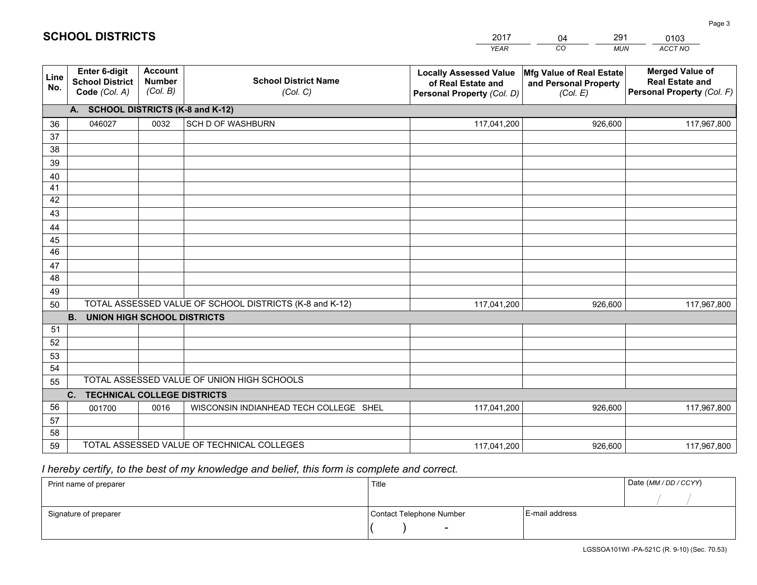|             |                                                          |                                             |                                                         | <b>YEAR</b>                                                                       | CO<br><b>MUN</b>                                              | ACCT NO                                                                        |
|-------------|----------------------------------------------------------|---------------------------------------------|---------------------------------------------------------|-----------------------------------------------------------------------------------|---------------------------------------------------------------|--------------------------------------------------------------------------------|
| Line<br>No. | Enter 6-digit<br><b>School District</b><br>Code (Col. A) | <b>Account</b><br><b>Number</b><br>(Col. B) | <b>School District Name</b><br>(Col. C)                 | <b>Locally Assessed Value</b><br>of Real Estate and<br>Personal Property (Col. D) | Mfg Value of Real Estate<br>and Personal Property<br>(Col. E) | <b>Merged Value of</b><br><b>Real Estate and</b><br>Personal Property (Col. F) |
|             | A. SCHOOL DISTRICTS (K-8 and K-12)                       |                                             |                                                         |                                                                                   |                                                               |                                                                                |
| 36          | 046027                                                   | 0032                                        | <b>SCH D OF WASHBURN</b>                                | 117,041,200                                                                       | 926,600                                                       | 117,967,800                                                                    |
| 37          |                                                          |                                             |                                                         |                                                                                   |                                                               |                                                                                |
| 38          |                                                          |                                             |                                                         |                                                                                   |                                                               |                                                                                |
| 39          |                                                          |                                             |                                                         |                                                                                   |                                                               |                                                                                |
| 40          |                                                          |                                             |                                                         |                                                                                   |                                                               |                                                                                |
| 41<br>42    |                                                          |                                             |                                                         |                                                                                   |                                                               |                                                                                |
| 43          |                                                          |                                             |                                                         |                                                                                   |                                                               |                                                                                |
|             |                                                          |                                             |                                                         |                                                                                   |                                                               |                                                                                |
| 44<br>45    |                                                          |                                             |                                                         |                                                                                   |                                                               |                                                                                |
| 46          |                                                          |                                             |                                                         |                                                                                   |                                                               |                                                                                |
| 47          |                                                          |                                             |                                                         |                                                                                   |                                                               |                                                                                |
| 48          |                                                          |                                             |                                                         |                                                                                   |                                                               |                                                                                |
| 49          |                                                          |                                             |                                                         |                                                                                   |                                                               |                                                                                |
| 50          |                                                          |                                             | TOTAL ASSESSED VALUE OF SCHOOL DISTRICTS (K-8 and K-12) | 117,041,200                                                                       | 926,600                                                       | 117,967,800                                                                    |
|             | <b>B.</b><br>UNION HIGH SCHOOL DISTRICTS                 |                                             |                                                         |                                                                                   |                                                               |                                                                                |
| 51          |                                                          |                                             |                                                         |                                                                                   |                                                               |                                                                                |
| 52          |                                                          |                                             |                                                         |                                                                                   |                                                               |                                                                                |
| 53          |                                                          |                                             |                                                         |                                                                                   |                                                               |                                                                                |
| 54          |                                                          |                                             |                                                         |                                                                                   |                                                               |                                                                                |
| 55          |                                                          |                                             | TOTAL ASSESSED VALUE OF UNION HIGH SCHOOLS              |                                                                                   |                                                               |                                                                                |
|             | C.<br><b>TECHNICAL COLLEGE DISTRICTS</b>                 |                                             |                                                         |                                                                                   |                                                               |                                                                                |
| 56          | 001700                                                   | 0016                                        | WISCONSIN INDIANHEAD TECH COLLEGE SHEL                  | 117,041,200                                                                       | 926,600                                                       | 117,967,800                                                                    |
| 57<br>58    |                                                          |                                             |                                                         |                                                                                   |                                                               |                                                                                |
| 59          |                                                          |                                             | TOTAL ASSESSED VALUE OF TECHNICAL COLLEGES              | 117,041,200                                                                       | 926,600                                                       | 117,967,800                                                                    |
|             |                                                          |                                             |                                                         |                                                                                   |                                                               |                                                                                |

2017

04

291

 *I hereby certify, to the best of my knowledge and belief, this form is complete and correct.*

**SCHOOL DISTRICTS**

| Print name of preparer | Title                    |                | Date (MM/DD/CCYY) |
|------------------------|--------------------------|----------------|-------------------|
|                        |                          |                |                   |
| Signature of preparer  | Contact Telephone Number | E-mail address |                   |
|                        | $\overline{\phantom{0}}$ |                |                   |

0103